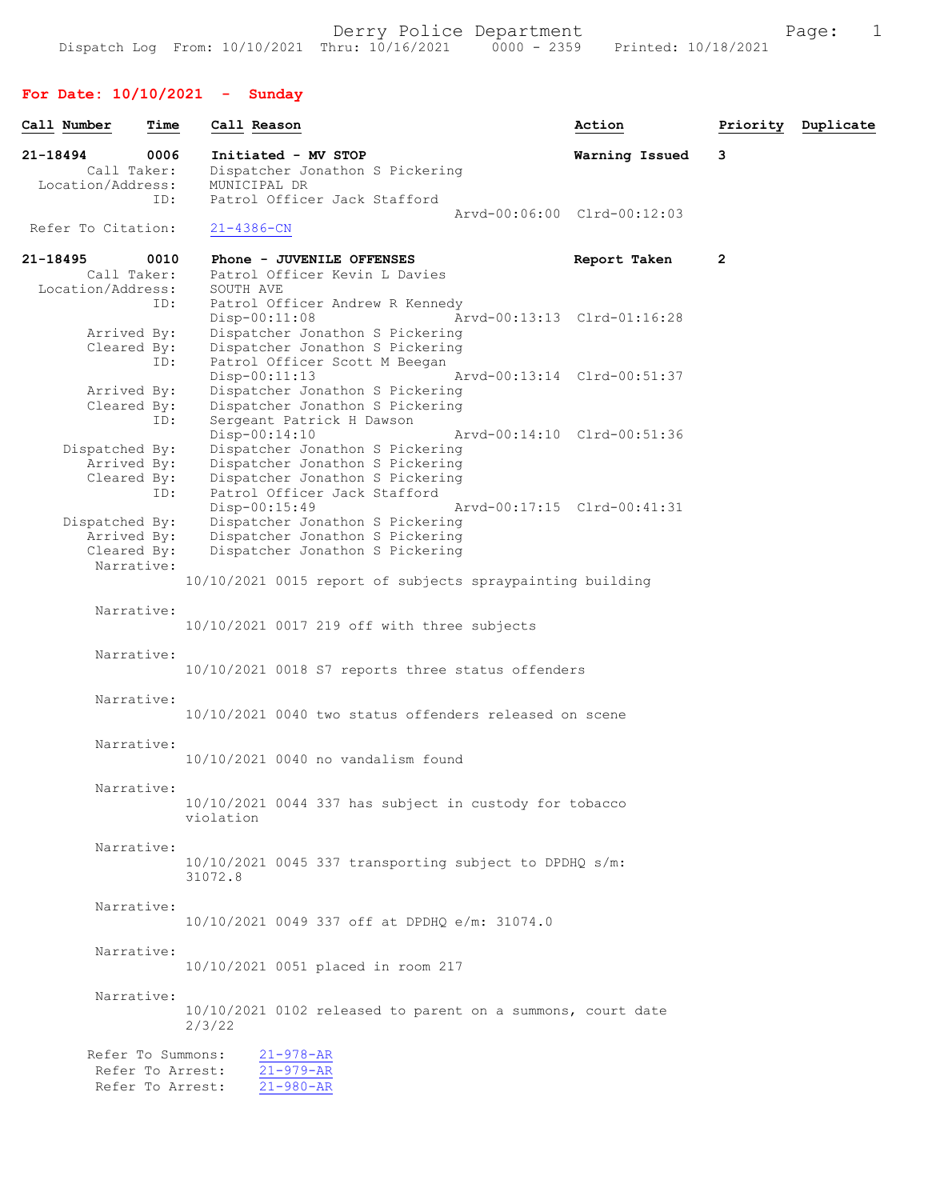## For Date: 10/10/2021 - Sunday

| Call Number                      | Time | Call Reason                                                        | Action                      | Priority       | Duplicate |
|----------------------------------|------|--------------------------------------------------------------------|-----------------------------|----------------|-----------|
| 21-18494                         | 0006 | Initiated - MV STOP                                                | Warning Issued              | 3              |           |
| Call Taker:<br>Location/Address: |      | Dispatcher Jonathon S Pickering<br>MUNICIPAL DR                    |                             |                |           |
|                                  | ID:  | Patrol Officer Jack Stafford                                       |                             |                |           |
|                                  |      |                                                                    | Arvd-00:06:00 Clrd-00:12:03 |                |           |
| Refer To Citation:               |      | $21 - 4386 - CN$                                                   |                             |                |           |
| 21-18495                         | 0010 | Phone - JUVENILE OFFENSES                                          | Report Taken                | $\overline{2}$ |           |
| Call Taker:                      |      | Patrol Officer Kevin L Davies                                      |                             |                |           |
| Location/Address:                | ID:  | SOUTH AVE<br>Patrol Officer Andrew R Kennedy                       |                             |                |           |
|                                  |      | $Disp-00:11:08$                                                    | Arvd-00:13:13 Clrd-01:16:28 |                |           |
| Arrived By:                      |      | Dispatcher Jonathon S Pickering                                    |                             |                |           |
| Cleared By:                      |      | Dispatcher Jonathon S Pickering                                    |                             |                |           |
|                                  | ID:  | Patrol Officer Scott M Beegan<br>$Disp-00:11:13$                   | Arvd-00:13:14 Clrd-00:51:37 |                |           |
| Arrived By:                      |      | Dispatcher Jonathon S Pickering                                    |                             |                |           |
| Cleared By:                      |      | Dispatcher Jonathon S Pickering                                    |                             |                |           |
|                                  | ID:  | Sergeant Patrick H Dawson                                          |                             |                |           |
| Dispatched By:                   |      | Disp-00:14:10<br>Dispatcher Jonathon S Pickering                   | Arvd-00:14:10 Clrd-00:51:36 |                |           |
| Arrived By:                      |      | Dispatcher Jonathon S Pickering                                    |                             |                |           |
| Cleared By:                      |      | Dispatcher Jonathon S Pickering                                    |                             |                |           |
|                                  | ID:  | Patrol Officer Jack Stafford                                       |                             |                |           |
|                                  |      | Disp-00:15:49                                                      | Arvd-00:17:15 Clrd-00:41:31 |                |           |
| Dispatched By:<br>Arrived By:    |      | Dispatcher Jonathon S Pickering<br>Dispatcher Jonathon S Pickering |                             |                |           |
| Cleared By:                      |      | Dispatcher Jonathon S Pickering                                    |                             |                |           |
| Narrative:                       |      |                                                                    |                             |                |           |
|                                  |      | 10/10/2021 0015 report of subjects spraypainting building          |                             |                |           |
| Narrative:                       |      |                                                                    |                             |                |           |
|                                  |      | 10/10/2021 0017 219 off with three subjects                        |                             |                |           |
| Narrative:                       |      |                                                                    |                             |                |           |
|                                  |      | 10/10/2021 0018 S7 reports three status offenders                  |                             |                |           |
|                                  |      |                                                                    |                             |                |           |
| Narrative:                       |      |                                                                    |                             |                |           |
|                                  |      | 10/10/2021 0040 two status offenders released on scene             |                             |                |           |
| Narrative:                       |      |                                                                    |                             |                |           |
|                                  |      | 10/10/2021 0040 no vandalism found                                 |                             |                |           |
| Narrative:                       |      |                                                                    |                             |                |           |
|                                  |      | 10/10/2021 0044 337 has subject in custody for tobacco             |                             |                |           |
|                                  |      | violation                                                          |                             |                |           |
|                                  |      |                                                                    |                             |                |           |
| Narrative:                       |      | 10/10/2021 0045 337 transporting subject to DPDHQ s/m:             |                             |                |           |
|                                  |      | 31072.8                                                            |                             |                |           |
|                                  |      |                                                                    |                             |                |           |
| Narrative:                       |      |                                                                    |                             |                |           |
|                                  |      | 10/10/2021 0049 337 off at DPDHO e/m: 31074.0                      |                             |                |           |
| Narrative:                       |      |                                                                    |                             |                |           |
|                                  |      | 10/10/2021 0051 placed in room 217                                 |                             |                |           |
| Narrative:                       |      |                                                                    |                             |                |           |
|                                  |      | 10/10/2021 0102 released to parent on a summons, court date        |                             |                |           |
|                                  |      | 2/3/22                                                             |                             |                |           |
| Refer To Summons:                |      | $21 - 978 - AR$                                                    |                             |                |           |
|                                  |      | Refer To Arrest:<br>$21 - 979 - AR$                                |                             |                |           |
|                                  |      | Refer To Arrest:<br>$21 - 980 - AR$                                |                             |                |           |
|                                  |      |                                                                    |                             |                |           |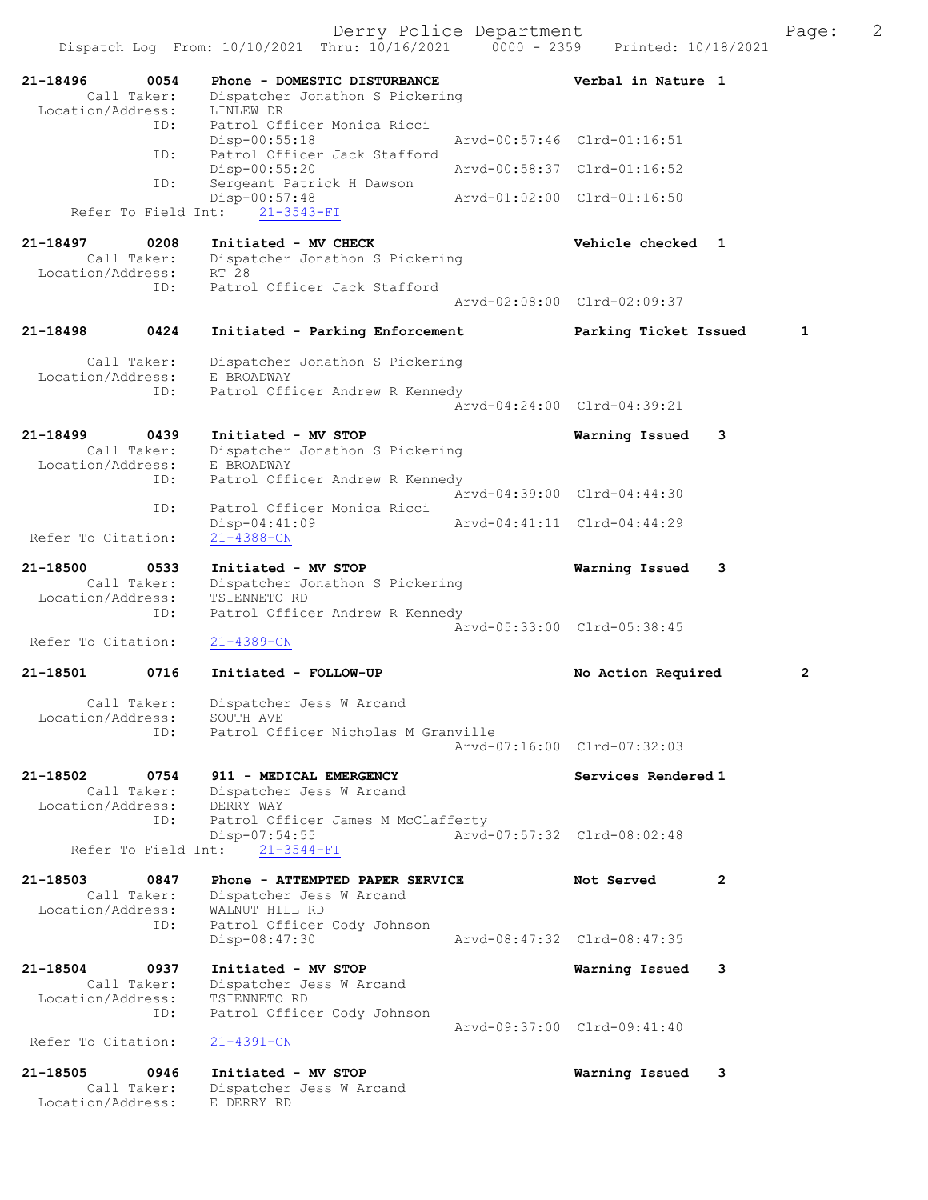| 21-18496           | 0054<br>Call Taker: | Phone - DOMESTIC DISTURBANCE<br>Dispatcher Jonathon S Pickering | Verbal in Nature 1          |   |
|--------------------|---------------------|-----------------------------------------------------------------|-----------------------------|---|
| Location/Address:  |                     | LINLEW DR                                                       |                             |   |
|                    | ID:                 | Patrol Officer Monica Ricci                                     |                             |   |
|                    |                     | $Disp-00:55:18$                                                 | Arvd-00:57:46 Clrd-01:16:51 |   |
|                    | ID:                 | Patrol Officer Jack Stafford                                    |                             |   |
|                    | ID:                 | Disp-00:55:20<br>Sergeant Patrick H Dawson                      | Arvd-00:58:37 Clrd-01:16:52 |   |
|                    | Refer To Field Int: | Disp-00:57:48                                                   | Arvd-01:02:00 Clrd-01:16:50 |   |
|                    |                     | $21 - 3543 - FI$                                                |                             |   |
| 21-18497           | 0208                | Initiated - MV CHECK                                            | Vehicle checked 1           |   |
|                    | Call Taker:         | Dispatcher Jonathon S Pickering                                 |                             |   |
| Location/Address:  |                     | RT 28                                                           |                             |   |
|                    | ID:                 | Patrol Officer Jack Stafford                                    |                             |   |
|                    |                     |                                                                 | Arvd-02:08:00 Clrd-02:09:37 |   |
|                    |                     |                                                                 |                             |   |
| 21-18498           | 0424                | Initiated - Parking Enforcement                                 | Parking Ticket Issued       | 1 |
|                    | Call Taker:         | Dispatcher Jonathon S Pickering                                 |                             |   |
| Location/Address:  |                     | E BROADWAY                                                      |                             |   |
|                    | ID:                 | Patrol Officer Andrew R Kennedy                                 |                             |   |
|                    |                     |                                                                 | Arvd-04:24:00 Clrd-04:39:21 |   |
|                    |                     |                                                                 |                             |   |
| 21-18499           | 0439                | Initiated - MV STOP                                             | Warning Issued              | 3 |
|                    | Call Taker:         | Dispatcher Jonathon S Pickering                                 |                             |   |
| Location/Address:  |                     | E BROADWAY                                                      |                             |   |
|                    | ID:                 | Patrol Officer Andrew R Kennedy                                 | Arvd-04:39:00 Clrd-04:44:30 |   |
|                    | ID:                 | Patrol Officer Monica Ricci                                     |                             |   |
|                    |                     | $Disp-04:41:09$                                                 | Arvd-04:41:11 Clrd-04:44:29 |   |
| Refer To Citation: |                     | $21 - 4388 - CN$                                                |                             |   |
| 21-18500           | 0533                | Initiated - MV STOP                                             | Warning Issued              | 3 |
|                    | Call Taker:         | Dispatcher Jonathon S Pickering                                 |                             |   |
| Location/Address:  |                     | TSIENNETO RD                                                    |                             |   |
|                    | ID:                 | Patrol Officer Andrew R Kennedy                                 |                             |   |
|                    |                     |                                                                 | Arvd-05:33:00 Clrd-05:38:45 |   |
| Refer To Citation: |                     | $21 - 4389 - CN$                                                |                             |   |
| 21-18501           | 0716                | Initiated - FOLLOW-UP                                           | No Action Required          | 2 |
|                    | Call Taker:         | Dispatcher Jess W Arcand                                        |                             |   |
| Location/Address:  |                     | SOUTH AVE                                                       |                             |   |
|                    | ID:                 | Patrol Officer Nicholas M Granville                             |                             |   |
|                    |                     |                                                                 | Arvd-07:16:00 Clrd-07:32:03 |   |
|                    |                     |                                                                 |                             |   |
| 21-18502           | 0754                | 911 - MEDICAL EMERGENCY                                         | Services Rendered 1         |   |
|                    | Call Taker:         | Dispatcher Jess W Arcand                                        |                             |   |
| Location/Address:  | ID:                 | DERRY WAY                                                       |                             |   |
|                    |                     | Patrol Officer James M McClafferty<br>Disp-07:54:55             | Arvd-07:57:32 Clrd-08:02:48 |   |
|                    | Refer To Field Int: | $21 - 3544 - FI$                                                |                             |   |
|                    |                     |                                                                 |                             |   |
| 21-18503           | 0847                | Phone - ATTEMPTED PAPER SERVICE                                 | Not Served                  | 2 |
|                    | Call Taker:         | Dispatcher Jess W Arcand                                        |                             |   |
| Location/Address:  |                     | WALNUT HILL RD                                                  |                             |   |
|                    | ID:                 | Patrol Officer Cody Johnson                                     | Arvd-08:47:32 Clrd-08:47:35 |   |
|                    |                     | Disp-08:47:30                                                   |                             |   |
| 21-18504           | 0937                | Initiated - MV STOP                                             | Warning Issued              | 3 |
|                    | Call Taker:         | Dispatcher Jess W Arcand                                        |                             |   |
| Location/Address:  |                     | TSIENNETO RD                                                    |                             |   |
|                    | ID:                 | Patrol Officer Cody Johnson                                     |                             |   |
|                    |                     |                                                                 | Arvd-09:37:00 Clrd-09:41:40 |   |
| Refer To Citation: |                     | $21 - 4391 - CN$                                                |                             |   |
|                    |                     |                                                                 |                             |   |
| 21-18505           | 0946                | Initiated - MV STOP                                             | Warning Issued              | 3 |
| Location/Address:  | Call Taker:         | Dispatcher Jess W Arcand<br>E DERRY RD                          |                             |   |
|                    |                     |                                                                 |                             |   |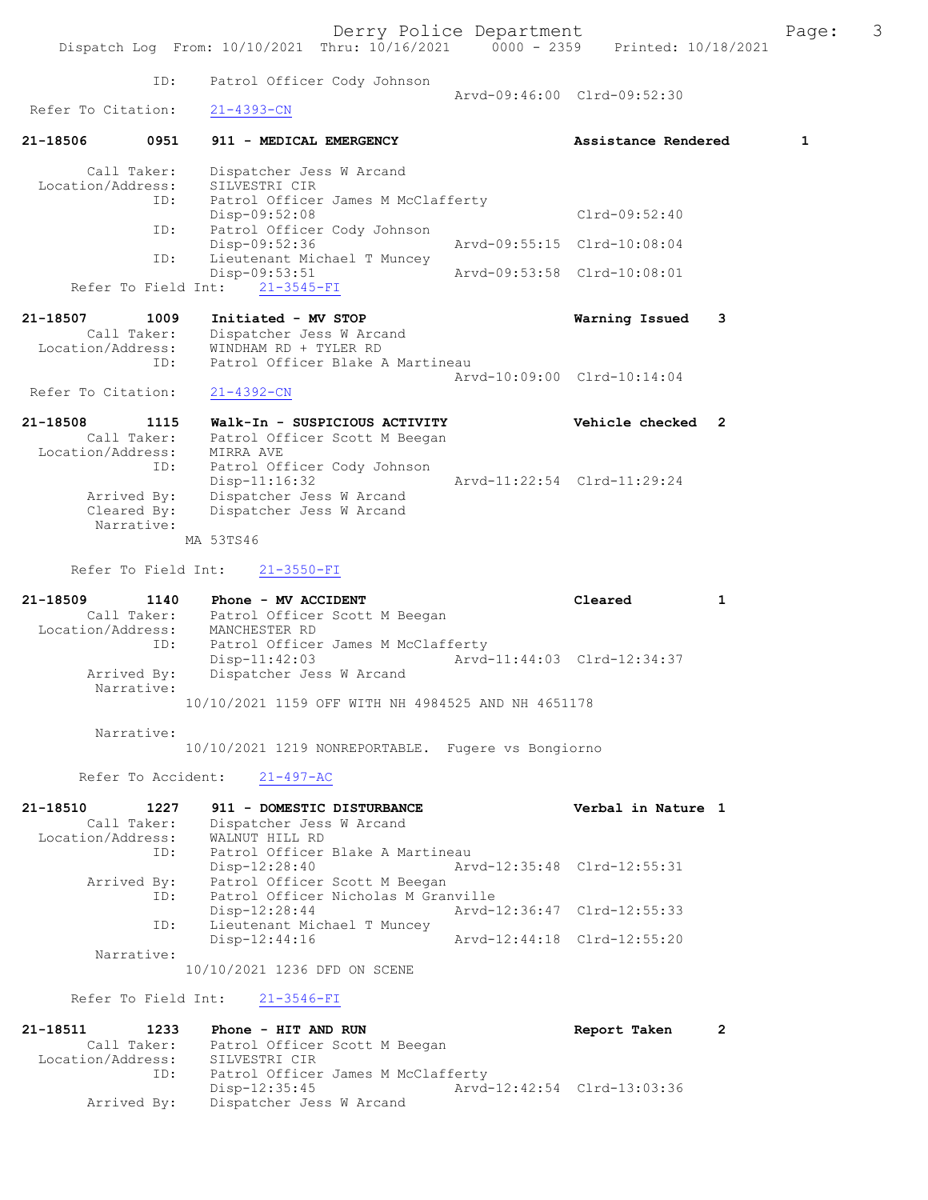ID: Patrol Officer Cody Johnson Arvd-09:46:00 Clrd-09:52:30<br>21-4393-CN Refer To Citation: 21-18506 0951 911 - MEDICAL EMERGENCY Assistance Rendered 1 Call Taker: Dispatcher Jess W Arcand Location/Address: SILVESTRI CIR ID: Patrol Officer James M McClafferty Disp-09:52:08 Clrd-09:52:40 ID: Patrol Officer Cody Johnson<br>Disp-09:52:36 Disp-09:52:36 Arvd-09:55:15 Clrd-10:08:04<br>TD: Lieutenant Michael T Muncey Lieutenant Michael T Muncey<br>Disp-09:53:51 Disp-09:53:51 Arvd-09:53:58 Clrd-10:08:01 Refer To Field Int: 21-3545-FI 21-18507 1009 Initiated - MV STOP Warning Issued 3 Call Taker: Dispatcher Jess W Arcand Location/Address: WINDHAM RD + TYLER RD ID: Patrol Officer Blake A Martineau Arvd-10:09:00 Clrd-10:14:04 Refer To Citation: 21-4392-CN 21-18508 1115 Walk-In - SUSPICIOUS ACTIVITY Vehicle checked 2 Call Taker: Patrol Officer Scott M Beegan Location/Address: MIRRA AVE ID: Patrol Officer Cody Johnson Arvd-11:22:54 Clrd-11:29:24 Arrived By: Dispatcher Jess W Arcand Cleared By: Dispatcher Jess W Arcand Narrative: MA 53TS46 Refer To Field Int: 21-3550-FI 21-18509 1140 Phone - MV ACCIDENT Cleared 1 Call Taker: Patrol Officer Scott M Beegan Location/Address: MANCHESTER RD ID: Patrol Officer James M McClafferty<br>Disp-11:42:03 Arvd-Arvd-11:44:03 Clrd-12:34:37 Arrived By: Dispatcher Jess W Arcand Narrative: 10/10/2021 1159 OFF WITH NH 4984525 AND NH 4651178 Narrative: 10/10/2021 1219 NONREPORTABLE. Fugere vs Bongiorno Refer To Accident: 21-497-AC 21-18510 1227 911 - DOMESTIC DISTURBANCE Verbal in Nature 1 Call Taker: Dispatcher Jess W Arcand Location/Address: WALNUT HILL RD ID: Patrol Officer Blake A Martineau<br>Disp-12:28:40 Art Disp-12:28:40 Arvd-12:35:48 Clrd-12:55:31 Arrived By: Patrol Officer Scott M Beegan ID: Patrol Officer Nicholas M Granville Disp-12:28:44 Arvd-12:36:47 Clrd-12:55:33 ID: Lieutenant Michael T Muncey<br>Disp-12:44:16 Arvd-12:44:18 Clrd-12:55:20 Narrative: 10/10/2021 1236 DFD ON SCENE Refer To Field Int: 21-3546-FI 21-18511 1233 Phone - HIT AND RUN Report Taken 2 Call Taker: Patrol Officer Scott M Beegan Location/Address: SILVESTRI CIR ID: Patrol Officer James M McClafferty

Disp-12:35:45 Arvd-12:42:54 Clrd-13:03:36<br>Arrived By: Dispatcher Jess W Arcand Dispatcher Jess W Arcand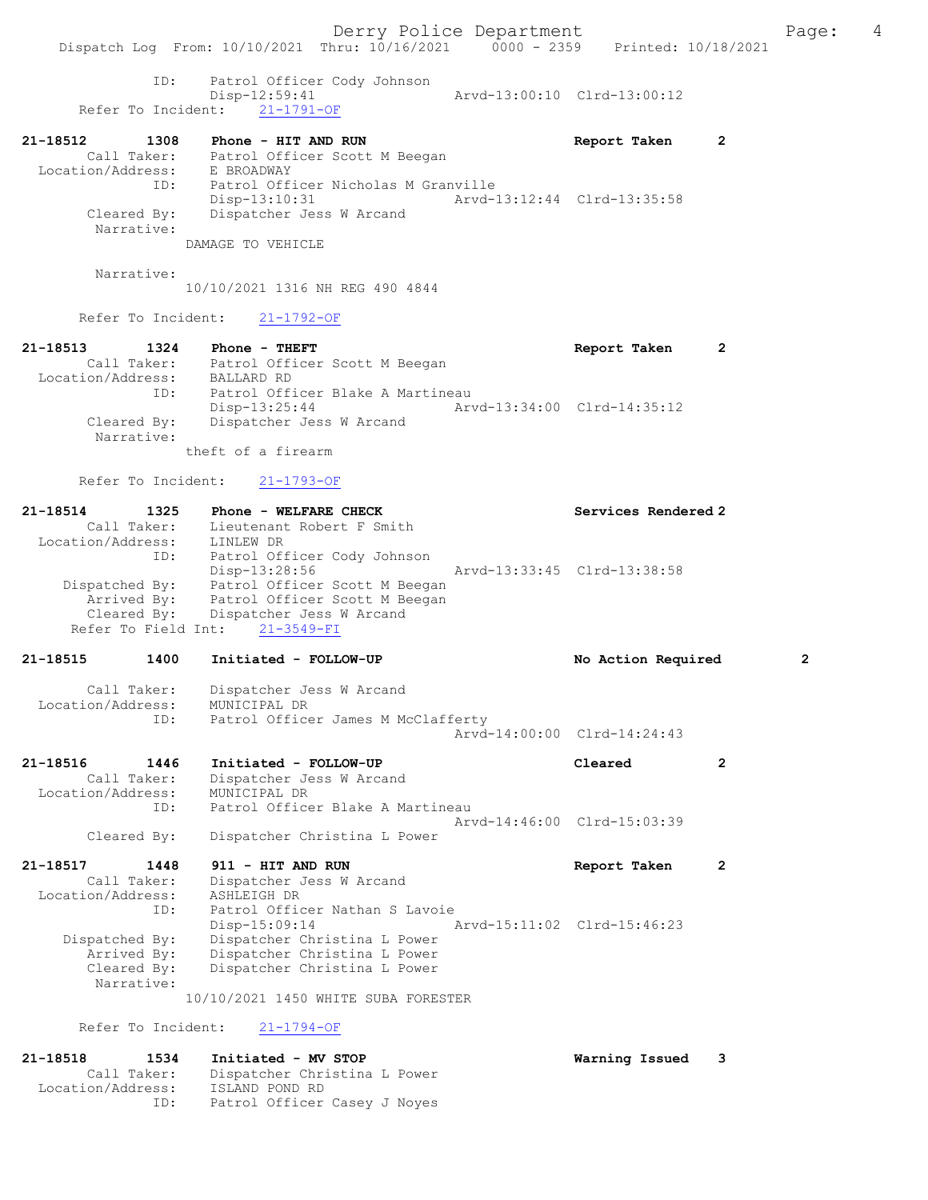ID: Patrol Officer Cody Johnson Disp-12:59:41 Arvd-13:00:10 Clrd-13:00:12

- Refer To Incident: 21-1791-OF
- 21-18512 1308 Phone HIT AND RUN Report Taken 2 Call Taker: Patrol Officer Scott M Beegan Location/Address: E BROADWAY ID: Patrol Officer Nicholas M Granville Disp-13:10:31 Arvd-13:12:44 Clrd-13:35:58 Cleared By: Dispatcher Jess W Arcand Narrative: DAMAGE TO VEHICLE

Narrative:

10/10/2021 1316 NH REG 490 4844

Refer To Incident: 21-1792-OF

| 21-18513          | 1324                      | Phone - THEFT                    |                             | Report Taken |  |
|-------------------|---------------------------|----------------------------------|-----------------------------|--------------|--|
|                   | Call Taker:               | Patrol Officer Scott M Beegan    |                             |              |  |
| Location/Address: |                           | BALLARD RD                       |                             |              |  |
|                   | ID:                       | Patrol Officer Blake A Martineau |                             |              |  |
|                   |                           | $Disp-13:25:44$                  | Arvd-13:34:00 Clrd-14:35:12 |              |  |
|                   | Cleared By:<br>Narrative: | Dispatcher Jess W Arcand         |                             |              |  |
|                   |                           | theft of a firearm               |                             |              |  |

Refer To Incident: 21-1793-OF

| 21-18514          | 1325        | Phone - WELFARE CHECK          | Services Rendered 2         |
|-------------------|-------------|--------------------------------|-----------------------------|
|                   | Call Taker: | Lieutenant Robert F Smith      |                             |
| Location/Address: |             | LINLEW DR                      |                             |
|                   | ID:         | Patrol Officer Cody Johnson    |                             |
|                   |             | Disp-13:28:56                  | Arvd-13:33:45 Clrd-13:38:58 |
| Dispatched By:    |             | Patrol Officer Scott M Beegan  |                             |
|                   | Arrived By: | Patrol Officer Scott M Beegan  |                             |
|                   | Cleared By: | Dispatcher Jess W Arcand       |                             |
|                   |             | Refer To Field Int: 21-3549-FI |                             |
|                   |             |                                |                             |

# 21-18515 1400 Initiated - FOLLOW-UP No Action Required 2 Call Taker: Dispatcher Jess W Arcand Location/Address: MUNICIPAL DR

| LOCALION/AQQIESS: | MUNICIFAL DK                       |  |
|-------------------|------------------------------------|--|
|                   | Patrol Officer James M McClafferty |  |
|                   | Arvd-14:00:00 Clrd-14:24:43        |  |

| 21-18516          | 1446        | Initiated - FOLLOW-UP            | Cleared                     |  |
|-------------------|-------------|----------------------------------|-----------------------------|--|
|                   | Call Taker: | Dispatcher Jess W Arcand         |                             |  |
| Location/Address: |             | MUNICIPAL DR                     |                             |  |
|                   | TD:         | Patrol Officer Blake A Martineau |                             |  |
|                   |             |                                  | Aryd-14:46:00 Clrd-15:03:39 |  |
|                   | Cleared By: | Dispatcher Christina L Power     |                             |  |

### 21-18517 1448 911 - HIT AND RUN Report Taken 2 Call Taker: Dispatcher Jess W Arcand Location/Address: ASHLEIGH DR ID: Patrol Officer Nathan S Lavoie Disp-15:09:14 Arvd-15:11:02 Clrd-15:46:23 Dispatched By: Dispatcher Christina L Power Arrived By: Dispatcher Christina L Power Cleared By: Dispatcher Christina L Power Narrative:

10/10/2021 1450 WHITE SUBA FORESTER

Refer To Incident: 21-1794-OF

| 21-18518          | 1534        | Initiated - MV STOP          | Warning Issued 3 |  |
|-------------------|-------------|------------------------------|------------------|--|
|                   | Call Taker: | Dispatcher Christina L Power |                  |  |
| Location/Address: |             | ISLAND POND RD               |                  |  |
|                   | ID:         | Patrol Officer Casey J Noyes |                  |  |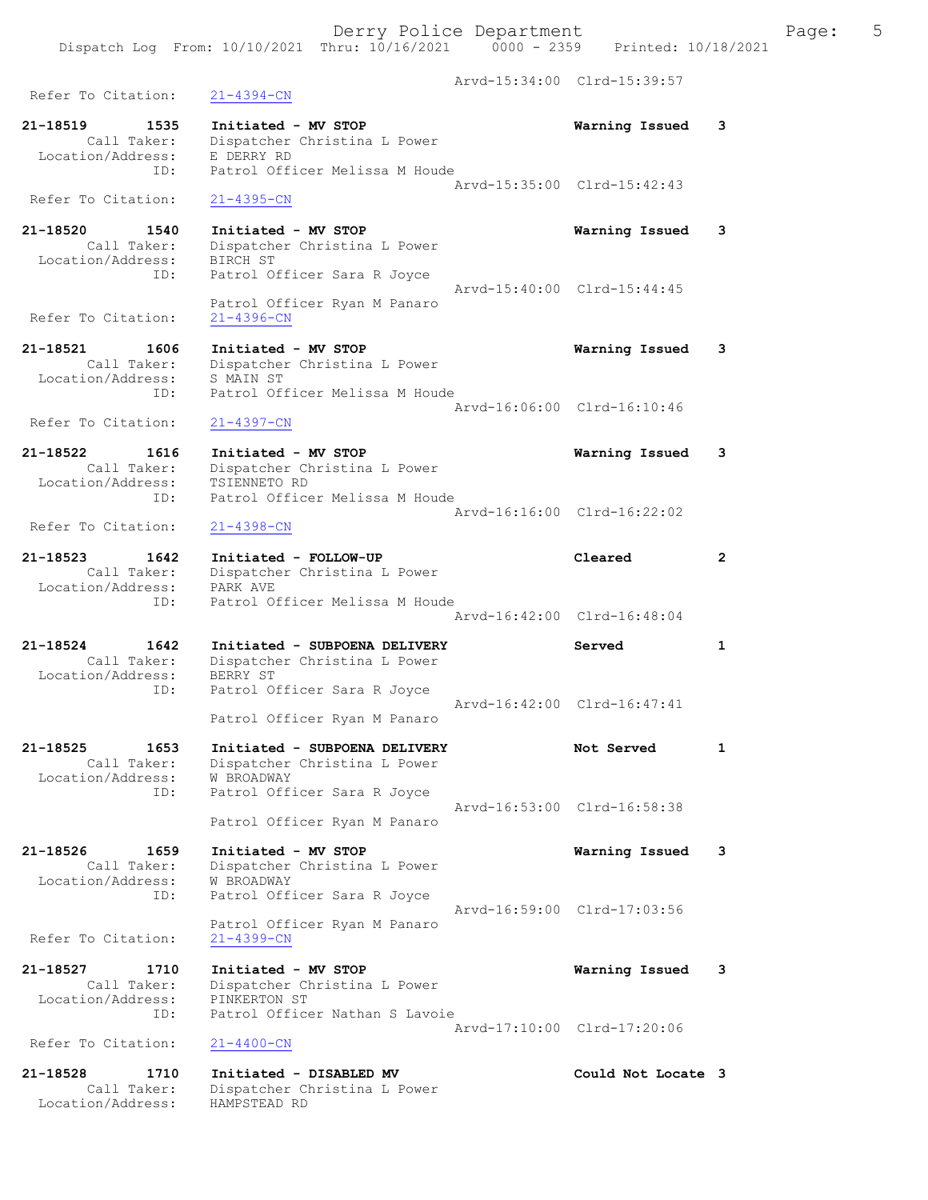Dispatch Log From: 10/10/2021 Thru: 10/16/2021 0000 - 2359 Printed: 10/18/2021

 Arvd-15:34:00 Clrd-15:39:57 Refer To Citation: 21-4394-CN 21-18519 1535 Initiated - MV STOP Warning Issued 3 Call Taker: Dispatcher Christina L Power Location/Address: E DERRY RD ID: Patrol Officer Melissa M Houde Arvd-15:35:00 Clrd-15:42:43 Refer To Citation: 21-4395-CN 21-18520 1540 Initiated - MV STOP Warning Issued 3 Call Taker: Dispatcher Christina L Power Location/Address: BIRCH ST ID: Patrol Officer Sara R Joyce Arvd-15:40:00 Clrd-15:44:45 Patrol Officer Ryan M Panaro Refer To Citation: 21-4396-CN 21-18521 1606 Initiated - MV STOP Warning Issued 3 Call Taker: Dispatcher Christina L Power Location/Address: S MAIN ST ID: Patrol Officer Melissa M Houde Arvd-16:06:00 Clrd-16:10:46 Refer To Citation: 21-4397-CN 21-18522 1616 Initiated - MV STOP Warning Issued 3 Call Taker: Dispatcher Christina L Power Location/Address: TSIENNETO RD ID: Patrol Officer Melissa M Houde Arvd-16:16:00 Clrd-16:22:02<br>21-4398-CN Refer To Citation: 21-18523 1642 Initiated - FOLLOW-UP Cleared 2 Call Taker: Dispatcher Christina L Power Location/Address: PARK AVE ID: Patrol Officer Melissa M Houde Arvd-16:42:00 Clrd-16:48:04 21-18524 1642 Initiated - SUBPOENA DELIVERY Served 1 Call Taker: Dispatcher Christina L Power Location/Address: BERRY ST ID: Patrol Officer Sara R Joyce Arvd-16:42:00 Clrd-16:47:41 Patrol Officer Ryan M Panaro 21-18525 1653 Initiated - SUBPOENA DELIVERY Not Served 1 Call Taker: Dispatcher Christina L Power Location/Address: W BROADWAY ID: Patrol Officer Sara R Joyce Arvd-16:53:00 Clrd-16:58:38 Patrol Officer Ryan M Panaro 21-18526 1659 Initiated - MV STOP Warning Issued 3 Call Taker: Dispatcher Christina L Power Location/Address: W BROADWAY ID: Patrol Officer Sara R Joyce Arvd-16:59:00 Clrd-17:03:56 Patrol Officer Ryan M Panaro Refer To Citation: 21-4399-CN 21-18527 1710 Initiated - MV STOP Warning Issued 3 Call Taker: Dispatcher Christina L Power Location/Address: PINKERTON ST ID: Patrol Officer Nathan S Lavoie Arvd-17:10:00 Clrd-17:20:06 Refer To Citation: 21-4400-CN 21-18528 1710 Initiated - DISABLED MV Could Not Locate 3 Call Taker: Dispatcher Christina L Power Location/Address: HAMPSTEAD RD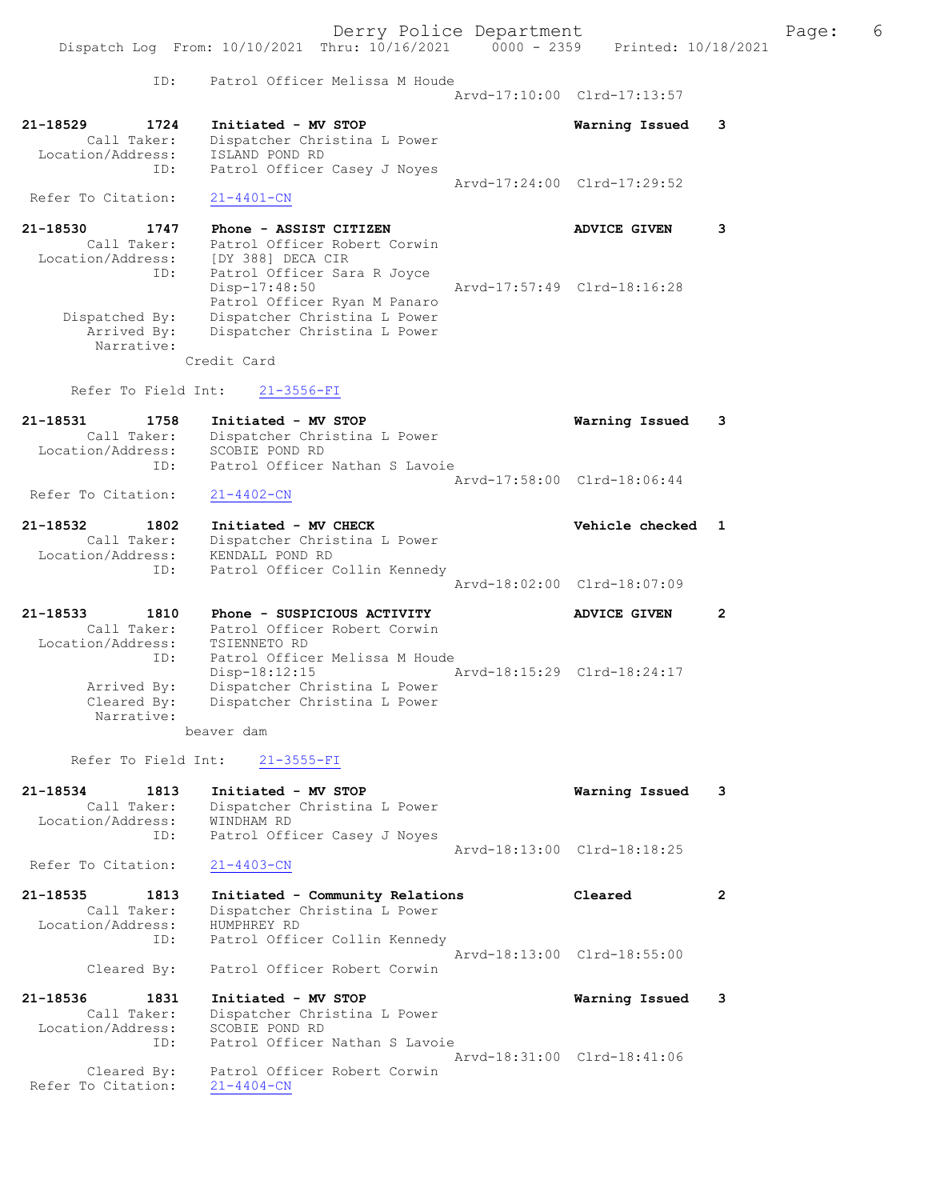Derry Police Department The Page: 6 Dispatch Log From: 10/10/2021 Thru: 10/16/2021 0000 - 2359 Printed: 10/18/2021 ID: Patrol Officer Melissa M Houde Arvd-17:10:00 Clrd-17:13:57 21-18529 1724 Initiated - MV STOP Warning Issued 3 Call Taker: Dispatcher Christina L Power Location/Address: ISLAND POND RD ID: Patrol Officer Casey J Noyes Arvd-17:24:00 Clrd-17:29:52 Refer To Citation: 21-4401-CN 21-18530 1747 Phone - ASSIST CITIZEN ANVICE GIVEN 3 Call Taker: Patrol Officer Robert Corwin Location/Address: [DY 388] DECA CIR ID: Patrol Officer Sara R Joyce Disp-17:48:50 Arvd-17:57:49 Clrd-18:16:28 Patrol Officer Ryan M Panaro Dispatched By: Dispatcher Christina L Power Arrived By: Dispatcher Christina L Power Narrative: Credit Card Refer To Field Int: 21-3556-FI 21-18531 1758 Initiated - MV STOP Warning Issued 3 Call Taker: Dispatcher Christina L Power Location/Address: SCOBIE POND RD ID: Patrol Officer Nathan S Lavoie Arvd-17:58:00 Clrd-18:06:44<br>
21-4402-CN Refer To Citation: 21-18532 1802 Initiated - MV CHECK Network of Montrole checked 1 Call Taker: Dispatcher Christina L Power Location/Address: KENDALL POND RD ID: Patrol Officer Collin Kennedy Arvd-18:02:00 Clrd-18:07:09 21-18533 1810 Phone - SUSPICIOUS ACTIVITY ADVICE GIVEN 2 Call Taker: Patrol Officer Robert Corwin Location/Address: TSIENNETO RD ID: Patrol Officer Melissa M Houde Disp-18:12:15 Arvd-18:15:29 Clrd-18:24:17 Arrived By: Dispatcher Christina L Power Cleared By: Dispatcher Christina L Power Narrative: beaver dam Refer To Field Int: 21-3555-FI 21-18534 1813 Initiated - MV STOP Warning Issued 3 Call Taker: Dispatcher Christina L Power Location/Address: WINDHAM RD ID: Patrol Officer Casey J Noyes Arvd-18:13:00 Clrd-18:18:25 Refer To Citation: 21-4403-CN 21-18535 1813 Initiated - Community Relations Cleared 2 Call Taker: Dispatcher Christina L Power Location/Address: HUMPHREY RD ID: Patrol Officer Collin Kennedy Arvd-18:13:00 Clrd-18:55:00 Cleared By: Patrol Officer Robert Corwin 21-18536 1831 Initiated - MV STOP Warning Issued 3 Call Taker: Dispatcher Christina L Power Location/Address: SCOBIE POND RD ID: Patrol Officer Nathan S Lavoie Arvd-18:31:00 Clrd-18:41:06 Cleared By: Patrol Officer Robert Corwin Refer To Citation: 21-4404-CN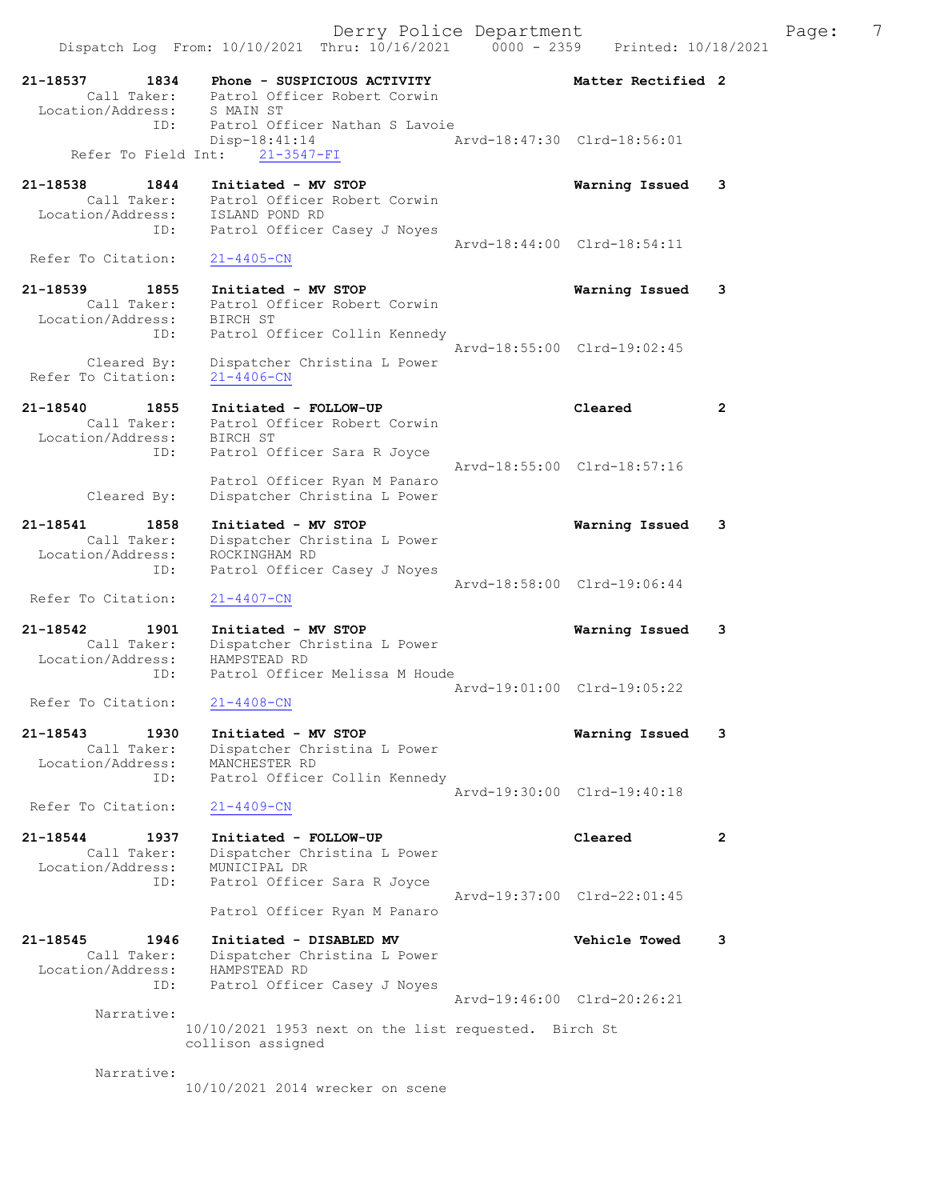Derry Police Department The Page: 7 Dispatch Log From: 10/10/2021 Thru: 10/16/2021 0000 - 2359 Printed: 10/18/2021 21-18537 1834 Phone - SUSPICIOUS ACTIVITY Matter Rectified 2 Call Taker: Patrol Officer Robert Corwin Location/Address: S MAIN ST ID: Patrol Officer Nathan S Lavoie Disp-18:41:14 Arvd-18:47:30 Clrd-18:56:01 Refer To Field Int: 21-3547-FI 21-18538 1844 Initiated - MV STOP Warning Issued 3 Call Taker: Patrol Officer Robert Corwin Location/Address: ISLAND POND RD ID: Patrol Officer Casey J Noyes Arvd-18:44:00 Clrd-18:54:11 Refer To Citation: 21-4405-CN 21-18539 1855 Initiated - MV STOP Warning Issued 3 Call Taker: Patrol Officer Robert Corwin Location/Address: BIRCH ST ID: Patrol Officer Collin Kennedy Arvd-18:55:00 Clrd-19:02:45 Cleared By: Dispatcher Christina L Power Refer To Citation: 21-4406-CN 21-18540 1855 Initiated - FOLLOW-UP Cleared 2 Call Taker: Patrol Officer Robert Corwin Location/Address: BIRCH ST ID: Patrol Officer Sara R Joyce Arvd-18:55:00 Clrd-18:57:16 Patrol Officer Ryan M Panaro Cleared By: Dispatcher Christina L Power 21-18541 1858 Initiated - MV STOP Warning Issued 3 Call Taker: Dispatcher Christina L Power Location/Address: ROCKINGHAM RD ID: Patrol Officer Casey J Noyes Arvd-18:58:00 Clrd-19:06:44 Refer To Citation: 21-4407-CN 21-18542 1901 Initiated - MV STOP Warning Issued 3 Call Taker: Dispatcher Christina L Power Location/Address: HAMPSTEAD RD ID: Patrol Officer Melissa M Houde Arvd-19:01:00 Clrd-19:05:22<br>21-4408-CN Refer To Citation: 21-18543 1930 Initiated - MV STOP Warning Issued 3 Call Taker: Dispatcher Christina L Power Location/Address: MANCHESTER RD ID: Patrol Officer Collin Kennedy Arvd-19:30:00 Clrd-19:40:18 Refer To Citation: 21-4409-CN 21-18544 1937 Initiated - FOLLOW-UP Cleared 2 Call Taker: Dispatcher Christina L Power Location/Address: MUNICIPAL DR ID: Patrol Officer Sara R Joyce Arvd-19:37:00 Clrd-22:01:45 Patrol Officer Ryan M Panaro 21-18545 1946 Initiated - DISABLED MV Vehicle Towed 3 Call Taker: Dispatcher Christina L Power Location/Address: HAMPSTEAD RD ID: Patrol Officer Casey J Noyes Arvd-19:46:00 Clrd-20:26:21 Narrative: 10/10/2021 1953 next on the list requested. Birch St collison assigned

Narrative:

10/10/2021 2014 wrecker on scene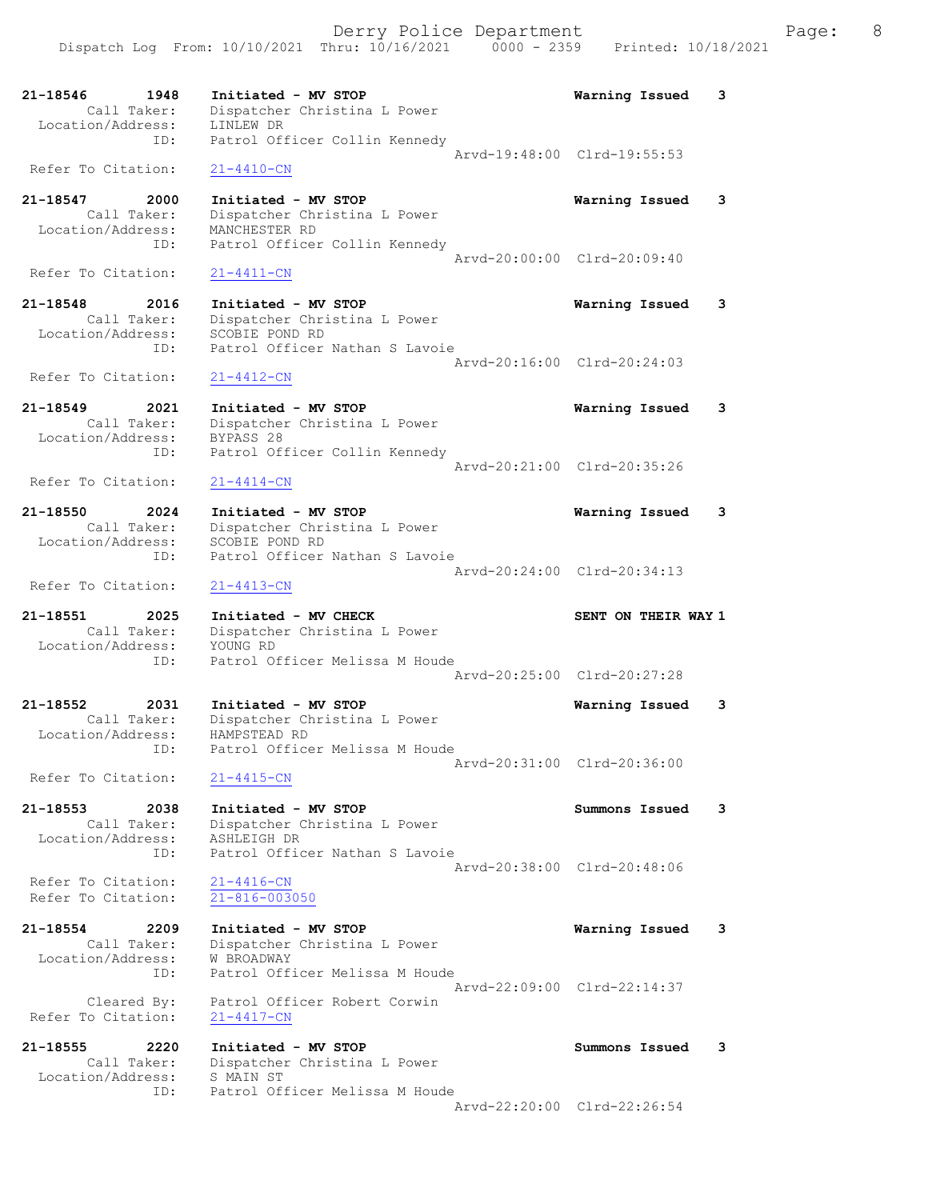21-18546 1948 Initiated - MV STOP Warning Issued 3 Call Taker: Dispatcher Christina L Power Location/Address: LINLEW DR ID: Patrol Officer Collin Kennedy Arvd-19:48:00 Clrd-19:55:53 Refer To Citation: 21-4410-CN 21-18547 2000 Initiated - MV STOP Warning Issued 3 Call Taker: Dispatcher Christina L Power Location/Address: MANCHESTER RD ID: Patrol Officer Collin Kennedy Arvd-20:00:00 Clrd-20:09:40<br>21-4411-CN Refer To Citation: 21-18548 2016 Initiated - MV STOP Warning Issued 3 Call Taker: Dispatcher Christina L Power Location/Address: SCOBIE POND RD ID: Patrol Officer Nathan S Lavoie Arvd-20:16:00 Clrd-20:24:03 Refer To Citation: 21-4412-CN 21-18549 2021 Initiated - MV STOP Warning Issued 3 Call Taker: Dispatcher Christina L Power Location/Address: BYPASS 28 ID: Patrol Officer Collin Kennedy Arvd-20:21:00 Clrd-20:35:26 Refer To Citation: 21-4414-CN 21-18550 2024 Initiated - MV STOP Warning Issued 3 Call Taker: Dispatcher Christina L Power Location/Address: SCOBIE POND RD ID: Patrol Officer Nathan S Lavoie Arvd-20:24:00 Clrd-20:34:13 Refer To Citation: 21-4413-CN 21-18551 2025 Initiated - MV CHECK SENT ON THEIR WAY 1 Call Taker: Dispatcher Christina L Power Location/Address: YOUNG RD ID: Patrol Officer Melissa M Houde Arvd-20:25:00 Clrd-20:27:28 21-18552 2031 Initiated - MV STOP Warning Issued 3 Call Taker: Dispatcher Christina L Power Location/Address: HAMPSTEAD RD ID: Patrol Officer Melissa M Houde Arvd-20:31:00 Clrd-20:36:00 Refer To Citation: 21-4415-CN 21-18553 2038 Initiated - MV STOP Summons Issued 3 Call Taker: Dispatcher Christina L Power Location/Address: ASHLEIGH DR ID: Patrol Officer Nathan S Lavoie Arvd-20:38:00 Clrd-20:48:06 Refer To Citation: 21-4416-CN Refer To Citation: 21-816-003050 21-18554 2209 Initiated - MV STOP Warning Issued 3 Call Taker: Dispatcher Christina L Power Location/Address: W BROADWAY ID: Patrol Officer Melissa M Houde Arvd-22:09:00 Clrd-22:14:37 Cleared By: Patrol Officer Robert Corwin Refer To Citation: 21-4417-CN 21-18555 2220 Initiated - MV STOP Summons Issued 3 Call Taker: Dispatcher Christina L Power Location/Address: S MAIN ST ID: Patrol Officer Melissa M Houde Arvd-22:20:00 Clrd-22:26:54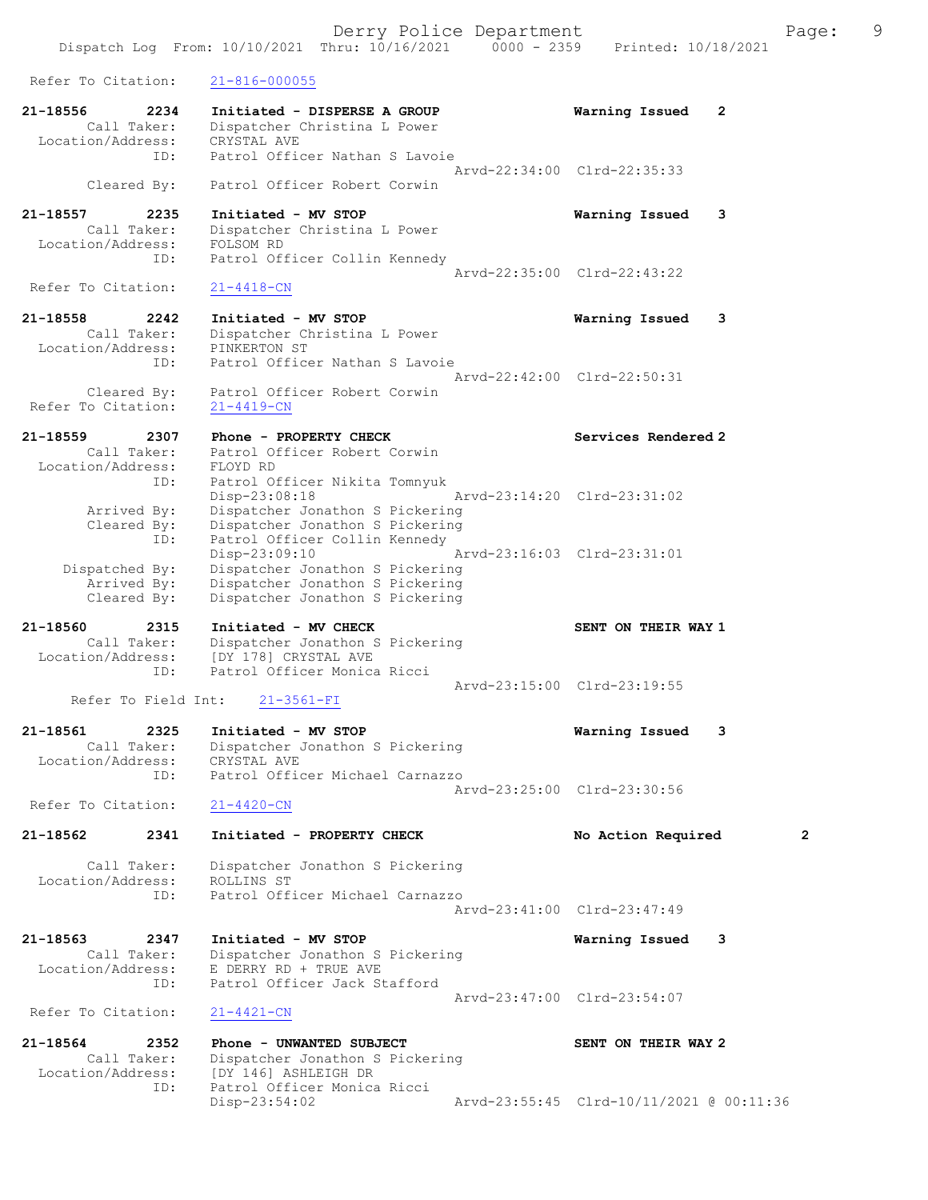Derry Police Department Fage: 9 Dispatch Log From: 10/10/2021 Thru: 10/16/2021 0000 - 2359 Printed: 10/18/2021 Refer To Citation: 21-816-000055 21-18556 2234 Initiated - DISPERSE A GROUP Warning Issued 2 Call Taker: Dispatcher Christina L Power Location/Address: CRYSTAL AVE ID: Patrol Officer Nathan S Lavoie Arvd-22:34:00 Clrd-22:35:33 Cleared By: Patrol Officer Robert Corwin 21-18557 2235 Initiated - MV STOP Warning Issued 3 Call Taker: Dispatcher Christina L Power Location/Address: FOLSOM RD ID: Patrol Officer Collin Kennedy Arvd-22:35:00 Clrd-22:43:22<br>21-4418-CN Refer To Citation: 21-18558 2242 Initiated - MV STOP Warning Issued 3 Call Taker: Dispatcher Christina L Power Location/Address: PINKERTON ST ID: Patrol Officer Nathan S Lavoie Arvd-22:42:00 Clrd-22:50:31 Cleared By: Patrol Officer Robert Corwin Refer To Citation: 21-4419-CN 21-18559 2307 Phone - PROPERTY CHECK Services Rendered 2 Call Taker: Patrol Officer Robert Corwin Location/Address: FLOYD RD ID: Patrol Officer Nikita Tomnyuk Disp-23:08:18 Arvd-23:14:20 Clrd-23:31:02 Arrived By: Dispatcher Jonathon S Pickering Cleared By: Dispatcher Jonathon S Pickering ID: Patrol Officer Collin Kennedy Disp-23:09:10 Arvd-23:16:03 Clrd-23:31:01 Dispatched By: Dispatcher Jonathon S Pickering Arrived By: Dispatcher Jonathon S Pickering Cleared By: Dispatcher Jonathon S Pickering 21-18560 2315 Initiated - MV CHECK SENT ON THEIR WAY 1 Call Taker: Dispatcher Jonathon S Pickering Location/Address: [DY 178] CRYSTAL AVE ID: Patrol Officer Monica Ricci Arvd-23:15:00 Clrd-23:19:55 Refer To Field Int: 21-3561-FI 21-18561 2325 Initiated - MV STOP Warning Issued 3 Call Taker: Dispatcher Jonathon S Pickering Location/Address: CRYSTAL AVE ID: Patrol Officer Michael Carnazzo Arvd-23:25:00 Clrd-23:30:56 Refer To Citation: 21-4420-CN 21-18562 2341 Initiated - PROPERTY CHECK No Action Required 2 Call Taker: Dispatcher Jonathon S Pickering Location/Address: ROLLINS ST ID: Patrol Officer Michael Carnazzo Arvd-23:41:00 Clrd-23:47:49 21-18563 2347 Initiated - MV STOP Warning Issued 3 Call Taker: Dispatcher Jonathon S Pickering Location/Address: E DERRY RD + TRUE AVE ID: Patrol Officer Jack Stafford Arvd-23:47:00 Clrd-23:54:07 Refer To Citation: 21-4421-CN 21-18564 2352 Phone - UNWANTED SUBJECT SENT ON THEIR WAY 2 Call Taker: Dispatcher Jonathon S Pickering Location/Address: [DY 146] ASHLEIGH DR<br>ID: Patrol Officer Monica Patrol Officer Monica Ricci Disp-23:54:02 Arvd-23:55:45 Clrd-10/11/2021 @ 00:11:36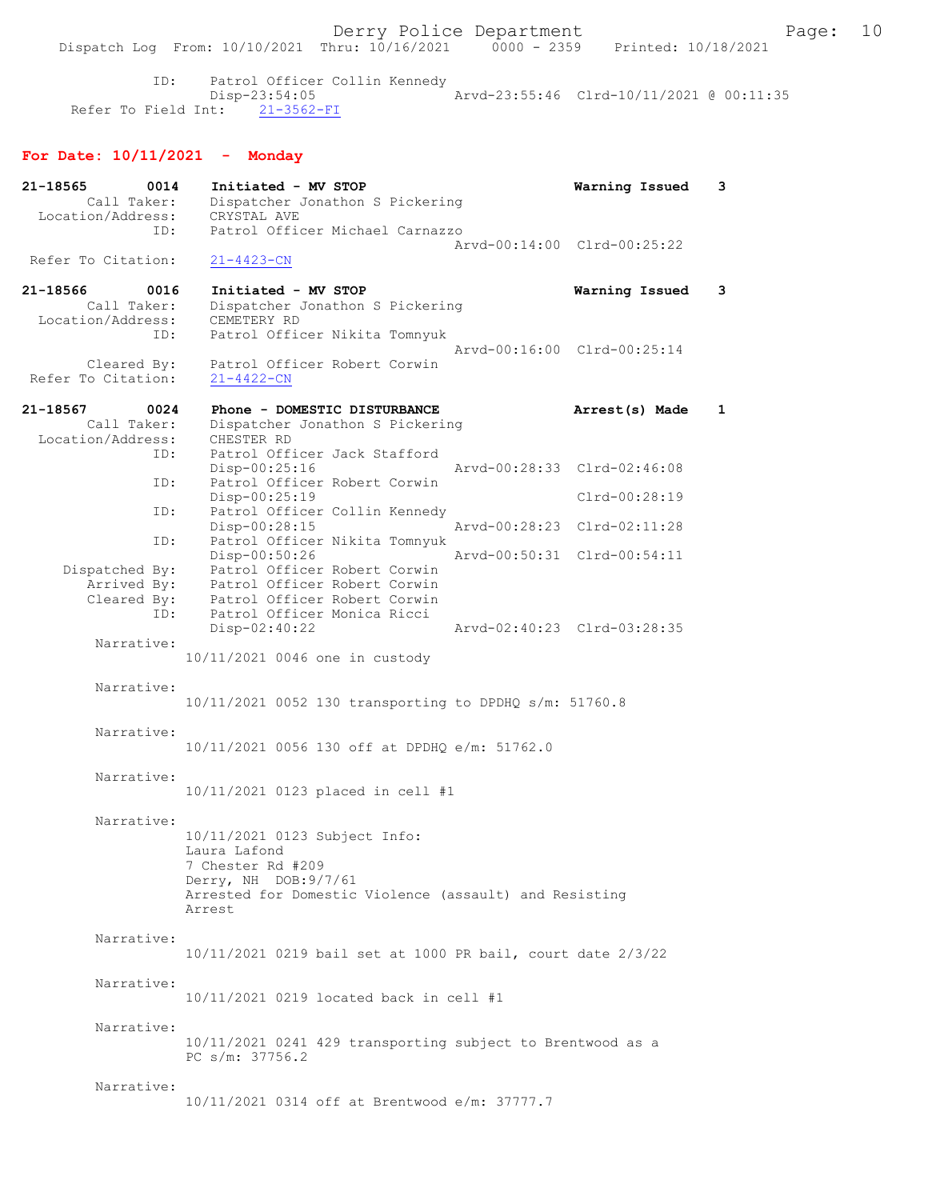ID: Patrol Officer Collin Kennedy Disp-23:54:05 Arvd-23:55:46 Clrd-10/11/2021 @ 00:11:35 Refer To Field Int: 21-3562-FI

# For Date: 10/11/2021 - Monday

| 21-18565<br>0014<br>Call Taker:<br>Location/Address:                                                                                                         | Initiated - MV STOP<br>Dispatcher Jonathon S Pickering<br>CRYSTAL AVE                                                                                                                                                                                                                                                                                                                                                                                                                                                                                | Warning Issued                                                                                                                            | 3            |
|--------------------------------------------------------------------------------------------------------------------------------------------------------------|------------------------------------------------------------------------------------------------------------------------------------------------------------------------------------------------------------------------------------------------------------------------------------------------------------------------------------------------------------------------------------------------------------------------------------------------------------------------------------------------------------------------------------------------------|-------------------------------------------------------------------------------------------------------------------------------------------|--------------|
| ID:<br>Refer To Citation:                                                                                                                                    | Patrol Officer Michael Carnazzo<br>$21 - 4423 - CN$                                                                                                                                                                                                                                                                                                                                                                                                                                                                                                  | Arvd-00:14:00 Clrd-00:25:22                                                                                                               |              |
| 21–18566<br>0016<br>Call Taker:<br>Location/Address:                                                                                                         | Initiated - MV STOP<br>Dispatcher Jonathon S Pickering<br>CEMETERY RD                                                                                                                                                                                                                                                                                                                                                                                                                                                                                | Warning Issued                                                                                                                            | 3            |
| ID:<br>Cleared By:<br>Refer To Citation:                                                                                                                     | Patrol Officer Nikita Tomnyuk<br>Patrol Officer Robert Corwin<br>$21 - 4422 - CN$                                                                                                                                                                                                                                                                                                                                                                                                                                                                    | Arvd-00:16:00 Clrd-00:25:14                                                                                                               |              |
| 21-18567<br>0024<br>Call Taker:                                                                                                                              | Phone - DOMESTIC DISTURBANCE<br>Dispatcher Jonathon S Pickering                                                                                                                                                                                                                                                                                                                                                                                                                                                                                      | Arrest(s) Made                                                                                                                            | $\mathbf{1}$ |
| Location/Address:<br>ID:<br>ID:<br>ID:<br>ID:<br>Dispatched By:<br>Arrived By:<br>Cleared By:<br>ID:<br>Narrative:<br>Narrative:<br>Narrative:<br>Narrative: | CHESTER RD<br>Patrol Officer Jack Stafford<br>$Disp-00:25:16$<br>Patrol Officer Robert Corwin<br>Disp-00:25:19<br>Patrol Officer Collin Kennedy<br>Disp-00:28:15<br>Patrol Officer Nikita Tomnyuk<br>Disp-00:50:26<br>Patrol Officer Robert Corwin<br>Patrol Officer Robert Corwin<br>Patrol Officer Robert Corwin<br>Patrol Officer Monica Ricci<br>Disp-02:40:22<br>10/11/2021 0046 one in custody<br>10/11/2021 0052 130 transporting to DPDHQ s/m: 51760.8<br>10/11/2021 0056 130 off at DPDHQ e/m: 51762.0<br>10/11/2021 0123 placed in cell #1 | Arvd-00:28:33 Clrd-02:46:08<br>Clrd-00:28:19<br>Arvd-00:28:23 Clrd-02:11:28<br>Arvd-00:50:31 Clrd-00:54:11<br>Arvd-02:40:23 Clrd-03:28:35 |              |
| Narrative:                                                                                                                                                   | 10/11/2021 0123 Subject Info:<br>Laura Lafond<br>7 Chester Rd #209<br>Derry, NH DOB: 9/7/61<br>Arrested for Domestic Violence (assault) and Resisting<br>Arrest                                                                                                                                                                                                                                                                                                                                                                                      |                                                                                                                                           |              |
| Narrative:                                                                                                                                                   | 10/11/2021 0219 bail set at 1000 PR bail, court date 2/3/22                                                                                                                                                                                                                                                                                                                                                                                                                                                                                          |                                                                                                                                           |              |
| Narrative:                                                                                                                                                   | 10/11/2021 0219 located back in cell #1                                                                                                                                                                                                                                                                                                                                                                                                                                                                                                              |                                                                                                                                           |              |
| Narrative:                                                                                                                                                   | 10/11/2021 0241 429 transporting subject to Brentwood as a<br>PC $s/m: 37756.2$                                                                                                                                                                                                                                                                                                                                                                                                                                                                      |                                                                                                                                           |              |
| Narrative:                                                                                                                                                   | 10/11/2021 0314 off at Brentwood e/m: 37777.7                                                                                                                                                                                                                                                                                                                                                                                                                                                                                                        |                                                                                                                                           |              |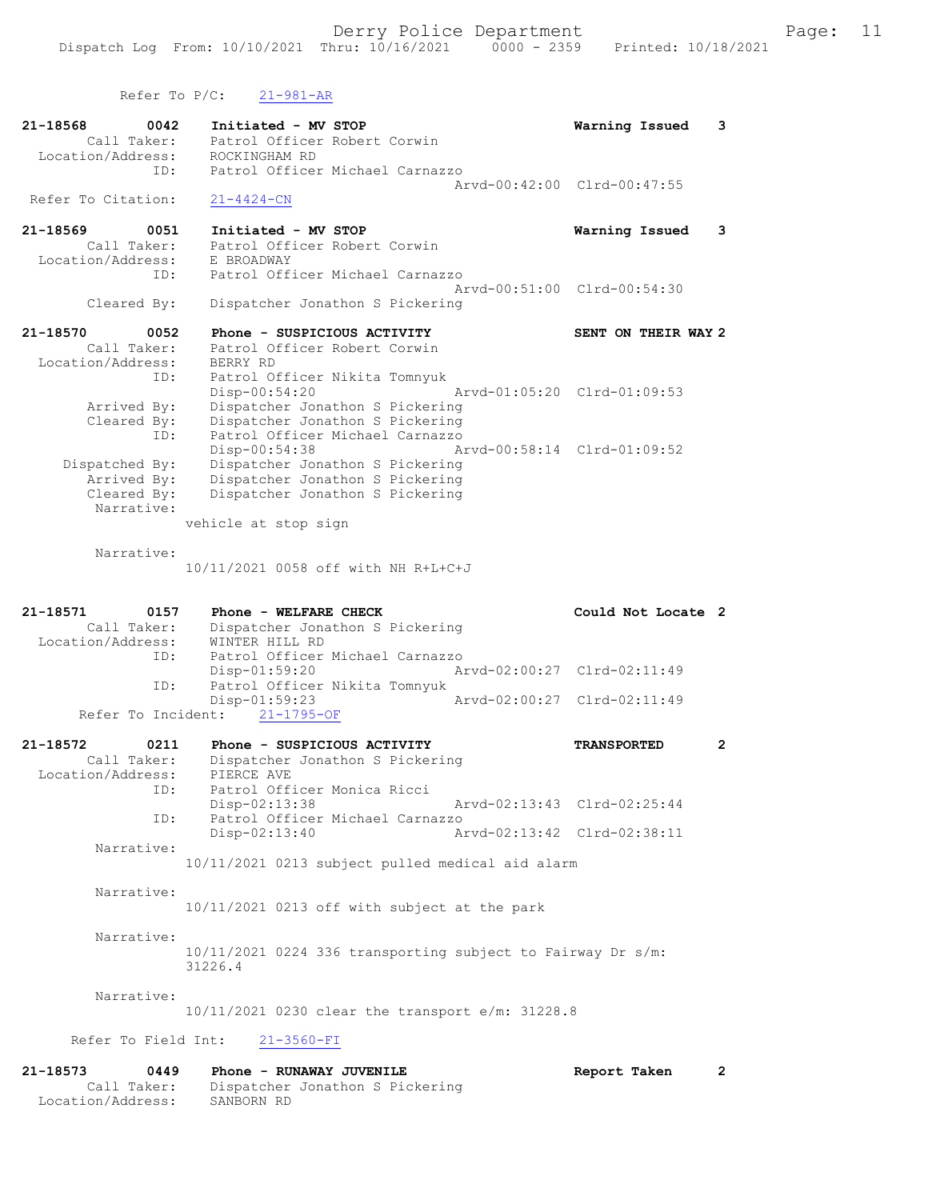Refer To P/C: 21-981-AR

| 21-18568<br>0042<br>Call Taker: | Initiated - MV STOP                                                | Warning Issued              | 3                     |
|---------------------------------|--------------------------------------------------------------------|-----------------------------|-----------------------|
| Location/Address:               | Patrol Officer Robert Corwin<br>ROCKINGHAM RD                      |                             |                       |
| ID:                             | Patrol Officer Michael Carnazzo                                    |                             |                       |
|                                 |                                                                    | Arvd-00:42:00 Clrd-00:47:55 |                       |
| Refer To Citation:              | $21 - 4424 - CN$                                                   |                             |                       |
| 21-18569<br>0051                | Initiated - MV STOP                                                | Warning Issued              | 3                     |
| Call Taker:                     | Patrol Officer Robert Corwin                                       |                             |                       |
| Location/Address:<br>ID:        | E BROADWAY<br>Patrol Officer Michael Carnazzo                      |                             |                       |
|                                 |                                                                    | Arvd-00:51:00 Clrd-00:54:30 |                       |
| Cleared By:                     | Dispatcher Jonathon S Pickering                                    |                             |                       |
| 21-18570<br>0052                | Phone - SUSPICIOUS ACTIVITY                                        | SENT ON THEIR WAY 2         |                       |
| Call Taker:                     | Patrol Officer Robert Corwin                                       |                             |                       |
| Location/Address:               | BERRY RD                                                           |                             |                       |
| ID:                             | Patrol Officer Nikita Tomnyuk                                      |                             |                       |
| Arrived By:                     | $Disp-00:54:20$<br>Dispatcher Jonathon S Pickering                 | Arvd-01:05:20 Clrd-01:09:53 |                       |
| Cleared By:                     | Dispatcher Jonathon S Pickering                                    |                             |                       |
| ID:                             | Patrol Officer Michael Carnazzo                                    |                             |                       |
|                                 | Disp-00:54:38                                                      | Arvd-00:58:14 Clrd-01:09:52 |                       |
| Dispatched By:<br>Arrived By:   | Dispatcher Jonathon S Pickering<br>Dispatcher Jonathon S Pickering |                             |                       |
| Cleared By:                     | Dispatcher Jonathon S Pickering                                    |                             |                       |
| Narrative:                      |                                                                    |                             |                       |
|                                 | vehicle at stop sign                                               |                             |                       |
| Narrative:                      |                                                                    |                             |                       |
|                                 | 10/11/2021 0058 off with NH R+L+C+J                                |                             |                       |
|                                 |                                                                    |                             |                       |
| 21-18571<br>0157                | Phone - WELFARE CHECK                                              | Could Not Locate 2          |                       |
| Call Taker:                     | Dispatcher Jonathon S Pickering                                    |                             |                       |
| Location/Address:               | WINTER HILL RD                                                     |                             |                       |
| ID:                             | Patrol Officer Michael Carnazzo<br>$Disp-01:59:20$                 | Arvd-02:00:27 Clrd-02:11:49 |                       |
| ID:                             | Patrol Officer Nikita Tomnyuk                                      |                             |                       |
|                                 | Disp-01:59:23                                                      | Arvd-02:00:27 Clrd-02:11:49 |                       |
| Refer To Incident:              | $21 - 1795 - OF$                                                   |                             |                       |
| 21-18572<br>0211                | Phone - SUSPICIOUS ACTIVITY                                        | <b>TRANSPORTED</b>          | $\mathbf{2}^{\prime}$ |
| Call Taker:                     | Dispatcher Jonathon S Pickering                                    |                             |                       |
| Location/Address:<br>ID:        | PIERCE AVE<br>Patrol Officer Monica Ricci                          |                             |                       |
|                                 | Disp-02:13:38                                                      | Arvd-02:13:43 Clrd-02:25:44 |                       |
| ID:                             | Patrol Officer Michael Carnazzo                                    |                             |                       |
|                                 | Disp-02:13:40                                                      | Arvd-02:13:42 Clrd-02:38:11 |                       |
| Narrative:                      | 10/11/2021 0213 subject pulled medical aid alarm                   |                             |                       |
|                                 |                                                                    |                             |                       |
| Narrative:                      |                                                                    |                             |                       |
|                                 | 10/11/2021 0213 off with subject at the park                       |                             |                       |
| Narrative:                      |                                                                    |                             |                       |
|                                 | 10/11/2021 0224 336 transporting subject to Fairway Dr s/m:        |                             |                       |
|                                 | 31226.4                                                            |                             |                       |
|                                 |                                                                    |                             |                       |
| Narrative:                      |                                                                    |                             |                       |
|                                 |                                                                    |                             |                       |
|                                 | 10/11/2021 0230 clear the transport e/m: 31228.8                   |                             |                       |

Refer To Field Int: 21-3560-FI

| 21-18573          | 0449        | Phone - RUNAWAY JUVENILE        | Report Taken |  |
|-------------------|-------------|---------------------------------|--------------|--|
|                   | Call Taker: | Dispatcher Jonathon S Pickering |              |  |
| Location/Address: |             | SANBORN RD                      |              |  |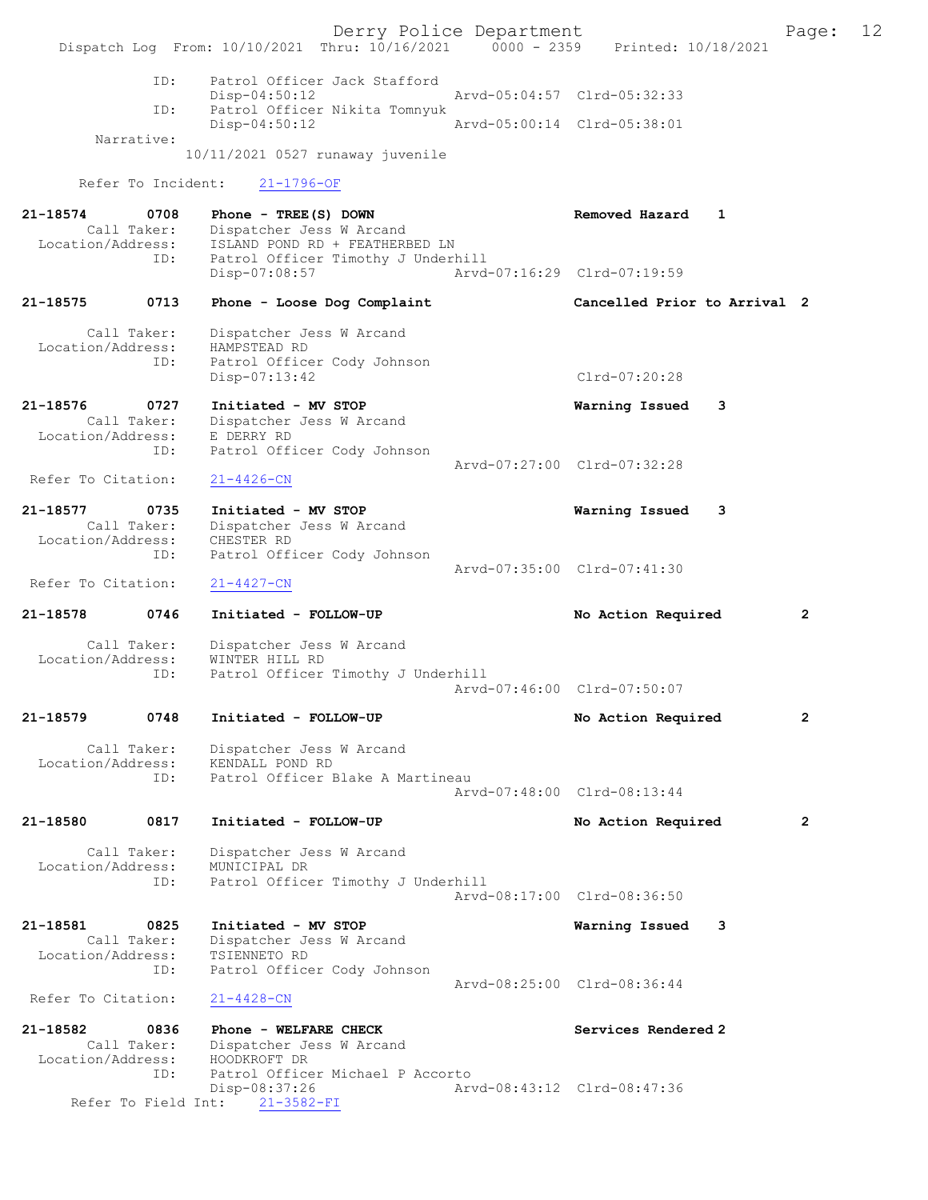Derry Police Department The Page: 12 Dispatch Log From: 10/10/2021 Thru: 10/16/2021 0000 - 2359 Printed: 10/18/2021 ID: Patrol Officer Jack Stafford Disp-04:50:12 Arvd-05:04:57 Clrd-05:32:33 ID: Patrol Officer Nikita Tomnyuk Disp-04:50:12 Arvd-05:00:14 Clrd-05:38:01 Narrative: 10/11/2021 0527 runaway juvenile Refer To Incident: 21-1796-OF 21-18574 0708 Phone - TREE(S) DOWN Removed Hazard 1 Call Taker: Dispatcher Jess W Arcand Location/Address: ISLAND POND RD + FEATHERBED LN ID: Patrol Officer Timothy J Underhill<br>Disp-07:08:57 Arvd- Disp-07:08:57 Arvd-07:16:29 Clrd-07:19:59 21-18575 0713 Phone - Loose Dog Complaint Cancelled Prior to Arrival 2 Call Taker: Dispatcher Jess W Arcand Location/Address: HAMPSTEAD RD Patrol Officer Cody Johnson Disp-07:13:42 Clrd-07:20:28 21-18576 0727 Initiated - MV STOP Warning Issued 3 Call Taker: Dispatcher Jess W Arcand Location/Address: E DERRY RD ID: Patrol Officer Cody Johnson Arvd-07:27:00 Clrd-07:32:28<br>21-4426-CN Refer To Citation: 21-18577 0735 Initiated - MV STOP Warning Issued 3 Call Taker: Dispatcher Jess W Arcand Location/Address: CHESTER RD ID: Patrol Officer Cody Johnson Arvd-07:35:00 Clrd-07:41:30 Refer To Citation: 21-4427-CN 21-18578 0746 Initiated - FOLLOW-UP No Action Required 2 Call Taker: Dispatcher Jess W Arcand Location/Address: WINTER HILL RD ID: Patrol Officer Timothy J Underhill Arvd-07:46:00 Clrd-07:50:07 21-18579 0748 Initiated - FOLLOW-UP No Action Required 2 Call Taker: Dispatcher Jess W Arcand Location/Address: KENDALL POND RD ID: Patrol Officer Blake A Martineau Arvd-07:48:00 Clrd-08:13:44 21-18580 0817 Initiated - FOLLOW-UP No Action Required 2 Call Taker: Dispatcher Jess W Arcand Location/Address: MUNICIPAL DR Patrol Officer Timothy J Underhill Arvd-08:17:00 Clrd-08:36:50 21-18581 0825 Initiated - MV STOP Warning Issued 3 Call Taker: Dispatcher Jess W Arcand Location/Address: TSIENNETO RD ID: Patrol Officer Cody Johnson Arvd-08:25:00 Clrd-08:36:44 Refer To Citation: 21-4428-CN 21-18582 0836 Phone - WELFARE CHECK Services Rendered 2 Call Taker: Dispatcher Jess W Arcand Location/Address: HOODKROFT DR<br>ID: Patrol Office Patrol Officer Michael P Accorto Disp-08:37:26 Arvd-08:43:12 Clrd-08:47:36 Refer To Field Int: 21-3582-FI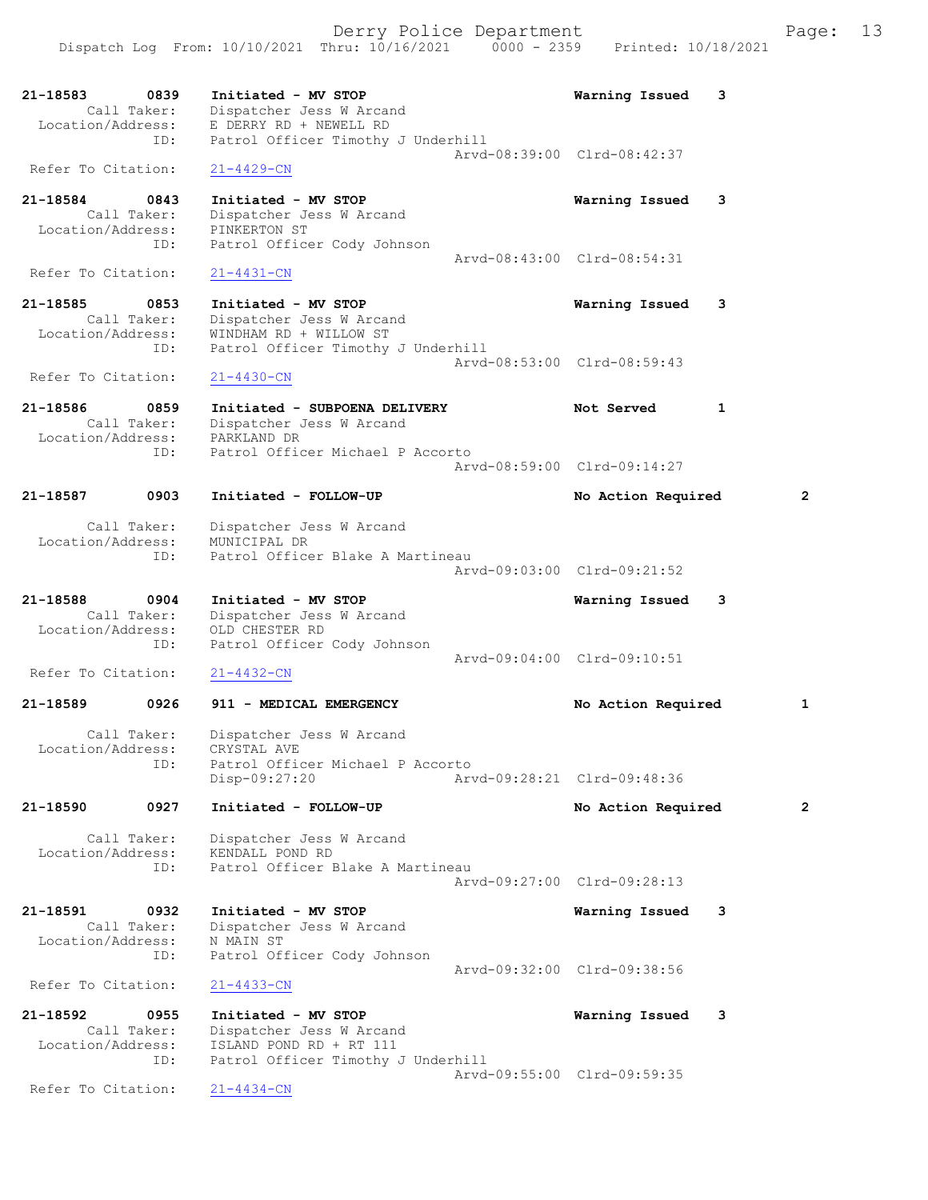21-18583 0839 Initiated - MV STOP Warning Issued 3 Call Taker: Dispatcher Jess W Arcand Location/Address: E DERRY RD + NEWELL RD ID: Patrol Officer Timothy J Underhill Arvd-08:39:00 Clrd-08:42:37 Refer To Citation: 21-4429-CN 21-18584 0843 Initiated - MV STOP Warning Issued 3 Call Taker: Dispatcher Jess W Arcand Location/Address: PINKERTON ST ID: Patrol Officer Cody Johnson Arvd-08:43:00 Clrd-08:54:31<br>21-4431-CN Refer To Citation: 21-18585 0853 Initiated - MV STOP Warning Issued 3 Call Taker: Dispatcher Jess W Arcand Location/Address: WINDHAM RD + WILLOW ST ID: Patrol Officer Timothy J Underhill Arvd-08:53:00 Clrd-08:59:43 Refer To Citation: 21-4430-CN 21-18586 0859 Initiated - SUBPOENA DELIVERY Not Served 1 Call Taker: Dispatcher Jess W Arcand Location/Address: PARKLAND DR ID: Patrol Officer Michael P Accorto Arvd-08:59:00 Clrd-09:14:27 21-18587 0903 Initiated - FOLLOW-UP No Action Required 2 Call Taker: Dispatcher Jess W Arcand Location/Address: MUNICIPAL DR ID: Patrol Officer Blake A Martineau Arvd-09:03:00 Clrd-09:21:52 21-18588 0904 Initiated - MV STOP Warning Issued 3 Call Taker: Dispatcher Jess W Arcand Location/Address: OLD CHESTER RD ID: Patrol Officer Cody Johnson Arvd-09:04:00 Clrd-09:10:51<br>21-4432-CN Refer To Citation: 21-18589 0926 911 - MEDICAL EMERGENCY 1 No Action Required 1 Call Taker: Dispatcher Jess W Arcand Location/Address: CRYSTAL AVE ID: Patrol Officer Michael P Accorto Disp-09:27:20 Arvd-09:28:21 Clrd-09:48:36 21-18590 0927 Initiated - FOLLOW-UP No Action Required 2 Call Taker: Dispatcher Jess W Arcand Location/Address: KENDALL POND RD ID: Patrol Officer Blake A Martineau Arvd-09:27:00 Clrd-09:28:13 21-18591 0932 Initiated - MV STOP Warning Issued 3 Call Taker: Dispatcher Jess W Arcand Location/Address: N MAIN ST ID: Patrol Officer Cody Johnson Arvd-09:32:00 Clrd-09:38:56 Refer To Citation: 21-4433-CN 21-18592 0955 Initiated - MV STOP Warning Issued 3 Call Taker: Dispatcher Jess W Arcand Location/Address: ISLAND POND RD + RT 111 ID: Patrol Officer Timothy J Underhill Arvd-09:55:00 Clrd-09:59:35 Refer To Citation: 21-4434-CN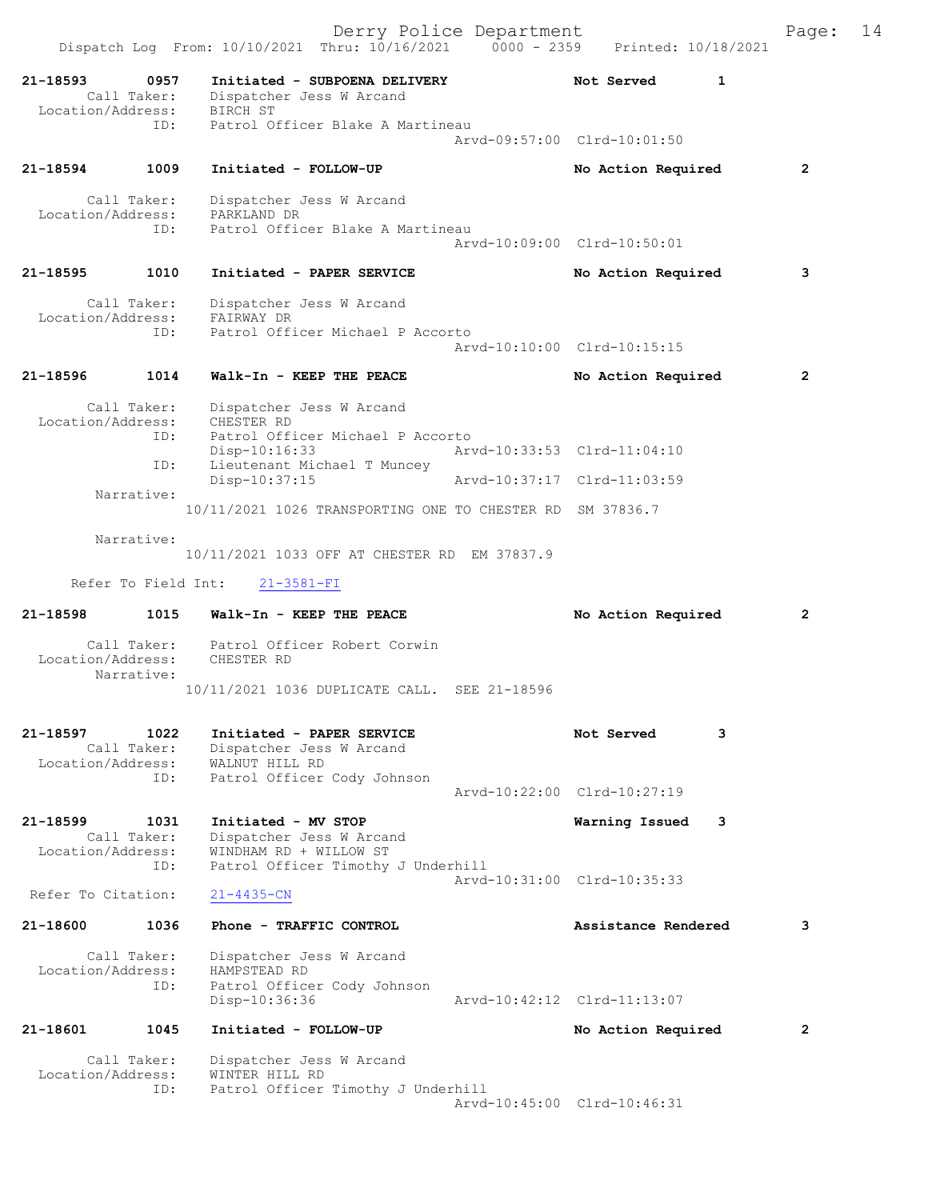Derry Police Department The Page: 14 Dispatch Log From: 10/10/2021 Thru: 10/16/2021 0000 - 2359 Printed: 10/18/2021 21-18593 0957 Initiated - SUBPOENA DELIVERY Not Served 1 Call Taker: Dispatcher Jess W Arcand Location/Address: BIRCH ST<br>ID: Patrol Of Patrol Officer Blake A Martineau Arvd-09:57:00 Clrd-10:01:50 21-18594 1009 Initiated - FOLLOW-UP No Action Required 2 Call Taker: Dispatcher Jess W Arcand Location/Address: PARKLAND DR ID: Patrol Officer Blake A Martineau Arvd-10:09:00 Clrd-10:50:01 21-18595 1010 Initiated - PAPER SERVICE No Action Required 3 Call Taker: Dispatcher Jess W Arcand Location/Address: FAIRWAY DR ID: Patrol Officer Michael P Accorto Arvd-10:10:00 Clrd-10:15:15 21-18596 1014 Walk-In - KEEP THE PEACE No Action Required 2 Call Taker: Dispatcher Jess W Arcand Location/Address: CHESTER RD ID: Patrol Officer Michael P Accorto<br>Disp-10:16:33 Arv Disp-10:16:33 Arvd-10:33:53 Clrd-11:04:10<br>ID: Lieutenant Michael T Muncey II: Leutenant Michael T Muncey<br>Disp-10:37:15 Disp-10:37:15 Arvd-10:37:17 Clrd-11:03:59 Narrative: 10/11/2021 1026 TRANSPORTING ONE TO CHESTER RD SM 37836.7 Narrative: 10/11/2021 1033 OFF AT CHESTER RD EM 37837.9 Refer To Field Int: 21-3581-FI 21-18598 1015 Walk-In - KEEP THE PEACE No Action Required 2 Call Taker: Patrol Officer Robert Corwin Location/Address: CHESTER RD Narrative: 10/11/2021 1036 DUPLICATE CALL. SEE 21-18596 21-18597 1022 Initiated - PAPER SERVICE Not Served 3 Call Taker: Dispatcher Jess W Arcand Location/Address: WALNUT HILL RD ID: Patrol Officer Cody Johnson Arvd-10:22:00 Clrd-10:27:19 21-18599 1031 Initiated - MV STOP Warning Issued 3 Call Taker: Dispatcher Jess W Arcand Location/Address: WINDHAM RD + WILLOW ST ID: Patrol Officer Timothy J Underhill Arvd-10:31:00 Clrd-10:35:33 Refer To Citation: 21-4435-CN 21-18600 1036 Phone - TRAFFIC CONTROL Assistance Rendered 3 Call Taker: Dispatcher Jess W Arcand Location/Address: HAMPSTEAD RD<br>TD: Patrol Office Patrol Officer Cody Johnson<br>Disp-10:36:36 Disp-10:36:36 Arvd-10:42:12 Clrd-11:13:07 21-18601 1045 Initiated - FOLLOW-UP No Action Required 2 Call Taker: Dispatcher Jess W Arcand<br>ion/Address: WINTER HILL RD Location/Address: ID: Patrol Officer Timothy J Underhill Arvd-10:45:00 Clrd-10:46:31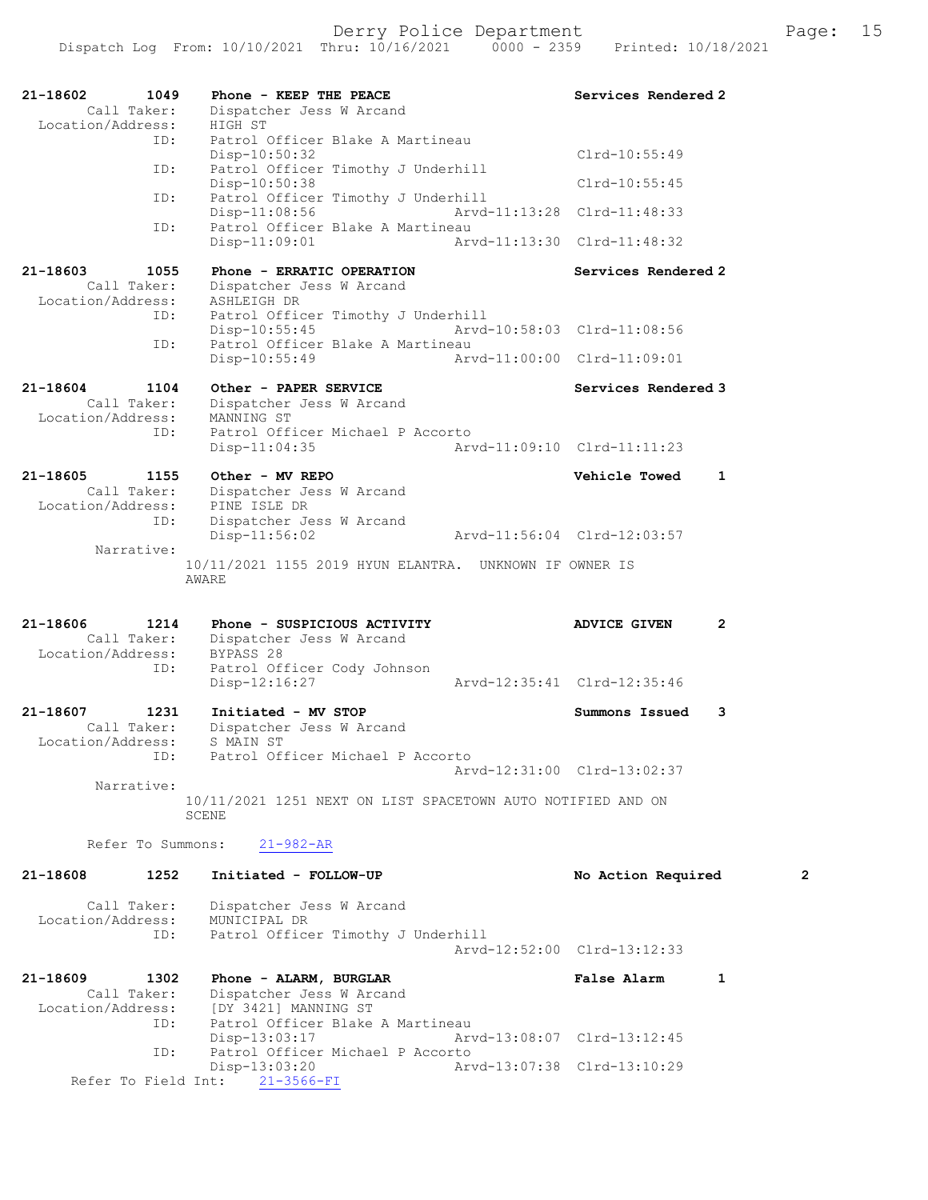| 21-18602<br>1049<br>Call Taker:                      | Phone - KEEP THE PEACE<br>Dispatcher Jess W Arcand                                        | Services Rendered 2                   |
|------------------------------------------------------|-------------------------------------------------------------------------------------------|---------------------------------------|
| Location/Address:<br>ID:                             | HIGH ST<br>Patrol Officer Blake A Martineau<br>$Disp-10:50:32$                            | $Clrd-10:55:49$                       |
| ID:                                                  | Patrol Officer Timothy J Underhill                                                        | $Clrd-10:55:45$                       |
| ID:                                                  | Disp-10:50:38<br>Patrol Officer Timothy J Underhill                                       |                                       |
| ID:                                                  | $Disp-11:08:56$<br>Patrol Officer Blake A Martineau                                       | Arvd-11:13:28 Clrd-11:48:33           |
|                                                      | $Disp-11:09:01$                                                                           | Aryd-11:13:30 Clrd-11:48:32           |
| 21-18603<br>1055<br>Call Taker:<br>Location/Address: | Phone - ERRATIC OPERATION<br>Dispatcher Jess W Arcand<br>ASHLEIGH DR                      | Services Rendered 2                   |
| ID:                                                  | Patrol Officer Timothy J Underhill<br>$Disp-10:55:45$<br>Patrol Officer Blake A Martineau | Arvd-10:58:03 Clrd-11:08:56           |
| ID:                                                  | $Disp-10:55:49$                                                                           | Arvd-11:00:00 Clrd-11:09:01           |
| 21-18604<br>1104<br>Call Taker:<br>Location/Address: | Other - PAPER SERVICE<br>Dispatcher Jess W Arcand<br>MANNING ST                           | Services Rendered 3                   |
| ID:                                                  | Patrol Officer Michael P Accorto<br>$Disp-11:04:35$                                       | Arvd-11:09:10 Clrd-11:11:23           |
| 21-18605<br>1155<br>Call Taker:                      | Other - MV REPO<br>Dispatcher Jess W Arcand                                               | Vehicle Towed<br>1                    |
| Location/Address:<br>ID:                             | PINE ISLE DR<br>Dispatcher Jess W Arcand<br>$Disp-11:56:02$                               | Arvd-11:56:04 Clrd-12:03:57           |
| Narrative:                                           | 10/11/2021 1155 2019 HYUN ELANTRA. UNKNOWN IF OWNER IS<br>AWARE                           |                                       |
|                                                      |                                                                                           |                                       |
| 21-18606<br>1214<br>Call Taker:<br>Location/Address: | Phone - SUSPICIOUS ACTIVITY<br>Dispatcher Jess W Arcand<br>BYPASS 28                      | $\overline{2}$<br><b>ADVICE GIVEN</b> |
| ID:                                                  | Patrol Officer Cody Johnson<br>Disp-12:16:27                                              | Arvd-12:35:41 Clrd-12:35:46           |
| 21-18607<br>1231<br>Call Taker:<br>Location/Address: | Initiated - MV STOP<br>Dispatcher Jess W Arcand<br>S MAIN ST                              | Summons Issued<br>3                   |
| ID:<br>Narrative:                                    | Patrol Officer Michael P Accorto                                                          | Arvd-12:31:00 Clrd-13:02:37           |
|                                                      | 10/11/2021 1251 NEXT ON LIST SPACETOWN AUTO NOTIFIED AND ON<br>SCENE                      |                                       |
| Refer To Summons:                                    | $21 - 982 - AR$                                                                           |                                       |
| 21-18608<br>1252                                     | Initiated - FOLLOW-UP                                                                     | No Action Required<br>2               |
| Call Taker:<br>Location/Address:<br>ID:              | Dispatcher Jess W Arcand<br>MUNICIPAL DR<br>Patrol Officer Timothy J Underhill            | Arvd-12:52:00 Clrd-13:12:33           |
| 21-18609<br>1302<br>Call Taker:<br>Location/Address: | Phone - ALARM, BURGLAR<br>Dispatcher Jess W Arcand<br>[DY 3421] MANNING ST                | $\mathbf{1}$<br><b>False Alarm</b>    |
| ID:                                                  | Patrol Officer Blake A Martineau<br>Disp-13:03:17                                         | Arvd-13:08:07 Clrd-13:12:45           |
| ID:<br>Refer To Field Int:                           | Patrol Officer Michael P Accorto<br>Disp-13:03:20<br>$21 - 3566 - FI$                     | Arvd-13:07:38 Clrd-13:10:29           |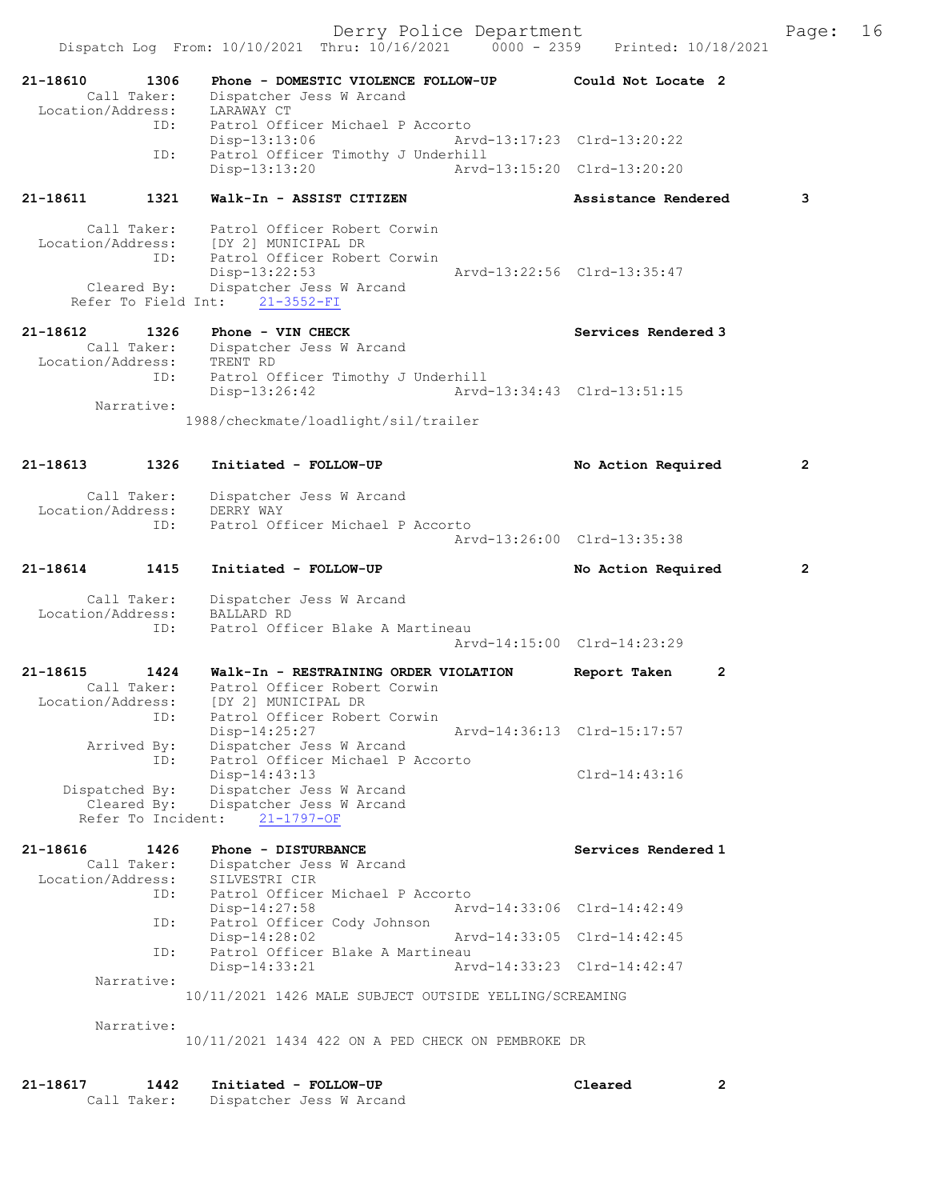Derry Police Department The Page: 16 Dispatch Log From: 10/10/2021 Thru: 10/16/2021 0000 - 2359 Printed: 10/18/2021 21-18610 1306 Phone - DOMESTIC VIOLENCE FOLLOW-UP Could Not Locate 2 Call Taker: Dispatcher Jess W Arcand Location/Address: LARAWAY CT ID: Patrol Officer Michael P Accorto<br>Disp-13:13:06 Arv Disp-13:13:06 Arvd-13:17:23 Clrd-13:20:22 ID: Patrol Officer Timothy J Underhill Disp-13:13:20 Arvd-13:15:20 Clrd-13:20:20 21-18611 1321 Walk-In - ASSIST CITIZEN Assistance Rendered 3 Call Taker: Patrol Officer Robert Corwin Location/Address: [DY 2] MUNICIPAL DR ID: Patrol Officer Robert Corwin Disp-13:22:53 Arvd-13:22:56 Clrd-13:35:47 Cleared By: Dispatcher Jess W Arcand Refer To Field Int: 21-3552-FI 21-18612 1326 Phone - VIN CHECK Services Rendered 3 Call Taker: Dispatcher Jess W Arcand Location/Address: TRENT RD ID: Patrol Officer Timothy J Underhill Disp-13:26:42 Arvd-13:34:43 Clrd-13:51:15 Narrative: 1988/checkmate/loadlight/sil/trailer 21-18613 1326 Initiated - FOLLOW-UP No Action Required 2 Call Taker: Dispatcher Jess W Arcand Location/Address: DERRY WAY ID: Patrol Officer Michael P Accorto Arvd-13:26:00 Clrd-13:35:38 21-18614 1415 Initiated - FOLLOW-UP No Action Required 2 Call Taker: Dispatcher Jess W Arcand Location/Address: BALLARD RD ID: Patrol Officer Blake A Martineau Arvd-14:15:00 Clrd-14:23:29 21-18615 1424 Walk-In - RESTRAINING ORDER VIOLATION Report Taken 2 Call Taker: Patrol Officer Robert Corwin Location/Address: [DY 2] MUNICIPAL DR ID: Patrol Officer Robert Corwin Disp-14:25:27 Arvd-14:36:13 Clrd-15:17:57 Arrived By: Dispatcher Jess W Arcand ID: Patrol Officer Michael P Accorto Disp-14:43:13 Clrd-14:43:16 Dispatched By: Dispatcher Jess W Arcand Cleared By: Dispatcher Jess W Arcand Refer To Incident: 21-1797-OF 21-18616 1426 Phone - DISTURBANCE Services Rendered 1 Call Taker: Dispatcher Jess W Arcand Location/Address: SILVESTRI CIR UD: Patrol Officer Michael P Accorto<br>Disp-14:27:58 Arv Disp-14:27:58 Arvd-14:33:06 Clrd-14:42:49 ID: Patrol Officer Cody Johnson Disp-14:28:02 Arvd-14:33:05 Clrd-14:42:45<br>ID: Patrol Officer Blake A Martineau Patrol Officer Blake A Martineau<br>Disp-14:33:21 Art Disp-14:33:21 Arvd-14:33:23 Clrd-14:42:47 Narrative: 10/11/2021 1426 MALE SUBJECT OUTSIDE YELLING/SCREAMING Narrative: 10/11/2021 1434 422 ON A PED CHECK ON PEMBROKE DR

21-18617 1442 Initiated - FOLLOW-UP Cleared 2 Call Taker: Dispatcher Jess W Arcand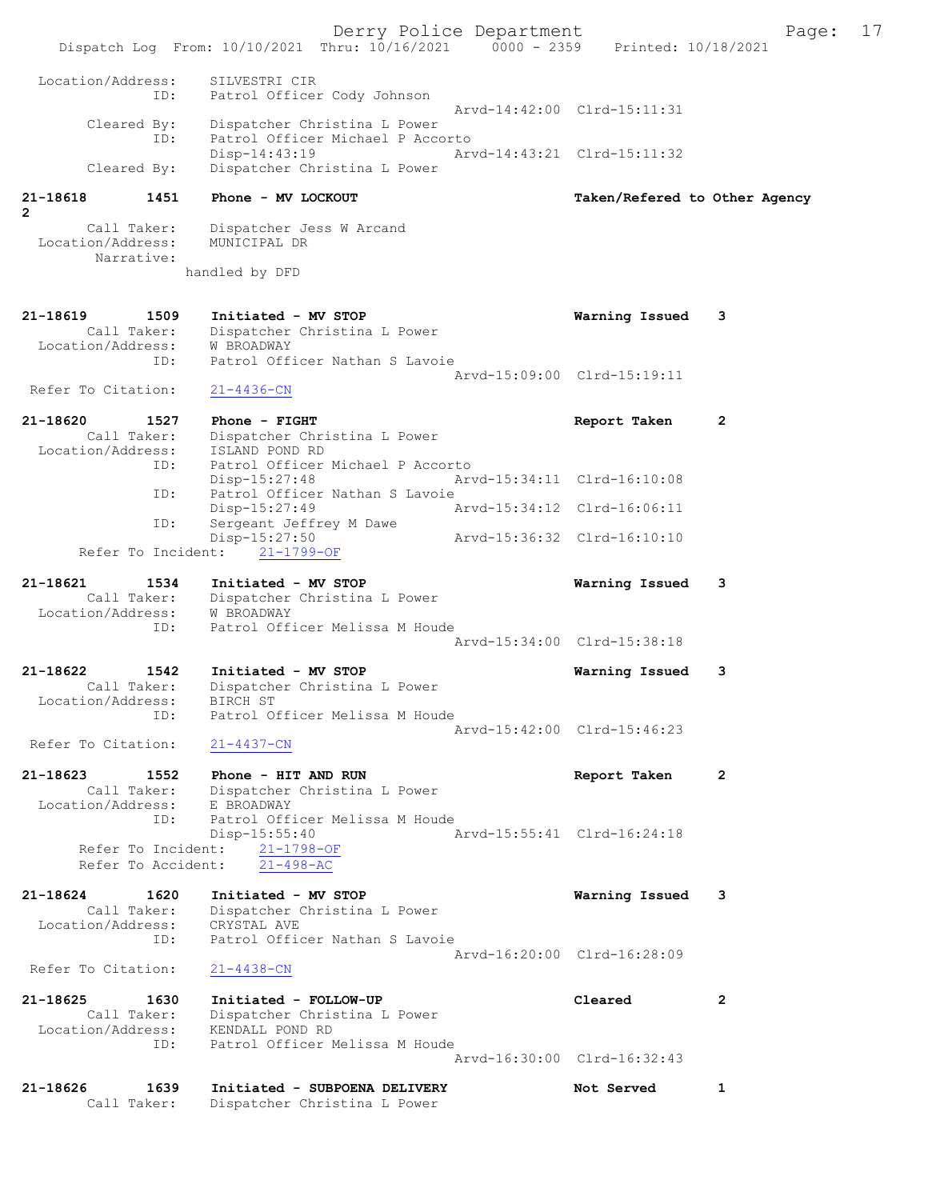Derry Police Department Fage: 17 Dispatch Log From: 10/10/2021 Thru: 10/16/2021 0000 - 2359 Printed: 10/18/2021 Location/Address: SILVESTRI CIR ID: Patrol Officer Cody Johnson Arvd-14:42:00 Clrd-15:11:31 Cleared By: Dispatcher Christina L Power ID: Patrol Officer Michael P Accorto Disp-14:43:19 Arvd-14:43:21 Clrd-15:11:32 Cleared By: Dispatcher Christina L Power 21-18618 1451 Phone - MV LOCKOUT Taken/Refered to Other Agency 2 Call Taker: Dispatcher Jess W Arcand Location/Address: MUNICIPAL DR Narrative: handled by DFD 21-18619 1509 Initiated - MV STOP Warning Issued 3 Call Taker: Dispatcher Christina L Power Location/Address: W BROADWAY ID: Patrol Officer Nathan S Lavoie Arvd-15:09:00 Clrd-15:19:11 Refer To Citation: 21-4436-CN 21-18620 1527 Phone - FIGHT 12 2 Report Taken 2 Call Taker: Dispatcher Christina L Power Location/Address: ISLAND POND RD ID: Patrol Officer Michael P Accorto Disp-15:27:48 Arvd-15:34:11 Clrd-16:10:08 ID: Patrol Officer Nathan S Lavoie Disp-15:27:49 Arvd-15:34:12 Clrd-16:06:11 ID: Sergeant Jeffrey M Dawe Disp-15:27:50 Arvd-15:36:32 Clrd-16:10:10 Refer To Incident: 21-1799-OF 21-18621 1534 Initiated - MV STOP Warning Issued 3 Call Taker: Dispatcher Christina L Power Location/Address: W BROADWAY ID: Patrol Officer Melissa M Houde Arvd-15:34:00 Clrd-15:38:18 21-18622 1542 Initiated - MV STOP Warning Issued 3 Call Taker: Dispatcher Christina L Power Location/Address: BIRCH ST ID: Patrol Officer Melissa M Houde Arvd-15:42:00 Clrd-15:46:23 Refer To Citation: 21-4437-CN 21-18623 1552 Phone - HIT AND RUN Report Taken 2 Call Taker: Dispatcher Christina L Power Location/Address: E BROADWAY ID: Patrol Officer Melissa M Houde Disp-15:55:40 Arvd-15:55:41 Clrd-16:24:18 Refer To Incident: 21-1798-OF Refer To Accident:  $21-498-AC$ 21-18624 1620 Initiated - MV STOP Warning Issued 3 Call Taker: Dispatcher Christina L Power Location/Address: CRYSTAL AVE ID: Patrol Officer Nathan S Lavoie Arvd-16:20:00 Clrd-16:28:09 Refer To Citation: 21-4438-CN 21-18625 1630 Initiated - FOLLOW-UP Cleared 2 Call Taker: Dispatcher Christina L Power Location/Address: KENDALL POND RD ID: Patrol Officer Melissa M Houde Arvd-16:30:00 Clrd-16:32:43 21-18626 1639 Initiated - SUBPOENA DELIVERY Not Served 1 Call Taker: Dispatcher Christina L Power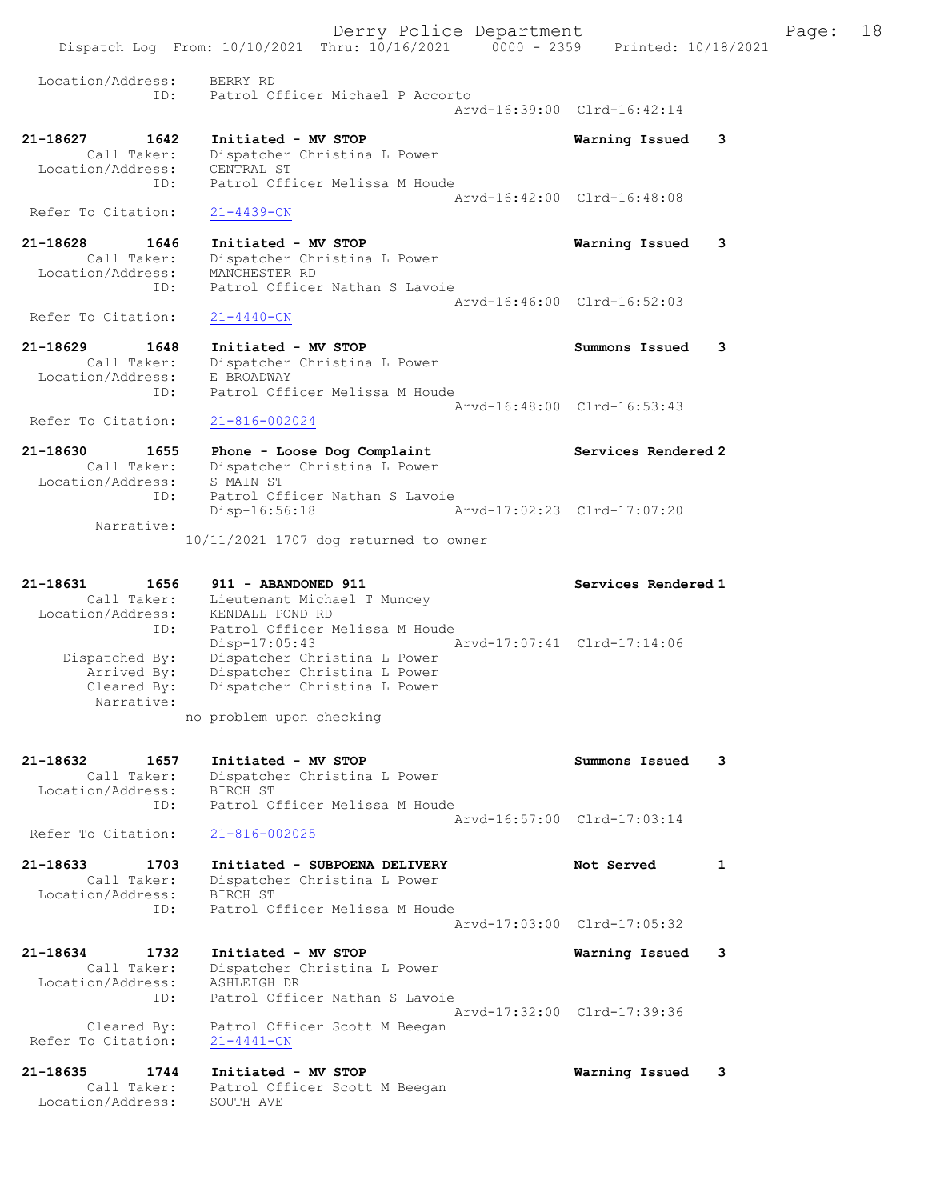Derry Police Department Fage: 18 Dispatch Log From: 10/10/2021 Thru: 10/16/2021 0000 - 2359 Printed: 10/18/2021 Location/Address: BERRY RD ID: Patrol Officer Michael P Accorto Arvd-16:39:00 Clrd-16:42:14 21-18627 1642 Initiated - MV STOP Warning Issued 3 Call Taker: Dispatcher Christina L Power Location/Address: CENTRAL ST ID: Patrol Officer Melissa M Houde Arvd-16:42:00 Clrd-16:48:08 Refer To Citation:  $21-4439-CN$ 21-18628 1646 Initiated - MV STOP Warning Issued 3 Call Taker: Dispatcher Christina L Power Location/Address: MANCHESTER RD ID: Patrol Officer Nathan S Lavoie Arvd-16:46:00 Clrd-16:52:03<br>21-4440-CN Refer To Citation: 21-18629 1648 Initiated - MV STOP Summons Issued 3 Call Taker: Dispatcher Christina L Power Location/Address: E BROADWAY ID: Patrol Officer Melissa M Houde Arvd-16:48:00 Clrd-16:53:43 Refer To Citation: 21-816-002024 21-18630 1655 Phone - Loose Dog Complaint Services Rendered 2 Call Taker: Dispatcher Christina L Power Location/Address: S MAIN ST ID: Patrol Officer Nathan S Lavoie Disp-16:56:18 Arvd-17:02:23 Clrd-17:07:20 Narrative: 10/11/2021 1707 dog returned to owner 21-18631 1656 911 - ABANDONED 911 Services Rendered 1 Call Taker: Lieutenant Michael T Muncey Location/Address: KENDALL POND RD ID: Patrol Officer Melissa M Houde Disp-17:05:43 Arvd-17:07:41 Clrd-17:14:06 Dispatched By: Dispatcher Christina L Power Arrived By: Dispatcher Christina L Power Cleared By: Dispatcher Christina L Power Narrative: no problem upon checking 21-18632 1657 Initiated - MV STOP Summons Issued 3 Call Taker: Dispatcher Christina L Power Location/Address: BIRCH ST ID: Patrol Officer Melissa M Houde Arvd-16:57:00 Clrd-17:03:14 Refer To Citation: 21-816-002025 21-18633 1703 Initiated - SUBPOENA DELIVERY Not Served 1 Call Taker: Dispatcher Christina L Power Location/Address: BIRCH ST ID: Patrol Officer Melissa M Houde Arvd-17:03:00 Clrd-17:05:32 21-18634 1732 Initiated - MV STOP Warning Issued 3 Call Taker: Dispatcher Christina L Power Location/Address: ASHLEIGH DR ID: Patrol Officer Nathan S Lavoie Arvd-17:32:00 Clrd-17:39:36 Cleared By: Patrol Officer Scott M Beegan Refer To Citation: 21-4441-CN 21-18635 1744 Initiated - MV STOP Warning Issued 3 Call Taker: Patrol Officer Scott M Beegan Location/Address: SOUTH AVE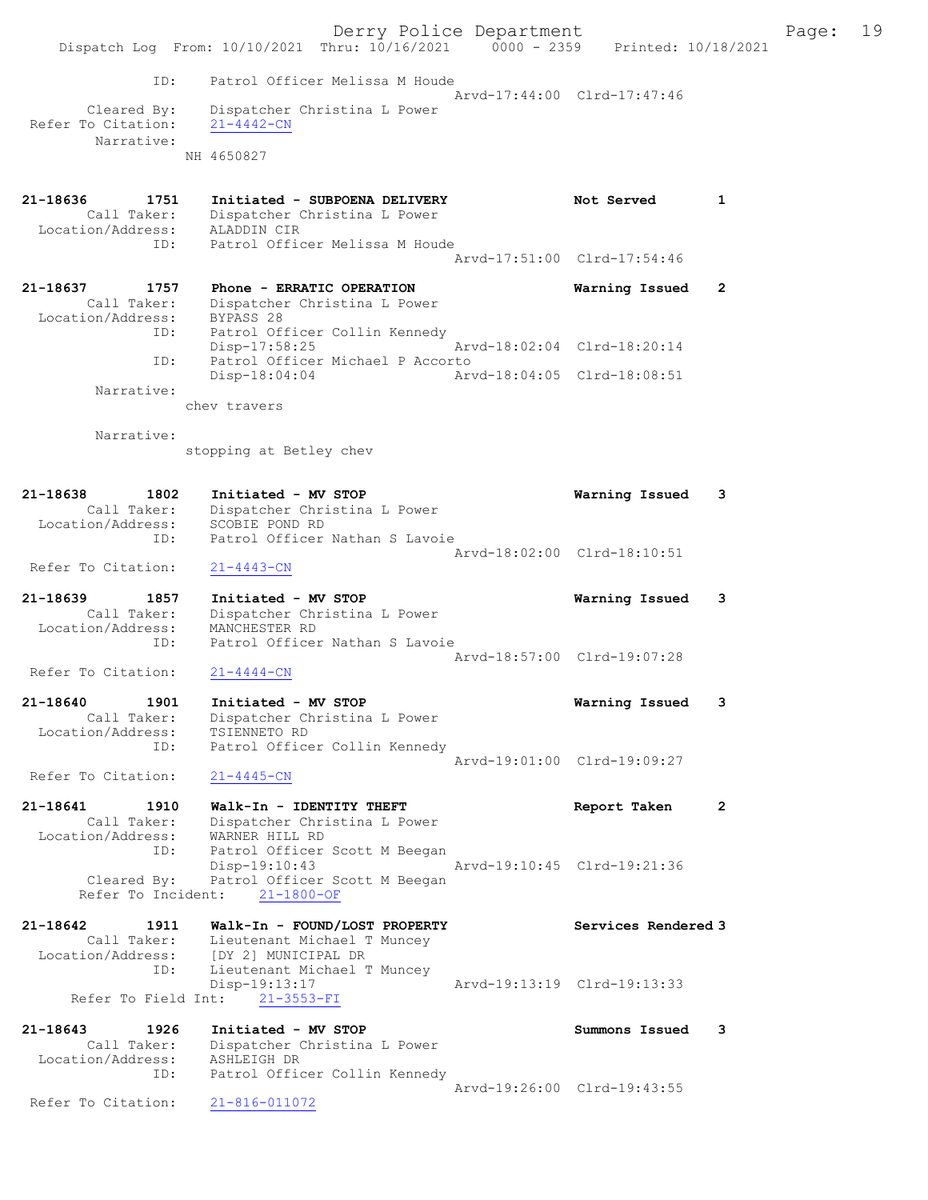|                                                             | Dispatch Log From: 10/10/2021 Thru: 10/16/2021 0000 - 2359 Printed: 10/18/2021                                                       | Derry Police Department                                    |                             |                | Page: | 19 |
|-------------------------------------------------------------|--------------------------------------------------------------------------------------------------------------------------------------|------------------------------------------------------------|-----------------------------|----------------|-------|----|
| ID:<br>Cleared By:<br>Refer To Citation:<br>Narrative:      | Patrol Officer Melissa M Houde<br>Dispatcher Christina L Power<br>$21 - 4442 - CN$<br>NH 4650827                                     | Arvd-17:44:00 Clrd-17:47:46                                |                             |                |       |    |
| 21-18636<br>1751<br>Call Taker:<br>Location/Address:<br>ID: | Initiated - SUBPOENA DELIVERY<br>Dispatcher Christina L Power<br>ALADDIN CIR<br>Patrol Officer Melissa M Houde                       |                                                            | Not Served                  | 1              |       |    |
| 21-18637<br>1757<br>Call Taker:<br>Location/Address:        | Phone - ERRATIC OPERATION<br>Dispatcher Christina L Power<br>BYPASS 28                                                               | Arvd-17:51:00 Clrd-17:54:46                                | Warning Issued              | $\overline{2}$ |       |    |
| ID:<br>ID:<br>Narrative:                                    | Patrol Officer Collin Kennedy<br>$Disp-17:58:25$<br>Patrol Officer Michael P Accorto<br>$Disp-18:04:04$                              | Arvd-18:02:04 Clrd-18:20:14<br>Arvd-18:04:05 Clrd-18:08:51 |                             |                |       |    |
| Narrative:                                                  | chev travers<br>stopping at Betley chev                                                                                              |                                                            |                             |                |       |    |
| 21-18638<br>1802<br>Call Taker:<br>Location/Address:        | Initiated - MV STOP<br>Dispatcher Christina L Power<br>SCOBIE POND RD                                                                |                                                            | Warning Issued              | 3              |       |    |
| ID:<br>Refer To Citation:                                   | Patrol Officer Nathan S Lavoie<br>$21 - 4443 - CN$                                                                                   |                                                            | Arvd-18:02:00 Clrd-18:10:51 |                |       |    |
| 21-18639<br>1857<br>Call Taker:<br>Location/Address:<br>ID: | Initiated - MV STOP<br>Dispatcher Christina L Power<br>MANCHESTER RD<br>Patrol Officer Nathan S Lavoie                               |                                                            | Warning Issued              | 3              |       |    |
| Refer To Citation:                                          | $21 - 4444 - CN$                                                                                                                     | Arvd-18:57:00 Clrd-19:07:28                                |                             |                |       |    |
| 21-18640<br>1901<br>Call Taker:<br>Location/Address:<br>ID: | Initiated - MV STOP<br>Dispatcher Christina L Power<br>TSIENNETO RD<br>Patrol Officer Collin Kennedy                                 |                                                            | Warning Issued              | 3              |       |    |
| Refer To Citation:                                          | $21 - 4445 - CN$                                                                                                                     | Arvd-19:01:00 Clrd-19:09:27                                |                             |                |       |    |
| 21-18641<br>1910<br>Call Taker:<br>Location/Address:<br>ID: | Walk-In - IDENTITY THEFT<br>Dispatcher Christina L Power<br>WARNER HILL RD<br>Patrol Officer Scott M Beegan                          |                                                            | Report Taken                | $\mathbf{2}$   |       |    |
| Cleared By:<br>Refer To Incident:                           | Disp-19:10:43<br>Patrol Officer Scott M Beegan<br>$21 - 1800 - OF$                                                                   |                                                            | Arvd-19:10:45 Clrd-19:21:36 |                |       |    |
| 21-18642<br>1911<br>Call Taker:<br>ID:                      | Walk-In - FOUND/LOST PROPERTY<br>Lieutenant Michael T Muncey<br>Location/Address: [DY 2] MUNICIPAL DR<br>Lieutenant Michael T Muncey |                                                            | Services Rendered 3         |                |       |    |
| Refer To Field Int:                                         | Disp-19:13:17<br>$21 - 3553 - FI$                                                                                                    | Arvd-19:13:19 Clrd-19:13:33                                |                             |                |       |    |
| 21-18643<br>1926<br>Call Taker:<br>Location/Address:<br>ID: | Initiated - MV STOP<br>Dispatcher Christina L Power<br>ASHLEIGH DR<br>Patrol Officer Collin Kennedy                                  |                                                            | Summons Issued              | 3              |       |    |
| Refer To Citation:                                          | 21-816-011072                                                                                                                        | Arvd-19:26:00 Clrd-19:43:55                                |                             |                |       |    |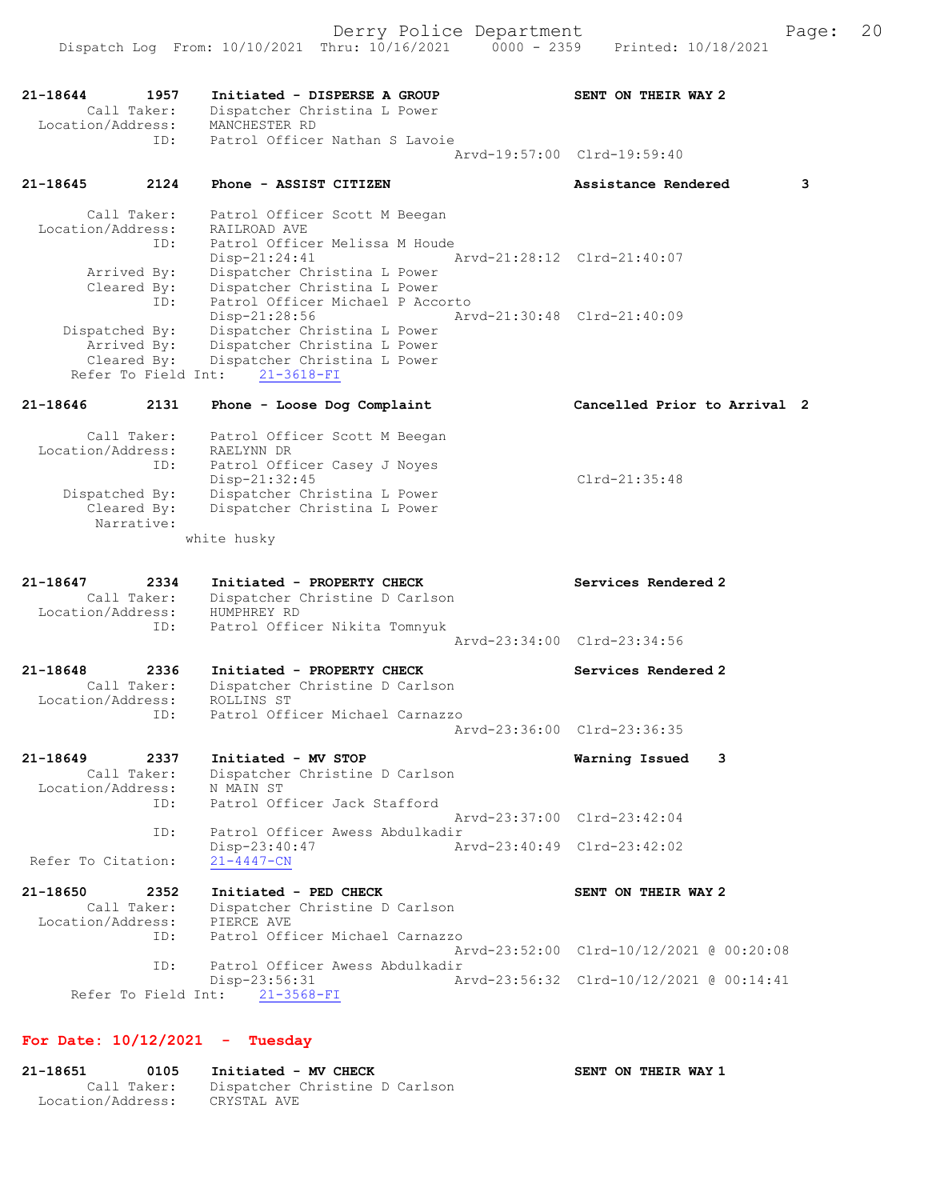Dispatch Log From: 10/10/2021 Thru: 10/16/2021 0000 - 2359 Printed: 10/18/2021 21-18644 1957 Initiated - DISPERSE A GROUP SENT ON THEIR WAY 2 Call Taker: Dispatcher Christina L Power Location/Address: MANCHESTER RD ID: Patrol Officer Nathan S Lavoie Arvd-19:57:00 Clrd-19:59:40 21-18645 2124 Phone - ASSIST CITIZEN Assistance Rendered 3 Call Taker: Patrol Officer Scott M Beegan Location/Address: RAILROAD AVE ID: Patrol Officer Melissa M Houde Disp-21:24:41 Arvd-21:28:12 Clrd-21:40:07 Arrived By: Dispatcher Christina L Power Cleared By: Dispatcher Christina L Power ID: Patrol Officer Michael P Accorto Disp-21:28:56 Arvd-21:30:48 Clrd-21:40:09 Dispatched By: Dispatcher Christina L Power Arrived By: Dispatcher Christina L Power Cleared By: Dispatcher Christina L Power Refer To Field Int: 21-3618-FI 21-18646 2131 Phone - Loose Dog Complaint Cancelled Prior to Arrival 2 Call Taker: Patrol Officer Scott M Beegan Location/Address: RAELYNN DR ID: Patrol Officer Casey J Noyes Disp-21:32:45 Clrd-21:35:48 Dispatched By: Dispatcher Christina L Power Cleared By: Dispatcher Christina L Power Narrative: white husky 21-18647 2334 Initiated - PROPERTY CHECK Services Rendered 2 Call Taker: Dispatcher Christine D Carlson Location/Address: HUMPHREY RD ID: Patrol Officer Nikita Tomnyuk Arvd-23:34:00 Clrd-23:34:56 21-18648 2336 Initiated - PROPERTY CHECK Services Rendered 2 Call Taker: Dispatcher Christine D Carlson Location/Address: ROLLINS ST ID: Patrol Officer Michael Carnazzo Arvd-23:36:00 Clrd-23:36:35 21-18649 2337 Initiated - MV STOP Warning Issued 3 Call Taker: Dispatcher Christine D Carlson Location/Address: N MAIN ST ID: Patrol Officer Jack Stafford Arvd-23:37:00 Clrd-23:42:04 ID: Patrol Officer Awess Abdulkadir Disp-23:40:47 Arvd-23:40:49 Clrd-23:42:02 Refer To Citation: 21-4447-CN 21-18650 2352 Initiated - PED CHECK SENT ON THEIR WAY 2 Call Taker: Dispatcher Christine D Carlson Location/Address: PIERCE AVE ID: Patrol Officer Michael Carnazzo Arvd-23:52:00 Clrd-10/12/2021 @ 00:20:08 ID: Patrol Officer Awess Abdulkadir Disp-23:56:31 Arvd-23:56:32 Clrd-10/12/2021 @ 00:14:41 Refer To Field Int: 21-3568-FI

## For Date: 10/12/2021 - Tuesday

21-18651 0105 Initiated - MV CHECK SENT ON THEIR WAY 1 Call Taker: Dispatcher Christine D Carlson Location/Address: CRYSTAL AVE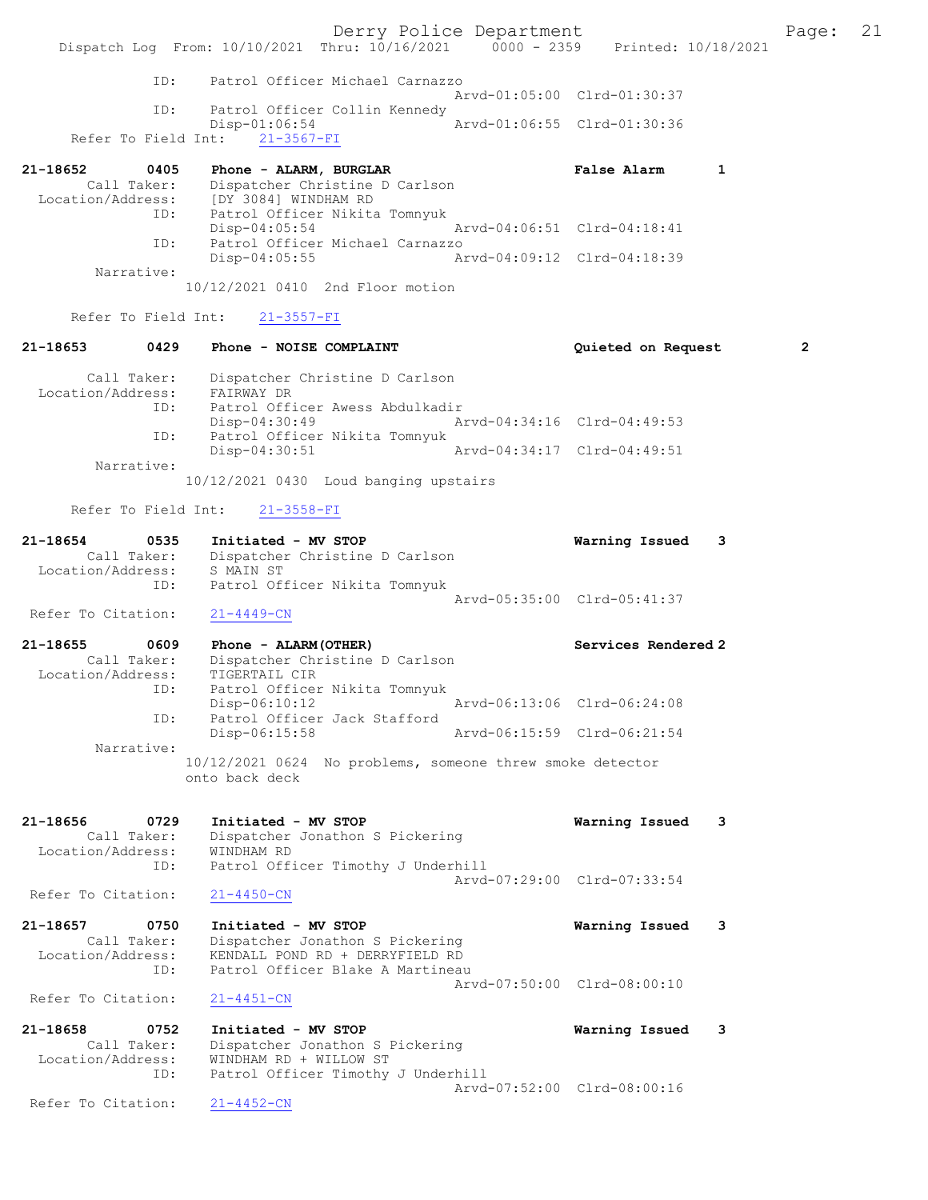Derry Police Department The Page: 21 Dispatch Log From: 10/10/2021 Thru: 10/16/2021 0000 - 2359 Printed: 10/18/2021 ID: Patrol Officer Michael Carnazzo Arvd-01:05:00 Clrd-01:30:37 ID: Patrol Officer Collin Kennedy<br>Disp-01:06:54 Arvd-01:06:55 Clrd-01:30:36  $Disp-01:06:54$  Refer To Field Int: 21-3567-FI 21-18652 0405 Phone - ALARM, BURGLAR False Alarm 1 Call Taker: Dispatcher Christine D Carlson Location/Address: [DY 3084] WINDHAM RD ID: Patrol Officer Nikita Tomnyuk Disp-04:05:54 Arvd-04:06:51 Clrd-04:18:41 ID: Patrol Officer Michael Carnazzo<br>Disp-04:05:55 Mrvd-04:09:12 Clrd-04:18:39  $Disp-04:05:55$  Narrative: 10/12/2021 0410 2nd Floor motion Refer To Field Int: 21-3557-FI 21-18653 0429 Phone - NOISE COMPLAINT Quieted on Request 2 Call Taker: Dispatcher Christine D Carlson Location/Address: FAIRWAY DR ID: Patrol Officer Awess Abdulkadir Disp-04:30:49 Arvd-04:34:16 Clrd-04:49:53 ID: Patrol Officer Nikita Tomnyuk<br>Disp-04:30:51 Arvd-04:34:17 Clrd-04:49:51 Disp-04:30:51 Narrative: 10/12/2021 0430 Loud banging upstairs Refer To Field Int: 21-3558-FI 21-18654 0535 Initiated - MV STOP Warning Issued 3 Call Taker: Dispatcher Christine D Carlson Location/Address: S MAIN ST ID: Patrol Officer Nikita Tomnyuk Arvd-05:35:00 Clrd-05:41:37 Refer To Citation: 21-4449-CN 21-18655 0609 Phone - ALARM(OTHER) Services Rendered 2 Call Taker: Dispatcher Christine D Carlson Location/Address: TIGERTAIL CIR ID: Patrol Officer Nikita Tomnyuk Disp-06:10:12 Arvd-06:13:06 Clrd-06:24:08<br>TD: Patrol Officer Jack Stafford Patrol Officer Jack Stafford<br>Disp-06:15:58 Disp-06:15:58 Arvd-06:15:59 Clrd-06:21:54 Narrative: 10/12/2021 0624 No problems, someone threw smoke detector onto back deck 21-18656 0729 Initiated - MV STOP Warning Issued 3 Call Taker: Dispatcher Jonathon S Pickering Location/Address: WINDHAM RD ID: Patrol Officer Timothy J Underhill Arvd-07:29:00 Clrd-07:33:54<br>21-4450-CN Refer To Citation: 21-18657 0750 Initiated - MV STOP Warning Issued 3 Call Taker: Dispatcher Jonathon S Pickering Location/Address: KENDALL POND RD + DERRYFIELD RD ID: Patrol Officer Blake A Martineau Arvd-07:50:00 Clrd-08:00:10 Refer To Citation: 21-4451-CN 21-18658 0752 Initiated - MV STOP Warning Issued 3 Call Taker: Dispatcher Jonathon S Pickering Location/Address: WINDHAM RD + WILLOW ST ID: Patrol Officer Timothy J Underhill Arvd-07:52:00 Clrd-08:00:16<br>21-4452-CN Refer To Citation: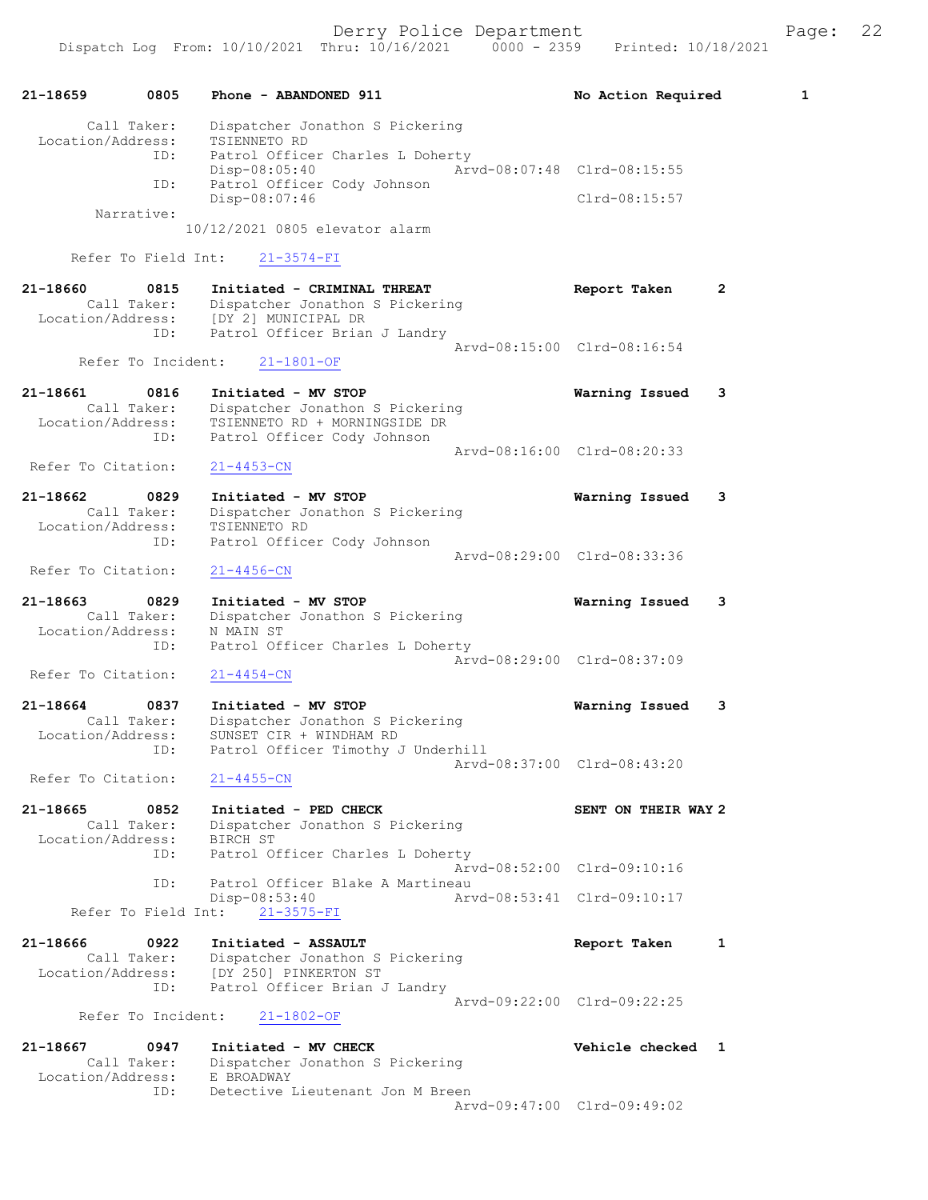

Arvd-09:47:00 Clrd-09:49:02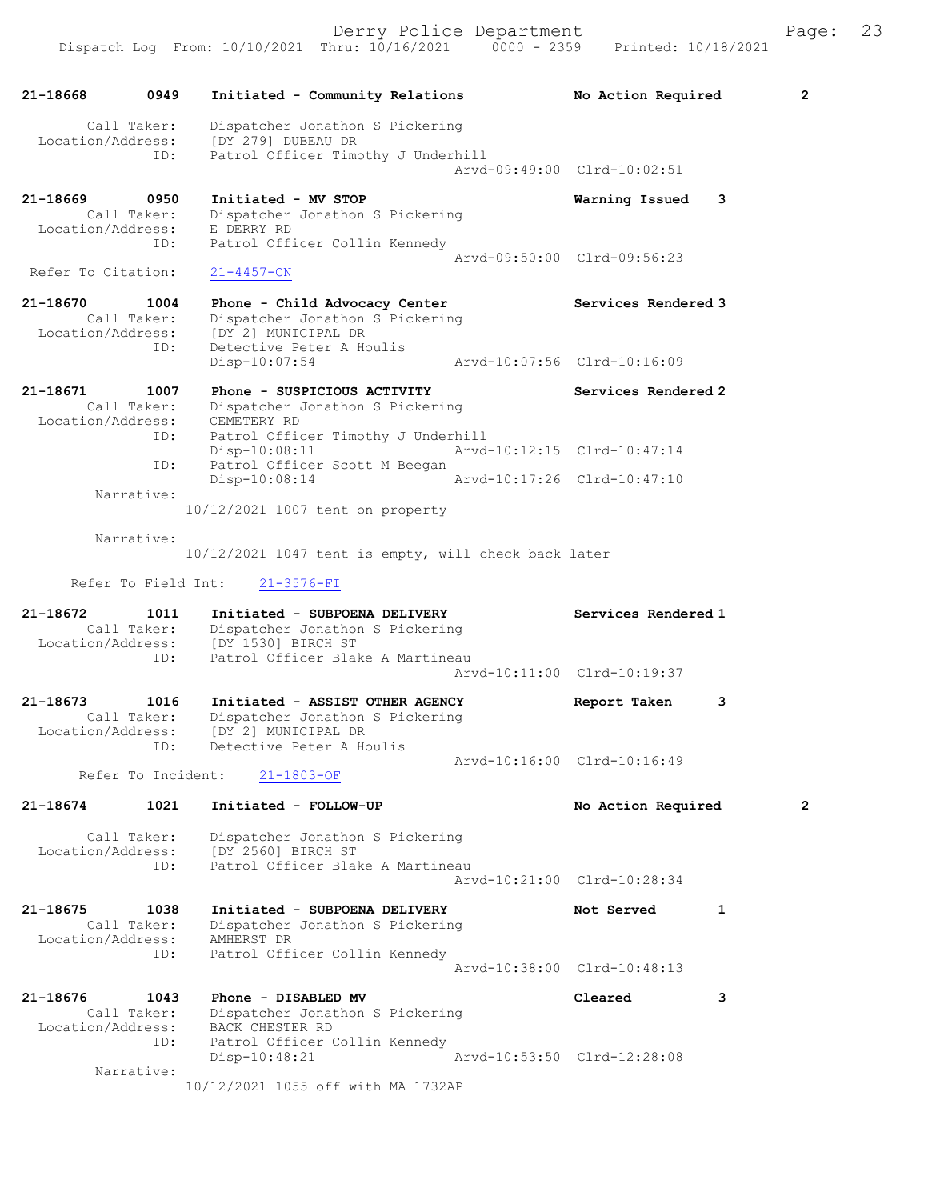| 21-18668           |                     |                                                                    |                             |   |                |
|--------------------|---------------------|--------------------------------------------------------------------|-----------------------------|---|----------------|
|                    | 0949                | Initiated - Community Relations                                    | No Action Required          |   | $\overline{2}$ |
| Location/Address:  | Call Taker:         | Dispatcher Jonathon S Pickering<br>[DY 279] DUBEAU DR              |                             |   |                |
|                    | ID:                 | Patrol Officer Timothy J Underhill                                 | Arvd-09:49:00 Clrd-10:02:51 |   |                |
| 21-18669           | 0950                | Initiated - MV STOP                                                | Warning Issued              | 3 |                |
| Location/Address:  | Call Taker:         | Dispatcher Jonathon S Pickering<br>E DERRY RD                      |                             |   |                |
|                    | ID:                 | Patrol Officer Collin Kennedy                                      |                             |   |                |
| Refer To Citation: |                     | $21 - 4457 - CN$                                                   | Aryd-09:50:00 Clrd-09:56:23 |   |                |
| 21-18670           | 1004                | Phone - Child Advocacy Center                                      | Services Rendered 3         |   |                |
| Location/Address:  | Call Taker:         | Dispatcher Jonathon S Pickering<br>[DY 2] MUNICIPAL DR             |                             |   |                |
|                    | ID:                 | Detective Peter A Houlis                                           |                             |   |                |
|                    |                     | $Disp-10:07:54$                                                    | Arvd-10:07:56 Clrd-10:16:09 |   |                |
| 21-18671           | 1007<br>Call Taker: | Phone - SUSPICIOUS ACTIVITY<br>Dispatcher Jonathon S Pickering     | Services Rendered 2         |   |                |
| Location/Address:  |                     | CEMETERY RD                                                        |                             |   |                |
|                    | ID:                 | Patrol Officer Timothy J Underhill<br>$Disp-10:08:11$              | Arvd-10:12:15 Clrd-10:47:14 |   |                |
|                    | ID:                 | Patrol Officer Scott M Beegan<br>Disp-10:08:14                     | Arvd-10:17:26 Clrd-10:47:10 |   |                |
|                    | Narrative:          |                                                                    |                             |   |                |
|                    |                     | 10/12/2021 1007 tent on property                                   |                             |   |                |
|                    | Narrative:          | 10/12/2021 1047 tent is empty, will check back later               |                             |   |                |
|                    |                     |                                                                    |                             |   |                |
|                    | Refer To Field Int: | $21 - 3576 - FI$                                                   |                             |   |                |
| 21-18672           | 1011<br>Call Taker: | Initiated - SUBPOENA DELIVERY<br>Dispatcher Jonathon S Pickering   | Services Rendered 1         |   |                |
| Location/Address:  |                     | [DY 1530] BIRCH ST                                                 |                             |   |                |
|                    |                     |                                                                    |                             |   |                |
|                    | ID:                 | Patrol Officer Blake A Martineau                                   | Arvd-10:11:00 Clrd-10:19:37 |   |                |
|                    |                     |                                                                    |                             |   |                |
| 21-18673           | 1016<br>Call Taker: | Initiated - ASSIST OTHER AGENCY<br>Dispatcher Jonathon S Pickering | Report Taken                | 3 |                |
| Location/Address:  | ID:                 | [DY 2] MUNICIPAL DR<br>Detective Peter A Houlis                    |                             |   |                |
|                    |                     |                                                                    | Arvd-10:16:00 Clrd-10:16:49 |   |                |
|                    | Refer To Incident:  | $21 - 1803 - OF$                                                   |                             |   |                |
| 21-18674           | 1021                | Initiated - FOLLOW-UP                                              | No Action Required          |   | 2              |
|                    | Call Taker:         | Dispatcher Jonathon S Pickering                                    |                             |   |                |
| Location/Address:  | ID:                 | [DY 2560] BIRCH ST<br>Patrol Officer Blake A Martineau             |                             |   |                |
|                    |                     |                                                                    | Arvd-10:21:00 Clrd-10:28:34 |   |                |
| 21-18675           | 1038                | Initiated - SUBPOENA DELIVERY                                      | Not Served                  | 1 |                |
| Location/Address:  | Call Taker:         | Dispatcher Jonathon S Pickering<br>AMHERST DR                      |                             |   |                |
|                    | ID:                 | Patrol Officer Collin Kennedy                                      |                             |   |                |
|                    |                     |                                                                    | Arvd-10:38:00 Clrd-10:48:13 |   |                |
| 21-18676           | 1043<br>Call Taker: | Phone - DISABLED MV<br>Dispatcher Jonathon S Pickering             | Cleared                     | 3 |                |
| Location/Address:  |                     | BACK CHESTER RD                                                    |                             |   |                |
|                    | ID:                 | Patrol Officer Collin Kennedy<br>$Disp-10:48:21$                   | Arvd-10:53:50 Clrd-12:28:08 |   |                |
|                    | Narrative:          | 10/12/2021 1055 off with MA 1732AP                                 |                             |   |                |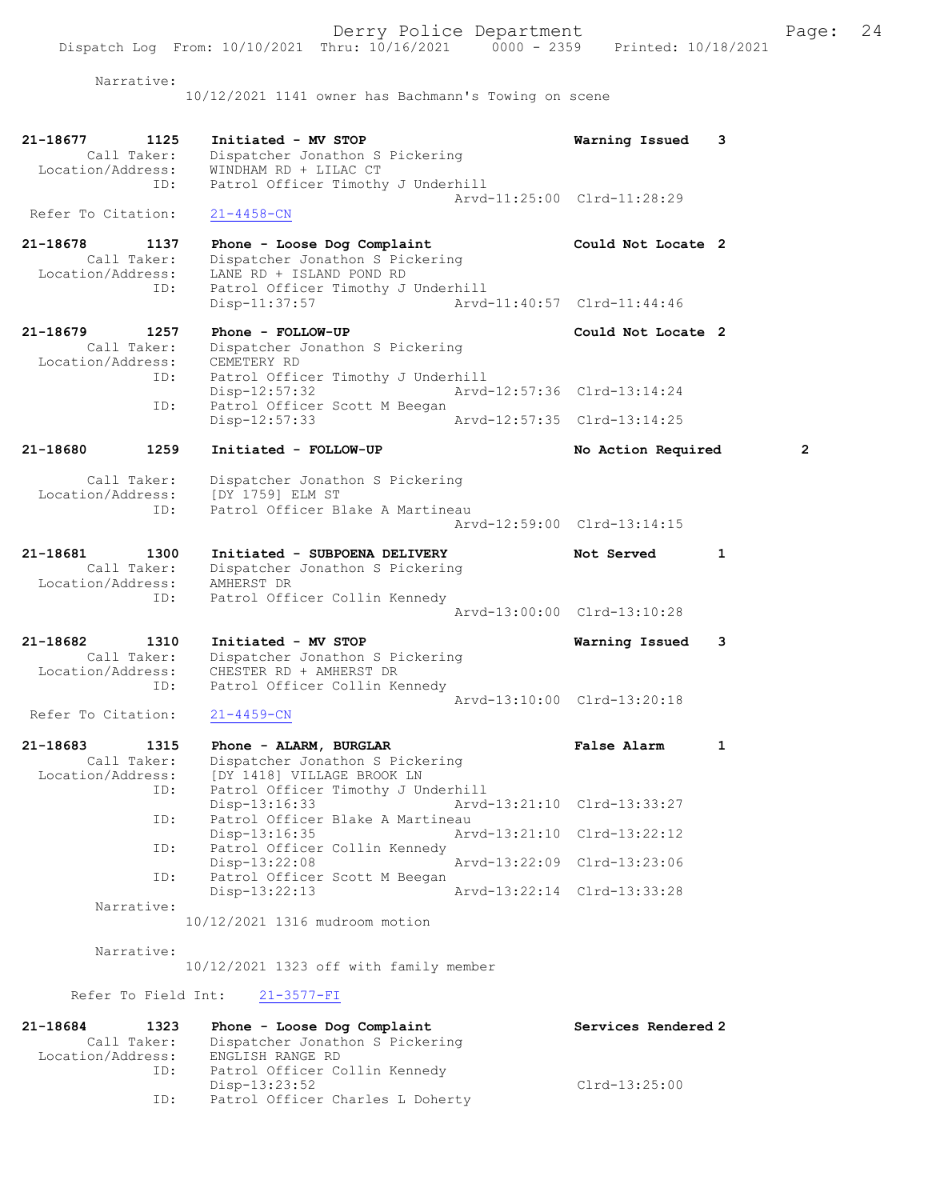Narrative:

10/12/2021 1141 owner has Bachmann's Towing on scene

| 21-18677<br>1125<br>Call Taker:<br>Location/Address:        | Initiated - MV STOP<br>Dispatcher Jonathon S Pickering<br>WINDHAM RD + LILAC CT                                                  | Warning Issued              | 3              |
|-------------------------------------------------------------|----------------------------------------------------------------------------------------------------------------------------------|-----------------------------|----------------|
| ID:<br>Refer To Citation:                                   | Patrol Officer Timothy J Underhill<br>$21 - 4458 - CN$                                                                           | Arvd-11:25:00 Clrd-11:28:29 |                |
| 21-18678<br>1137<br>Call Taker:<br>Location/Address:<br>ID: | Phone - Loose Dog Complaint<br>Dispatcher Jonathon S Pickering<br>LANE RD + ISLAND POND RD<br>Patrol Officer Timothy J Underhill | Could Not Locate 2          |                |
|                                                             | Disp-11:37:57                                                                                                                    | Arvd-11:40:57 Clrd-11:44:46 |                |
| 21-18679<br>1257<br>Call Taker:<br>Location/Address:        | Phone - FOLLOW-UP<br>Dispatcher Jonathon S Pickering<br>CEMETERY RD                                                              | Could Not Locate 2          |                |
| ID:<br>ID:                                                  | Patrol Officer Timothy J Underhill<br>Disp-12:57:32<br>Patrol Officer Scott M Beegan                                             | Arvd-12:57:36 Clrd-13:14:24 |                |
|                                                             | $Disp-12:57:33$                                                                                                                  | Arvd-12:57:35 Clrd-13:14:25 |                |
| 21-18680<br>1259                                            | Initiated - FOLLOW-UP                                                                                                            | No Action Required          | $\overline{2}$ |
| Call Taker:<br>Location/Address:<br>ID:                     | Dispatcher Jonathon S Pickering<br>[DY 1759] ELM ST<br>Patrol Officer Blake A Martineau                                          |                             |                |
|                                                             |                                                                                                                                  | Arvd-12:59:00 Clrd-13:14:15 |                |
| 21-18681<br>1300<br>Call Taker:<br>Location/Address:<br>ID: | Initiated - SUBPOENA DELIVERY<br>Dispatcher Jonathon S Pickering<br>AMHERST DR<br>Patrol Officer Collin Kennedy                  | Not Served                  | 1              |
|                                                             |                                                                                                                                  | Arvd-13:00:00 Clrd-13:10:28 |                |
| 21-18682<br>1310<br>Call Taker:<br>Location/Address:<br>ID: | Initiated - MV STOP<br>Dispatcher Jonathon S Pickering<br>CHESTER RD + AMHERST DR<br>Patrol Officer Collin Kennedy               | Warning Issued              | 3              |
| Refer To Citation:                                          |                                                                                                                                  | Arvd-13:10:00 Clrd-13:20:18 |                |
|                                                             | $21 - 4459 - CN$                                                                                                                 |                             |                |
| 21-18683<br>1315<br>Call Taker:<br>Location/Address:<br>ID: | Phone - ALARM, BURGLAR<br>Dispatcher Jonathon S Pickering<br>[DY 1418] VILLAGE BROOK LN<br>Patrol Officer Timothy J Underhill    | False Alarm                 | $\mathbf{1}$   |
| ID:                                                         | Disp-13:16:33<br>Patrol Officer Blake A Martineau                                                                                | Arvd-13:21:10 Clrd-13:33:27 |                |
| ID:                                                         | Disp-13:16:35<br>Patrol Officer Collin Kennedy                                                                                   | Arvd-13:21:10 Clrd-13:22:12 |                |
| ID:                                                         | $Disp-13:22:08$<br>Patrol Officer Scott M Beegan                                                                                 | Arvd-13:22:09 Clrd-13:23:06 |                |
| Narrative:                                                  | $Disp-13:22:13$                                                                                                                  | Arvd-13:22:14 Clrd-13:33:28 |                |
|                                                             | 10/12/2021 1316 mudroom motion                                                                                                   |                             |                |
| Narrative:                                                  | 10/12/2021 1323 off with family member                                                                                           |                             |                |
| Refer To Field Int:                                         | $21 - 3577 - FI$                                                                                                                 |                             |                |
| 21-18684<br>1323                                            | Phone - Loose Dog Complaint                                                                                                      | Services Rendered 2         |                |
| Call Taker:<br>Location/Address:                            | Dispatcher Jonathon S Pickering<br>ENGLISH RANGE RD                                                                              |                             |                |

ID: Patrol Officer Collin Kennedy

ID: Patrol Officer Charles L Doherty

Disp-13:23:52 Clrd-13:25:00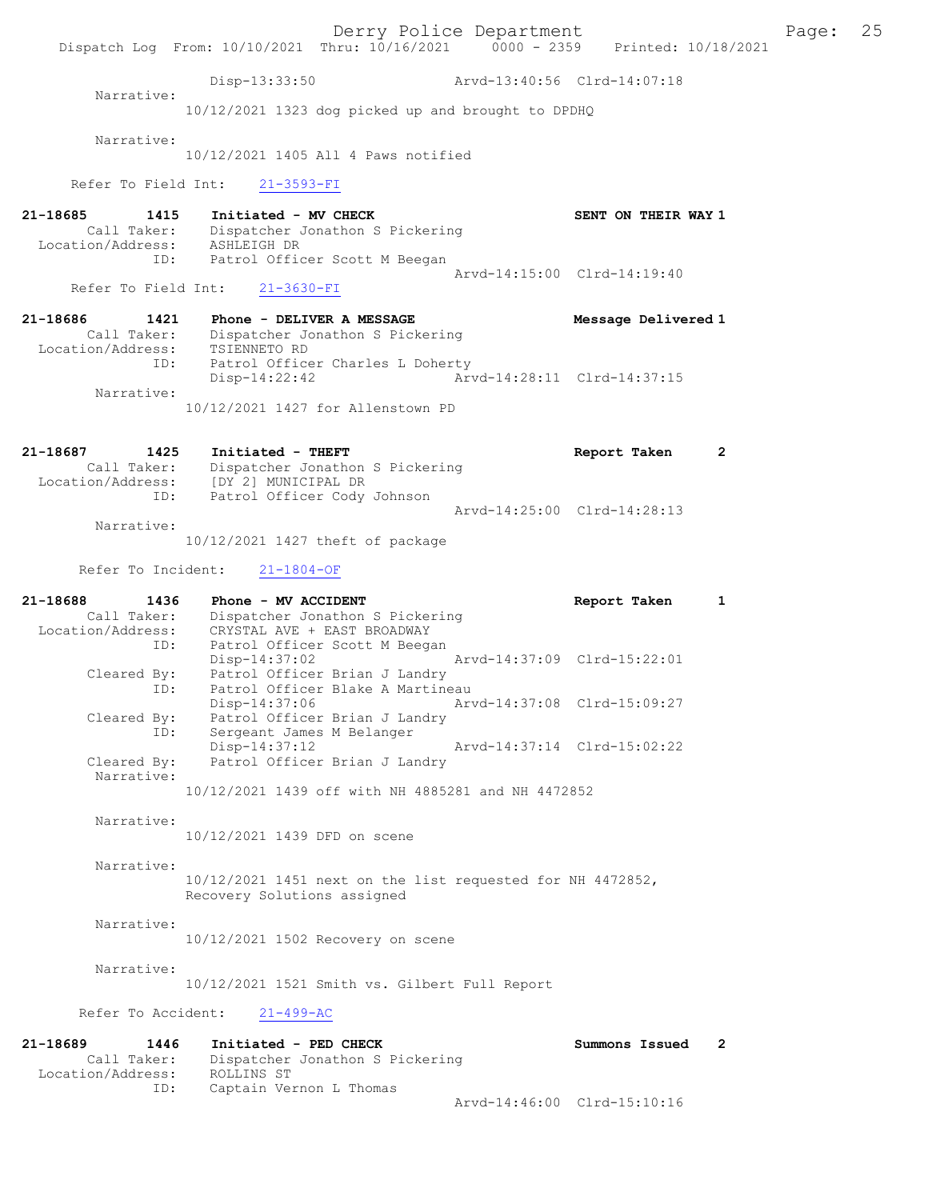Derry Police Department The Page: 25 Dispatch Log From: 10/10/2021 Thru: 10/16/2021 0000 - 2359 Printed: 10/18/2021 Disp-13:33:50 Arvd-13:40:56 Clrd-14:07:18 Narrative: 10/12/2021 1323 dog picked up and brought to DPDHQ Narrative: 10/12/2021 1405 All 4 Paws notified Refer To Field Int: 21-3593-FI 21-18685 1415 Initiated - MV CHECK SENT ON THEIR WAY 1 Call Taker: Dispatcher Jonathon S Pickering Location/Address: ASHLEIGH DR ID: Patrol Officer Scott M Beegan Arvd-14:15:00 Clrd-14:19:40 Refer To Field Int: 21-3630-FI 21-18686 1421 Phone - DELIVER A MESSAGE Message Delivered 1 Call Taker: Dispatcher Jonathon S Pickering Location/Address: TSIENNETO RD ID: Patrol Officer Charles L Doherty<br>Disp-14:22:42 Arw Disp-14:22:42 Arvd-14:28:11 Clrd-14:37:15 Narrative: 10/12/2021 1427 for Allenstown PD 21-18687 1425 Initiated - THEFT Report Taken 2 Call Taker: Dispatcher Jonathon S Pickering Location/Address: [DY 2] MUNICIPAL DR ID: Patrol Officer Cody Johnson Arvd-14:25:00 Clrd-14:28:13 Narrative: 10/12/2021 1427 theft of package Refer To Incident: 21-1804-OF 21-18688 1436 Phone - MV ACCIDENT Report Taken 1 Call Taker: Dispatcher Jonathon S Pickering Location/Address: CRYSTAL AVE + EAST BROADWAY ID: Patrol Officer Scott M Beegan Disp-14:37:02 Arvd-14:37:09 Clrd-15:22:01 Cleared By: Patrol Officer Brian J Landry ID: Patrol Officer Blake A Martineau Disp-14:37:06 Arvd-14:37:08 Clrd-15:09:27 Cleared By: Patrol Officer Brian J Landry ID: Sergeant James M Belanger Disp-14:37:12 Arvd-14:37:14 Clrd-15:02:22<br>Cleared By: Patrol Officer Brian J Landry Patrol Officer Brian J Landry Narrative: 10/12/2021 1439 off with NH 4885281 and NH 4472852 Narrative: 10/12/2021 1439 DFD on scene Narrative: 10/12/2021 1451 next on the list requested for NH 4472852, Recovery Solutions assigned Narrative: 10/12/2021 1502 Recovery on scene Narrative: 10/12/2021 1521 Smith vs. Gilbert Full Report Refer To Accident: 21-499-AC 21-18689 1446 Initiated - PED CHECK Summons Issued 2 Call Taker: Dispatcher Jonathon S Pickering<br>ion/Address: ROLLINS ST Location/Address:<br>ID: Captain Vernon L Thomas Arvd-14:46:00 Clrd-15:10:16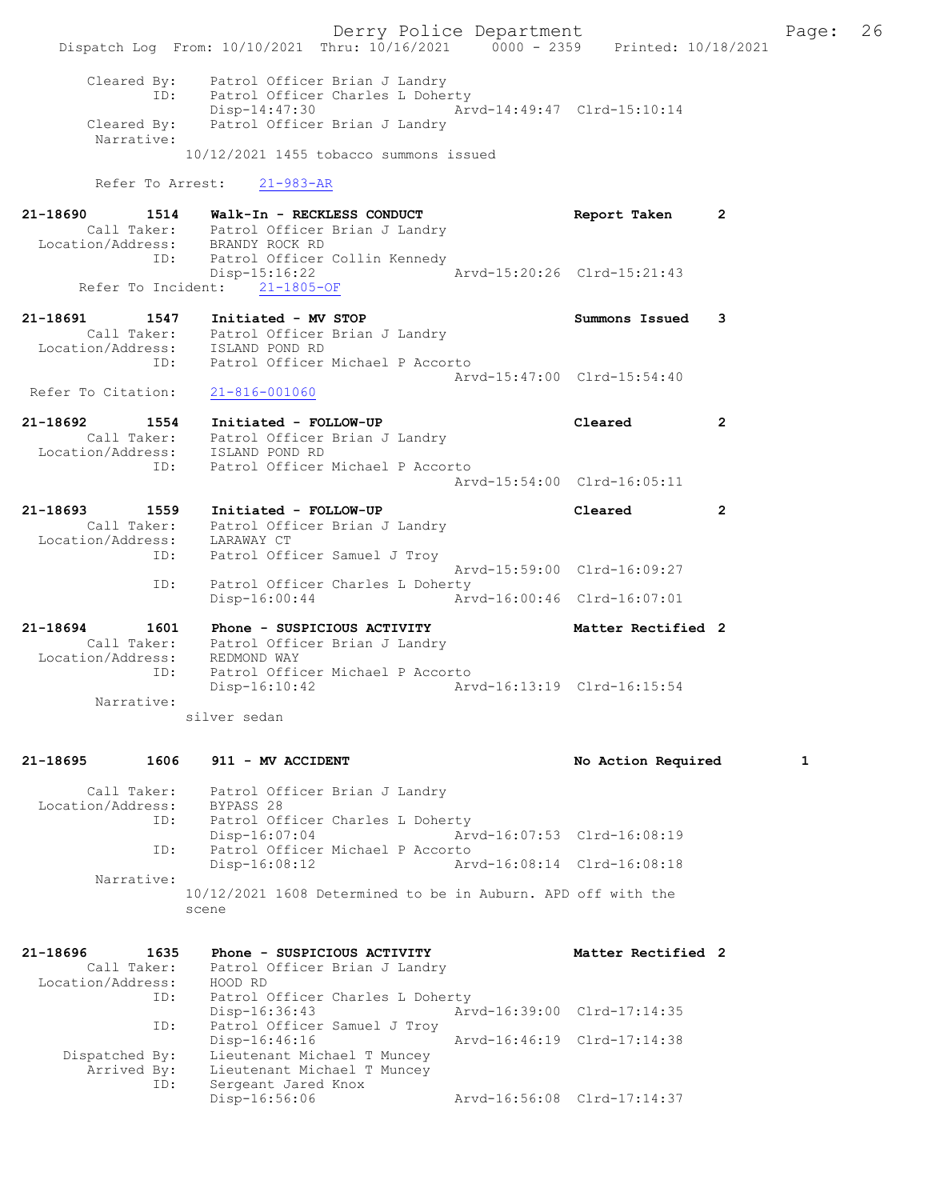|                                                             | Dispatch Log From: 10/10/2021 Thru: 10/16/2021 0000 - 2359 Printed: 10/18/2021                                                                                                                                          | Derry Police Department                                    |                    |                | Page: 26 |  |
|-------------------------------------------------------------|-------------------------------------------------------------------------------------------------------------------------------------------------------------------------------------------------------------------------|------------------------------------------------------------|--------------------|----------------|----------|--|
| Narrative:                                                  | Cleared By: Patrol Officer Brian J Landry<br>ID: Patrol Officer Charles L Doherty<br>Disp-14:47:30 Arvd-14:49:47 Clrd-15:10:14<br>Cleared By: Patrol Officer Brian J Landry<br>$10/12/2021$ 1455 tobacco summons issued |                                                            |                    |                |          |  |
|                                                             | Refer To Arrest: 21-983-AR                                                                                                                                                                                              |                                                            |                    |                |          |  |
| 21-18690<br>ID:                                             | 1514 Walk-In - RECKLESS CONDUCT<br>Call Taker: Patrol Officer Brian J Landry<br>Location/Address: BRANDY ROCK RD<br>Patrol Officer Collin Kennedy                                                                       |                                                            | Report Taken       | $\overline{2}$ |          |  |
|                                                             | Disp-15:16:22<br>Refer To Incident: 21-1805-OF                                                                                                                                                                          | Arvd-15:20:26 Clrd-15:21:43                                |                    |                |          |  |
| 21-18691                                                    | 1547 Initiated - MV STOP<br>Call Taker: Patrol Officer Brian J Landry<br>Location/Address: ISLAND POND RD                                                                                                               |                                                            | Summons Issued 3   |                |          |  |
| ID:<br>Refer To Citation:                                   | Patrol Officer Michael P Accorto<br>21-816-001060                                                                                                                                                                       | Arvd-15:47:00 Clrd-15:54:40                                |                    |                |          |  |
| 21-18692 1554                                               | Initiated - FOLLOW-UP<br>Call Taker: Patrol Officer Brian J Landry<br>Location/Address: ISLAND POND RD                                                                                                                  |                                                            | Cleared            | $\overline{2}$ |          |  |
|                                                             | ID: Patrol Officer Michael P Accorto                                                                                                                                                                                    | Arvd-15:54:00 Clrd-16:05:11                                |                    |                |          |  |
| Location/Address: LARAWAY CT                                | 21-18693 1559 Initiated - FOLLOW-UP<br>Call Taker: Patrol Officer Brian J Landry                                                                                                                                        |                                                            | Cleared            | $\mathbf{2}$   |          |  |
|                                                             | ID: Patrol Officer Samuel J Troy                                                                                                                                                                                        | Arvd-15:59:00 Clrd-16:09:27                                |                    |                |          |  |
| ID:                                                         | Patrol Officer Charles L Doherty<br>$Disp-16:00:44$                                                                                                                                                                     | Arvd-16:00:46 Clrd-16:07:01                                |                    |                |          |  |
| 21-18694<br>1601<br>Location/Address: REDMOND WAY           | Phone - SUSPICIOUS ACTIVITY<br>Call Taker: Patrol Officer Brian J Landry                                                                                                                                                |                                                            | Matter Rectified 2 |                |          |  |
| ID:<br>Narrative:                                           | Patrol Officer Michael P Accorto<br>Disp-16:10:42                                                                                                                                                                       | Arvd-16:13:19 Clrd-16:15:54                                |                    |                |          |  |
|                                                             | silver sedan                                                                                                                                                                                                            |                                                            |                    |                |          |  |
| 21-18695<br>1606                                            | 911 - MV ACCIDENT                                                                                                                                                                                                       |                                                            | No Action Required |                | 1        |  |
| Call Taker:<br>Location/Address:<br>ID:<br>ID:              | Patrol Officer Brian J Landry<br>BYPASS 28<br>Patrol Officer Charles L Doherty<br>Disp-16:07:04<br>Patrol Officer Michael P Accorto<br>$Disp-16:08:12$                                                                  | Arvd-16:07:53 Clrd-16:08:19<br>Arvd-16:08:14 Clrd-16:08:18 |                    |                |          |  |
| Narrative:                                                  | 10/12/2021 1608 Determined to be in Auburn. APD off with the                                                                                                                                                            |                                                            |                    |                |          |  |
|                                                             | scene                                                                                                                                                                                                                   |                                                            |                    |                |          |  |
| 21-18696<br>1635<br>Call Taker:<br>Location/Address:<br>ID: | Phone - SUSPICIOUS ACTIVITY<br>Patrol Officer Brian J Landry<br>HOOD RD<br>Patrol Officer Charles L Doherty                                                                                                             |                                                            | Matter Rectified 2 |                |          |  |
| ID:                                                         | Disp-16:36:43<br>Patrol Officer Samuel J Troy                                                                                                                                                                           | Arvd-16:39:00 Clrd-17:14:35                                |                    |                |          |  |
| Dispatched By:<br>Arrived By:                               | Disp-16:46:16<br>Lieutenant Michael T Muncey<br>Lieutenant Michael T Muncey                                                                                                                                             | Arvd-16:46:19 Clrd-17:14:38                                |                    |                |          |  |
| ID:                                                         | Sergeant Jared Knox<br>Disp-16:56:06                                                                                                                                                                                    | Arvd-16:56:08 Clrd-17:14:37                                |                    |                |          |  |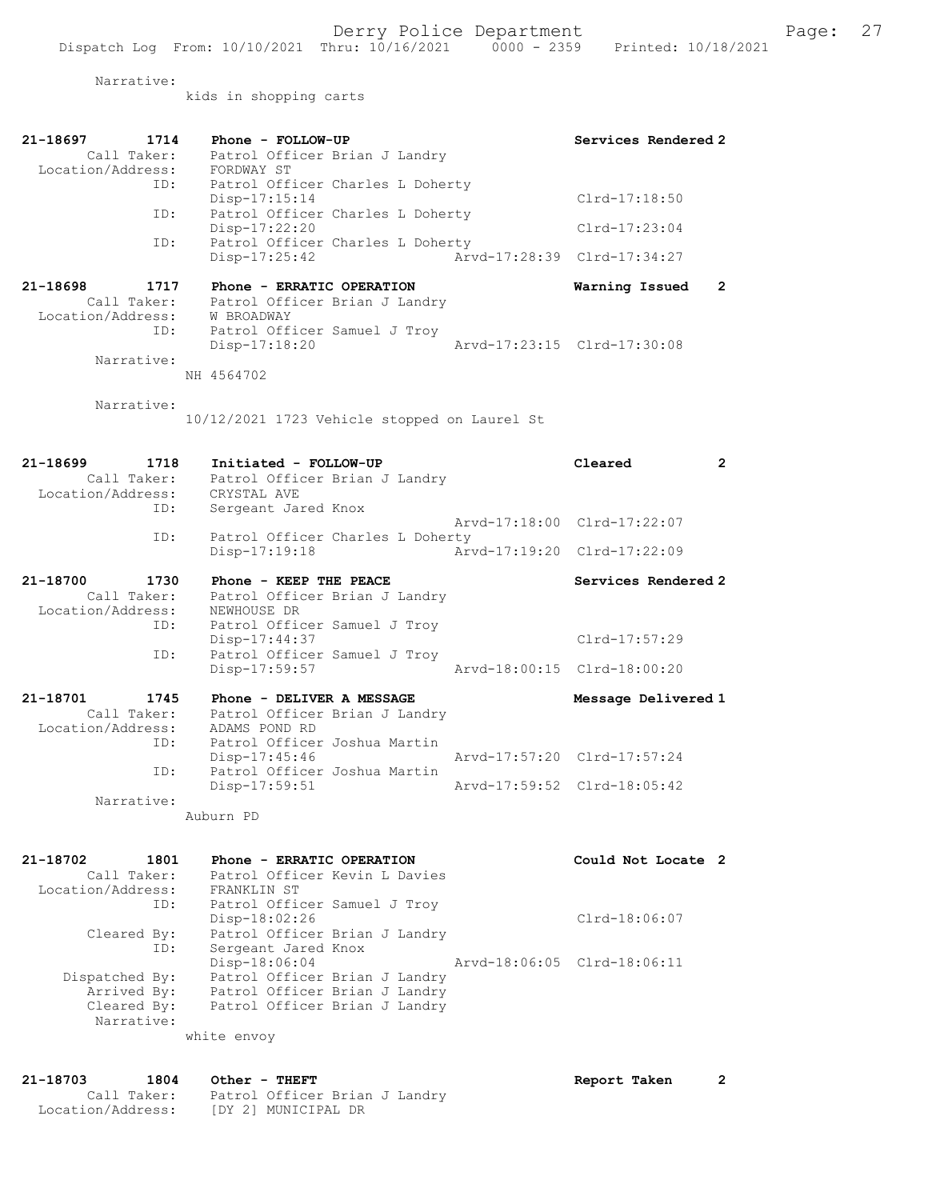Narrative:

kids in shopping carts

| 21-18697<br>1714<br>Call Taker:<br>Location/Address:        | Phone - FOLLOW-UP<br>Patrol Officer Brian J Landry<br>FORDWAY ST                                                                | Services Rendered 2              |
|-------------------------------------------------------------|---------------------------------------------------------------------------------------------------------------------------------|----------------------------------|
| ID:                                                         | Patrol Officer Charles L Doherty<br>Disp-17:15:14                                                                               | $Clrd-17:18:50$                  |
| ID:                                                         | Patrol Officer Charles L Doherty<br>Disp-17:22:20                                                                               | $Clrd-17:23:04$                  |
| ID:                                                         | Patrol Officer Charles L Doherty<br>Disp-17:25:42                                                                               | Arvd-17:28:39 Clrd-17:34:27      |
| 21-18698<br>1717<br>Call Taker:<br>Location/Address:        | Phone - ERRATIC OPERATION<br>Patrol Officer Brian J Landry<br>W BROADWAY                                                        | Warning Issued<br>$\overline{2}$ |
| ID:<br>Narrative:                                           | Patrol Officer Samuel J Troy<br>$Disp-17:18:20$                                                                                 | Arvd-17:23:15 Clrd-17:30:08      |
|                                                             | NH 4564702                                                                                                                      |                                  |
| Narrative:                                                  | 10/12/2021 1723 Vehicle stopped on Laurel St                                                                                    |                                  |
| 21-18699<br>1718<br>Call Taker:<br>Location/Address:        | Initiated - FOLLOW-UP<br>Patrol Officer Brian J Landry<br>CRYSTAL AVE                                                           | Cleared<br>$\overline{2}$        |
| ID:                                                         | Sergeant Jared Knox                                                                                                             | Arvd-17:18:00 Clrd-17:22:07      |
| ID:                                                         | Patrol Officer Charles L Doherty<br>Disp-17:19:18                                                                               | Arvd-17:19:20 Clrd-17:22:09      |
| 21-18700<br>1730<br>Call Taker:<br>Location/Address:        | Phone - KEEP THE PEACE<br>Patrol Officer Brian J Landry<br>NEWHOUSE DR                                                          | Services Rendered 2              |
| ID:                                                         | Patrol Officer Samuel J Troy<br>Disp-17:44:37                                                                                   | Clrd-17:57:29                    |
| ID:                                                         | Patrol Officer Samuel J Troy<br>Disp-17:59:57                                                                                   | Arvd-18:00:15 Clrd-18:00:20      |
| 21-18701<br>1745<br>Call Taker:<br>Location/Address:<br>ID: | Phone - DELIVER A MESSAGE<br>Patrol Officer Brian J Landry<br>ADAMS POND RD<br>Patrol Officer Joshua Martin                     | Message Delivered 1              |
| ID:                                                         | Disp-17:45:46<br>Patrol Officer Joshua Martin                                                                                   | Arvd-17:57:20 Clrd-17:57:24      |
| Narrative:                                                  | Disp-17:59:51                                                                                                                   | Arvd-17:59:52 Clrd-18:05:42      |
|                                                             | Auburn PD                                                                                                                       |                                  |
| 21-18702<br>1801<br>Call Taker:<br>Location/Address:<br>ID: | Phone - ERRATIC OPERATION<br>Patrol Officer Kevin L Davies<br>FRANKLIN ST<br>Patrol Officer Samuel J Troy                       | Could Not Locate 2               |
| Cleared By:<br>ID:                                          | Disp-18:02:26<br>Patrol Officer Brian J Landry<br>Sergeant Jared Knox                                                           | $Clrd-18:06:07$                  |
| Dispatched By:<br>Arrived By:<br>Cleared By:<br>Narrative:  | Disp-18:06:04<br>Patrol Officer Brian J Landry<br>Patrol Officer Brian J Landry<br>Patrol Officer Brian J Landry<br>white envoy | Arvd-18:06:05 Clrd-18:06:11      |

21-18703 1804 Other - THEFT Report Taken 2 Call Taker: Patrol Officer Brian J Landry Location/Address: [DY 2] MUNICIPAL DR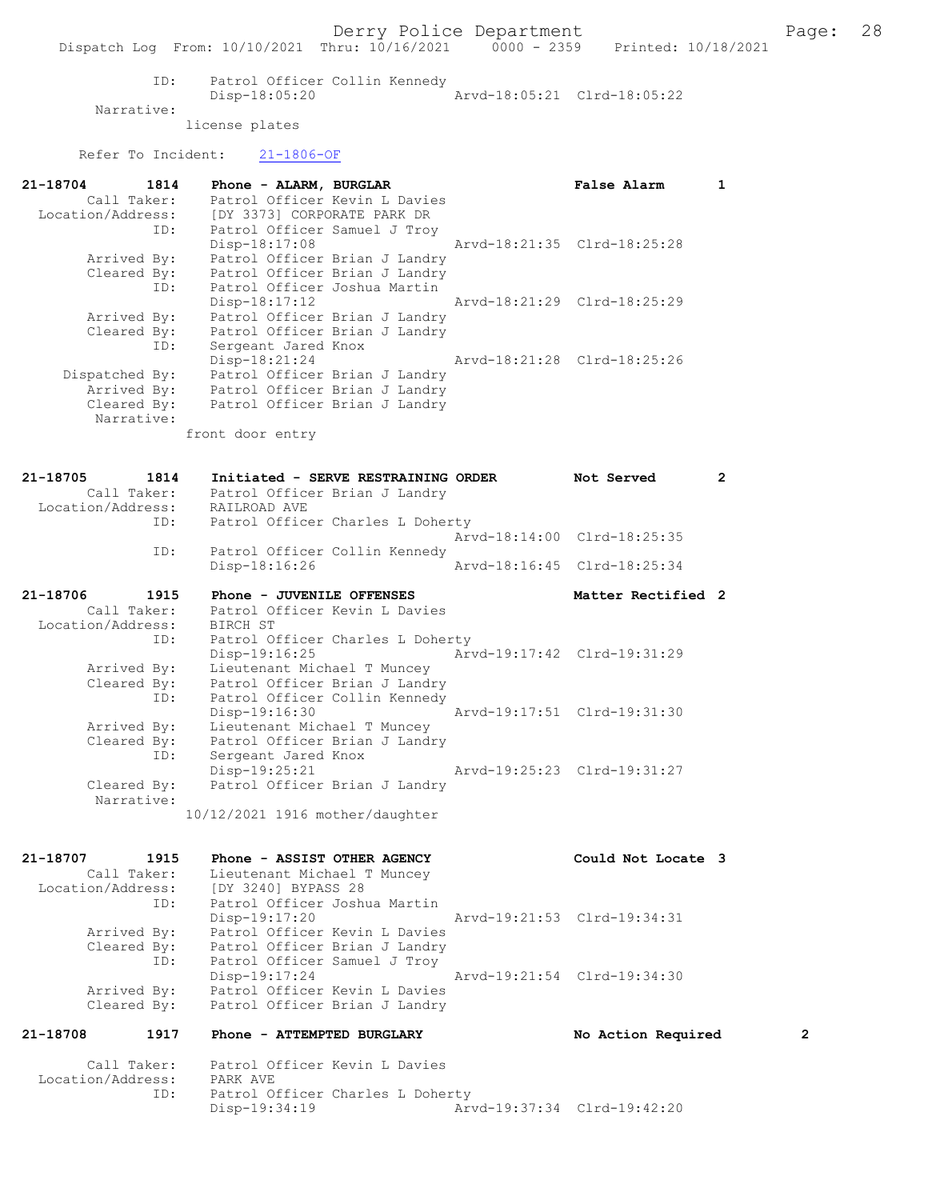ID: Patrol Officer Collin Kennedy<br>Disp-18:05:20 Arvd-18:05:21 Clrd-18:05:22 Disp-18:05:20 Narrative:

license plates

Refer To Incident: 21-1806-OF

| 21-18704<br>1814 | Phone - ALARM, BURGLAR                        | False Alarm                 |  |
|------------------|-----------------------------------------------|-----------------------------|--|
| Call Taker:      | Patrol Officer Kevin L Davies                 |                             |  |
|                  | Location/Address: [DY 3373] CORPORATE PARK DR |                             |  |
|                  | ID: Patrol Officer Samuel J Troy              |                             |  |
|                  | Disp-18:17:08                                 | Arvd-18:21:35 Clrd-18:25:28 |  |
| Arrived By:      | Patrol Officer Brian J Landry                 |                             |  |
|                  | Cleared By: Patrol Officer Brian J Landry     |                             |  |
|                  | ID: Patrol Officer Joshua Martin              |                             |  |
|                  | $Disp-18:17:12$                               | Arvd-18:21:29 Clrd-18:25:29 |  |
| Arrived By:      | Patrol Officer Brian J Landry                 |                             |  |
|                  | Cleared By: Patrol Officer Brian J Landry     |                             |  |
| ID:              | Sergeant Jared Knox                           |                             |  |
|                  | Disp-18:21:24                                 | Arvd-18:21:28 Clrd-18:25:26 |  |
| Dispatched By:   | Patrol Officer Brian J Landry                 |                             |  |
| Arrived By:      | Patrol Officer Brian J Landry                 |                             |  |
|                  | Cleared By: Patrol Officer Brian J Landry     |                             |  |
| Narrative:       |                                               |                             |  |
|                  | front door entry                              |                             |  |

| 21-18705 | 1814        | Initiated - SERVE RESTRAINING ORDER       | Not Served                  | $\overline{2}$ |
|----------|-------------|-------------------------------------------|-----------------------------|----------------|
|          | Call Taker: | Patrol Officer Brian J Landry             |                             |                |
|          |             | Location/Address: RAILROAD AVE            |                             |                |
|          |             | ID: Patrol Officer Charles L Doherty      |                             |                |
|          |             |                                           | Arvd-18:14:00 Clrd-18:25:35 |                |
|          | ID:         | Patrol Officer Collin Kennedy             |                             |                |
|          |             | Disp-18:16:26                             | Arvd-18:16:45 Clrd-18:25:34 |                |
| 21-18706 | 1915        | Phone - JUVENILE OFFENSES                 | Matter Rectified 2          |                |
|          | Call Taker: | Patrol Officer Kevin L Davies             |                             |                |
|          |             | Location/Address: BIRCH ST                |                             |                |
|          | ID:         | Patrol Officer Charles L Doherty          |                             |                |
|          |             | $Disp-19:16:25$                           | Arvd-19:17:42 Clrd-19:31:29 |                |
|          |             | Arrived By: Lieutenant Michael T Muncey   |                             |                |
|          |             | Cleared By: Patrol Officer Brian J Landry |                             |                |
|          | ID:         | Patrol Officer Collin Kennedy             |                             |                |
|          |             | $Disp-19:16:30$                           | Arvd-19:17:51 Clrd-19:31:30 |                |
|          | Arrived By: | Lieutenant Michael T Muncey               |                             |                |
|          |             | Cleared By: Patrol Officer Brian J Landry |                             |                |
|          | ID:         | Sergeant Jared Knox                       |                             |                |
|          |             | $Disp-19:25:21$                           | Arvd-19:25:23 Clrd-19:31:27 |                |
|          | Cleared By: | Patrol Officer Brian J Landry             |                             |                |

10/12/2021 1916 mother/daughter

Narrative:

21-18707 1915 Phone - ASSIST OTHER AGENCY Could Not Locate 3 Call Taker: Lieutenant Michael T Muncey Location/Address: [DY 3240] BYPASS 28 ID: Patrol Officer Joshua Martin Disp-19:17:20 Arvd-19:21:53 Clrd-19:34:31 Arrived By: Patrol Officer Kevin L Davies Cleared By: Patrol Officer Brian J Landry ID: Patrol Officer Samuel J Troy Disp-19:17:24 Arvd-19:21:54 Clrd-19:34:30 Arrived By: Patrol Officer Kevin L Davies Cleared By: Patrol Officer Brian J Landry

# 21-18708 1917 Phone - ATTEMPTED BURGLARY No Action Required 2

 Call Taker: Patrol Officer Kevin L Davies Location/Address: PARK AVE ID: Patrol Officer Charles L Doherty Disp-19:34:19 Arvd-19:37:34 Clrd-19:42:20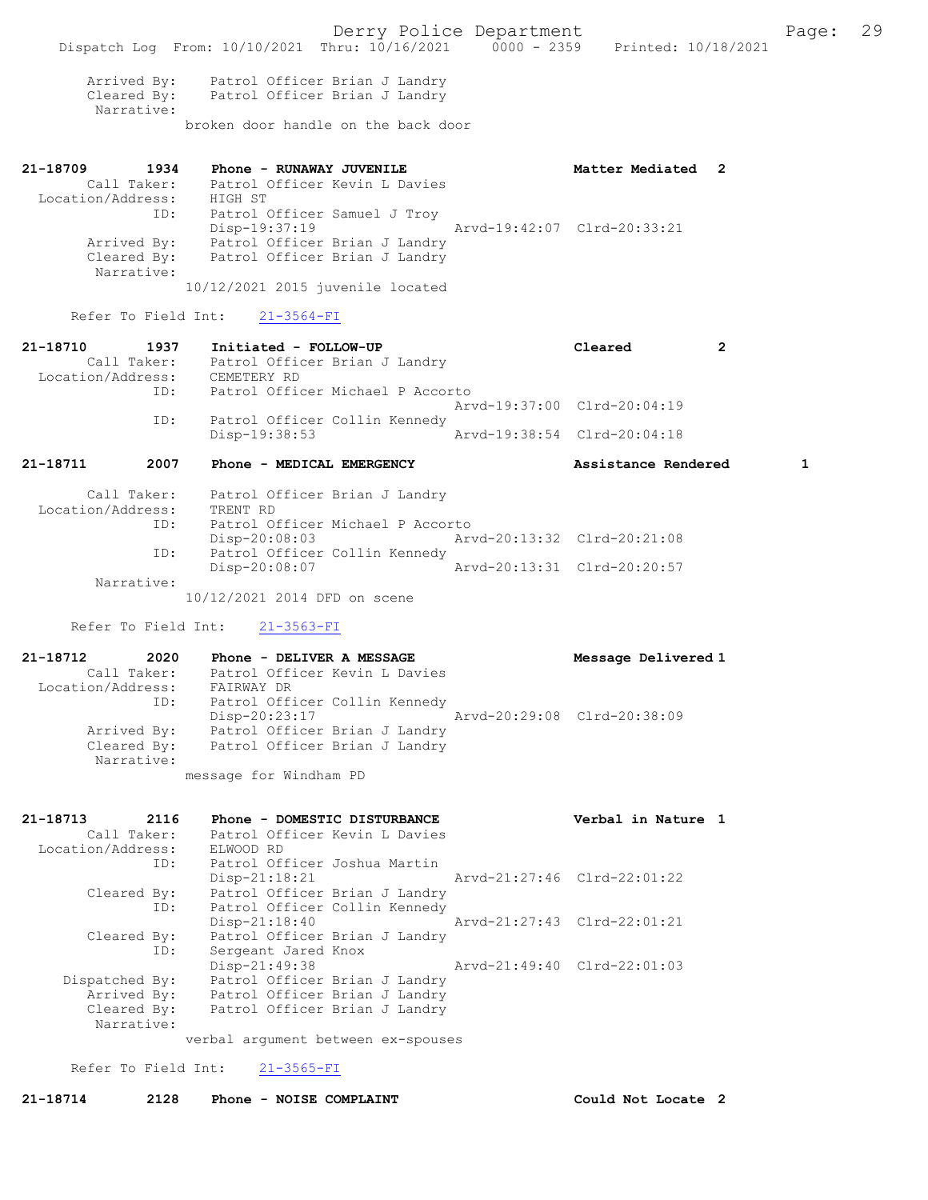Arrived By: Patrol Officer Brian J Landry Cleared By: Patrol Officer Brian J Landry Narrative: broken door handle on the back door

| 21-18709          | 1934        | Phone - RUNAWAY JUVENILE         | Matter Mediated 2           |  |
|-------------------|-------------|----------------------------------|-----------------------------|--|
|                   | Call Taker: | Patrol Officer Kevin L Davies    |                             |  |
| Location/Address: |             | HIGH ST                          |                             |  |
|                   | ID:         | Patrol Officer Samuel J Troy     |                             |  |
|                   |             | Disp-19:37:19                    | Arvd-19:42:07 Clrd-20:33:21 |  |
|                   | Arrived By: | Patrol Officer Brian J Landry    |                             |  |
|                   | Cleared By: | Patrol Officer Brian J Landry    |                             |  |
|                   | Narrative:  |                                  |                             |  |
|                   |             | 10/12/2021 2015 juvenile located |                             |  |

### Refer To Field Int: 21-3564-FI

| 21-18711          | 2007        | Phone - MEDICAL EMERGENCY                      | Assistance Rendered         |  |
|-------------------|-------------|------------------------------------------------|-----------------------------|--|
|                   | ID:         | Patrol Officer Collin Kennedy<br>Disp-19:38:53 | Arvd-19:38:54 Clrd-20:04:18 |  |
|                   |             |                                                | Arvd-19:37:00 Clrd-20:04:19 |  |
|                   | ID:         | Patrol Officer Michael P Accorto               |                             |  |
| Location/Address: |             | CEMETERY RD                                    |                             |  |
|                   | Call Taker: | Patrol Officer Brian J Landry                  |                             |  |
| 21-18710          | 1937        | Initiated - FOLLOW-UP                          | Cleared                     |  |

| Call Taker:<br>Location/Address: | Patrol Officer Brian J Landry<br>TRENT RD |                             |  |
|----------------------------------|-------------------------------------------|-----------------------------|--|
| ID:                              | Patrol Officer Michael P Accorto          |                             |  |
|                                  | Disp-20:08:03                             | Arvd-20:13:32 Clrd-20:21:08 |  |
| ID:                              | Patrol Officer Collin Kennedy             |                             |  |
|                                  | Disp-20:08:07                             | Arvd-20:13:31 Clrd-20:20:57 |  |
| Narrative:                       |                                           |                             |  |
|                                  | 10/12/2021 2014 DFD on scene              |                             |  |

Refer To Field Int: 21-3563-FI

21-18712 2020 Phone - DELIVER A MESSAGE Message Delivered 1 Call Taker: Patrol Officer Kevin L Davies Location/Address: FAIRWAY DR ID: FALWAL DR<br>ID: Patrol Officer Collin Kennedy<br>Disp-20:23:17 Disp-20:23:17 Arvd-20:29:08 Clrd-20:38:09 Arrived By: Patrol Officer Brian J Landry Cleared By: Patrol Officer Brian J Landry Narrative: message for Windham PD

| 21-18713          | 2116           | Phone - DOMESTIC DISTURBANCE  |                               |                             | Verbal in Nature 1          |  |
|-------------------|----------------|-------------------------------|-------------------------------|-----------------------------|-----------------------------|--|
|                   | Call Taker:    |                               | Patrol Officer Kevin L Davies |                             |                             |  |
| Location/Address: |                | ELWOOD RD                     |                               |                             |                             |  |
|                   | ID:            | Patrol Officer Joshua Martin  |                               |                             |                             |  |
|                   |                | $Disp-21:18:21$               |                               |                             | Arvd-21:27:46 Clrd-22:01:22 |  |
|                   | Cleared By:    |                               | Patrol Officer Brian J Landry |                             |                             |  |
|                   | ID:            |                               | Patrol Officer Collin Kennedy |                             |                             |  |
|                   |                | $Disp-21:18:40$               |                               | Arvd-21:27:43 Clrd-22:01:21 |                             |  |
|                   | Cleared By:    |                               | Patrol Officer Brian J Landry |                             |                             |  |
|                   | ID:            | Sergeant Jared Knox           |                               |                             |                             |  |
|                   |                | $Disp-21:49:38$               |                               |                             | Arvd-21:49:40 Clrd-22:01:03 |  |
|                   | Dispatched By: |                               | Patrol Officer Brian J Landry |                             |                             |  |
|                   | Arrived By:    |                               | Patrol Officer Brian J Landry |                             |                             |  |
|                   | Cleared By:    | Patrol Officer Brian J Landry |                               |                             |                             |  |
|                   | Narrative:     |                               |                               |                             |                             |  |
|                   |                |                               |                               |                             |                             |  |

verbal argument between ex-spouses

Refer To Field Int: 21-3565-FI

21-18714 2128 Phone - NOISE COMPLAINT Could Not Locate 2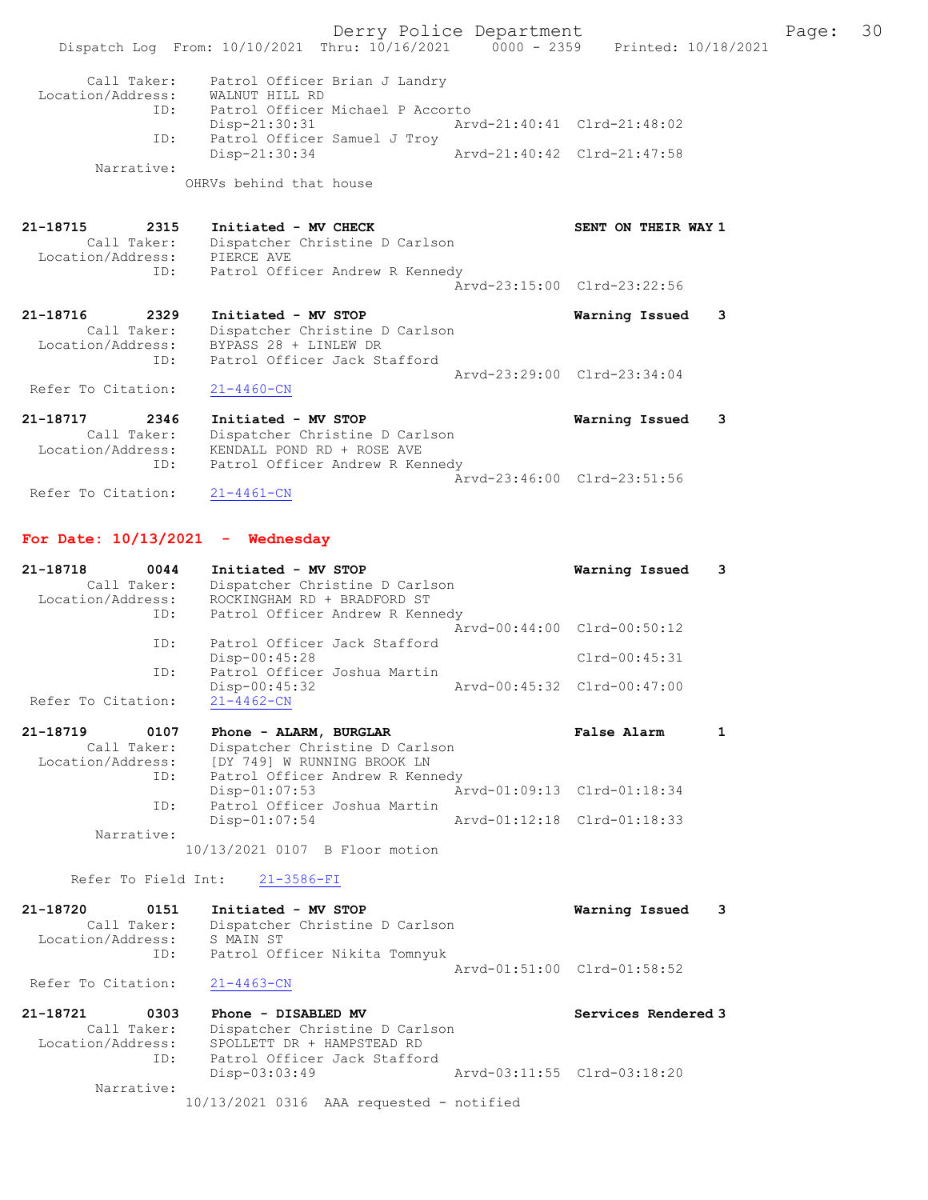Derry Police Department Fage: 30 Dispatch Log From: 10/10/2021 Thru: 10/16/2021 0000 - 2359 Printed: 10/18/2021 Call Taker: Patrol Officer Brian J Landry Location/Address: WALNUT HILL RD ID: Patrol Officer Michael P Accorto Disp-21:30:31 Arvd-21:40:41 Clrd-21:48:02 ID: Patrol Officer Samuel J Troy<br>Disp-21:30:34 Arvd-21:40:42 Clrd-21:47:58 Disp-21:30:34 Narrative: OHRVs behind that house 21-18715 2315 Initiated - MV CHECK SENT ON THEIR WAY 1 Call Taker: Dispatcher Christine D Carlson Location/Address: PIERCE AVE ID: Patrol Officer Andrew R Kennedy Arvd-23:15:00 Clrd-23:22:56 21-18716 2329 Initiated - MV STOP Warning Issued 3 Call Taker: Dispatcher Christine D Carlson Location/Address: BYPASS 28 + LINLEW DR ID: Patrol Officer Jack Stafford Arvd-23:29:00 Clrd-23:34:04 Refer To Citation: 21-4460-CN 21-18717 2346 Initiated - MV STOP Warning Issued 3 Call Taker: Dispatcher Christine D Carlson Location/Address: KENDALL POND RD + ROSE AVE ID: Patrol Officer Andrew R Kennedy Arvd-23:46:00 Clrd-23:51:56<br>21-4461-CN Refer To Citation: For Date:  $10/13/2021$  - Wednesday 21-18718 0044 Initiated - MV STOP Warning Issued 3

 Call Taker: Dispatcher Christine D Carlson Location/Address: ROCKINGHAM RD + BRADFORD ST ID: Patrol Officer Andrew R Kennedy Arvd-00:44:00 Clrd-00:50:12 ID: Patrol Officer Jack Stafford Disp-00:45:28 Clrd-00:45:31<br>D: Patrol Officer Joshua Martin Patrol Officer Joshua Martin<br>Disp-00:45:32 Disp-00:45:32 Arvd-00:45:32 Clrd-00:47:00 Refer To Citation: 21-18719 0107 Phone - ALARM, BURGLAR False Alarm 1 Call Taker: Dispatcher Christine D Carlson

 Location/Address: [DY 749] W RUNNING BROOK LN ID: Patrol Officer Andrew R Kennedy Disp-01:07:53 Arvd-01:09:13 Clrd-01:18:34 ID: Patrol Officer Joshua Martin<br>Disp-01:07:54 Arvd-01:12:18 Clrd-01:18:33 Narrative:

10/13/2021 0107 B Floor motion

Refer To Field Int: 21-3586-FI

| 21-18720           | 0151        | Initiated - MV STOP            | Warning Issued              | - 3 |
|--------------------|-------------|--------------------------------|-----------------------------|-----|
|                    | Call Taker: | Dispatcher Christine D Carlson |                             |     |
| Location/Address:  |             | S MAIN ST                      |                             |     |
|                    | ID:         | Patrol Officer Nikita Tomnyuk  |                             |     |
|                    |             |                                | Aryd-01:51:00 Clrd-01:58:52 |     |
| Refer To Citation: |             | 21-4463-CN                     |                             |     |

| 21-18721          | 0303        | Phone - DISABLED MV                        | Services Rendered 3         |
|-------------------|-------------|--------------------------------------------|-----------------------------|
|                   | Call Taker: | Dispatcher Christine D Carlson             |                             |
| Location/Address: |             | SPOLLETT DR + HAMPSTEAD RD                 |                             |
|                   | ID:         | Patrol Officer Jack Stafford               |                             |
|                   |             | Disp-03:03:49                              | Arvd-03:11:55 Clrd-03:18:20 |
|                   | Narrative:  |                                            |                             |
|                   |             | $10/13/2021$ 0316 AAA requested - notified |                             |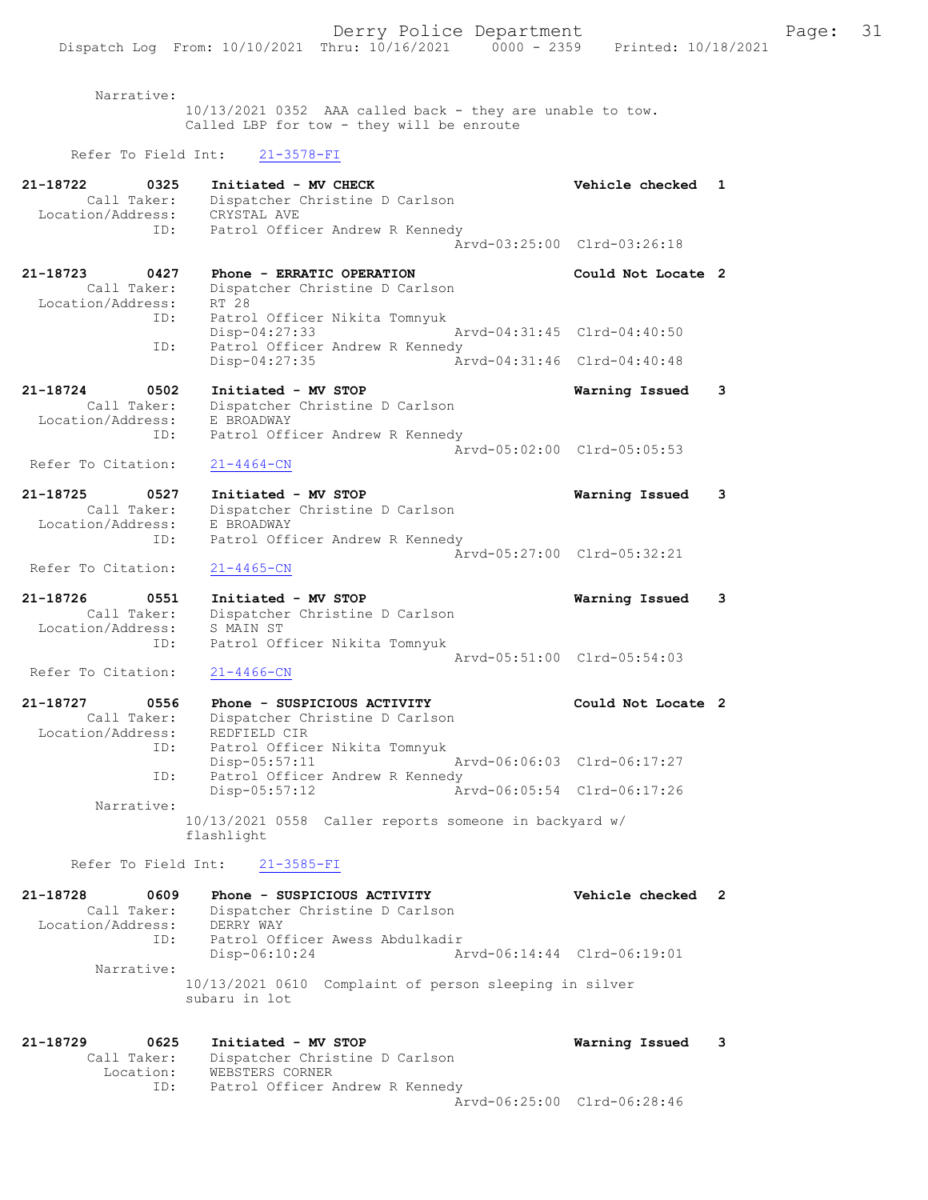Narrative: 10/13/2021 0352 AAA called back - they are unable to tow. Called LBP for tow - they will be enroute Refer To Field Int: 21-3578-FI 21-18722 0325 Initiated - MV CHECK Vehicle checked 1 Call Taker: Dispatcher Christine D Carlson Location/Address: CRYSTAL AVE ID: Patrol Officer Andrew R Kennedy Arvd-03:25:00 Clrd-03:26:18 21-18723 0427 Phone - ERRATIC OPERATION Could Not Locate 2 Call Taker: Dispatcher Christine D Carlson Location/Address: RT 28 ID: Patrol Officer Nikita Tomnyuk Disp-04:27:33 Arvd-04:31:45 Clrd-04:40:50

 ID: Patrol Officer Andrew R Kennedy Disp-04:27:35 Arvd-04:31:46 Clrd-04:40:48 21-18724 0502 Initiated - MV STOP Warning Issued 3 Call Taker: Dispatcher Christine D Carlson Location/Address: E BROADWAY

 ID: Patrol Officer Andrew R Kennedy  $\bar{A}rvd-05:02:00$  Clrd-05:05:53<br>21-4464-CN Refer To Citation:

21-18725 0527 Initiated - MV STOP Warning Issued 3 Call Taker: Dispatcher Christine D Carlson Location/Address: E BROADWAY ID: Patrol Officer Andrew R Kennedy Arvd-05:27:00 Clrd-05:32:21

## Refer To Citation: 21-4465-CN

21-18726 0551 Initiated - MV STOP Warning Issued 3 Call Taker: Dispatcher Christine D Carlson Location/Address: S MAIN ST ID: Patrol Officer Nikita Tomnyuk Arvd-05:51:00 Clrd-05:54:03<br>21-4466-CN Refer To Citation:

21-18727 0556 Phone - SUSPICIOUS ACTIVITY Could Not Locate 2 Call Taker: Dispatcher Christine D Carlson Location/Address: REDFIELD CIR ID: Patrol Officer Nikita Tomnyuk Disp-05:57:11 Arvd-06:06:03 Clrd-06:17:27 ID: Patrol Officer Andrew R Kennedy Disp-05:57:12 Arvd-06:05:54 Clrd-06:17:26 Narrative: 10/13/2021 0558 Caller reports someone in backyard w/ flashlight

## Refer To Field Int: 21-3585-FI

| DERRY WAY       |      |                                                                                                  |                                                                                                            |
|-----------------|------|--------------------------------------------------------------------------------------------------|------------------------------------------------------------------------------------------------------------|
|                 |      |                                                                                                  |                                                                                                            |
| $Disp-06:10:24$ |      |                                                                                                  |                                                                                                            |
|                 |      |                                                                                                  |                                                                                                            |
| subaru in lot   |      |                                                                                                  |                                                                                                            |
|                 | 0609 | Phone - SUSPICIOUS ACTIVITY<br>Dispatcher Christine D Carlson<br>Patrol Officer Awess Abdulkadir | Vehicle checked 2<br>Arvd-06:14:44 Clrd-06:19:01<br>10/13/2021 0610 Complaint of person sleeping in silver |

#### 21-18729 0625 Initiated - MV STOP Warning Issued 3 Call Taker: Dispatcher Christine D Carlson Location: WEBSTERS CORNER ID: Patrol Officer Andrew R Kennedy Arvd-06:25:1212 Officer Andrew R Kennedy<br>Arvd-06:25:00 Clrd-06:28:46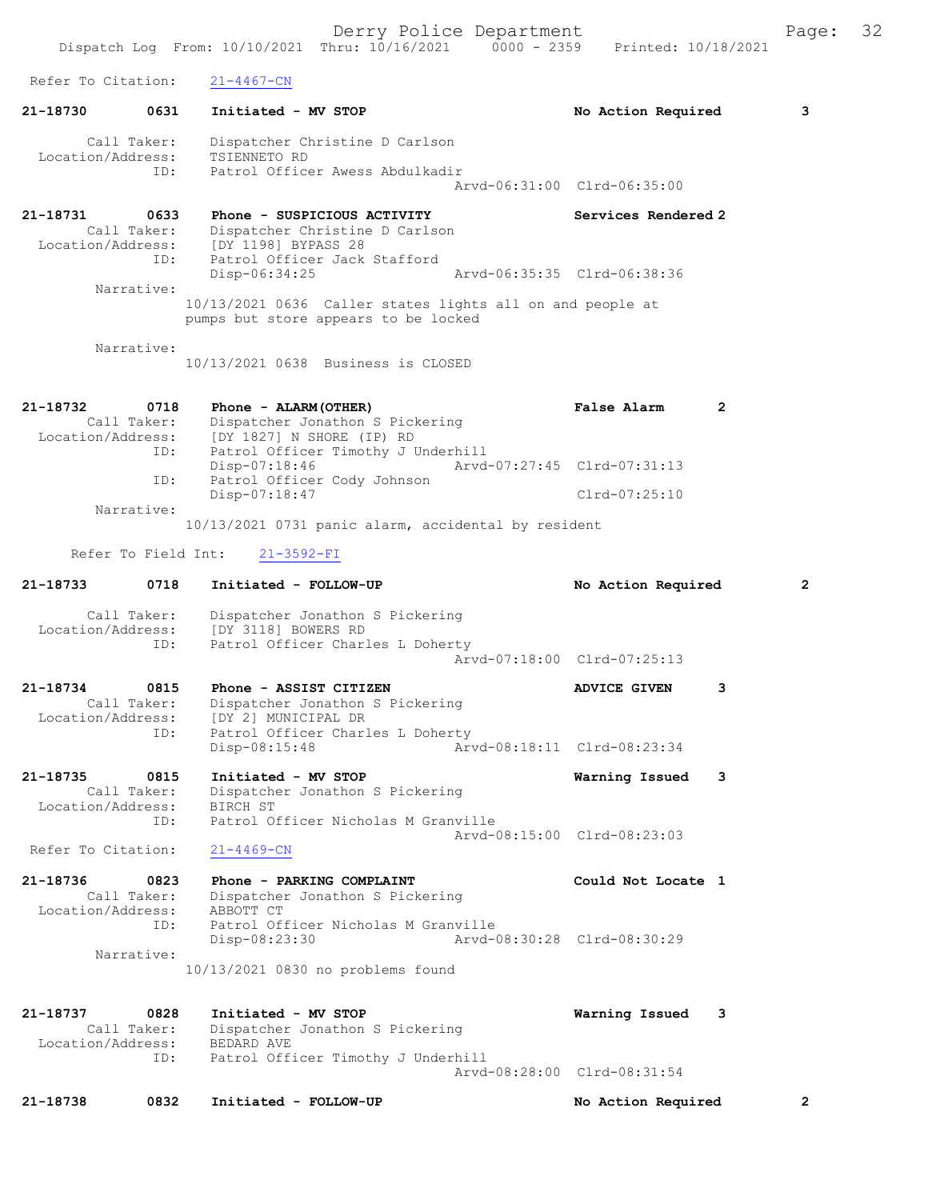Derry Police Department Fage: 32 Dispatch Log From: 10/10/2021 Thru: 10/16/2021 0000 - 2359 Printed: 10/18/2021 Refer To Citation: 21-4467-CN 21-18730 0631 Initiated - MV STOP No Retion Required 3 Call Taker: Dispatcher Christine D Carlson Location/Address: TSIENNETO RD ID: Patrol Officer Awess Abdulkadir Arvd-06:31:00 Clrd-06:35:00 21-18731 0633 Phone - SUSPICIOUS ACTIVITY Services Rendered 2 Call Taker: Dispatcher Christine D Carlson Location/Address: [DY 1198] BYPASS 28 ID: Patrol Officer Jack Stafford<br>Disp-06:34:25 Disp-06:34:25 Arvd-06:35:35 Clrd-06:38:36 Narrative: 10/13/2021 0636 Caller states lights all on and people at pumps but store appears to be locked Narrative: 10/13/2021 0638 Business is CLOSED 21-18732 0718 Phone - ALARM(OTHER) False Alarm 2 Call Taker: Dispatcher Jonathon S Pickering Location/Address: [DY 1827] N SHORE (IP) RD ID: Patrol Officer Timothy J Underhill Disp-07:18:46 Arvd-07:27:45 Clrd-07:31:13 Patrol Officer Cody Johnson ID: Patrol Officer Cody Johnson<br>Disp-07:18:47 Clrd-07:25:10 Narrative: 10/13/2021 0731 panic alarm, accidental by resident Refer To Field Int: 21-3592-FI 21-18733 0718 Initiated - FOLLOW-UP No Action Required 2 Call Taker: Dispatcher Jonathon S Pickering Location/Address: [DY 3118] BOWERS RD ID: Patrol Officer Charles L Doherty Arvd-07:18:00 Clrd-07:25:13 21-18734 0815 Phone - ASSIST CITIZEN ADVICE GIVEN 3 Call Taker: Dispatcher Jonathon S Pickering Location/Address: [DY 2] MUNICIPAL DR ID: Introl Officer Charles L Doherty<br>Disp-08:15:48 Arv Disp-08:15:48 Arvd-08:18:11 Clrd-08:23:34 21-18735 0815 Initiated - MV STOP Warning Issued 3 Call Taker: Dispatcher Jonathon S Pickering Location/Address: BIRCH ST ID: Patrol Officer Nicholas M Granville Arvd-08:15:00 Clrd-08:23:03 Refer To Citation: 21-4469-CN 21-18736 0823 Phone - PARKING COMPLAINT Could Not Locate 1 Call Taker: Dispatcher Jonathon S Pickering Location/Address: ABBOTT CT ID: Patrol Officer Nicholas M Granville Disp-08:23:30 Arvd-08:30:28 Clrd-08:30:29 Narrative: 10/13/2021 0830 no problems found 21-18737 0828 Initiated - MV STOP Warning Issued 3 Call Taker: Dispatcher Jonathon S Pickering Location/Address: BEDARD AVE ID: Patrol Officer Timothy J Underhill Arvd-08:28:00 Clrd-08:31:54 21-18738 0832 Initiated - FOLLOW-UP No Action Required 2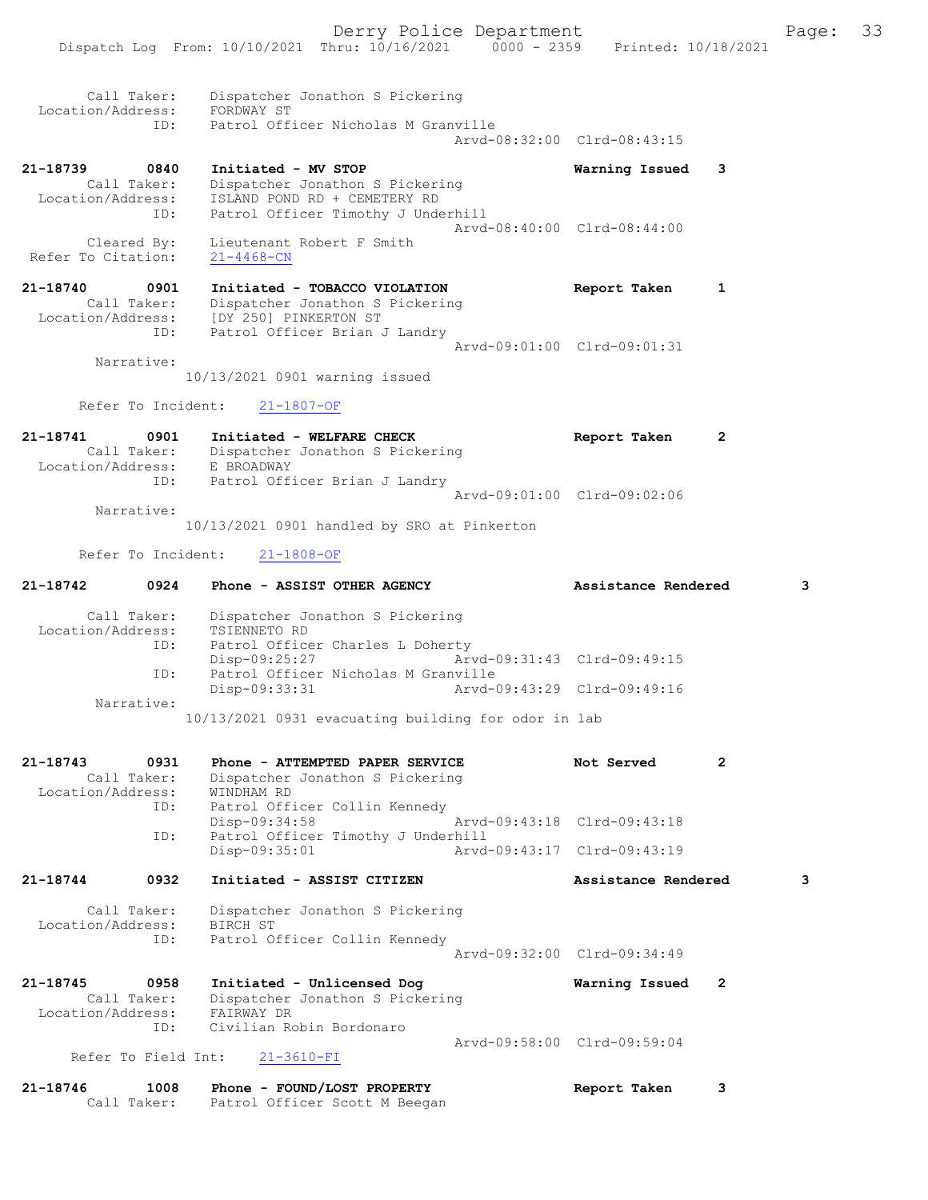Call Taker: Dispatcher Jonathon S Pickering Location/Address: FORDWAY ST ID: Patrol Officer Nicholas M Granville Arvd-08:32:00 Clrd-08:43:15 21-18739 0840 Initiated - MV STOP Warning Issued 3 Call Taker: Dispatcher Jonathon S Pickering Location/Address: ISLAND POND RD + CEMETERY RD ID: Patrol Officer Timothy J Underhill Arvd-08:40:00 Clrd-08:44:00 Cleared By: Lieutenant Robert F Smith Refer To Citation: 21-4468-CN 21-18740 0901 Initiated - TOBACCO VIOLATION Report Taken 1 Call Taker: Dispatcher Jonathon S Pickering Location/Address: [DY 250] PINKERTON ST ID: Patrol Officer Brian J Landry Arvd-09:01:00 Clrd-09:01:31 Narrative: 10/13/2021 0901 warning issued Refer To Incident: 21-1807-OF 21-18741 0901 Initiated - WELFARE CHECK CHECH Report Taken 2 Call Taker: Dispatcher Jonathon S Pickering Location/Address: E BROADWAY ID: Patrol Officer Brian J Landry Arvd-09:01:00 Clrd-09:02:06 Narrative: 10/13/2021 0901 handled by SRO at Pinkerton Refer To Incident: 21-1808-OF 21-18742 0924 Phone - ASSIST OTHER AGENCY Assistance Rendered 3 Call Taker: Dispatcher Jonathon S Pickering Location/Address: TSIENNETO RD ID: Patrol Officer Charles L Doherty Disp-09:25:27 Arvd-09:31:43 Clrd-09:49:15 ID: Patrol Officer Nicholas M Granville<br>Disp-09:33:31 Arvd-09:43:29 Clrd-09:49:16 Disp-09:33:31 Narrative: 10/13/2021 0931 evacuating building for odor in lab 21-18743 0931 Phone - ATTEMPTED PAPER SERVICE Not Served 2 Call Taker: Dispatcher Jonathon S Pickering Location/Address: WINDHAM RD ID: Patrol Officer Collin Kennedy Disp-09:34:58 Arvd-09:43:18 Clrd-09:43:18 ID: Patrol Officer Timothy J Underhill Disp-09:35:01 Arvd-09:43:17 Clrd-09:43:19 21-18744 0932 Initiated - ASSIST CITIZEN Assistance Rendered 3 Call Taker: Dispatcher Jonathon S Pickering Location/Address: BIRCH ST ID: Patrol Officer Collin Kennedy Arvd-09:32:00 Clrd-09:34:49 21-18745 0958 Initiated - Unlicensed Dog Warning Issued 2 Call Taker: Dispatcher Jonathon S Pickering Location/Address: FAIRWAY DR ID: Civilian Robin Bordonaro Arvd-09:58:00 Clrd-09:59:04 Refer To Field Int: 21-3610-FI

21-18746 1008 Phone - FOUND/LOST PROPERTY Report Taken 3 Call Taker: Patrol Officer Scott M Beegan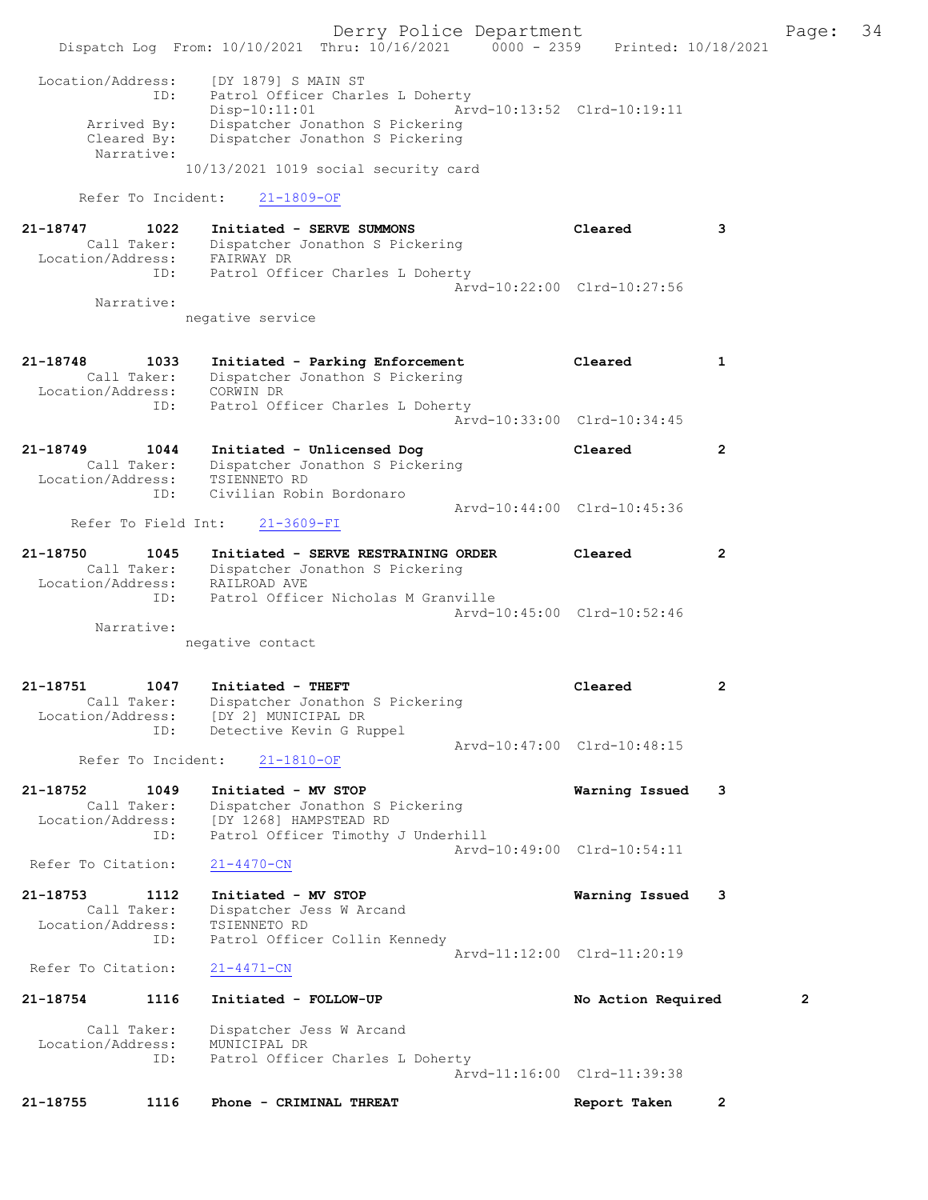Derry Police Department Fage: 34 Dispatch Log From: 10/10/2021 Thru: 10/16/2021 0000 - 2359 Printed: 10/18/2021 Location/Address: [DY 1879] S MAIN ST ID: Patrol Officer Charles L Doherty Disp-10:11:01 Arvd-10:13:52 Clrd-10:19:11 Arrived By: Dispatcher Jonathon S Pickering Cleared By: Dispatcher Jonathon S Pickering Narrative: 10/13/2021 1019 social security card Refer To Incident: 21-1809-OF 21-18747 1022 Initiated - SERVE SUMMONS Cleared 3 Call Taker: Dispatcher Jonathon S Pickering Location/Address: FAIRWAY DR ID: Patrol Officer Charles L Doherty Arvd-10:22:00 Clrd-10:27:56 Narrative: negative service 21-18748 1033 Initiated - Parking Enforcement Cleared 1 Call Taker: Dispatcher Jonathon S Pickering Location/Address: CORWIN DR ID: Patrol Officer Charles L Doherty Arvd-10:33:00 Clrd-10:34:45 21-18749 1044 Initiated - Unlicensed Dog Cleared 2 Call Taker: Dispatcher Jonathon S Pickering Location/Address: TSIENNETO RD ID: Civilian Robin Bordonaro Arvd-10:44:00 Clrd-10:45:36 Refer To Field Int: 21-3609-FI 21-18750 1045 Initiated - SERVE RESTRAINING ORDER Cleared 2 Call Taker: Dispatcher Jonathon S Pickering Location/Address: RAILROAD AVE ID: Patrol Officer Nicholas M Granville Arvd-10:45:00 Clrd-10:52:46 Narrative: negative contact 21-18751 1047 Initiated - THEFT Cleared 2 Call Taker: Dispatcher Jonathon S Pickering Location/Address: [DY 2] MUNICIPAL DR ID: Detective Kevin G Ruppel Arvd-10:47:00 Clrd-10:48:15 Refer To Incident: 21-1810-OF 21-18752 1049 Initiated - MV STOP Warning Issued 3 Call Taker: Dispatcher Jonathon S Pickering Location/Address: [DY 1268] HAMPSTEAD RD ID: Patrol Officer Timothy J Underhill Arvd-10:49:00 Clrd-10:54:11<br>21-4470-CN Refer To Citation: 21-18753 1112 Initiated - MV STOP Warning Issued 3 Call Taker: Dispatcher Jess W Arcand Location/Address: TSIENNETO RD ID: Patrol Officer Collin Kennedy Arvd-11:12:00 Clrd-11:20:19 Refer To Citation: 21-4471-CN 21-18754 1116 Initiated - FOLLOW-UP No Action Required 2 Call Taker: Dispatcher Jess W Arcand Location/Address: MUNICIPAL DR ID: Patrol Officer Charles L Doherty Arvd-11:16:00 Clrd-11:39:38

21-18755 1116 Phone - CRIMINAL THREAT Report Taken 2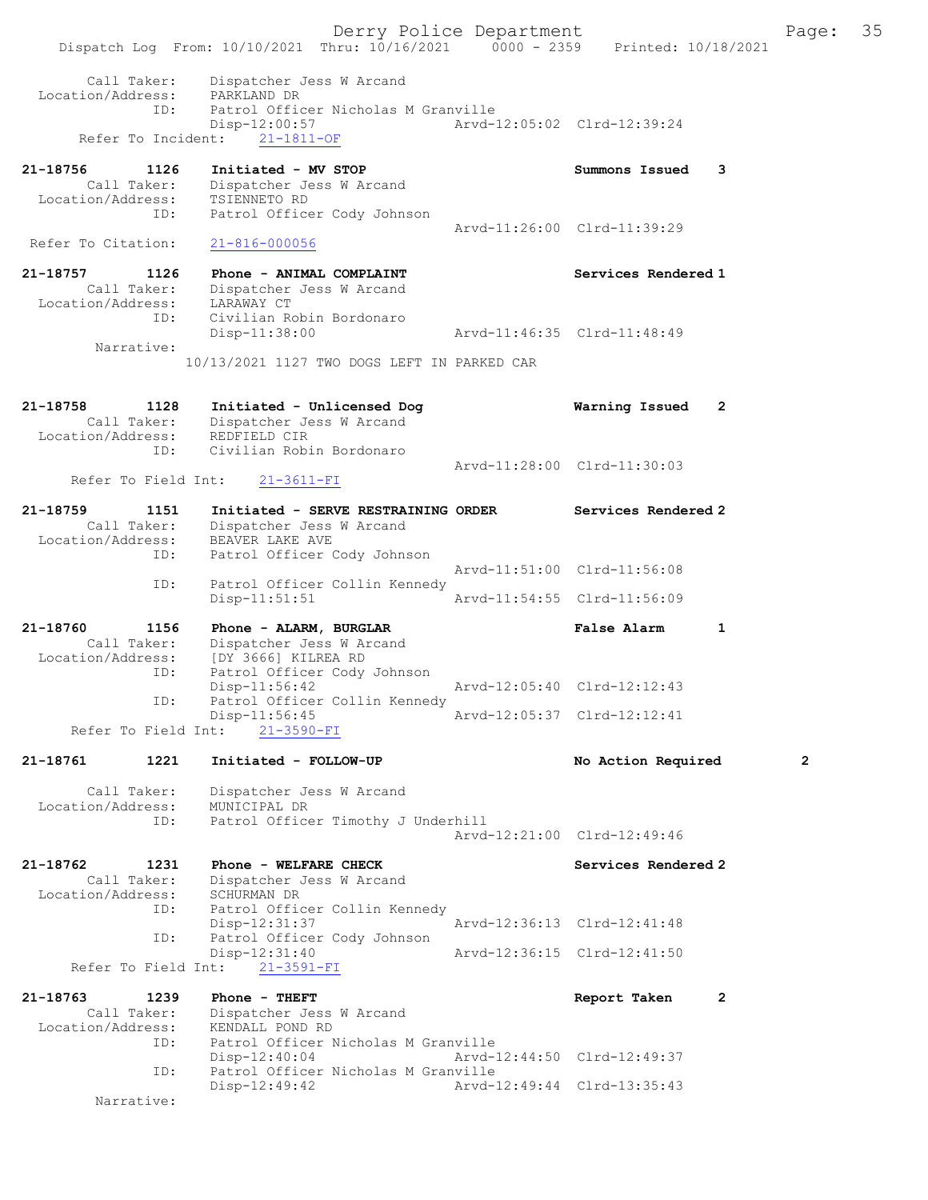Derry Police Department Fage: 35 Dispatch Log From: 10/10/2021 Thru: 10/16/2021 0000 - 2359 Printed: 10/18/2021 Call Taker: Dispatcher Jess W Arcand Location/Address: PARKLAND DR Tess: Francesco Little<br>ID: Patrol Officer Nicholas M Granville Disp-12:00:57 Arvd-12:05:02 Clrd-12:39:24 Refer To Incident: 21-1811-OF 21-18756 1126 Initiated - MV STOP Summons Issued 3 Call Taker: Dispatcher Jess W Arcand Location/Address: TSIENNETO RD ess: Ibinance as<br>ID: Patrol Officer Cody Johnson Arvd-11:26:00 Clrd-11:39:29 Refer To Citation: 21-816-000056 21-18757 1126 Phone - ANIMAL COMPLAINT Services Rendered 1 Call Taker: Dispatcher Jess W Arcand Location/Address: LARAWAY CT ID: Civilian Robin Bordonaro Disp-11:38:00 Arvd-11:46:35 Clrd-11:48:49 Narrative: 10/13/2021 1127 TWO DOGS LEFT IN PARKED CAR 21-18758 1128 Initiated - Unlicensed Dog Warning Issued 2 Call Taker: Dispatcher Jess W Arcand Location/Address: REDFIELD CIR ID: Civilian Robin Bordonaro Arvd-11:28:00 Clrd-11:30:03<br>21-3611-FI Refer To Field Int: 21-18759 1151 Initiated - SERVE RESTRAINING ORDER Services Rendered 2 Call Taker: Dispatcher Jess W Arcand Location/Address: BEAVER LAKE AVE ID: Patrol Officer Cody Johnson Arvd-11:51:00 Clrd-11:56:08 ID: Patrol Officer Collin Kennedy<br>Disp-11:51:51 Disp-11:51:51 Arvd-11:54:55 Clrd-11:56:09 21-18760 1156 Phone - ALARM, BURGLAR False Alarm 1 Call Taker: Dispatcher Jess W Arcand Location/Address: [DY 3666] KILREA RD ID: Patrol Officer Cody Johnson Disp-11:56:42 Arvd-12:05:40 Clrd-12:12:43 ID: Patrol Officer Collin Kennedy<br>Disp-11:56:45 Arvd-12:05:37 Clrd-12:12:41 Refer To Field Int: 21-3590-FI 21-18761 1221 Initiated - FOLLOW-UP No Action Required 2 Call Taker: Dispatcher Jess W Arcand Location/Address: MUNICIPAL DR ID: Patrol Officer Timothy J Underhill Arvd-12:21:00 Clrd-12:49:46 21-18762 1231 Phone - WELFARE CHECK Services Rendered 2 Call Taker: Dispatcher Jess W Arcand -18762<br>Call Taker: Dispartner<br>Location/Address: SCHURMAN DR<br>ID: Patrol Offic Patrol Officer Collin Kennedy<br>Disp-12:31:37 Disp-12:31:37 <br>The Patrol Officer Cody Johnson<br>The Patrol Officer Cody Johnson Patrol Officer Cody Johnson<br>Disp-12:31:40 Arvd-12:36:15 Clrd-12:41:50 Refer To Field Int: 21-3591-FI 21-18763 1239 Phone - THEFT Report Taken 2 Call Taker: Dispatcher Jess W Arcand Location/Address: KENDALL POND RD ID: Patrol Officer Nicholas M Granville Disp-12:40:04 Arvd-12:44:50 Clrd-12:49:37 ID: Patrol Officer Nicholas M Granville Disp-12:49:42 Arvd-12:49:44 Clrd-13:35:43 Narrative: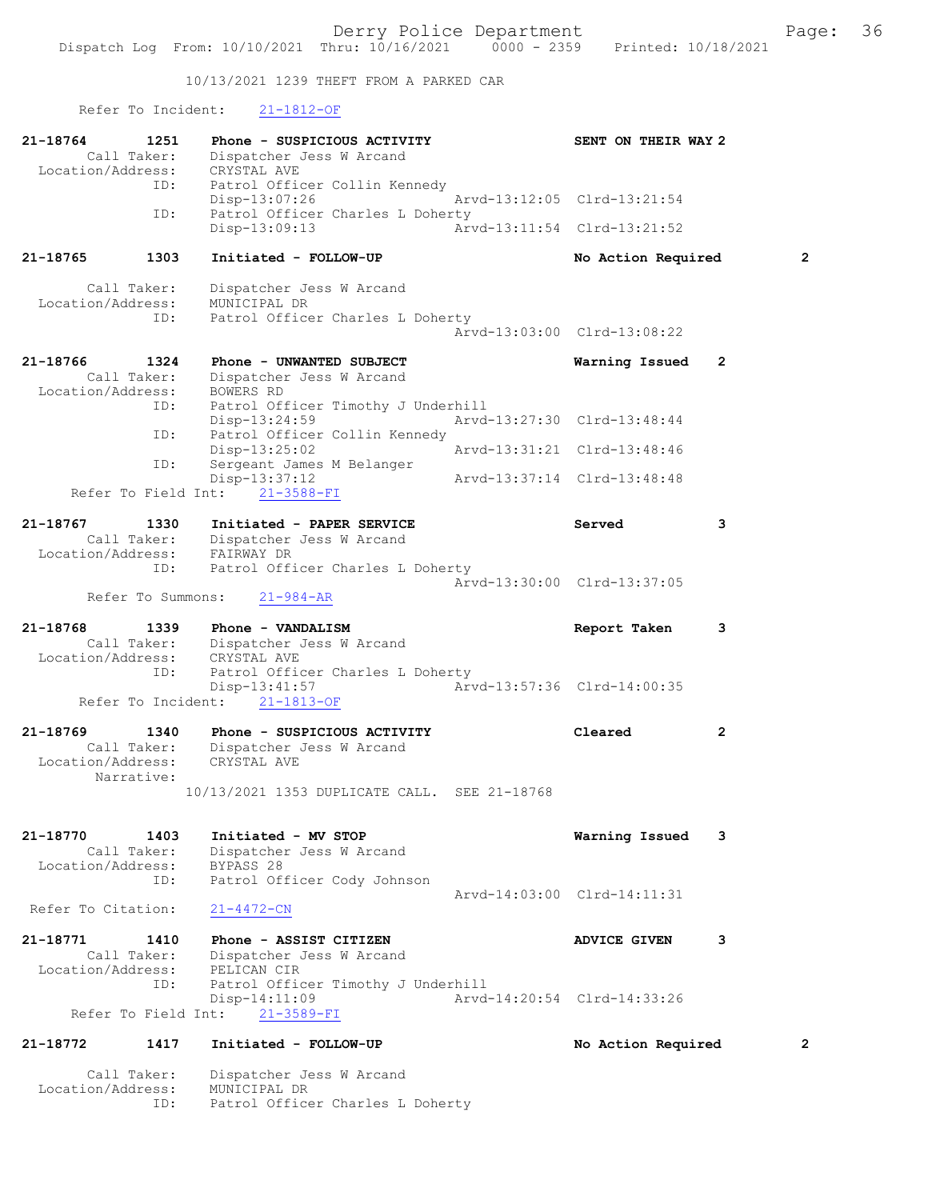10/13/2021 1239 THEFT FROM A PARKED CAR

Refer To Incident: 21-1812-OF

ID: Patrol Officer Charles L Doherty

| 21-18764<br>Call Taker:                     | 1251                       | Phone - SUSPICIOUS ACTIVITY<br>Dispatcher Jess W Arcand                                           |  | SENT ON THEIR WAY 2         |                |
|---------------------------------------------|----------------------------|---------------------------------------------------------------------------------------------------|--|-----------------------------|----------------|
| Location/Address:<br>ID:                    |                            | CRYSTAL AVE<br>Patrol Officer Collin Kennedy<br>Disp-13:07:26                                     |  | Arvd-13:12:05 Clrd-13:21:54 |                |
|                                             | ID:                        | Patrol Officer Charles L Doherty<br>$Disp-13:09:13$                                               |  | Arvd-13:11:54 Clrd-13:21:52 |                |
| 21-18765                                    | 1303                       | Initiated - FOLLOW-UP                                                                             |  | No Action Required          | $\overline{2}$ |
| Call Taker:<br>Location/Address:            | ID:                        | Dispatcher Jess W Arcand<br>MUNICIPAL DR<br>Patrol Officer Charles L Doherty                      |  | Arvd-13:03:00 Clrd-13:08:22 |                |
| 21-18766<br>Call Taker:                     | 1324                       | Phone - UNWANTED SUBJECT<br>Dispatcher Jess W Arcand                                              |  | Warning Issued              | 2              |
| Location/Address:                           | ID:<br>ID:                 | BOWERS RD<br>Patrol Officer Timothy J Underhill<br>Disp-13:24:59<br>Patrol Officer Collin Kennedy |  | Arvd-13:27:30 Clrd-13:48:44 |                |
|                                             | ID:                        | $Disp-13:25:02$<br>Sergeant James M Belanger                                                      |  | Arvd-13:31:21 Clrd-13:48:46 |                |
| Refer To Field Int:                         |                            | Disp-13:37:12<br>$21 - 3588 - FI$                                                                 |  | Arvd-13:37:14 Clrd-13:48:48 |                |
| 21-18767<br>Location/Address:               | 1330<br>Call Taker:        | Initiated - PAPER SERVICE<br>Dispatcher Jess W Arcand<br>FAIRWAY DR                               |  | Served                      | 3              |
|                                             | ID:<br>Refer To Summons:   | Patrol Officer Charles L Doherty<br>$21 - 984 - AR$                                               |  | Arvd-13:30:00 Clrd-13:37:05 |                |
| 21-18768<br>Location/Address:               | 1339<br>Call Taker:        | Phone - VANDALISM<br>Dispatcher Jess W Arcand<br>CRYSTAL AVE                                      |  | Report Taken                | 3              |
|                                             | ID:<br>Refer To Incident:  | Patrol Officer Charles L Doherty<br>Disp-13:41:57<br>$21 - 1813 - OF$                             |  | Arvd-13:57:36 Clrd-14:00:35 |                |
| 21-18769<br>Location/Address:<br>Narrative: | 1340<br>Call Taker:        | Phone - SUSPICIOUS ACTIVITY<br>Dispatcher Jess W Arcand<br>CRYSTAL AVE                            |  | Cleared                     | 2              |
|                                             |                            | 10/13/2021 1353 DUPLICATE CALL. SEE 21-18768                                                      |  |                             |                |
| 21-18770<br>Location/Address:               | 1403<br>Call Taker:<br>ID: | Initiated - MV STOP<br>Dispatcher Jess W Arcand<br>BYPASS 28<br>Patrol Officer Cody Johnson       |  | Warning Issued              | 3              |
| Refer To Citation:                          |                            | $21 - 4472 - CN$                                                                                  |  | Arvd-14:03:00 Clrd-14:11:31 |                |
| 21-18771<br>Location/Address:               | 1410<br>Call Taker:        | Phone - ASSIST CITIZEN<br>Dispatcher Jess W Arcand<br>PELICAN CIR                                 |  | <b>ADVICE GIVEN</b>         | 3              |
| Refer To Field Int:                         | ID:                        | Patrol Officer Timothy J Underhill<br>$Disp-14:11:09$<br>$21 - 3589 - FI$                         |  | Arvd-14:20:54 Clrd-14:33:26 |                |
| 21-18772                                    | 1417                       | Initiated - FOLLOW-UP                                                                             |  | No Action Required<br>2     |                |
| Call Taker:<br>Location/Address:            |                            | Dispatcher Jess W Arcand<br>MUNICIPAL DR                                                          |  |                             |                |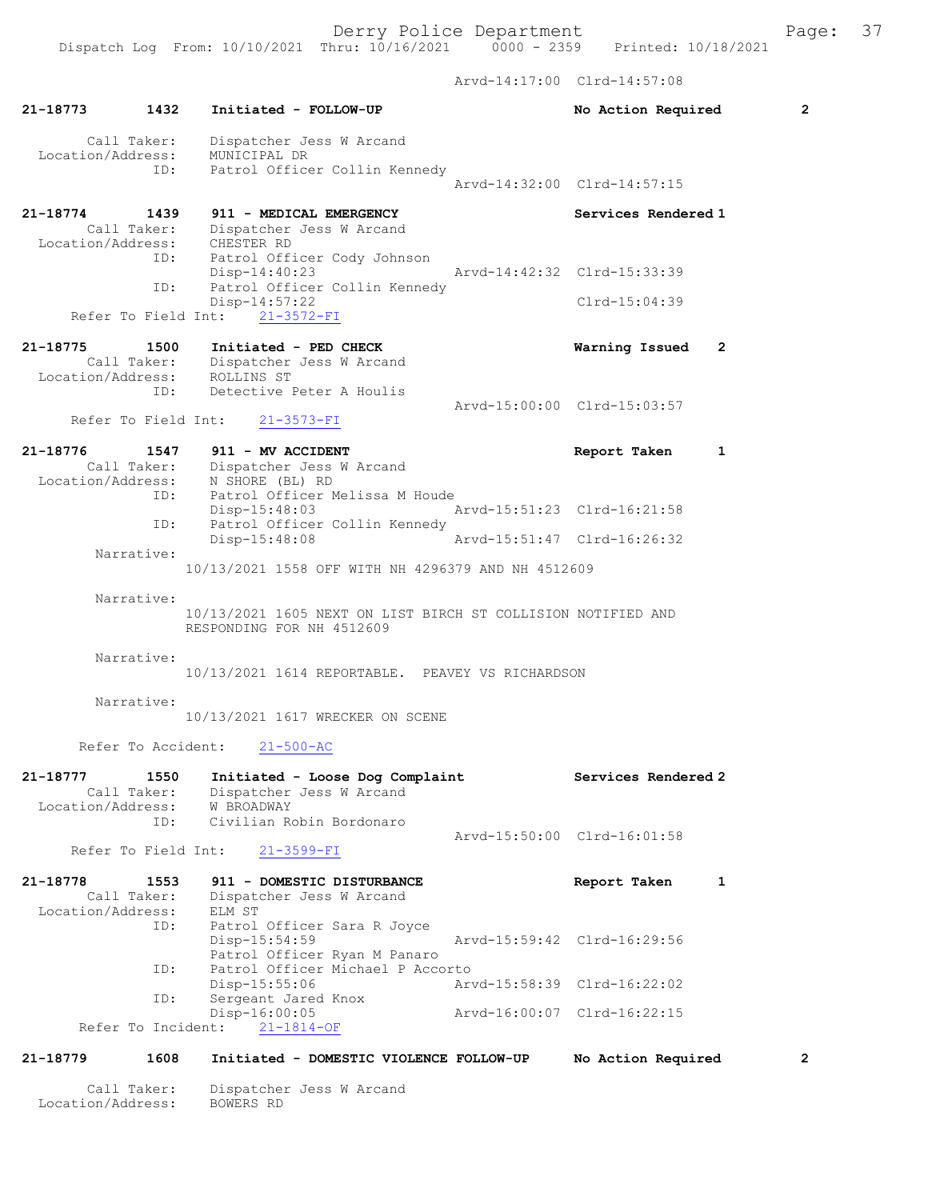Arvd-14:17:00 Clrd-14:57:08

|                               |                            |                                                                                                                  | ALVU 17.17.VV               |                             |                |
|-------------------------------|----------------------------|------------------------------------------------------------------------------------------------------------------|-----------------------------|-----------------------------|----------------|
| 21-18773                      | 1432                       | Initiated - FOLLOW-UP                                                                                            |                             | No Action Required          | $\overline{2}$ |
|                               | Call Taker:                | Dispatcher Jess W Arcand<br>Location/Address: MUNICIPAL DR<br>ID: Patrol Office<br>Patrol Officer Collin Kennedy |                             |                             |                |
|                               |                            |                                                                                                                  |                             | Arvd-14:32:00 Clrd-14:57:15 |                |
| $21 - 18774$                  | 1439                       | 911 - MEDICAL EMERGENCY<br>Call Taker: Dispatcher Jess W Arcand<br>Location/Address: CHESTER RD                  |                             | Services Rendered 1         |                |
|                               | ID:<br>ID:                 | Patrol Officer Cody Johnson<br>$Disp-14:40:23$<br>Patrol Officer Collin Kennedy                                  | Arvd-14:42:32 Clrd-15:33:39 |                             |                |
|                               |                            | $Disp-14:57:22$<br>Refer To Field Int:<br>$21 - 3572 - FI$                                                       |                             | $Clrd-15:04:39$             |                |
|                               |                            |                                                                                                                  |                             |                             |                |
| 21-18775                      | 1500                       | Initiated - PED CHECK<br>Call Taker: Dispatcher Jess W Arcand<br>Location/Address: ROLLINS ST                    |                             | Warning Issued              | 2              |
|                               | ID:                        | Detective Peter A Houlis                                                                                         |                             | Arvd-15:00:00 Clrd-15:03:57 |                |
|                               |                            | Refer To Field Int: 21-3573-FI                                                                                   |                             |                             |                |
| 21-18776                      |                            | 1547 911 - MV ACCIDENT<br>Call Taker: Dispatcher Jess W Arcand                                                   |                             | Report Taken                | 1              |
|                               |                            | Location/Address: N SHORE (BL) RD<br>ID: Patrol Officer Melissa M Houde<br>$Disp-15:48:03$                       | Arvd-15:51:23 Clrd-16:21:58 |                             |                |
|                               | ID:                        | Patrol Officer Collin Kennedy<br>$Disp-15:48:08$                                                                 |                             | Arvd-15:51:47 Clrd-16:26:32 |                |
|                               | Narrative:                 | 10/13/2021 1558 OFF WITH NH 4296379 AND NH 4512609                                                               |                             |                             |                |
|                               | Narrative:                 |                                                                                                                  |                             |                             |                |
|                               |                            | 10/13/2021 1605 NEXT ON LIST BIRCH ST COLLISION NOTIFIED AND<br>RESPONDING FOR NH 4512609                        |                             |                             |                |
|                               | Narrative:                 |                                                                                                                  |                             |                             |                |
|                               |                            | 10/13/2021 1614 REPORTABLE. PEAVEY VS RICHARDSON                                                                 |                             |                             |                |
|                               | Narrative:                 | 10/13/2021 1617 WRECKER ON SCENE                                                                                 |                             |                             |                |
|                               | Refer To Accident:         | $21 - 500 - AC$                                                                                                  |                             |                             |                |
| 21-18777<br>Location/Address: | 1550<br>Call Taker:        | Initiated - Loose Dog Complaint<br>Dispatcher Jess W Arcand<br>W BROADWAY                                        |                             | Services Rendered 2         |                |
|                               | ID:<br>Refer To Field Int: | Civilian Robin Bordonaro<br>$21 - 3599 - FI$                                                                     |                             | Arvd-15:50:00 Clrd-16:01:58 |                |
|                               |                            |                                                                                                                  |                             |                             |                |
| 21-18778<br>Location/Address: | 1553<br>Call Taker:<br>ID: | 911 - DOMESTIC DISTURBANCE<br>Dispatcher Jess W Arcand<br>ELM ST<br>Patrol Officer Sara R Joyce                  |                             | Report Taken                | 1              |
|                               | ID:                        | Disp-15:54:59<br>Patrol Officer Ryan M Panaro<br>Patrol Officer Michael P Accorto                                |                             | Arvd-15:59:42 Clrd-16:29:56 |                |
|                               | ID:                        | Disp-15:55:06<br>Sergeant Jared Knox                                                                             |                             | Arvd-15:58:39 Clrd-16:22:02 |                |
|                               | Refer To Incident:         | $Disp-16:00:05$<br>$21 - 1814 - OF$                                                                              |                             | Arvd-16:00:07 Clrd-16:22:15 |                |
| 21-18779                      | 1608                       | Initiated - DOMESTIC VIOLENCE FOLLOW-UP                                                                          |                             | No Action Required          | 2              |
|                               | Call Taker:                | Dispatcher Jess W Arcand                                                                                         |                             |                             |                |

Location/Address: BOWERS RD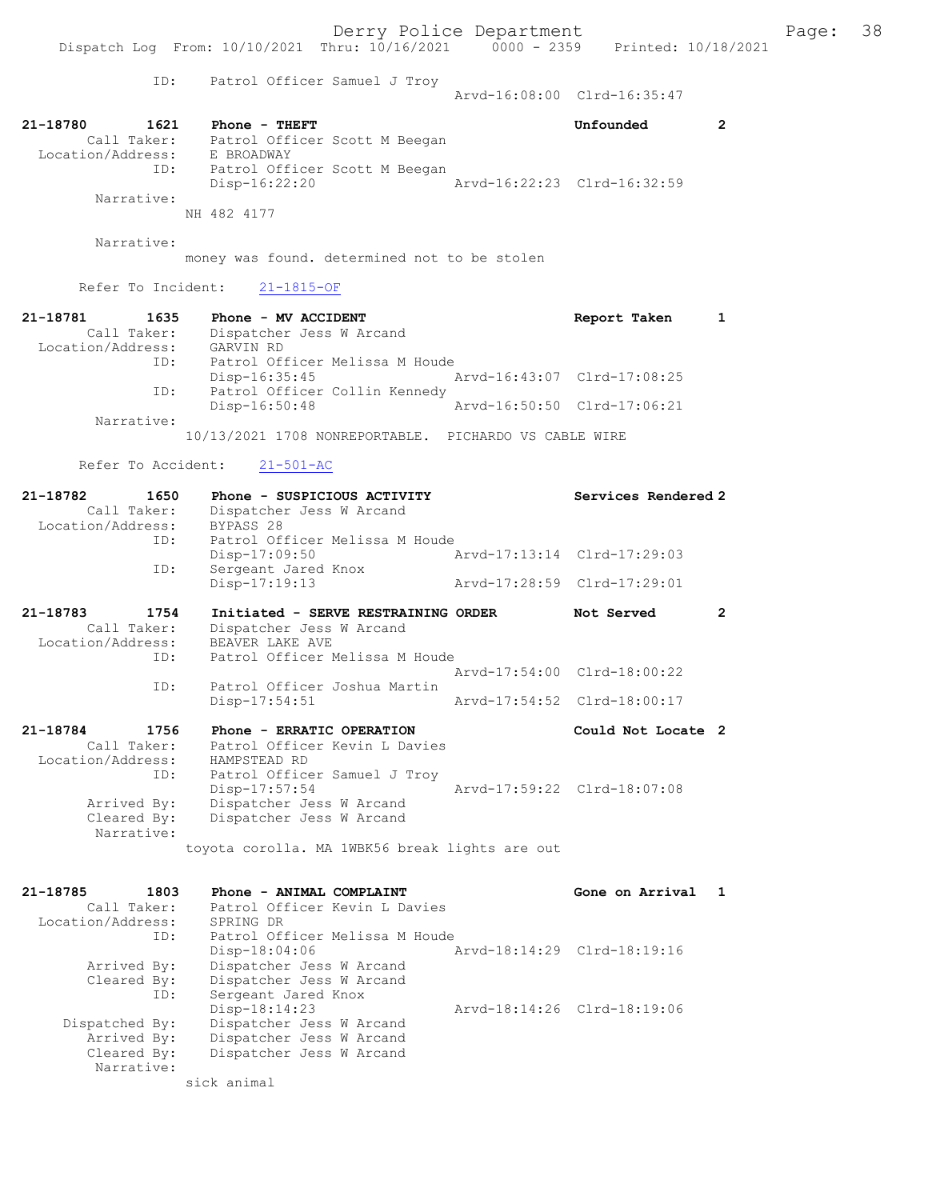ID: Patrol Officer Samuel J Troy

Arvd-16:08:00 Clrd-16:35:47

| 21-18780          | 1621        |  | Phone - THEFT                 |  |                             | Unfounded |  |
|-------------------|-------------|--|-------------------------------|--|-----------------------------|-----------|--|
|                   | Call Taker: |  | Patrol Officer Scott M Beegan |  |                             |           |  |
| Location/Address: |             |  | E BROADWAY                    |  |                             |           |  |
|                   | ID:         |  | Patrol Officer Scott M Beegan |  |                             |           |  |
|                   |             |  | $Disp-16:22:20$               |  | Arvd-16:22:23 Clrd-16:32:59 |           |  |
|                   | Narrative:  |  |                               |  |                             |           |  |
|                   |             |  | NH 482 4177                   |  |                             |           |  |

Narrative:

money was found. determined not to be stolen

Refer To Incident: 21-1815-OF

| 21-18781          | 1635        | Phone - MV ACCIDENT            | Report Taken                |  |
|-------------------|-------------|--------------------------------|-----------------------------|--|
|                   | Call Taker: | Dispatcher Jess W Arcand       |                             |  |
| Location/Address: |             | GARVIN RD                      |                             |  |
|                   | ID:         | Patrol Officer Melissa M Houde |                             |  |
|                   |             | Disp-16:35:45                  | Arvd-16:43:07 Clrd-17:08:25 |  |
|                   | ID:         | Patrol Officer Collin Kennedy  |                             |  |
|                   |             | Disp-16:50:48                  | Arvd-16:50:50 Clrd-17:06:21 |  |
|                   | Narrative:  |                                |                             |  |

10/13/2021 1708 NONREPORTABLE. PICHARDO VS CABLE WIRE

Refer To Accident: 21-501-AC

| 21-18782          | 1650        | Phone - SUSPICIOUS ACTIVITY                    | Services Rendered 2         |                |
|-------------------|-------------|------------------------------------------------|-----------------------------|----------------|
|                   | Call Taker: | Dispatcher Jess W Arcand                       |                             |                |
|                   |             | Location/Address: BYPASS 28                    |                             |                |
|                   |             | ID: Patrol Officer Melissa M Houde             |                             |                |
|                   |             | $Disp-17:09:50$                                | Arvd-17:13:14 Clrd-17:29:03 |                |
|                   | ID:         | Sergeant Jared Knox                            |                             |                |
|                   |             | Disp-17:19:13                                  | Arvd-17:28:59 Clrd-17:29:01 |                |
| 21-18783          | 1754        | Initiated - SERVE RESTRAINING ORDER            | Not Served                  | $\overline{2}$ |
|                   | Call Taker: | Dispatcher Jess W Arcand                       |                             |                |
| Location/Address: |             | BEAVER LAKE AVE                                |                             |                |
|                   | ID:         | Patrol Officer Melissa M Houde                 |                             |                |
|                   |             |                                                | Arvd-17:54:00 Clrd-18:00:22 |                |
|                   | ID:         | Patrol Officer Joshua Martin                   |                             |                |
|                   |             | $Disp-17:54:51$                                | Arvd-17:54:52 Clrd-18:00:17 |                |
| 21-18784          | 1756        | Phone - ERRATIC OPERATION                      | Could Not Locate 2          |                |
|                   |             | Call Taker: Patrol Officer Kevin L Davies      |                             |                |
|                   |             | Location/Address: HAMPSTEAD RD                 |                             |                |
|                   |             | ID: Patrol Officer Samuel J Troy               |                             |                |
|                   |             | $Disp-17:57:54$                                | Arvd-17:59:22 Clrd-18:07:08 |                |
|                   | Arrived By: | Dispatcher Jess W Arcand                       |                             |                |
|                   | Cleared By: | Dispatcher Jess W Arcand                       |                             |                |
|                   | Narrative:  |                                                |                             |                |
|                   |             | toyota corolla. MA 1WBK56 break lights are out |                             |                |
|                   |             |                                                |                             |                |

| 21-18785<br>1803  | Phone - ANIMAL COMPLAINT       | Gone on Arrival             |  |
|-------------------|--------------------------------|-----------------------------|--|
| Call Taker:       | Patrol Officer Kevin L Davies  |                             |  |
| Location/Address: | SPRING DR                      |                             |  |
| ID:               | Patrol Officer Melissa M Houde |                             |  |
|                   | $Disp-18:04:06$                | Arvd-18:14:29 Clrd-18:19:16 |  |
| Arrived By:       | Dispatcher Jess W Arcand       |                             |  |
| Cleared By:       | Dispatcher Jess W Arcand       |                             |  |
| ID:               | Sergeant Jared Knox            |                             |  |
|                   | $Disp-18:14:23$                | Arvd-18:14:26 Clrd-18:19:06 |  |
| Dispatched By:    | Dispatcher Jess W Arcand       |                             |  |
| Arrived By:       | Dispatcher Jess W Arcand       |                             |  |
| Cleared By:       | Dispatcher Jess W Arcand       |                             |  |
| Narrative:        |                                |                             |  |
|                   | sick animal                    |                             |  |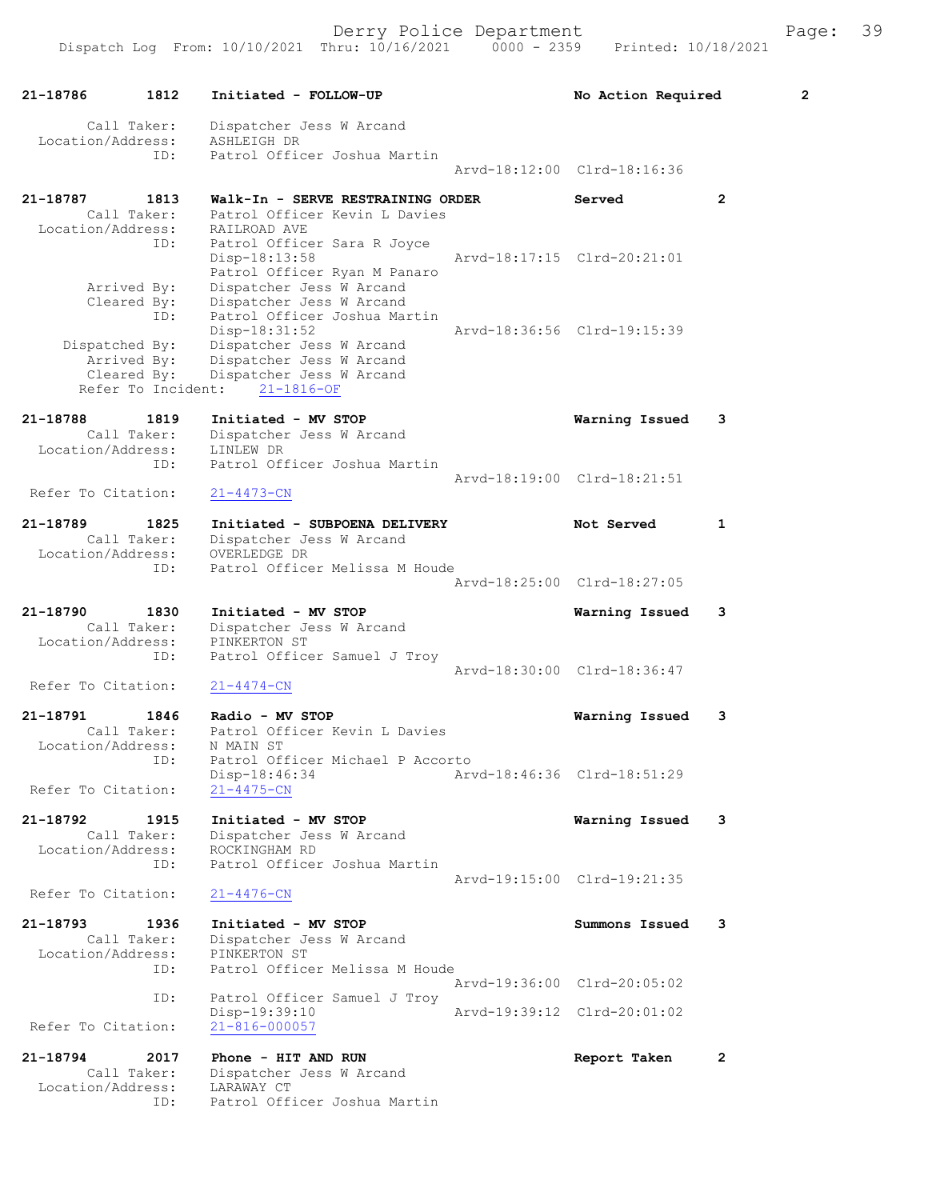| 21-18786                      | 1812                                             | Initiated - FOLLOW-UP                                                                                                 | No Action Required          |                | $\mathbf{2}$ |
|-------------------------------|--------------------------------------------------|-----------------------------------------------------------------------------------------------------------------------|-----------------------------|----------------|--------------|
| Location/Address:             | Call Taker:                                      | Dispatcher Jess W Arcand<br>ASHLEIGH DR                                                                               |                             |                |              |
|                               | ID:                                              | Patrol Officer Joshua Martin                                                                                          | Aryd-18:12:00 Clrd-18:16:36 |                |              |
| 21-18787                      | 1813                                             | Walk-In - SERVE RESTRAINING ORDER                                                                                     | Served                      | $\overline{2}$ |              |
| Location/Address:             | Call Taker:                                      | Patrol Officer Kevin L Davies<br>RAILROAD AVE                                                                         |                             |                |              |
|                               | ID:                                              | Patrol Officer Sara R Joyce<br>Disp-18:13:58<br>Patrol Officer Ryan M Panaro                                          | Arvd-18:17:15 Clrd-20:21:01 |                |              |
|                               | Arrived By:<br>Cleared By:<br>ID:                | Dispatcher Jess W Arcand<br>Dispatcher Jess W Arcand<br>Patrol Officer Joshua Martin                                  | Arvd-18:36:56 Clrd-19:15:39 |                |              |
| Dispatched By:                | Arrived By:<br>Cleared By:<br>Refer To Incident: | Disp-18:31:52<br>Dispatcher Jess W Arcand<br>Dispatcher Jess W Arcand<br>Dispatcher Jess W Arcand<br>$21 - 1816 - OF$ |                             |                |              |
| 21-18788                      | 1819                                             | Initiated - MV STOP                                                                                                   | Warning Issued              | 3              |              |
| Location/Address:             | Call Taker:<br>ID:                               | Dispatcher Jess W Arcand<br>LINLEW DR<br>Patrol Officer Joshua Martin                                                 |                             |                |              |
| Refer To Citation:            |                                                  | $21 - 4473 - CN$                                                                                                      | Arvd-18:19:00 Clrd-18:21:51 |                |              |
| 21-18789                      | 1825<br>Call Taker:                              | Initiated - SUBPOENA DELIVERY<br>Dispatcher Jess W Arcand                                                             | Not Served                  | $\mathbf{1}$   |              |
| Location/Address:             | ID:                                              | OVERLEDGE DR<br>Patrol Officer Melissa M Houde                                                                        |                             |                |              |
|                               |                                                  |                                                                                                                       | Arvd-18:25:00 Clrd-18:27:05 |                |              |
| 21-18790<br>Location/Address: | 1830<br>Call Taker:                              | Initiated - MV STOP<br>Dispatcher Jess W Arcand<br>PINKERTON ST                                                       | Warning Issued              | 3              |              |
|                               | ID:                                              | Patrol Officer Samuel J Troy                                                                                          | Arvd-18:30:00 Clrd-18:36:47 |                |              |
| Refer To Citation:            |                                                  | $21 - 4474 - CN$                                                                                                      |                             |                |              |
| 21-18791<br>Location/Address: | 1846<br>Call Taker:                              | Radio - MV STOP<br>Patrol Officer Kevin L Davies<br>N MAIN ST                                                         | Warning Issued              | 3              |              |
| Refer To Citation:            | ID:                                              | Patrol Officer Michael P Accorto<br>Disp-18:46:34<br>$21 - 4475 - CN$                                                 | Arvd-18:46:36 Clrd-18:51:29 |                |              |
| 21-18792                      | 1915                                             | Initiated - MV STOP                                                                                                   | Warning Issued              | 3              |              |
| Location/Address:             | Call Taker:<br>ID:                               | Dispatcher Jess W Arcand<br>ROCKINGHAM RD<br>Patrol Officer Joshua Martin                                             |                             |                |              |
| Refer To Citation:            |                                                  | $21 - 4476 - CN$                                                                                                      | Arvd-19:15:00 Clrd-19:21:35 |                |              |
| 21-18793                      | 1936                                             | Initiated - MV STOP                                                                                                   | Summons Issued              | 3              |              |
| Location/Address:             | Call Taker:<br>ID:                               | Dispatcher Jess W Arcand<br>PINKERTON ST<br>Patrol Officer Melissa M Houde                                            |                             |                |              |
|                               |                                                  |                                                                                                                       | Arvd-19:36:00 Clrd-20:05:02 |                |              |
| Refer To Citation:            | ID:                                              | Patrol Officer Samuel J Troy<br>Disp-19:39:10<br>$21 - 816 - 000057$                                                  | Arvd-19:39:12 Clrd-20:01:02 |                |              |
| 21-18794                      | 2017<br>Call Taker:                              | Phone - HIT AND RUN                                                                                                   | Report Taken                | 2              |              |
| Location/Address:             |                                                  | Dispatcher Jess W Arcand<br>LARAWAY CT                                                                                |                             |                |              |

ID: Patrol Officer Joshua Martin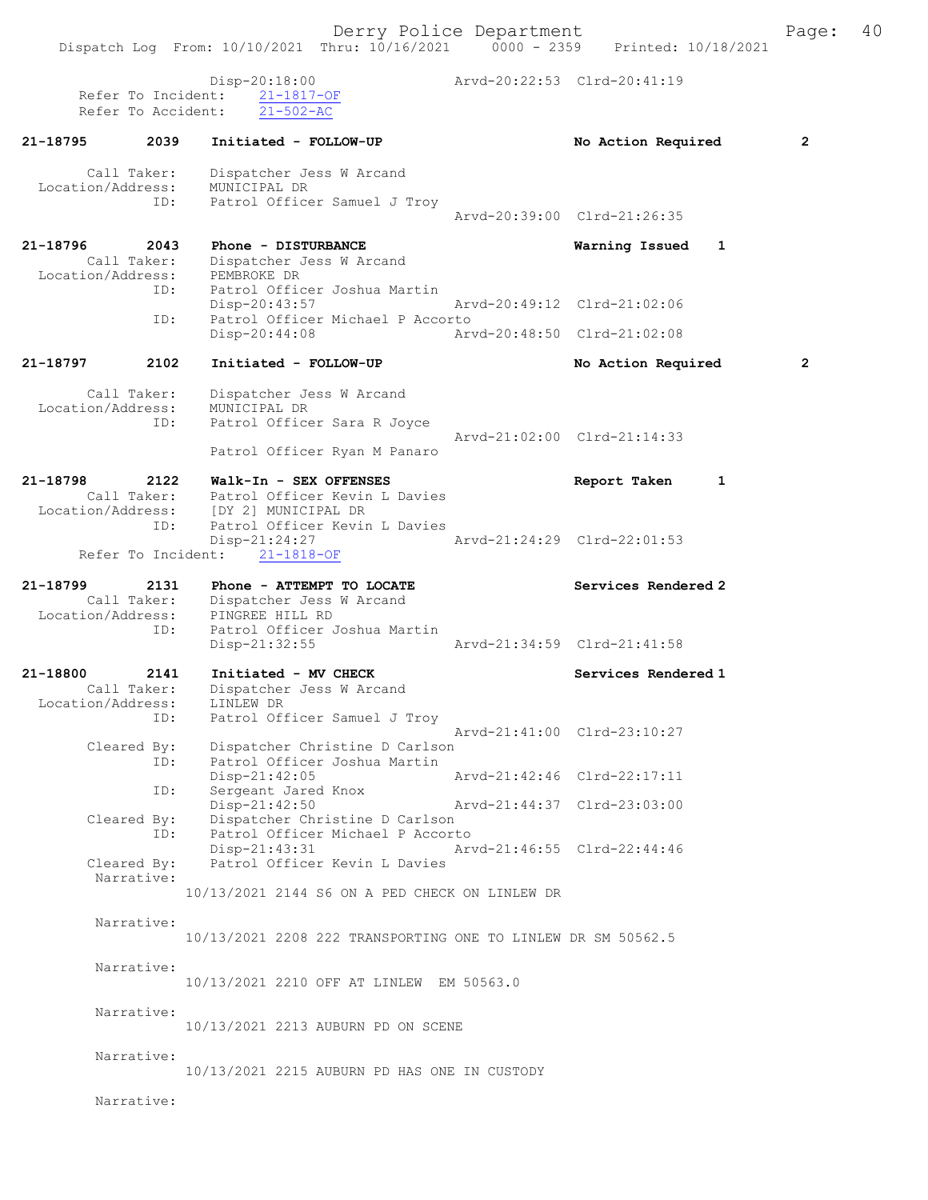Dispatch Log From: 10/10/2021 Thru: 10/16/2021 0000 - 2359 Printed: 10/18/2021 Disp-20:18:00 Arvd-20:22:53 Clrd-20:41:19 Refer To Incident: 21-1817-OF Refer To Accident: 21-502-AC 21-18795 2039 Initiated - FOLLOW-UP No Action Required 2 Call Taker: Dispatcher Jess W Arcand Location/Address: MUNICIPAL DR ID: Patrol Officer Samuel J Troy Arvd-20:39:00 Clrd-21:26:35 21-18796 2043 Phone - DISTURBANCE Warning Issued 1 Call Taker: Dispatcher Jess W Arcand Location/Address: PEMBROKE DR ID: Patrol Officer Joshua Martin Disp-20:43:57 Arvd-20:49:12 Clrd-21:02:06 ID: Patrol Officer Michael P Accorto Disp-20:44:08 Arvd-20:48:50 Clrd-21:02:08 21-18797 2102 Initiated - FOLLOW-UP No Action Required 2 Call Taker: Dispatcher Jess W Arcand Location/Address: MUNICIPAL DR ID: Patrol Officer Sara R Joyce Arvd-21:02:00 Clrd-21:14:33 Patrol Officer Ryan M Panaro 21-18798 2122 Walk-In - SEX OFFENSES Report Taken 1 Call Taker: Patrol Officer Kevin L Davies Location/Address: [DY 2] MUNICIPAL DR ID: Patrol Officer Kevin L Davies<br>Disp-21:24:27 Arvd-21:24:29 Clrd-22:01:53 Disp-21:24:27 Refer To Incident: 21-1818-OF 21-18799 2131 Phone - ATTEMPT TO LOCATE Next Services Rendered 2 Call Taker: Dispatcher Jess W Arcand Location/Address: PINGREE HILL RD ID: Patrol Officer Joshua Martin Disp-21:32:55 Arvd-21:34:59 Clrd-21:41:58 21-18800 2141 Initiated - MV CHECK North Services Rendered 1 Call Taker: Dispatcher Jess W Arcand Location/Address: LINLEW DR ID: Patrol Officer Samuel J Troy Arvd-21:41:00 Clrd-23:10:27 Cleared By: Dispatcher Christine D Carlson ID: Patrol Officer Joshua Martin Disp-21:42:05 Arvd-21:42:46 Clrd-22:17:11 ID: Sergeant Jared Knox<br>Disp-21:42:50 Disp-21:42:50 Arvd-21:44:37 Clrd-23:03:00 Cleared By: Dispatcher Christine D Carlson ID: Patrol Officer Michael P Accorto<br>Disp-21:43:31 Arvd-21:46:55 Clrd-22:44:46 Disp-21:43:31 Arvd-21:46:55 Clrd-22:44:46 Cleared By: Patrol Officer Kevin L Davies Narrative: 10/13/2021 2144 S6 ON A PED CHECK ON LINLEW DR Narrative: 10/13/2021 2208 222 TRANSPORTING ONE TO LINLEW DR SM 50562.5 Narrative: 10/13/2021 2210 OFF AT LINLEW EM 50563.0 Narrative: 10/13/2021 2213 AUBURN PD ON SCENE Narrative: 10/13/2021 2215 AUBURN PD HAS ONE IN CUSTODY

Narrative: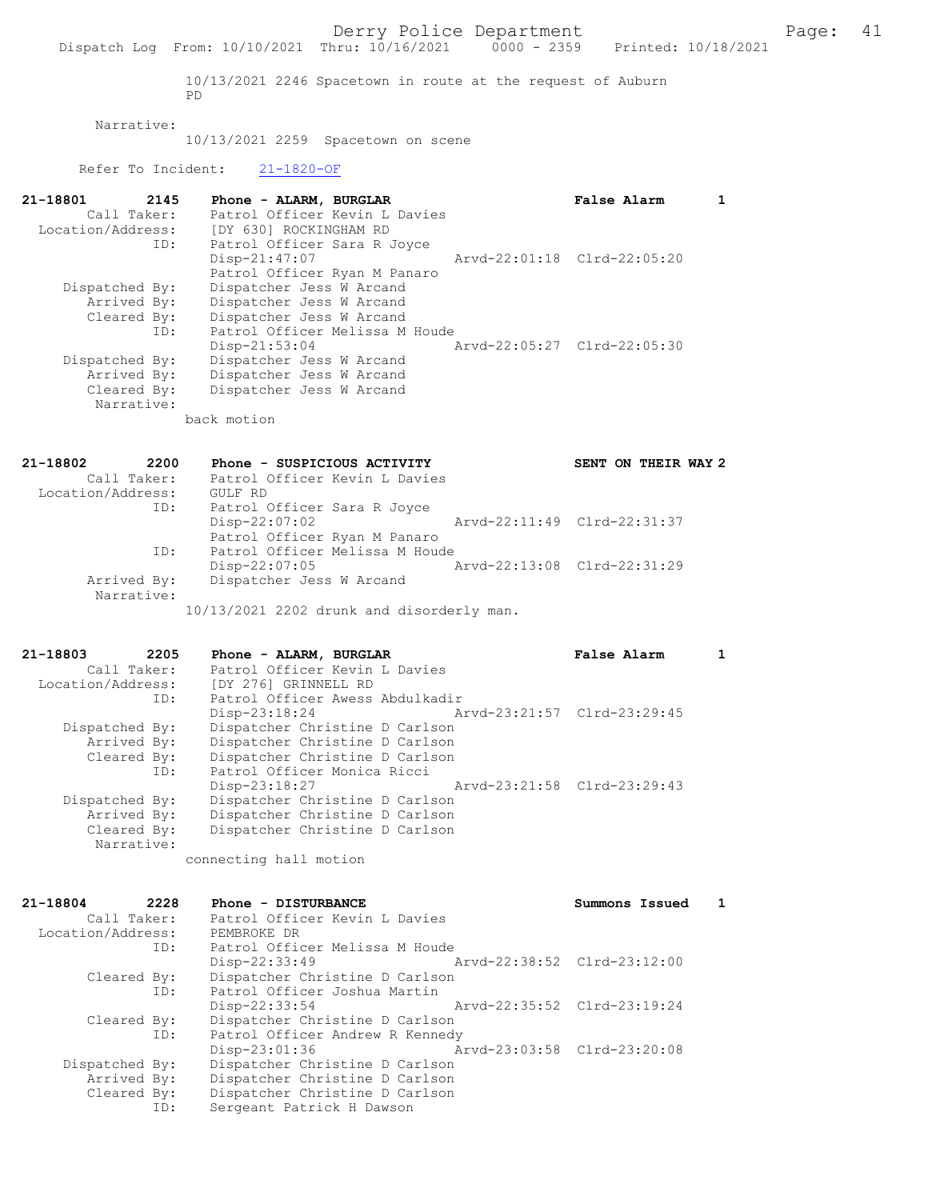10/13/2021 2246 Spacetown in route at the request of Auburn PD

### Narrative:

10/13/2021 2259 Spacetown on scene

Refer To Incident: 21-1820-OF

| 21-18801          | 2145        | Phone - ALARM, BURGLAR         | False Alarm                 |  |
|-------------------|-------------|--------------------------------|-----------------------------|--|
|                   | Call Taker: | Patrol Officer Kevin L Davies  |                             |  |
| Location/Address: |             | [DY 630] ROCKINGHAM RD         |                             |  |
|                   | ID:         | Patrol Officer Sara R Joyce    |                             |  |
|                   |             | $Disp-21:47:07$                | Arvd-22:01:18 Clrd-22:05:20 |  |
|                   |             | Patrol Officer Ryan M Panaro   |                             |  |
| Dispatched By:    |             | Dispatcher Jess W Arcand       |                             |  |
|                   | Arrived By: | Dispatcher Jess W Arcand       |                             |  |
|                   | Cleared By: | Dispatcher Jess W Arcand       |                             |  |
|                   | ID:         | Patrol Officer Melissa M Houde |                             |  |
|                   |             | $Disp-21:53:04$                | Aryd-22:05:27 Clrd-22:05:30 |  |
| Dispatched By:    |             | Dispatcher Jess W Arcand       |                             |  |
|                   | Arrived By: | Dispatcher Jess W Arcand       |                             |  |
|                   | Cleared By: | Dispatcher Jess W Arcand       |                             |  |
|                   | Narrative:  |                                |                             |  |

back motion

| 21-18802          | 2200        | Phone - SUSPICIOUS ACTIVITY               |                             | SENT ON THEIR WAY 2 |
|-------------------|-------------|-------------------------------------------|-----------------------------|---------------------|
|                   | Call Taker: | Patrol Officer Kevin L Davies             |                             |                     |
| Location/Address: |             | GULF RD                                   |                             |                     |
|                   | ID:         | Patrol Officer Sara R Joyce               |                             |                     |
|                   |             | $Disp-22:07:02$                           | Arvd-22:11:49 Clrd-22:31:37 |                     |
|                   |             | Patrol Officer Ryan M Panaro              |                             |                     |
|                   | ID:         | Patrol Officer Melissa M Houde            |                             |                     |
|                   |             | $Disp-22:07:05$                           | Arvd-22:13:08 Clrd-22:31:29 |                     |
|                   | Arrived By: | Dispatcher Jess W Arcand                  |                             |                     |
|                   | Narrative:  |                                           |                             |                     |
|                   |             | 10/13/2021 2202 drunk and disorderly man. |                             |                     |

| 21-18803          | 2205        | Phone - ALARM, BURGLAR          |                             | False Alarm                 |  |
|-------------------|-------------|---------------------------------|-----------------------------|-----------------------------|--|
|                   | Call Taker: | Patrol Officer Kevin L Davies   |                             |                             |  |
| Location/Address: |             | [DY 276] GRINNELL RD            |                             |                             |  |
|                   | ID:         | Patrol Officer Awess Abdulkadir |                             |                             |  |
|                   |             | $Disp-23:18:24$                 |                             | Arvd-23:21:57 Clrd-23:29:45 |  |
| Dispatched By:    |             | Dispatcher Christine D Carlson  |                             |                             |  |
|                   | Arrived By: | Dispatcher Christine D Carlson  |                             |                             |  |
|                   | Cleared By: | Dispatcher Christine D Carlson  |                             |                             |  |
|                   | ID:         | Patrol Officer Monica Ricci     |                             |                             |  |
|                   |             | $Disp-23:18:27$                 | Arvd-23:21:58 Clrd-23:29:43 |                             |  |
| Dispatched By:    |             | Dispatcher Christine D Carlson  |                             |                             |  |
|                   | Arrived By: | Dispatcher Christine D Carlson  |                             |                             |  |
|                   | Cleared By: | Dispatcher Christine D Carlson  |                             |                             |  |
|                   | Narrative:  |                                 |                             |                             |  |
|                   |             | connecting hall motion          |                             |                             |  |

| 21-18804<br>2228  | Phone - DISTURBANCE             |                             | Summons Issued |  |
|-------------------|---------------------------------|-----------------------------|----------------|--|
| Call Taker:       | Patrol Officer Kevin L Davies   |                             |                |  |
| Location/Address: | PEMBROKE DR                     |                             |                |  |
| ID:               | Patrol Officer Melissa M Houde  |                             |                |  |
|                   | Disp-22:33:49                   | Arvd-22:38:52 Clrd-23:12:00 |                |  |
| Cleared By:       | Dispatcher Christine D Carlson  |                             |                |  |
| ID:               | Patrol Officer Joshua Martin    |                             |                |  |
|                   | Disp-22:33:54                   | Arvd-22:35:52 Clrd-23:19:24 |                |  |
| Cleared By:       | Dispatcher Christine D Carlson  |                             |                |  |
| ID:               | Patrol Officer Andrew R Kennedy |                             |                |  |
|                   | Disp-23:01:36                   | Arvd-23:03:58 Clrd-23:20:08 |                |  |
| Dispatched By:    | Dispatcher Christine D Carlson  |                             |                |  |
| Arrived By:       | Dispatcher Christine D Carlson  |                             |                |  |
| Cleared By:       | Dispatcher Christine D Carlson  |                             |                |  |
| ID:               | Sergeant Patrick H Dawson       |                             |                |  |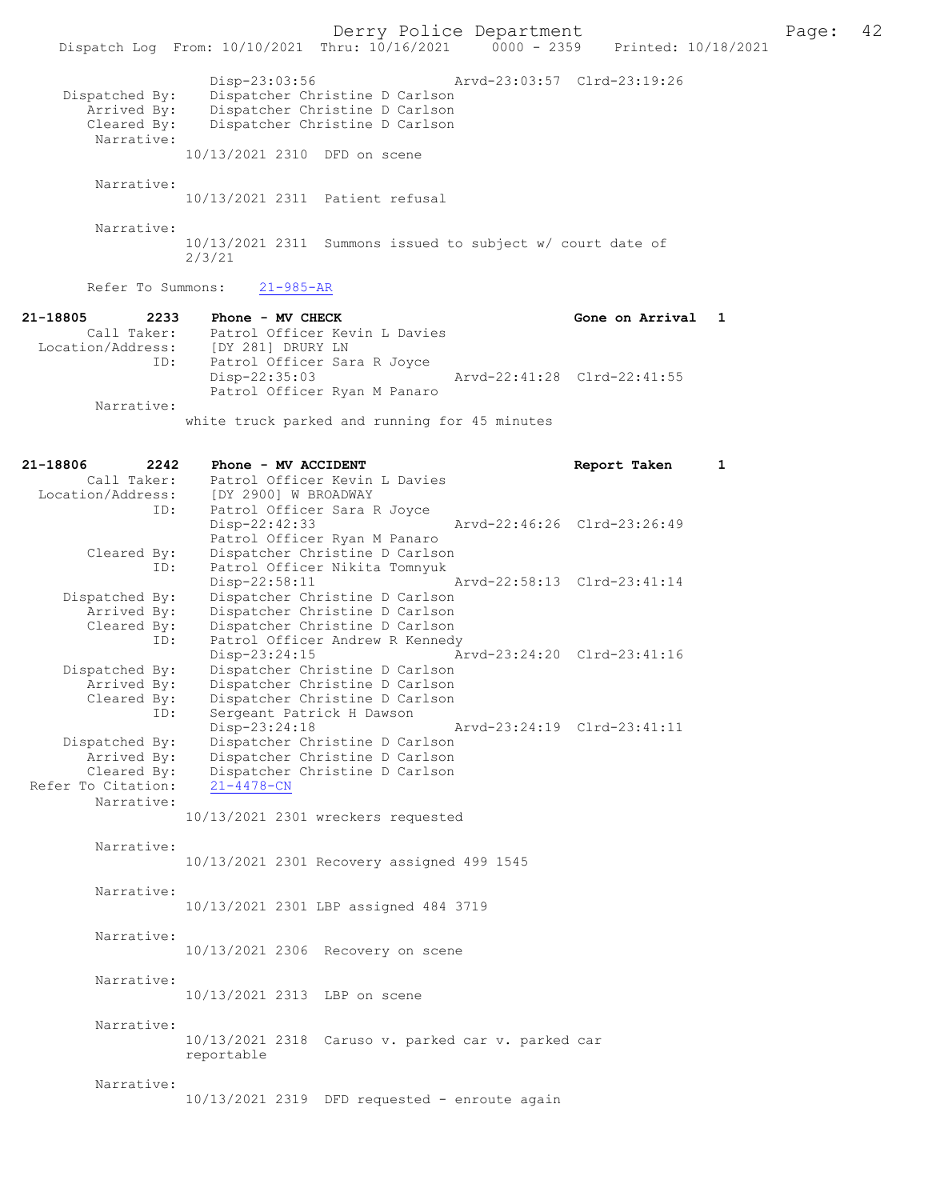|                                                            | Dispatch Log From: 10/10/2021 Thru: 10/16/2021 0000 - 2359 Printed: 10/18/2021                                                           | Derry Police Department |                             |                   |   | Page: | 42 |
|------------------------------------------------------------|------------------------------------------------------------------------------------------------------------------------------------------|-------------------------|-----------------------------|-------------------|---|-------|----|
| Dispatched By:<br>Arrived By:<br>Cleared By:<br>Narrative: | Disp-23:03:56<br>Dispatcher Christine D Carlson<br>Dispatcher Christine D Carlson<br>Dispatcher Christine D Carlson                      |                         | Arvd-23:03:57 Clrd-23:19:26 |                   |   |       |    |
|                                                            | 10/13/2021 2310 DFD on scene                                                                                                             |                         |                             |                   |   |       |    |
| Narrative:                                                 |                                                                                                                                          |                         |                             |                   |   |       |    |
|                                                            | 10/13/2021 2311 Patient refusal                                                                                                          |                         |                             |                   |   |       |    |
| Narrative:                                                 | 10/13/2021 2311 Summons issued to subject w/ court date of<br>2/3/21                                                                     |                         |                             |                   |   |       |    |
| Refer To Summons:                                          | $21 - 985 - AR$                                                                                                                          |                         |                             |                   |   |       |    |
| 21-18805<br>ID:                                            | 2233 Phone - MV CHECK<br>Call Taker: Patrol Officer Kevin L Davies<br>Location/Address: [DY 281] DRURY LN<br>Patrol Officer Sara R Joyce |                         |                             | Gone on Arrival 1 |   |       |    |
|                                                            | $Disp-22:35:03$<br>Patrol Officer Ryan M Panaro                                                                                          |                         | Arvd-22:41:28 Clrd-22:41:55 |                   |   |       |    |
| Narrative:                                                 | white truck parked and running for 45 minutes                                                                                            |                         |                             |                   |   |       |    |
| 21-18806<br>2242                                           | Phone - MV ACCIDENT                                                                                                                      |                         |                             | Report Taken      | 1 |       |    |
|                                                            | Call Taker: Patrol Officer Kevin L Davies                                                                                                |                         |                             |                   |   |       |    |
| ID:                                                        | Location/Address: [DY 2900] W BROADWAY<br>Patrol Officer Sara R Joyce                                                                    |                         |                             |                   |   |       |    |
|                                                            | Disp-22:42:33                                                                                                                            |                         | Arvd-22:46:26 Clrd-23:26:49 |                   |   |       |    |
|                                                            | Patrol Officer Ryan M Panaro                                                                                                             |                         |                             |                   |   |       |    |
| Cleared By:                                                | Dispatcher Christine D Carlson                                                                                                           |                         |                             |                   |   |       |    |
| ID:                                                        | Patrol Officer Nikita Tomnyuk<br>$Disp-22:58:11$                                                                                         |                         | Arvd-22:58:13 Clrd-23:41:14 |                   |   |       |    |
| Dispatched By:                                             | Dispatcher Christine D Carlson                                                                                                           |                         |                             |                   |   |       |    |
| Arrived By:                                                | Dispatcher Christine D Carlson                                                                                                           |                         |                             |                   |   |       |    |
| Cleared By:                                                | Dispatcher Christine D Carlson                                                                                                           |                         |                             |                   |   |       |    |
| ID:                                                        | Patrol Officer Andrew R Kennedy                                                                                                          |                         |                             |                   |   |       |    |
| Dispatched By:                                             | Disp-23:24:15<br>Dispatcher Christine D Carlson                                                                                          |                         | Arvd-23:24:20 Clrd-23:41:16 |                   |   |       |    |
| Arrived By:                                                | Dispatcher Christine D Carlson                                                                                                           |                         |                             |                   |   |       |    |
| Cleared By:                                                | Dispatcher Christine D Carlson                                                                                                           |                         |                             |                   |   |       |    |
| ID:                                                        | Sergeant Patrick H Dawson                                                                                                                |                         |                             |                   |   |       |    |
| Dispatched By:                                             | Disp-23:24:18<br>Dispatcher Christine D Carlson                                                                                          |                         | Arvd-23:24:19 Clrd-23:41:11 |                   |   |       |    |
| Arrived By:                                                | Dispatcher Christine D Carlson                                                                                                           |                         |                             |                   |   |       |    |
| Cleared By:                                                | Dispatcher Christine D Carlson                                                                                                           |                         |                             |                   |   |       |    |
| Refer To Citation:                                         | $21 - 4478 - CN$                                                                                                                         |                         |                             |                   |   |       |    |
| Narrative:                                                 | 10/13/2021 2301 wreckers requested                                                                                                       |                         |                             |                   |   |       |    |
| Narrative:                                                 |                                                                                                                                          |                         |                             |                   |   |       |    |
|                                                            | 10/13/2021 2301 Recovery assigned 499 1545                                                                                               |                         |                             |                   |   |       |    |
|                                                            |                                                                                                                                          |                         |                             |                   |   |       |    |
| Narrative:                                                 |                                                                                                                                          |                         |                             |                   |   |       |    |
|                                                            | 10/13/2021 2301 LBP assigned 484 3719                                                                                                    |                         |                             |                   |   |       |    |
| Narrative:                                                 |                                                                                                                                          |                         |                             |                   |   |       |    |
|                                                            | 10/13/2021 2306 Recovery on scene                                                                                                        |                         |                             |                   |   |       |    |
|                                                            |                                                                                                                                          |                         |                             |                   |   |       |    |
| Narrative:                                                 |                                                                                                                                          |                         |                             |                   |   |       |    |
|                                                            | 10/13/2021 2313 LBP on scene                                                                                                             |                         |                             |                   |   |       |    |
| Narrative:                                                 |                                                                                                                                          |                         |                             |                   |   |       |    |
|                                                            | $10/13/2021$ 2318 Caruso v. parked car v. parked car                                                                                     |                         |                             |                   |   |       |    |
|                                                            | reportable                                                                                                                               |                         |                             |                   |   |       |    |
| Narrative:                                                 |                                                                                                                                          |                         |                             |                   |   |       |    |
|                                                            | 10/13/2021 2319 DFD requested - enroute again                                                                                            |                         |                             |                   |   |       |    |
|                                                            |                                                                                                                                          |                         |                             |                   |   |       |    |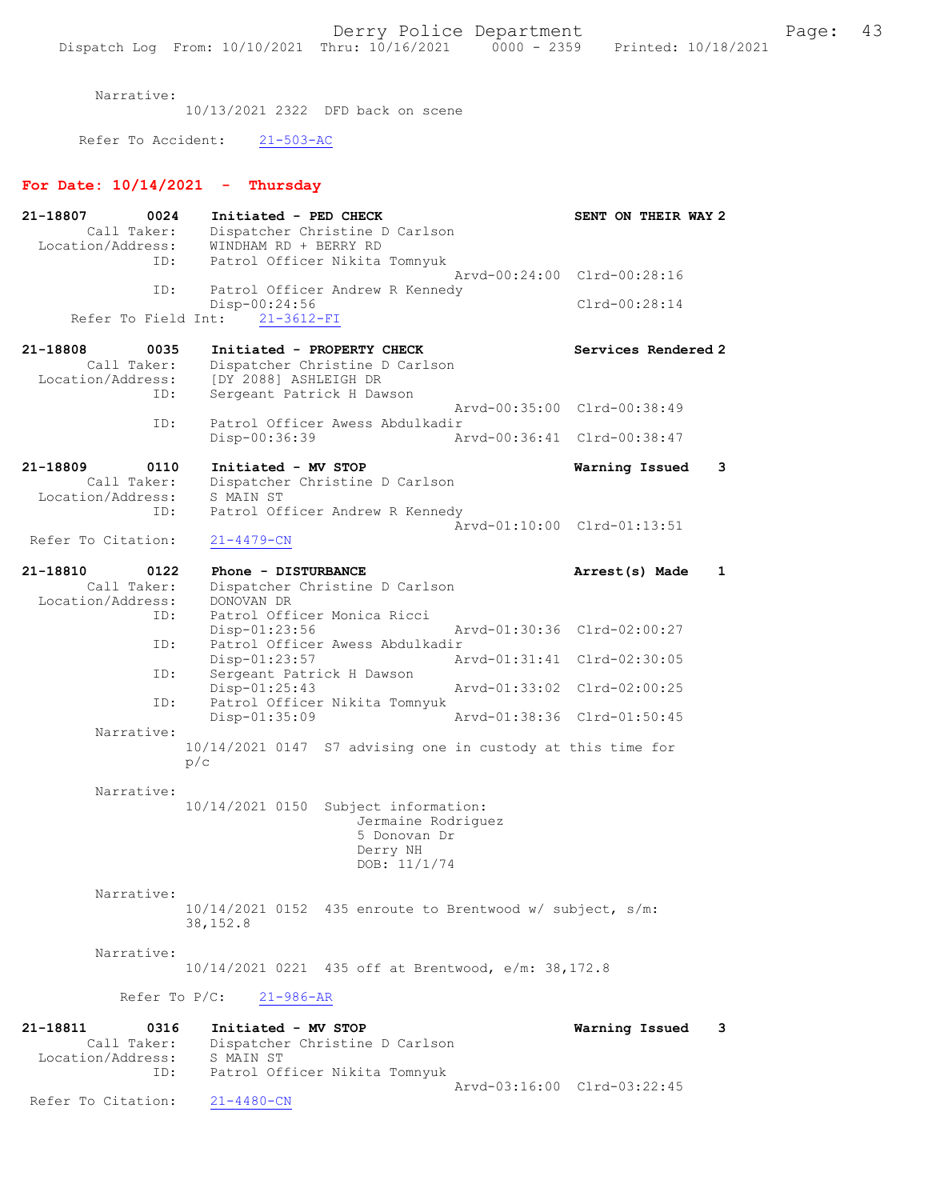Narrative:

10/13/2021 2322 DFD back on scene

Refer To Accident: 21-503-AC

# For Date:  $10/14/2021$  - Thursday

| 21-18807<br>0024    | Initiated - PED CHECK                                       |               | SENT ON THEIR WAY 2         |   |
|---------------------|-------------------------------------------------------------|---------------|-----------------------------|---|
| Call Taker:         | Dispatcher Christine D Carlson                              |               |                             |   |
| Location/Address:   | WINDHAM RD + BERRY RD                                       |               |                             |   |
| ID:                 | Patrol Officer Nikita Tomnyuk                               |               |                             |   |
|                     |                                                             |               | Arvd-00:24:00 Clrd-00:28:16 |   |
| ID:                 | Patrol Officer Andrew R Kennedy                             |               |                             |   |
|                     | Disp-00:24:56                                               |               | Clrd-00:28:14               |   |
| Refer To Field Int: | $21 - 3612 - FI$                                            |               |                             |   |
|                     |                                                             |               |                             |   |
| 21-18808<br>0035    | Initiated - PROPERTY CHECK                                  |               | Services Rendered 2         |   |
| Call Taker:         | Dispatcher Christine D Carlson                              |               |                             |   |
| Location/Address:   | [DY 2088] ASHLEIGH DR                                       |               |                             |   |
| ID:                 | Sergeant Patrick H Dawson                                   |               |                             |   |
|                     |                                                             |               | Arvd-00:35:00 Clrd-00:38:49 |   |
| ID:                 | Patrol Officer Awess Abdulkadir                             |               |                             |   |
|                     | Disp-00:36:39                                               |               | Arvd-00:36:41 Clrd-00:38:47 |   |
|                     |                                                             |               |                             |   |
| 21-18809<br>0110    | Initiated - MV STOP                                         |               | Warning Issued              | 3 |
| Call Taker:         | Dispatcher Christine D Carlson                              |               |                             |   |
| Location/Address:   | S MAIN ST                                                   |               |                             |   |
| ID:                 | Patrol Officer Andrew R Kennedy                             |               |                             |   |
|                     |                                                             |               | Arvd-01:10:00 Clrd-01:13:51 |   |
| Refer To Citation:  | $21 - 4479 - CN$                                            |               |                             |   |
|                     |                                                             |               |                             |   |
| 21-18810<br>0122    | Phone - DISTURBANCE                                         |               | Arrest(s) Made              | 1 |
| Call Taker:         | Dispatcher Christine D Carlson                              |               |                             |   |
| Location/Address:   | DONOVAN DR                                                  |               |                             |   |
| ID:                 | Patrol Officer Monica Ricci                                 |               |                             |   |
|                     | Disp-01:23:56                                               |               | Arvd-01:30:36 Clrd-02:00:27 |   |
| ID:                 | Patrol Officer Awess Abdulkadir                             |               |                             |   |
|                     | Disp-01:23:57                                               | Arvd-01:31:41 | $Clrd-02:30:05$             |   |
| ID:                 | Sergeant Patrick H Dawson                                   |               |                             |   |
|                     | Disp-01:25:43                                               |               | Arvd-01:33:02 Clrd-02:00:25 |   |
| ID:                 | Patrol Officer Nikita Tomnyuk                               |               |                             |   |
|                     | $Disp-01:35:09$                                             |               | Arvd-01:38:36 Clrd-01:50:45 |   |
| Narrative:          |                                                             |               |                             |   |
|                     | 10/14/2021 0147 S7 advising one in custody at this time for |               |                             |   |
|                     | p/c                                                         |               |                             |   |
|                     |                                                             |               |                             |   |
| Narrative:          |                                                             |               |                             |   |
|                     | 10/14/2021 0150 Subject information:                        |               |                             |   |
|                     | Jermaine Rodriguez                                          |               |                             |   |
|                     | 5 Donovan Dr                                                |               |                             |   |
|                     | Derry NH                                                    |               |                             |   |
|                     | DOB: 11/1/74                                                |               |                             |   |
|                     |                                                             |               |                             |   |
| Narrative:          |                                                             |               |                             |   |
|                     | $10/14/2021$ 0152 435 enroute to Brentwood w/ subject, s/m: |               |                             |   |
|                     | 38,152.8                                                    |               |                             |   |
|                     |                                                             |               |                             |   |
| Narrative:          |                                                             |               |                             |   |
|                     | 10/14/2021 0221 435 off at Brentwood, e/m: 38,172.8         |               |                             |   |
|                     |                                                             |               |                             |   |
|                     | Refer To $P/C$ :<br>$21 - 986 - AR$                         |               |                             |   |
| 21-18811<br>0316    | Initiated - MV STOP                                         |               | Warning Issued              | 3 |
| Call Taker:         | Dispatcher Christine D Carlson                              |               |                             |   |
| Location/Address:   | S MAIN ST                                                   |               |                             |   |
| ID:                 | Patrol Officer Nikita Tomnyuk                               |               |                             |   |
|                     |                                                             |               | Arvd-03:16:00 Clrd-03:22:45 |   |
| Refer To Citation:  | $21 - 4480 - CN$                                            |               |                             |   |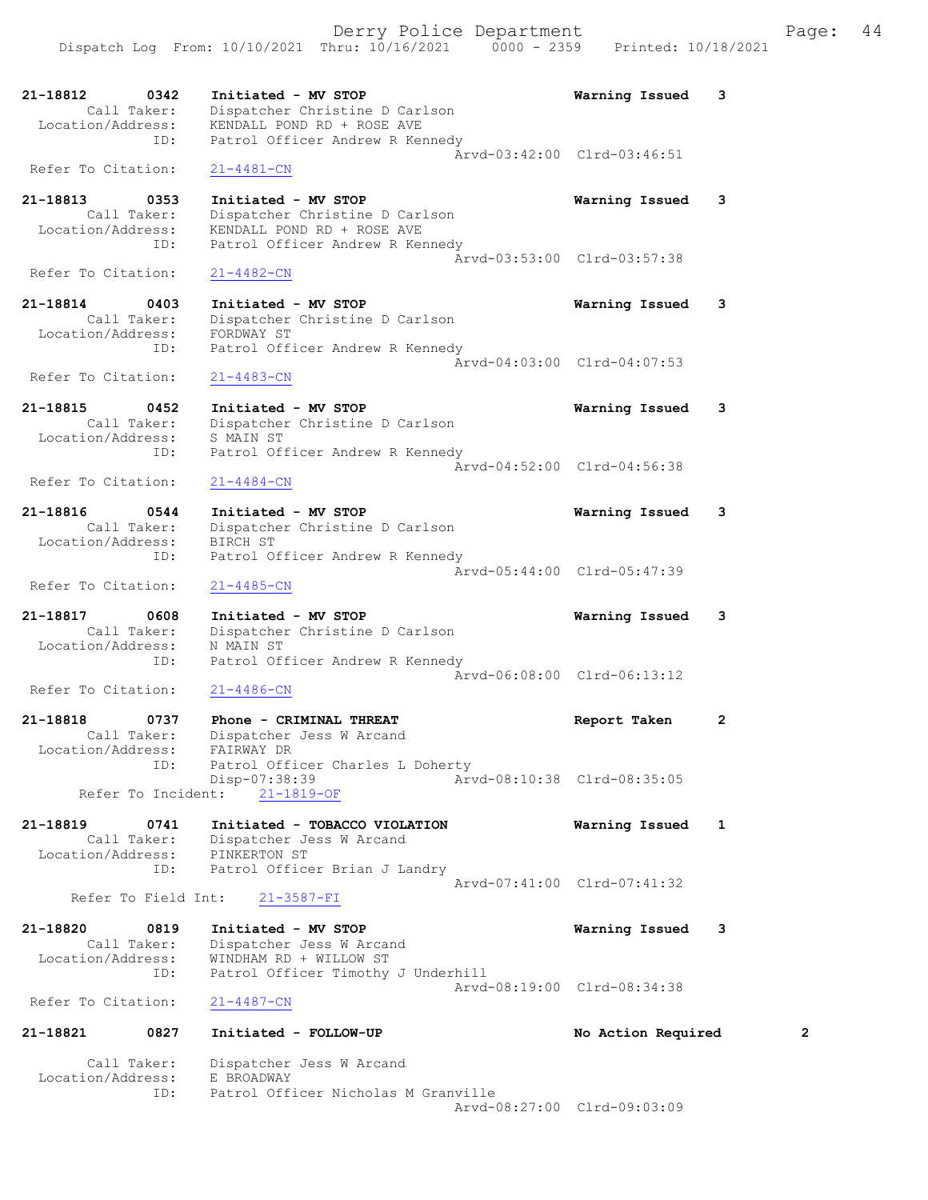| 21-18812<br>Location/Address: | 0342<br>Call Taker:<br>ID: | Initiated - MV STOP<br>Dispatcher Christine D Carlson<br>KENDALL POND RD + ROSE AVE<br>Patrol Officer Andrew R Kennedy | Warning Issued              | 3 |
|-------------------------------|----------------------------|------------------------------------------------------------------------------------------------------------------------|-----------------------------|---|
| Refer To Citation:            |                            | 21-4481-CN                                                                                                             | Aryd-03:42:00 Clrd-03:46:51 |   |
| 21-18813<br>Location/Address: | 0353<br>Call Taker:<br>ID: | Initiated - MV STOP<br>Dispatcher Christine D Carlson<br>KENDALL POND RD + ROSE AVE<br>Patrol Officer Andrew R Kennedy | Warning Issued              | 3 |
| Refer To Citation:            |                            | $21 - 4482 - CN$                                                                                                       | Arvd-03:53:00 Clrd-03:57:38 |   |
| 21-18814<br>Location/Address: | 0403<br>Call Taker:<br>ID: | Initiated - MV STOP<br>Dispatcher Christine D Carlson<br>FORDWAY ST<br>Patrol Officer Andrew R Kennedy                 | Warning Issued              | 3 |
| Refer To Citation:            |                            | $21 - 4483 - CN$                                                                                                       | Aryd-04:03:00 Clrd-04:07:53 |   |
| 21-18815<br>Location/Address: | 0452<br>Call Taker:        | Initiated - MV STOP<br>Dispatcher Christine D Carlson<br>S MAIN ST                                                     | Warning Issued              | 3 |
| Refer To Citation:            | ID:                        | Patrol Officer Andrew R Kennedy<br>$21 - 4484 - CN$                                                                    | Arvd-04:52:00 Clrd-04:56:38 |   |
| 21-18816<br>Location/Address: | 0544<br>Call Taker:<br>ID: | Initiated - MV STOP<br>Dispatcher Christine D Carlson<br>BIRCH ST<br>Patrol Officer Andrew R Kennedy                   | Warning Issued              | 3 |
| Refer To Citation:            |                            | $21 - 4485 - CN$                                                                                                       | Arvd-05:44:00 Clrd-05:47:39 |   |
| 21-18817<br>Location/Address: | 0608<br>Call Taker:        | Initiated - MV STOP<br>Dispatcher Christine D Carlson<br>N MAIN ST                                                     | Warning Issued              | 3 |
| Refer To Citation:            | ID:                        | Patrol Officer Andrew R Kennedy<br>$21 - 4486 - CN$                                                                    | Arvd-06:08:00 Clrd-06:13:12 |   |
| 21-18818<br>Location/Address: | 0737<br>Call Taker:<br>ID: | Phone - CRIMINAL THREAT<br>Dispatcher Jess W Arcand<br>FAIRWAY DR<br>Patrol Officer Charles L Doherty                  | Report Taken                | 2 |
|                               | Refer To Incident:         | Disp-07:38:39<br>$21 - 1819 - OF$                                                                                      | Arvd-08:10:38 Clrd-08:35:05 |   |
| 21-18819<br>Location/Address: | 0741<br>Call Taker:<br>ID: | Initiated - TOBACCO VIOLATION<br>Dispatcher Jess W Arcand<br>PINKERTON ST<br>Patrol Officer Brian J Landry             | Warning Issued              | 1 |
|                               | Refer To Field Int:        | $21 - 3587 - FI$                                                                                                       | Arvd-07:41:00 Clrd-07:41:32 |   |
| 21-18820<br>Location/Address: | 0819<br>Call Taker:<br>ID: | Initiated - MV STOP<br>Dispatcher Jess W Arcand<br>WINDHAM RD + WILLOW ST<br>Patrol Officer Timothy J Underhill        | Warning Issued              | 3 |
| Refer To Citation:            |                            | $21 - 4487 - CN$                                                                                                       | Arvd-08:19:00 Clrd-08:34:38 |   |
| 21-18821                      | 0827                       | Initiated - FOLLOW-UP                                                                                                  | No Action Required          | 2 |
| Location/Address:             | Call Taker:<br>ID:         | Dispatcher Jess W Arcand<br>E BROADWAY<br>Patrol Officer Nicholas M Granville                                          | Arvd-08:27:00 Clrd-09:03:09 |   |
|                               |                            |                                                                                                                        |                             |   |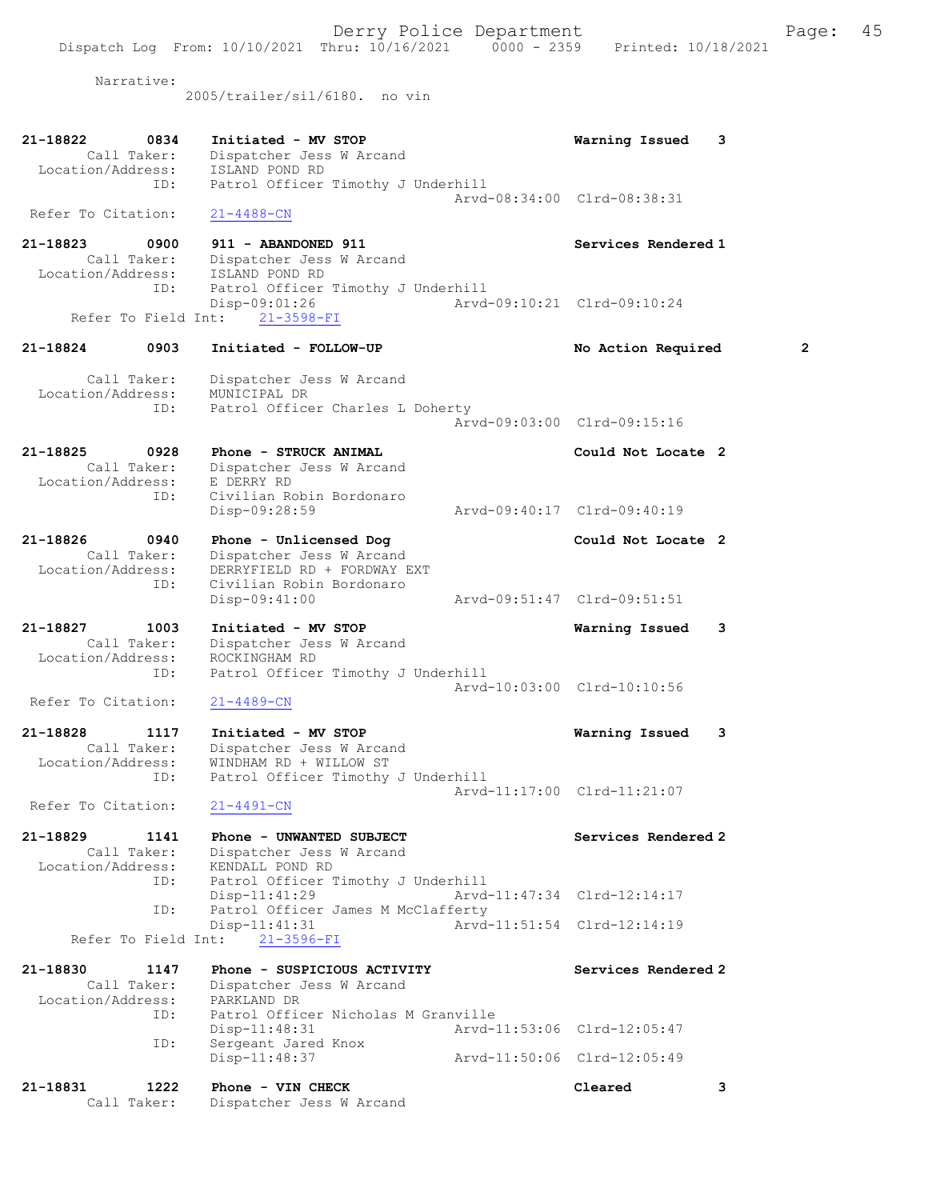Dispatch Log From: 10/10/2021 Thru: 10/16/2021 0000 - 2359 Printed: 10/18/2021 Narrative: 2005/trailer/sil/6180. no vin 21-18822 0834 Initiated - MV STOP Warning Issued 3 Call Taker: Dispatcher Jess W Arcand Location/Address: ISLAND POND RD ID: Patrol Officer Timothy J Underhill Arvd-08:34:00 Clrd-08:38:31 Refer To Citation: 21-4488-CN 21-18823 0900 911 - ABANDONED 911 Services Rendered 1 Call Taker: Dispatcher Jess W Arcand Location/Address: ISLAND POND RD ID: Patrol Officer Timothy J Underhill Disp-09:01:26 Arvd-09:10:21 Clrd-09:10:24 Refer To Field Int: 21-3598-FI 21-18824 0903 Initiated - FOLLOW-UP No Action Required 2 Call Taker: Dispatcher Jess W Arcand Location/Address: MUNICIPAL DR ID: Patrol Officer Charles L Doherty Arvd-09:03:00 Clrd-09:15:16 21-18825 0928 Phone - STRUCK ANIMAL Could Not Locate 2 Call Taker: Dispatcher Jess W Arcand Location/Address: E DERRY RD ID: Civilian Robin Bordonaro Disp-09:28:59 Arvd-09:40:17 Clrd-09:40:19 21-18826 0940 Phone - Unlicensed Dog Could Not Locate 2 Call Taker: Dispatcher Jess W Arcand Location/Address: DERRYFIELD RD + FORDWAY EXT ID: Civilian Robin Bordonaro Disp-09:41:00 Arvd-09:51:47 Clrd-09:51:51 21-18827 1003 Initiated - MV STOP Warning Issued 3 Call Taker: Dispatcher Jess W Arcand Location/Address: ROCKINGHAM RD ID: Patrol Officer Timothy J Underhill Arvd-10:03:00 Clrd-10:10:56<br>21-4489-CN Refer To Citation: 21-18828 1117 Initiated - MV STOP Warning Issued 3 Call Taker: Dispatcher Jess W Arcand Location/Address: WINDHAM RD + WILLOW ST ID: Patrol Officer Timothy J Underhill Arvd-11:17:00 Clrd-11:21:07 Refer To Citation: 21-4491-CN 21-18829 1141 Phone - UNWANTED SUBJECT SERVICES Rendered 2 Call Taker: Dispatcher Jess W Arcand Location/Address: KENDALL POND RD ID: Patrol Officer Timothy J Underhill Disp-11:41:29 Arvd-11:47:34 Clrd-12:14:17<br>ID: Patrol Officer James M McClafferty Patrol Officer James M McClafferty Disp-11:41:31 Arvd-11:51:54 Clrd-12:14:19 Refer To Field Int: 21-3596-FI 21-18830 1147 Phone - SUSPICIOUS ACTIVITY Services Rendered 2 Call Taker: Dispatcher Jess W Arcand Location/Address: PARKLAND DR ID: Patrol Officer Nicholas M Granville Disp-11:48:31 Arvd-11:53:06 Clrd-12:05:47 ID: Sergeant Jared Knox Disp-11:48:37 Arvd-11:50:06 Clrd-12:05:49 21-18831 1222 Phone - VIN CHECK Cleared 3

Call Taker: Dispatcher Jess W Arcand

Derry Police Department Fage: 45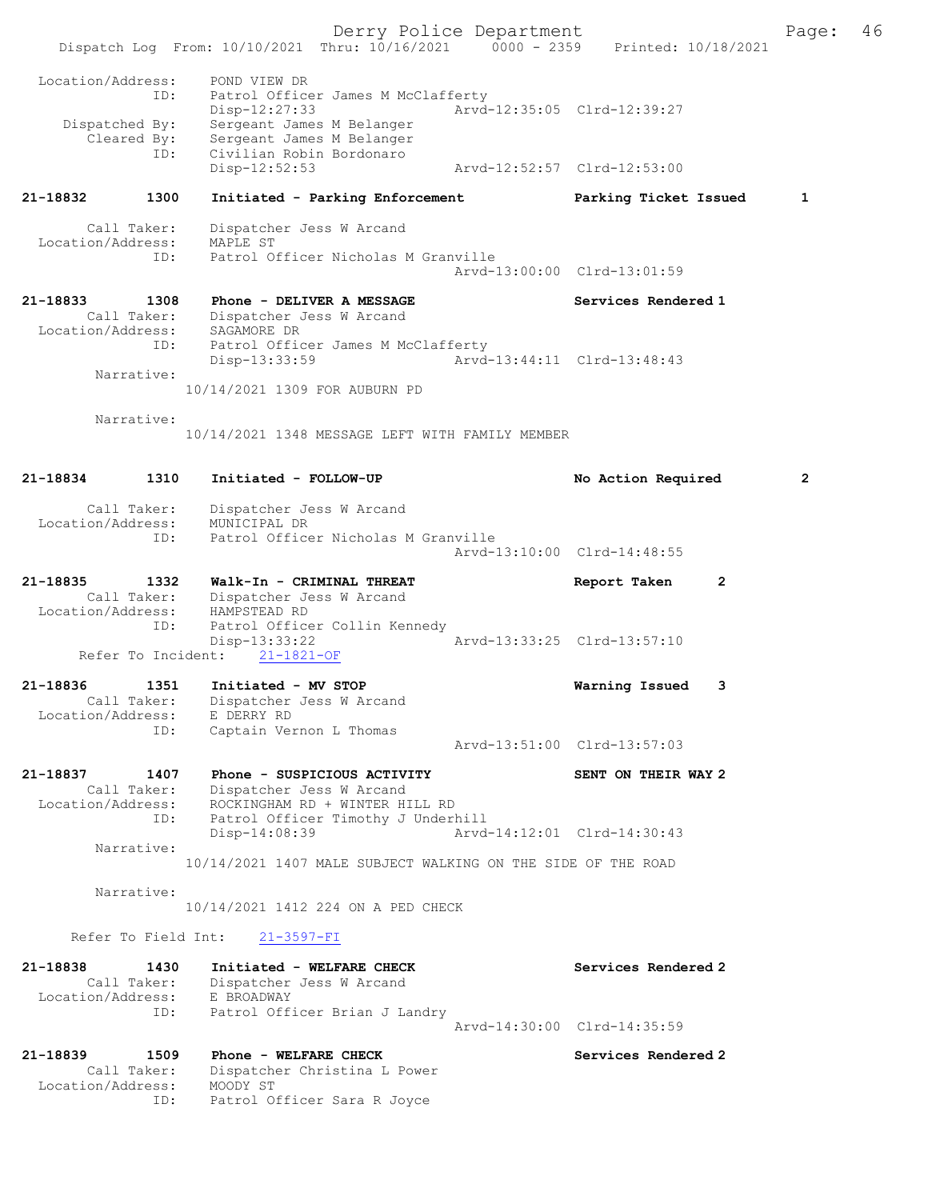Derry Police Department Fage: 46 Dispatch Log From: 10/10/2021 Thru: 10/16/2021 0000 - 2359 Printed: 10/18/2021 Location/Address: POND VIEW DR ID: Patrol Officer James M McClafferty Disp-12:27:33 Arvd-12:35:05 Clrd-12:39:27 Dispatched By: Sergeant James M Belanger Cleared By: Sergeant James M Belanger Civilian Robin Bordonaro<br>Disp-12:52:53 Disp-12:52:53 Arvd-12:52:57 Clrd-12:53:00 21-18832 1300 Initiated - Parking Enforcement Parking Ticket Issued 1 Call Taker: Dispatcher Jess W Arcand Location/Address: MAPLE ST ID: Patrol Officer Nicholas M Granville Arvd-13:00:00 Clrd-13:01:59 21-18833 1308 Phone - DELIVER A MESSAGE Services Rendered 1 Call Taker: Dispatcher Jess W Arcand Location/Address: SAGAMORE DR ID: Patrol Officer James M McClafferty Disp-13:33:59 Arvd-13:44:11 Clrd-13:48:43 Narrative: 10/14/2021 1309 FOR AUBURN PD Narrative: 10/14/2021 1348 MESSAGE LEFT WITH FAMILY MEMBER 21-18834 1310 Initiated - FOLLOW-UP No Action Required 2 Call Taker: Dispatcher Jess W Arcand Location/Address: MUNICIPAL DR ID: Patrol Officer Nicholas M Granville Arvd-13:10:00 Clrd-14:48:55 21-18835 1332 Walk-In - CRIMINAL THREAT Report Taken 2 Call Taker: Dispatcher Jess W Arcand Location/Address: HAMPSTEAD RD ID: Patrol Officer Collin Kennedy<br>Disp-13:33:22 Arvd-13:33:25 Clrd-13:57:10 Disp-13:33:22 Refer To Incident: 21-1821-OF 21-18836 1351 Initiated - MV STOP Warning Issued 3 Call Taker: Dispatcher Jess W Arcand Location/Address: E DERRY RD ID: Captain Vernon L Thomas Arvd-13:51:00 Clrd-13:57:03 21-18837 1407 Phone - SUSPICIOUS ACTIVITY SENT ON THEIR WAY 2 Call Taker: Dispatcher Jess W Arcand Location/Address: ROCKINGHAM RD + WINTER HILL RD ID: Patrol Officer Timothy J Underhill<br>Disp-14:08:39 Arvd- Disp-14:08:39 Arvd-14:12:01 Clrd-14:30:43 Narrative: 10/14/2021 1407 MALE SUBJECT WALKING ON THE SIDE OF THE ROAD Narrative: 10/14/2021 1412 224 ON A PED CHECK Refer To Field Int: 21-3597-FI 21-18838 1430 Initiated - WELFARE CHECK Services Rendered 2 Call Taker: Dispatcher Jess W Arcand Location/Address: E BROADWAY ID: Patrol Officer Brian J Landry Arvd-14:30:00 Clrd-14:35:59 21-18839 1509 Phone - WELFARE CHECK North Services Rendered 2 Call Taker: Dispatcher Christina L Power Location/Address: MOODY ST ID: Patrol Officer Sara R Joyce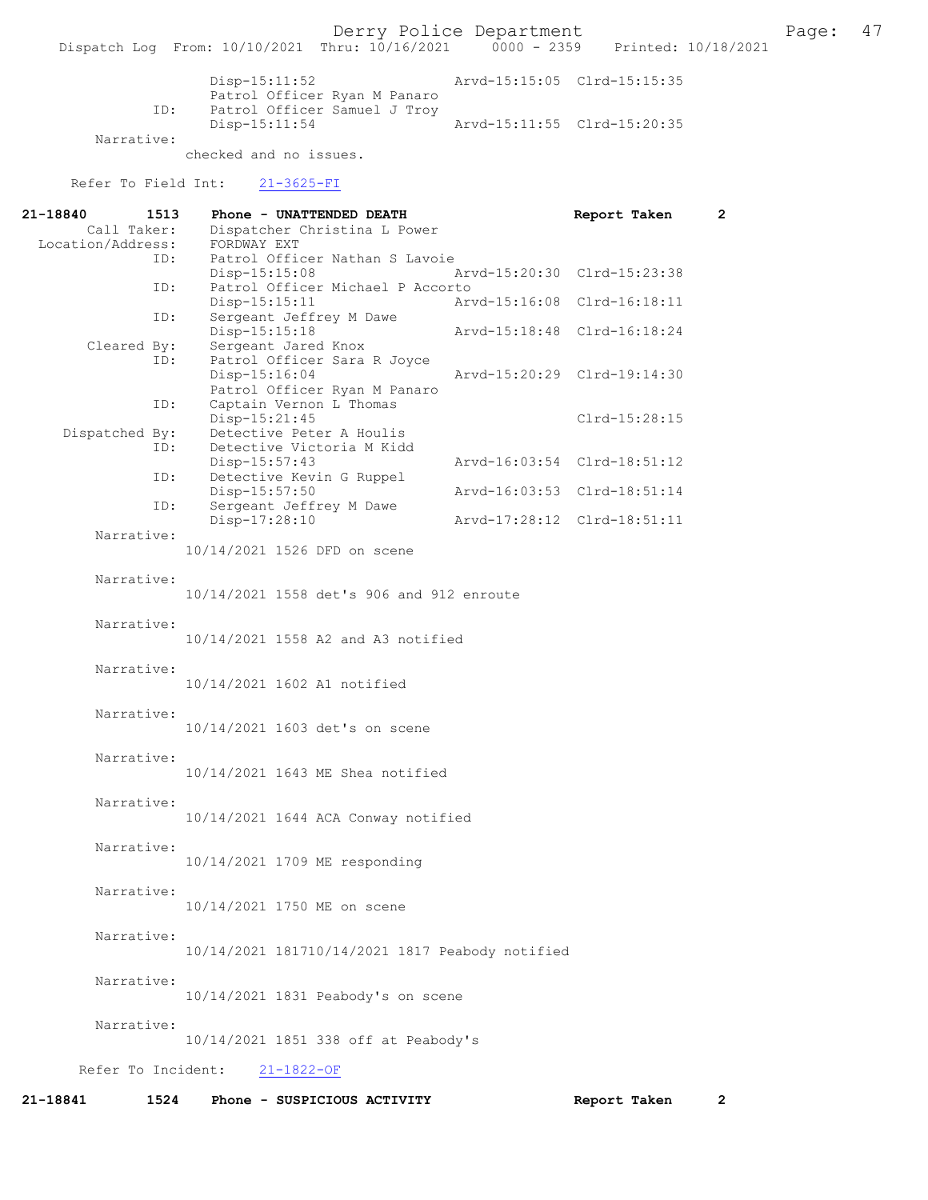Derry Police Department Fage: 47

|            | Disp-15:11:52                                                                 | Arvd-15:15:05 Clrd-15:15:35 |  |
|------------|-------------------------------------------------------------------------------|-----------------------------|--|
| ID:        | Patrol Officer Ryan M Panaro<br>Patrol Officer Samuel J Troy<br>Disp-15:11:54 | Arvd-15:11:55 Clrd-15:20:35 |  |
| Narrative: |                                                                               |                             |  |

checked and no issues.

## Refer To Field Int: 21-3625-FI

| 1513<br>21-18840   | Phone - UNATTENDED DEATH                                                       | Report Taken<br>$\mathbf{2}$ |
|--------------------|--------------------------------------------------------------------------------|------------------------------|
| Call Taker:        | Dispatcher Christina L Power                                                   |                              |
| Location/Address:  | FORDWAY EXT                                                                    |                              |
| ID:                | Patrol Officer Nathan S Lavoie                                                 |                              |
| ID:                | Disp-15:15:08<br>Patrol Officer Michael P Accorto                              | Arvd-15:20:30 Clrd-15:23:38  |
|                    | Disp-15:15:11                                                                  | Arvd-15:16:08 Clrd-16:18:11  |
| ID:                | Sergeant Jeffrey M Dawe<br>$Disp-15:15:18$                                     | Arvd-15:18:48 Clrd-16:18:24  |
| Cleared By:<br>ID: | Sergeant Jared Knox                                                            |                              |
|                    | Patrol Officer Sara R Joyce<br>$Disp-15:16:04$<br>Patrol Officer Ryan M Panaro | Arvd-15:20:29 Clrd-19:14:30  |
| ID:                | Captain Vernon L Thomas                                                        |                              |
|                    | Disp-15:21:45                                                                  | Clrd-15:28:15                |
| Dispatched By:     | Detective Peter A Houlis                                                       |                              |
| ID:                | Detective Victoria M Kidd                                                      |                              |
|                    | Disp-15:57:43                                                                  | Arvd-16:03:54 Clrd-18:51:12  |
| ID:                | Detective Kevin G Ruppel<br>Disp-15:57:50                                      | Arvd-16:03:53 Clrd-18:51:14  |
| ID:                | Sergeant Jeffrey M Dawe                                                        |                              |
|                    | Disp-17:28:10                                                                  | Arvd-17:28:12 Clrd-18:51:11  |
| Narrative:         | 10/14/2021 1526 DFD on scene                                                   |                              |
| Narrative:         |                                                                                |                              |
|                    | 10/14/2021 1558 det's 906 and 912 enroute                                      |                              |
|                    |                                                                                |                              |
| Narrative:         | 10/14/2021 1558 A2 and A3 notified                                             |                              |
|                    |                                                                                |                              |
| Narrative:         |                                                                                |                              |
|                    | 10/14/2021 1602 A1 notified                                                    |                              |
|                    |                                                                                |                              |
| Narrative:         |                                                                                |                              |
|                    | 10/14/2021 1603 det's on scene                                                 |                              |
|                    |                                                                                |                              |
| Narrative:         |                                                                                |                              |
|                    | 10/14/2021 1643 ME Shea notified                                               |                              |
| Narrative:         |                                                                                |                              |
|                    | 10/14/2021 1644 ACA Conway notified                                            |                              |
|                    |                                                                                |                              |
| Narrative:         |                                                                                |                              |
|                    | 10/14/2021 1709 ME responding                                                  |                              |
|                    |                                                                                |                              |
| Narrative:         |                                                                                |                              |
|                    | 10/14/2021 1750 ME on scene                                                    |                              |
|                    |                                                                                |                              |
| Narrative:         |                                                                                |                              |
|                    | 10/14/2021 181710/14/2021 1817 Peabody notified                                |                              |
| Narrative:         |                                                                                |                              |
|                    | 10/14/2021 1831 Peabody's on scene                                             |                              |
|                    |                                                                                |                              |
| Narrative:         |                                                                                |                              |
|                    | 10/14/2021 1851 338 off at Peabody's                                           |                              |
|                    |                                                                                |                              |
| Refer To Incident: | $21 - 1822 - OF$                                                               |                              |
| 21-18841<br>1524   | Phone - SUSPICIOUS ACTIVITY                                                    | Report Taken<br>$\mathbf{2}$ |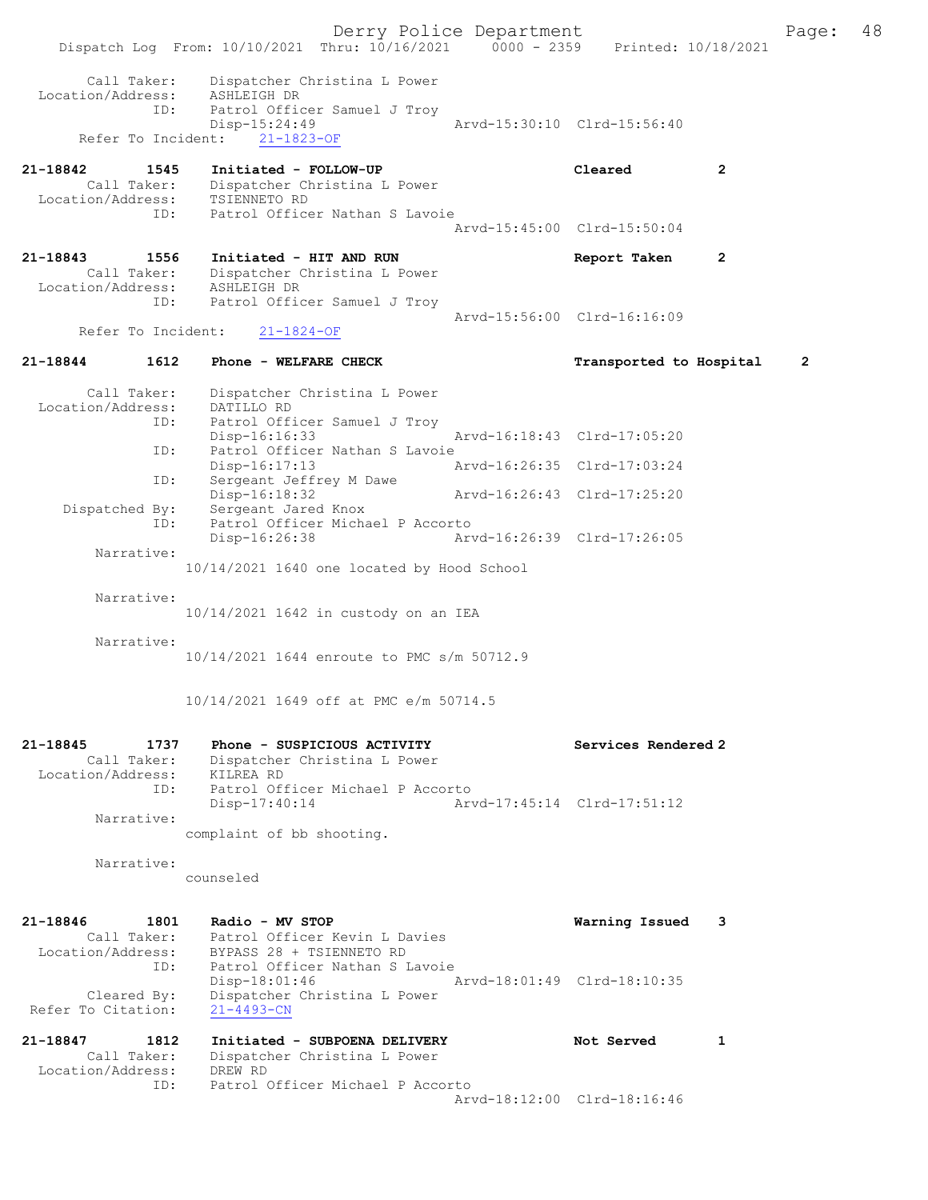Derry Police Department Fage: 48 Dispatch Log From: 10/10/2021 Thru: 10/16/2021 0000 - 2359 Printed: 10/18/2021 Call Taker: Dispatcher Christina L Power Location/Address: ASHLEIGH DR ID: Patrol Officer Samuel J Troy Disp-15:24:49 Arvd-15:30:10 Clrd-15:56:40 Refer To Incident: 21-1823-OF 21-18842 1545 Initiated - FOLLOW-UP Cleared 2 Call Taker: Dispatcher Christina L Power Location/Address: TSIENNETO RD ID: Patrol Officer Nathan S Lavoie Arvd-15:45:00 Clrd-15:50:04 21-18843 1556 Initiated - HIT AND RUN Report Taken 2 Call Taker: Dispatcher Christina L Power Location/Address: ASHLEIGH DR ID: Patrol Officer Samuel J Troy Arvd-15:56:00 Clrd-16:16:09<br>21-1824-OF Refer To Incident: 21-18844 1612 Phone - WELFARE CHECK Transported to Hospital 2 Call Taker: Dispatcher Christina L Power Location/Address: DATILLO RD ID: Patrol Officer Samuel J Troy Disp-16:16:33 Arvd-16:18:43 Clrd-17:05:20 ID: Patrol Officer Nathan S Lavoie Disp-16:17:13 Arvd-16:26:35 Clrd-17:03:24<br>
Disp-16:18:32 Arvd-16:26:43 Clrd-17:25:20 ID: Sergeant Jeffrey M Dawe Disp-16:18:32 Arvd-16:26:43 Clrd-17:25:20 Dispatched By: Sergeant Jared Knox ID: Patrol Officer Michael P Accorto Disp-16:26:38 Arvd-16:26:39 Clrd-17:26:05 Narrative: 10/14/2021 1640 one located by Hood School Narrative: 10/14/2021 1642 in custody on an IEA Narrative: 10/14/2021 1644 enroute to PMC s/m 50712.9 10/14/2021 1649 off at PMC e/m 50714.5 21-18845 1737 Phone - SUSPICIOUS ACTIVITY Services Rendered 2 Call Taker: Dispatcher Christina L Power Location/Address: KILREA RD ID: Patrol Officer Michael P Accorto Disp-17:40:14 Arvd-17:45:14 Clrd-17:51:12 Narrative: complaint of bb shooting. Narrative: counseled 21-18846 1801 Radio - MV STOP Warning Issued 3 Call Taker: Patrol Officer Kevin L Davies Location/Address: BYPASS 28 + TSIENNETO RD ID: Patrol Officer Nathan S Lavoie Disp-18:01:46 Arvd-18:01:49 Clrd-18:10:35 Cleared By: Dispatcher Christina L Power Refer To Citation: 21-4493-CN 21-18847 1812 Initiated - SUBPOENA DELIVERY Not Served 1 Call Taker: Dispatcher Christina L Power Location/Address: DREW RD ID: Patrol Officer Michael P Accorto Arvd-18:12:00 Clrd-18:16:46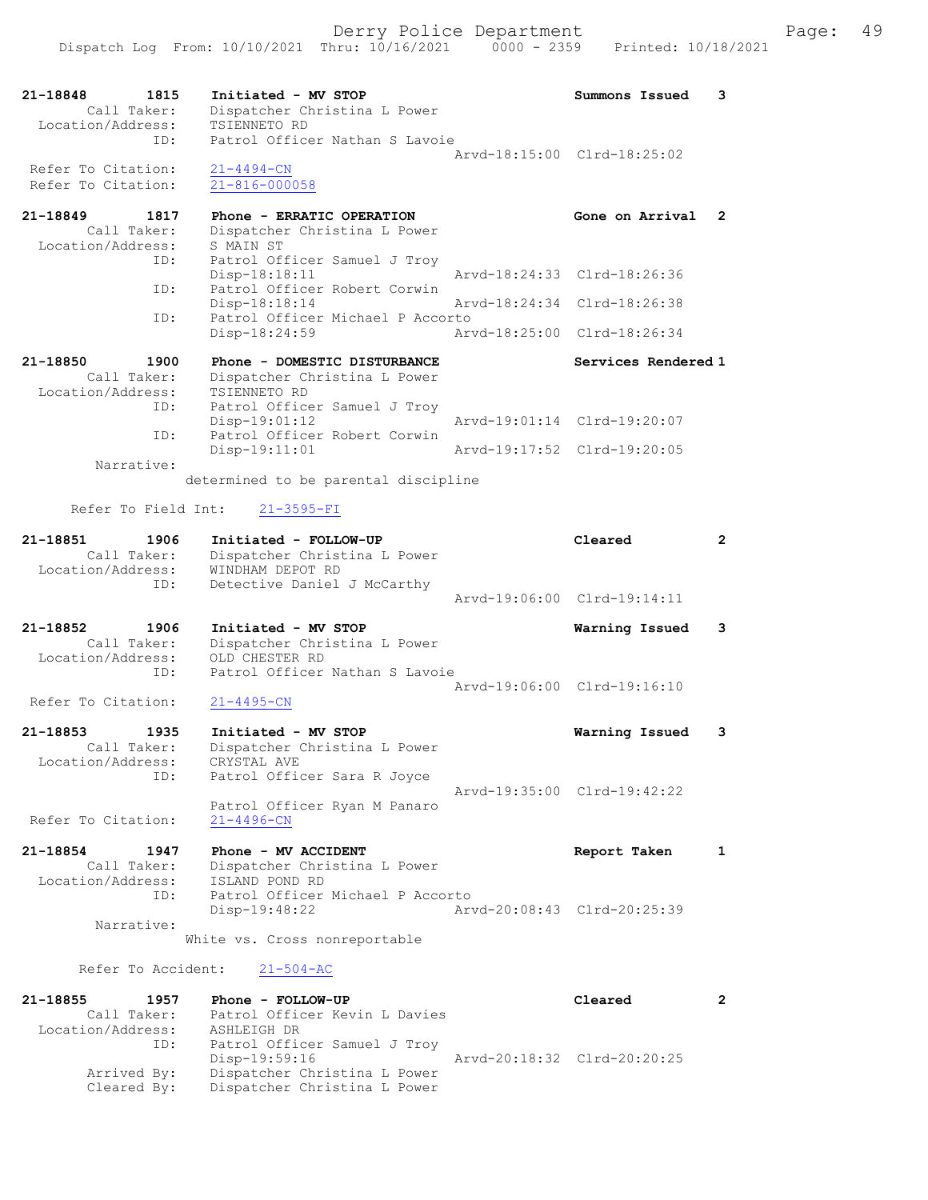| 21-18848<br>1815                 | Initiated - MV STOP                                       |                             | Summons Issued              | 3              |
|----------------------------------|-----------------------------------------------------------|-----------------------------|-----------------------------|----------------|
| Call Taker:<br>Location/Address: | Dispatcher Christina L Power<br>TSIENNETO RD              |                             |                             |                |
| ID:                              | Patrol Officer Nathan S Lavoie                            |                             |                             |                |
| Refer To Citation:               | 21-4494-CN                                                |                             | Arvd-18:15:00 Clrd-18:25:02 |                |
| Refer To Citation:               | 21-816-000058                                             |                             |                             |                |
|                                  |                                                           |                             |                             |                |
| 21-18849<br>1817<br>Call Taker:  | Phone - ERRATIC OPERATION<br>Dispatcher Christina L Power |                             | Gone on Arrival             | $\mathbf{2}$   |
| Location/Address:                | S MAIN ST                                                 |                             |                             |                |
| ID:                              | Patrol Officer Samuel J Troy                              |                             |                             |                |
| ID:                              | Disp-18:18:11<br>Patrol Officer Robert Corwin             |                             | Arvd-18:24:33 Clrd-18:26:36 |                |
|                                  | Disp-18:18:14                                             |                             | Arvd-18:24:34 Clrd-18:26:38 |                |
| ID:                              | Patrol Officer Michael P Accorto<br>Disp-18:24:59         |                             | Arvd-18:25:00 Clrd-18:26:34 |                |
|                                  |                                                           |                             |                             |                |
| 21-18850<br>1900                 | Phone - DOMESTIC DISTURBANCE                              |                             | Services Rendered 1         |                |
| Call Taker:<br>Location/Address: | Dispatcher Christina L Power<br>TSIENNETO RD              |                             |                             |                |
| ID:                              | Patrol Officer Samuel J Troy                              |                             |                             |                |
|                                  | $Disp-19:01:12$                                           |                             | Arvd-19:01:14 Clrd-19:20:07 |                |
| ID:                              | Patrol Officer Robert Corwin<br>$Disp-19:11:01$           |                             | Arvd-19:17:52 Clrd-19:20:05 |                |
| Narrative:                       |                                                           |                             |                             |                |
|                                  | determined to be parental discipline                      |                             |                             |                |
| Refer To Field Int:              | $21 - 3595 - FI$                                          |                             |                             |                |
| 21-18851<br>1906                 | Initiated - FOLLOW-UP                                     |                             | Cleared                     | $\mathbf{2}$   |
| Call Taker:                      | Dispatcher Christina L Power                              |                             |                             |                |
| Location/Address:<br>ID:         | WINDHAM DEPOT RD<br>Detective Daniel J McCarthy           |                             |                             |                |
|                                  |                                                           |                             | Arvd-19:06:00 Clrd-19:14:11 |                |
| 21-18852<br>1906                 | Initiated - MV STOP                                       |                             | Warning Issued              | 3              |
| Call Taker:                      | Dispatcher Christina L Power                              |                             |                             |                |
| Location/Address:                | OLD CHESTER RD                                            |                             |                             |                |
| ID:                              | Patrol Officer Nathan S Lavoie                            |                             | Arvd-19:06:00 Clrd-19:16:10 |                |
| Refer To Citation:               | $21 - 4495 - CN$                                          |                             |                             |                |
| 21-18853<br>1935                 | Initiated - MV STOP                                       |                             | Warning Issued              | 3              |
| Call Taker:                      | Dispatcher Christina L Power                              |                             |                             |                |
| Location/Address:                | CRYSTAL AVE                                               |                             |                             |                |
| ID:                              | Patrol Officer Sara R Joyce                               |                             | Arvd-19:35:00 Clrd-19:42:22 |                |
|                                  | Patrol Officer Ryan M Panaro                              |                             |                             |                |
| Refer To Citation:               | $21 - 4496 - CN$                                          |                             |                             |                |
| 21-18854<br>1947                 | Phone - MV ACCIDENT                                       |                             | Report Taken                | $\mathbf{1}$   |
| Call Taker:                      | Dispatcher Christina L Power                              |                             |                             |                |
| Location/Address:<br>ID:         | ISLAND POND RD<br>Patrol Officer Michael P Accorto        |                             |                             |                |
|                                  | Disp-19:48:22                                             |                             | Arvd-20:08:43 Clrd-20:25:39 |                |
| Narrative:                       |                                                           |                             |                             |                |
|                                  | White vs. Cross nonreportable                             |                             |                             |                |
| Refer To Accident:               | $21 - 504 - AC$                                           |                             |                             |                |
| 21-18855<br>1957                 | Phone - FOLLOW-UP                                         |                             | Cleared                     | $\overline{2}$ |
| Call Taker:                      | Patrol Officer Kevin L Davies                             |                             |                             |                |
| Location/Address:<br>ID:         | ASHLEIGH DR<br>Patrol Officer Samuel J Troy               |                             |                             |                |
|                                  | Disp-19:59:16                                             | Arvd-20:18:32 Clrd-20:20:25 |                             |                |

 Arrived By: Dispatcher Christina L Power Cleared By: Dispatcher Christina L Power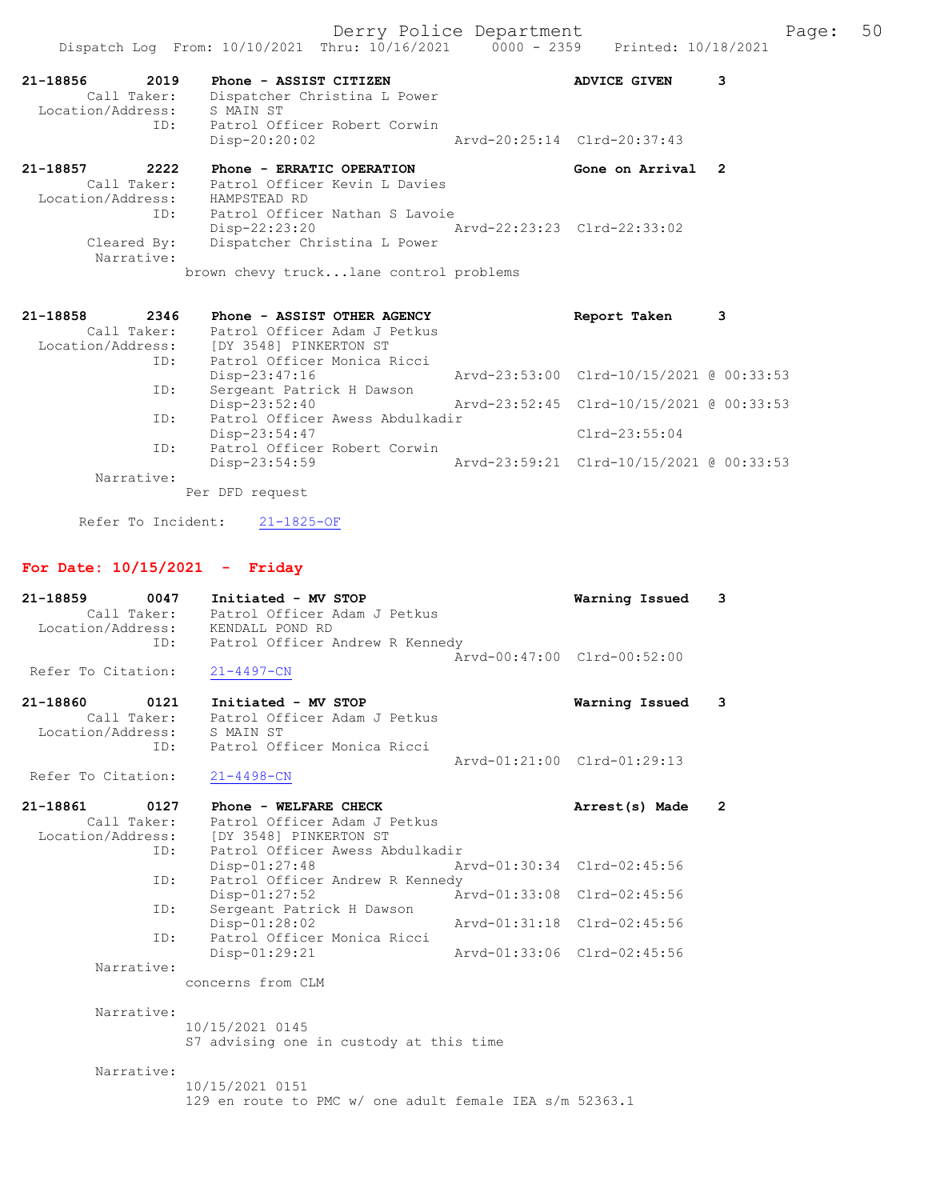| 21-18856 2019<br>Location/Address: S MAIN ST |                 | Phone - ASSIST CITIZEN<br>Call Taker: Dispatcher Christina L Power          | <b>ADVICE GIVEN</b>                      | з |
|----------------------------------------------|-----------------|-----------------------------------------------------------------------------|------------------------------------------|---|
|                                              | ID:             | Patrol Officer Robert Corwin<br>$Disp-20:20:02$                             | Arvd-20:25:14 Clrd-20:37:43              |   |
| 21-18857 2222                                |                 | Phone - ERRATIC OPERATION                                                   | Gone on Arrival 2                        |   |
|                                              |                 | Call Taker: Patrol Officer Kevin L Davies<br>Location/Address: HAMPSTEAD RD |                                          |   |
|                                              | ID:             | Patrol Officer Nathan S Lavoie                                              |                                          |   |
|                                              |                 | Disp-22:23:20 Arvd-22:23:23 Clrd-22:33:02                                   |                                          |   |
| Cleared By:<br>Narrative:                    |                 | Dispatcher Christina L Power                                                |                                          |   |
|                                              |                 | brown chevy trucklane control problems                                      |                                          |   |
| 21-18858                                     |                 | 2346 Phone - ASSIST OTHER AGENCY                                            | Report Taken                             | з |
|                                              |                 | Call Taker: Patrol Officer Adam J Petkus                                    |                                          |   |
|                                              |                 | Location/Address: [DY 3548] PINKERTON ST                                    |                                          |   |
|                                              | ID:             | Patrol Officer Monica Ricci                                                 |                                          |   |
|                                              |                 | $Disp-23:47:16$                                                             | Arvd-23:53:00 Clrd-10/15/2021 @ 00:33:53 |   |
|                                              | $T \cap \Delta$ | Common the Dollar of Doccom                                                 |                                          |   |

Dispatch Log From: 10/10/2021 Thru: 10/16/2021 0000 - 2359 Printed: 10/18/2021

ID: Sergeant Patrick H Dawson<br>Disp-23:52:40 Disp-23:52:40 Arvd-23:52:45 Clrd-10/15/2021 @ 00:33:53<br>ID: Patrol Officer Awess Abdulkadir Patrol Officer Awess Abdulkadir Disp-23:54:47 Clrd-23:55:04<br>ID: Patrol Officer Robert Corwin Patrol Officer Robert Corwin<br>Disp-23:54:59 Disp-23:54:59 Arvd-23:59:21 Clrd-10/15/2021 @ 00:33:53 Narrative: Per DFD request

Refer To Incident: 21-1825-OF

## For Date: 10/15/2021 - Friday

| 21-18859<br>0047   | Initiated - MV STOP                                     | Warning Issued              | 3              |
|--------------------|---------------------------------------------------------|-----------------------------|----------------|
| Call Taker:        | Patrol Officer Adam J Petkus                            |                             |                |
| Location/Address:  | KENDALL POND RD                                         |                             |                |
| ID:                | Patrol Officer Andrew R Kennedy                         |                             |                |
|                    |                                                         | Arvd-00:47:00 Clrd-00:52:00 |                |
| Refer To Citation: | $21 - 4497 - CN$                                        |                             |                |
|                    |                                                         |                             |                |
| 21-18860<br>0121   | Initiated - MV STOP                                     | Warning Issued              | 3              |
| Call Taker:        | Patrol Officer Adam J Petkus                            |                             |                |
| Location/Address:  | S MAIN ST                                               |                             |                |
| ID:                | Patrol Officer Monica Ricci                             |                             |                |
|                    |                                                         | Arvd-01:21:00 Clrd-01:29:13 |                |
| Refer To Citation: | $21 - 4498 - CN$                                        |                             |                |
|                    |                                                         |                             |                |
| 21-18861<br>0127   | Phone - WELFARE CHECK                                   | Arrest(s) Made              | $\overline{2}$ |
| Call Taker:        | Patrol Officer Adam J Petkus                            |                             |                |
| Location/Address:  | [DY 3548] PINKERTON ST                                  |                             |                |
| ID:                | Patrol Officer Awess Abdulkadir                         |                             |                |
|                    | $Disp-01:27:48$                                         | Arvd-01:30:34 Clrd-02:45:56 |                |
| ID:                | Patrol Officer Andrew R Kennedy                         |                             |                |
|                    | $Disp-01:27:52$                                         | Arvd-01:33:08 Clrd-02:45:56 |                |
| ID:                | Sergeant Patrick H Dawson                               |                             |                |
|                    | Disp-01:28:02                                           | Arvd-01:31:18 Clrd-02:45:56 |                |
| TD:                | Patrol Officer Monica Ricci                             |                             |                |
|                    | Disp-01:29:21                                           | Arvd-01:33:06 Clrd-02:45:56 |                |
| Narrative:         |                                                         |                             |                |
|                    | concerns from CLM                                       |                             |                |
|                    |                                                         |                             |                |
| Narrative:         |                                                         |                             |                |
|                    | 10/15/2021 0145                                         |                             |                |
|                    | S7 advising one in custody at this time                 |                             |                |
|                    |                                                         |                             |                |
| Narrative:         |                                                         |                             |                |
|                    | 10/15/2021 0151                                         |                             |                |
|                    | 129 en route to PMC w/ one adult female IEA s/m 52363.1 |                             |                |
|                    |                                                         |                             |                |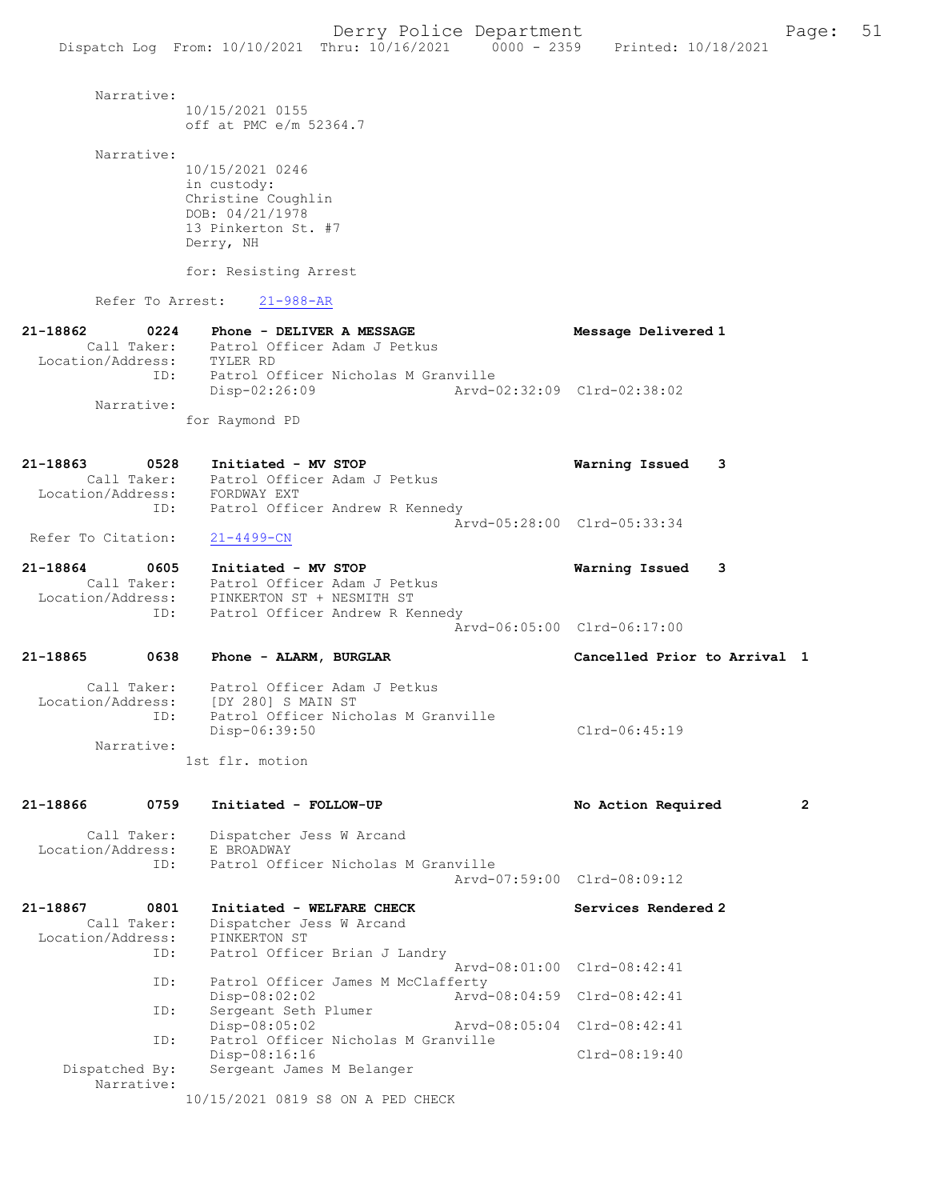| Narrative:                              | 10/15/2021 0155<br>off at PMC e/m 52364.7                                                                                                             |                              |              |
|-----------------------------------------|-------------------------------------------------------------------------------------------------------------------------------------------------------|------------------------------|--------------|
| Narrative:                              | 10/15/2021 0246<br>in custody:<br>Christine Coughlin<br>DOB: 04/21/1978<br>13 Pinkerton St. #7<br>Derry, NH<br>for: Resisting Arrest                  |                              |              |
| Refer To Arrest:                        | $21 - 988 - AR$                                                                                                                                       |                              |              |
| 21-18862<br>Location/Address: TYLER RD  | 0224 Phone - DELIVER A MESSAGE<br>Call Taker: Patrol Officer Adam J Petkus                                                                            | Message Delivered 1          |              |
| ID:<br>Narrative:                       | Patrol Officer Nicholas M Granville<br>Arvd-02:32:09 Clrd-02:38:02<br>$Disp-02:26:09$<br>for Raymond PD                                               |                              |              |
| 21-18863<br>0528                        | Initiated - MV STOP                                                                                                                                   | Warning Issued<br>3          |              |
| ID:                                     | Call Taker: Patrol Officer Adam J Petkus<br>Location/Address: FORDWAY EXT<br>Patrol Officer Andrew R Kennedy                                          | Arvd-05:28:00 Clrd-05:33:34  |              |
| Refer To Citation:                      | $21 - 4499 - CN$                                                                                                                                      |                              |              |
| 21-18864<br>0605                        | Initiated - MV STOP<br>Call Taker: Patrol Officer Adam J Petkus<br>Location/Address: PINKERTON ST + NESMITH ST<br>ID: Patrol Officer Andrew R Kennedy | Warning Issued<br>3          |              |
|                                         |                                                                                                                                                       | Arvd-06:05:00 Clrd-06:17:00  |              |
| 21-18865                                | 0638 Phone - ALARM, BURGLAR                                                                                                                           | Cancelled Prior to Arrival 1 |              |
| ID:                                     | Call Taker: Patrol Officer Adam J Petkus<br>Location/Address: [DY 280] S MAIN ST<br>Patrol Officer Nicholas M Granville<br>Disp-06:39:50              | $Clrd-06:45:19$              |              |
| Narrative:                              | 1st flr. motion                                                                                                                                       |                              |              |
| 21-18866<br>0759                        | Initiated - FOLLOW-UP                                                                                                                                 | No Action Required           | $\mathbf{2}$ |
| Call Taker:<br>Location/Address:<br>ID: | Dispatcher Jess W Arcand<br>E BROADWAY<br>Patrol Officer Nicholas M Granville                                                                         | Arvd-07:59:00 Clrd-08:09:12  |              |
| 21-18867<br>0801<br>Call Taker:         | Initiated - WELFARE CHECK<br>Dispatcher Jess W Arcand                                                                                                 | Services Rendered 2          |              |
| Location/Address:<br>ID:                | PINKERTON ST<br>Patrol Officer Brian J Landry<br>Aryd-08:01:00                                                                                        | $Clrd-08:42:41$              |              |
| ID:                                     | Patrol Officer James M McClafferty<br>$Disp-08:02:02$                                                                                                 | Arvd-08:04:59 Clrd-08:42:41  |              |
| ID:<br>ID:                              | Sergeant Seth Plumer<br>$Disp-08:05:02$<br>Patrol Officer Nicholas M Granville                                                                        | Arvd-08:05:04 Clrd-08:42:41  |              |
| Dispatched By:                          | Disp-08:16:16<br>Sergeant James M Belanger                                                                                                            | $Clrd-08:19:40$              |              |

Narrative:

10/15/2021 0819 S8 ON A PED CHECK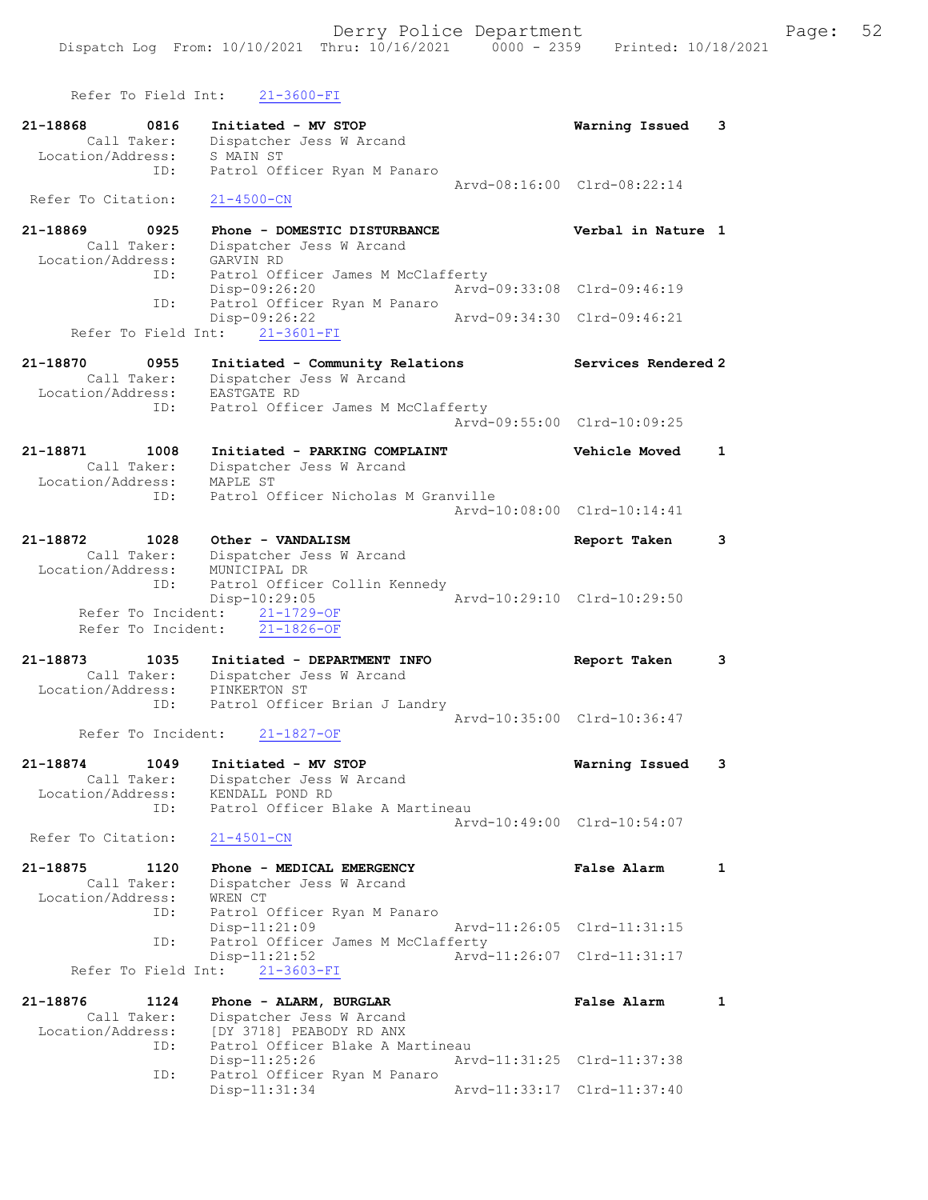Refer To Field Int: 21-3600-FI 21-18868 0816 Initiated - MV STOP Warning Issued 3 Call Taker: Dispatcher Jess W Arcand Location/Address: S MAIN ST ID: Patrol Officer Ryan M Panaro Arvd-08:16:00 Clrd-08:22:14 Refer To Citation: 21-4500-CN 21-18869 0925 Phone - DOMESTIC DISTURBANCE Verbal in Nature 1 Call Taker: Dispatcher Jess W Arcand Location/Address: GARVIN RD ID: Patrol Officer James M McClafferty Disp-09:26:20 Arvd-09:33:08 Clrd-09:46:19<br>Disp-09:26:20 Arvd-09:33:08 Clrd-09:46:19<br>Patrol Officer Ryan M Panaro ID: Patrol Officer Ryan M Panaro Disp-09:26:22 Arvd-09:34:30 Clrd-09:46:21 Refer To Field Int: 21-3601-FI 21-18870 0955 Initiated - Community Relations Services Rendered 2 Call Taker: Dispatcher Jess W Arcand Location/Address: EASTGATE RD ID: Patrol Officer James M McClafferty Arvd-09:55:00 Clrd-10:09:25 21-18871 1008 Initiated - PARKING COMPLAINT Vehicle Moved 1 Call Taker: Dispatcher Jess W Arcand Location/Address: MAPLE ST ID: Patrol Officer Nicholas M Granville Arvd-10:08:00 Clrd-10:14:41 21-18872 1028 Other - VANDALISM Report Taken 3 Call Taker: Dispatcher Jess W Arcand Location/Address: MUNICIPAL DR ID: Patrol Officer Collin Kennedy Disp-10:29:05 Arvd-10:29:10 Clrd-10:29:50 Refer To Incident: 21-1729-OF Refer To Incident: 21-1826-OF 21-18873 1035 Initiated - DEPARTMENT INFO Report Taken 3 Call Taker: Dispatcher Jess W Arcand Location/Address: PINKERTON ST ID: Patrol Officer Brian J Landry Arvd-10:35:00 Clrd-10:36:47 Refer To Incident: 21-1827-OF 21-18874 1049 Initiated - MV STOP Warning Issued 3 Call Taker: Dispatcher Jess W Arcand Location/Address: KENDALL POND RD ID: Patrol Officer Blake A Martineau Arvd-10:49:00 Clrd-10:54:07 Refer To Citation: 21-4501-CN 21-18875 1120 Phone - MEDICAL EMERGENCY False Alarm 1 Call Taker: Dispatcher Jess W Arcand Location/Address: WREN CT ID: Patrol Officer Ryan M Panaro Disp-11:21:09 Arvd-11:26:05 Clrd-11:31:15 ID: Patrol Officer James M McClafferty Disp-11:21:52 Arvd-11:26:07 Clrd-11:31:17 Refer To Field Int: 21-3603-FI 21-18876 1124 Phone - ALARM, BURGLAR False Alarm 1 Call Taker: Dispatcher Jess W Arcand Location/Address: [DY 3718] PEABODY RD ANX ID: Patrol Officer Blake A Martineau Disp-11:25:26 Arvd-11:31:25 Clrd-11:37:38 ID: Patrol Officer Ryan M Panaro Disp-11:31:34 Arvd-11:33:17 Clrd-11:37:40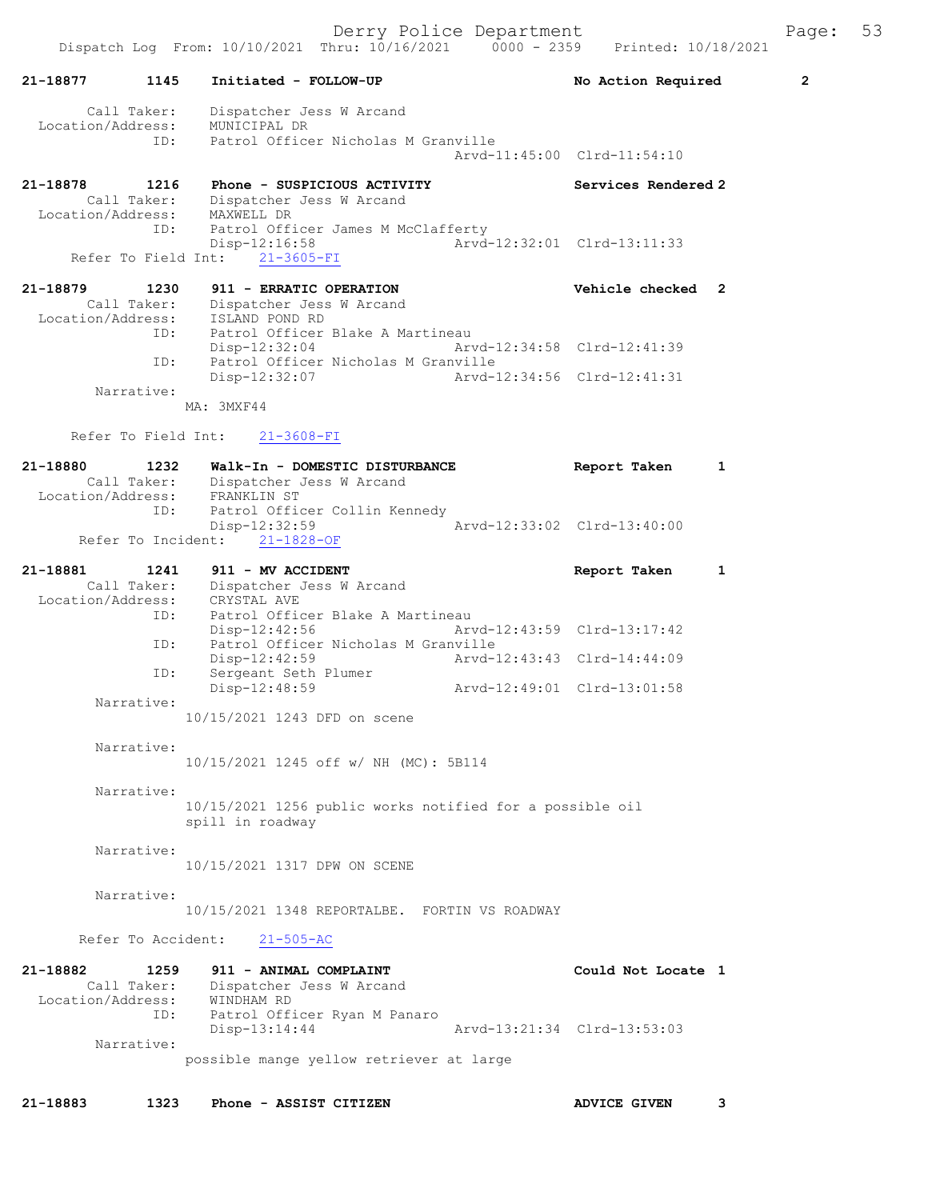|                                         | Dispatch Log From: 10/10/2021 Thru: 10/16/2021<br>$0000 - 2359$                                       | Printed: 10/18/2021         |                |
|-----------------------------------------|-------------------------------------------------------------------------------------------------------|-----------------------------|----------------|
| 1145<br>21-18877                        | Initiated - FOLLOW-UP                                                                                 | No Action Required          | $\overline{2}$ |
| Call Taker:<br>Location/Address:<br>ID: | Dispatcher Jess W Arcand<br>MUNICIPAL DR<br>Patrol Officer Nicholas M Granville                       |                             |                |
|                                         |                                                                                                       | Arvd-11:45:00 Clrd-11:54:10 |                |
| 21-18878<br>1216<br>Call Taker:         | Phone - SUSPICIOUS ACTIVITY<br>Dispatcher Jess W Arcand                                               | Services Rendered 2         |                |
| Location/Address:<br>ID:                | MAXWELL DR<br>Patrol Officer James M McClafferty<br>$Disp-12:16:58$<br>Refer To Field Int: 21-3605-FI | Arvd-12:32:01 Clrd-13:11:33 |                |
| 21-18879<br>1230                        | 911 - ERRATIC OPERATION                                                                               | Vehicle checked 2           |                |
| Call Taker:<br>ID:                      | Dispatcher Jess W Arcand<br>Location/Address: ISLAND POND RD<br>Patrol Officer Blake A Martineau      |                             |                |
| ID:                                     | $Disp-12:32:04$<br>Patrol Officer Nicholas M Granville                                                | Arvd-12:34:58 Clrd-12:41:39 |                |
| Narrative:                              | Disp-12:32:07                                                                                         | Arvd-12:34:56 Clrd-12:41:31 |                |
|                                         | MA: 3MXF44                                                                                            |                             |                |
| Refer To Field Int:                     | $21 - 3608 - FI$                                                                                      |                             |                |
| 21-18880<br>1232<br>Location/Address:   | Walk-In - DOMESTIC DISTURBANCE<br>Call Taker: Dispatcher Jess W Arcand<br>FRANKLIN ST                 | Report Taken                | 1              |
| ID:<br>Refer To Incident:               | Patrol Officer Collin Kennedy<br>Arvd-12:33:02 Clrd-13:40:00<br>Disp-12:32:59<br>$21 - 1828 - OF$     |                             |                |
| 21-18881<br>1241                        | 911 - MV ACCIDENT                                                                                     | Report Taken                | 1              |
| Call Taker:<br>Location/Address:        | Dispatcher Jess W Arcand<br>CRYSTAL AVE                                                               |                             |                |
| ID:<br>ID:                              | Patrol Officer Blake A Martineau<br>$Disp-12:42:56$<br>Patrol Officer Nicholas M Granville            | Arvd-12:43:59 Clrd-13:17:42 |                |
| ID:                                     | $Disp-12:42:59$<br>Sergeant Seth Plumer                                                               | Arvd-12:43:43 Clrd-14:44:09 |                |
| Narrative:                              | Disp-12:48:59<br>Arvd-12:49:01 Clrd-13:01:58                                                          |                             |                |
|                                         | 10/15/2021 1243 DFD on scene                                                                          |                             |                |
| Narrative:                              | 10/15/2021 1245 off w/ NH (MC): 5B114                                                                 |                             |                |
| Narrative:                              | 10/15/2021 1256 public works notified for a possible oil<br>spill in roadway                          |                             |                |
| Narrative:                              | 10/15/2021 1317 DPW ON SCENE                                                                          |                             |                |
| Narrative:                              | 10/15/2021 1348 REPORTALBE. FORTIN VS ROADWAY                                                         |                             |                |
| Refer To Accident:                      | $21 - 505 - AC$                                                                                       |                             |                |
| 21-18882<br>1259<br>Call Taker:         | 911 - ANIMAL COMPLAINT<br>Dispatcher Jess W Arcand                                                    | Could Not Locate 1          |                |
| Location/Address: WINDHAM RD<br>ID:     | Patrol Officer Ryan M Panaro<br>$Disp-13:14:44$                                                       | Arvd-13:21:34 Clrd-13:53:03 |                |
| Narrative:                              | possible mange yellow retriever at large                                                              |                             |                |
| 21-18883<br>1323                        | Phone - ASSIST CITIZEN                                                                                | <b>ADVICE GIVEN</b>         | 3              |
|                                         |                                                                                                       |                             |                |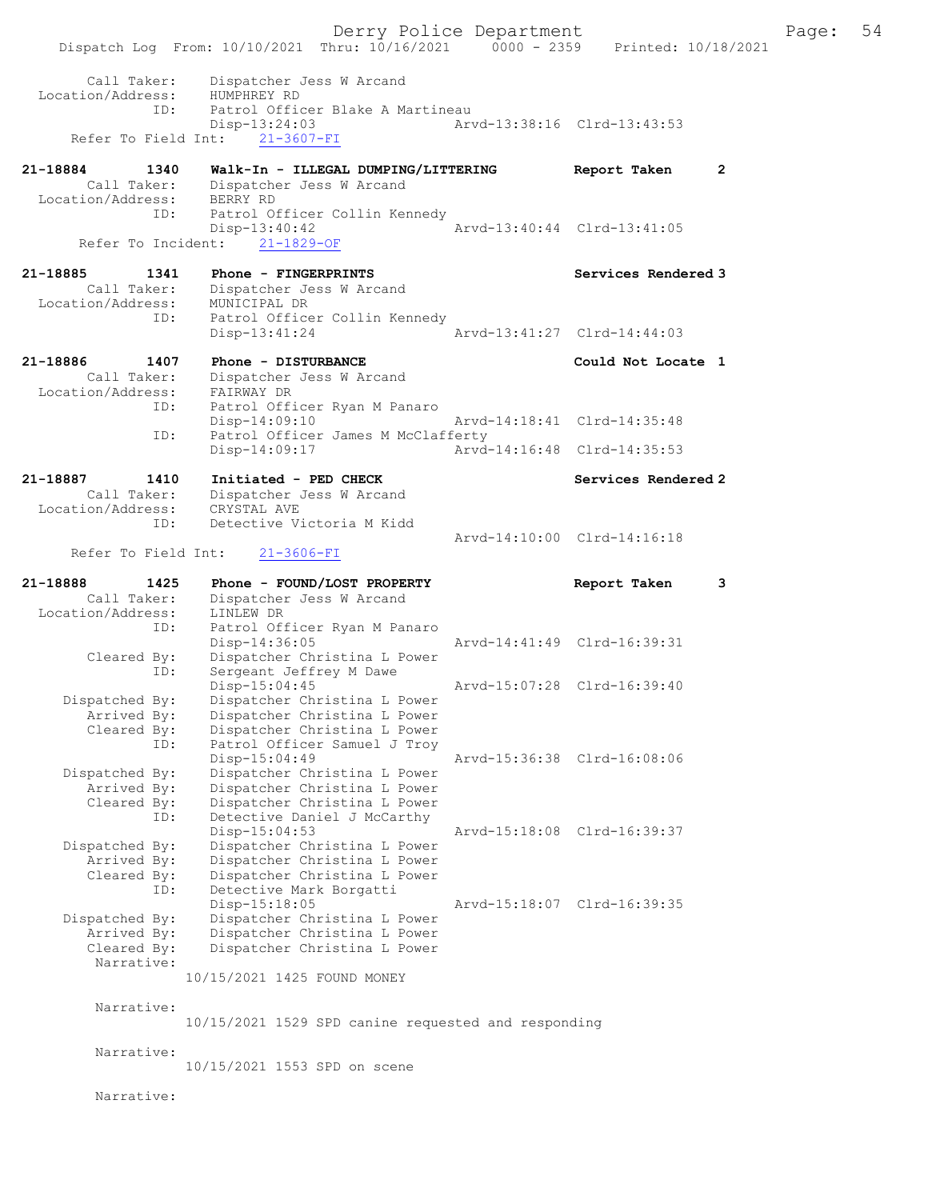Derry Police Department<br>
Page: 54<br>
Printed: 10/18/2021<br>
Printed: 10/18/2021 Dispatch Log From: 10/10/2021 Thru: 10/16/2021 Call Taker: Dispatcher Jess W Arcand Location/Address: HUMPHREY RD ID: Patrol Officer Blake A Martineau<br>Disp-13:24:03 Ary -13:24:03 Arvd-13:38:16 Clrd-13:43:53<br>21-3607-FI Refer To Field Int: 21-18884 1340 Walk-In - ILLEGAL DUMPING/LITTERING Report Taken 2<br>Call Taker: Dispatcher Jess W Arcand Dispatcher Jess W Arcand<br>BERRY RD Location/Address:<br>TD: Patrol Officer Collin Kennedy<br>Disp-13:40:42 -13:40:42<br>
21-1829-OF Arvd-13:40:44 Clrd-13:41:05 Refer To Incident: 21-18885 1341 Phone - FINGERPRINTS<br>Call Taker: Dispatcher Jess W Arcand Dispatcher Jess W Arcand<br>MUNICIPAL DR Location/Address: ID: Patrol Officer Collin Kennedy<br>Disp-13:41:24 Disp-13:41:24 Arvd-13:41:27 Clrd-14:44:03 21-18886 1407 Phone - DISTURBANCE Could Not Locate 1<br>Call Taker: Dispatcher Jess W Arcand Dispatcher Jess W Arcand<br>FAIRWAY DR Location/Address: Patrol Officer Ryan M Panaro<br>Disp-14:09:10 Disp-14:09:10 Arvd-14:18:41 Clrd-14:35:48<br>ID: Patrol Officer James M McClafferty Patrol Officer James M McClafferty<br>Disp-14:09:17 Arvd-Arvd-14:16:48 Clrd-14:35:53 21-18887 1410 Initiated - PED CHECK Services Rendered 2<br>Call Taker: Dispatcher Jess W Arcand Dispatcher Jess W Arcand<br>CRYSTAL AVE Location/Address:<br>TD: Detective Victoria M Kidd Arvd-14:10:00 Clrd-14:16:18<br>21-3606-FI Refer To Field Int: 21-18888 1425 Phone - FOUND/LOST PROPERTY Report Taken 3<br>Call Taker: Dispatcher Jess W Arcand Call Taker: Dispatcher Jess W Arcand Location/Address: LINLEW DR ID: Patrol Officer Ryan M Panaro<br>Disp-14:36:05 Disp-14:36:05 Arvd-14:41:49 Clrd-16:39:31<br>Cleared By: Dispatcher Christina L Power Dispatcher Christina L Power ID: Sergeant Jeffrey M Dawe<br>Disp-15:04:45 Disp-15:04:45 Arvd-15:07:28 Clrd-16:39:40<br>Dispatched By: Dispatcher Christina L Power patched By: Dispatcher Christina L Power<br>Arrived By: Dispatcher Christina L Power Arrived By: Dispatcher Christina L Power<br>Cleared By: Dispatcher Christina L Power Dispatcher Christina L Power ID: Patrol Officer Samuel J Troy<br>Disp-15:04:49 Disp-15:04:49<br>Dispatched By: Dispatcher Christina L Power<br>Dispatched By: Dispatcher Christina L Power patched By: Dispatcher Christina L Power<br>Arrived By: Dispatcher Christina L Power Dispatcher Christina L Power Cleared By: Dispatcher Christina L Power<br>ID: Detective Daniel J McCarthy Detective Daniel J McCarthy<br>Disp-15:04:53 Disp-15:04:53 Arvd-15:18:08 Clrd-16:39:37 Dispatched By: Dispatcher Christina L Power<br>Arrived By: Dispatcher Christina L Power Arrived By: Dispatcher Christina L Power<br>Cleared By: Dispatcher Christina L Power Dispatcher Christina L Power ID: Detective Mark Borgatti Disp-15:18:05 Arvd-15:18:07 Clrd-16:39:35 Dispatched By: Dispatcher Christina L Power Arrived By: Dispatcher Christina L Power<br>Cleared By: Dispatcher Christina L Power Dispatcher Christina L Power Narrative: 10/15/2021 1425 FOUND MONEY Narrative: 10/15/2021 1529 SPD canine requested and responding Narrative: 10/15/2021 1553 SPD on scene Narrative: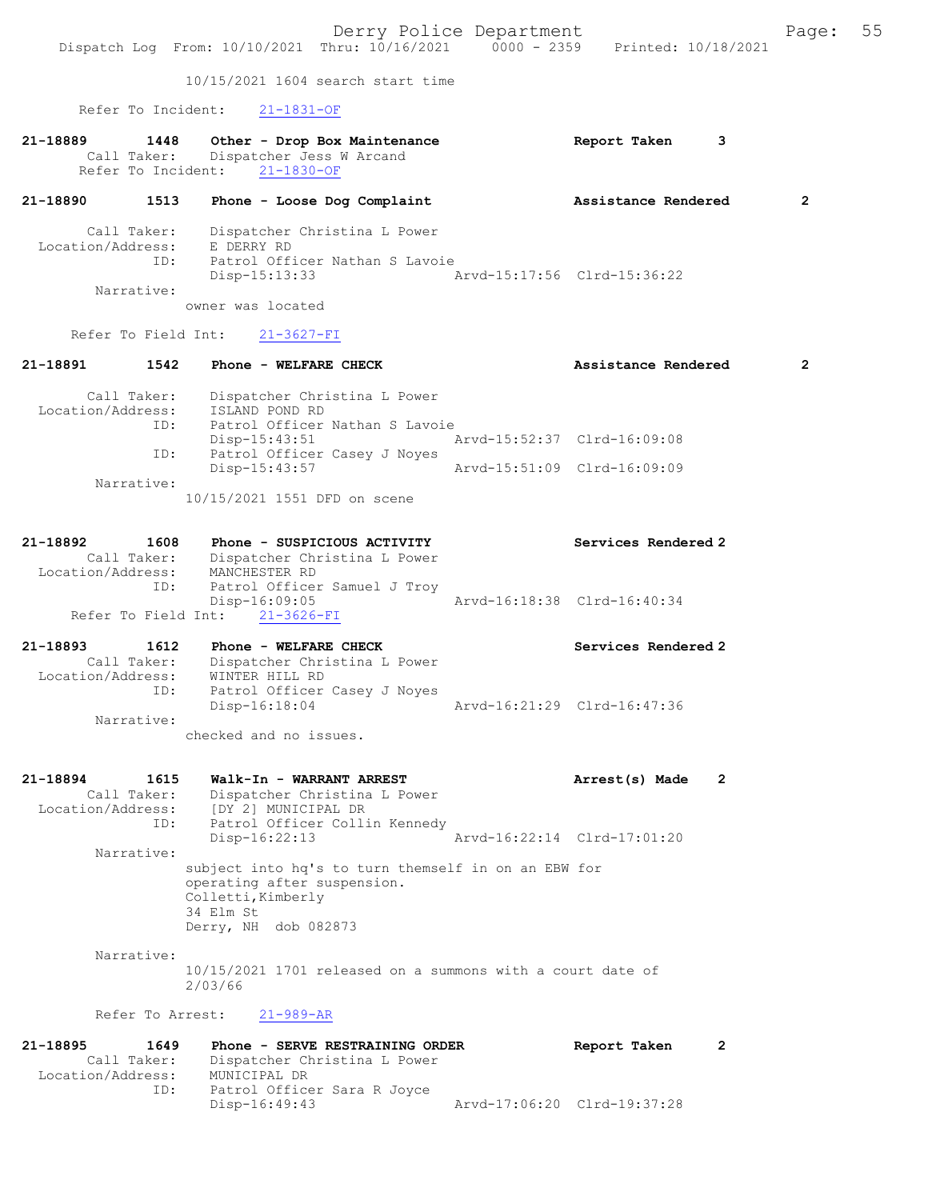Derry Police Department Fage: 55 Dispatch Log From: 10/10/2021 Thru: 10/16/2021 0000 - 2359 Printed: 10/18/2021 10/15/2021 1604 search start time Refer To Incident: 21-1831-OF 21-18889 1448 Other - Drop Box Maintenance Report Taken 3 Call Taker: Dispatcher Jess W Arcand Refer To Incident: 21-1830-OF 21-18890 1513 Phone - Loose Dog Complaint Assistance Rendered 2 Call Taker: Dispatcher Christina L Power Location/Address: E DERRY RD ID: Patrol Officer Nathan S Lavoie Disp-15:13:33 Arvd-15:17:56 Clrd-15:36:22 Narrative: owner was located Refer To Field Int: 21-3627-FI 21-18891 1542 Phone - WELFARE CHECK 2 Assistance Rendered 2 Call Taker: Dispatcher Christina L Power Location/Address: ISLAND POND RD ID: Patrol Officer Nathan S Lavoie Disp-15:43:51 Arvd-15:52:37 Clrd-16:09:08 ID: Patrol Officer Casey J Noyes<br>Disp-15:43:57 Disp-15:43:57 Arvd-15:51:09 Clrd-16:09:09 Narrative: 10/15/2021 1551 DFD on scene 21-18892 1608 Phone - SUSPICIOUS ACTIVITY Services Rendered 2 Call Taker: Dispatcher Christina L Power Location/Address: MANCHESTER RD ID: Patrol Officer Samuel J Troy Disp-16:09:05 Arvd-16:18:38 Clrd-16:40:34 Refer To Field Int: 21-3626-FI 21-18893 1612 Phone - WELFARE CHECK Services Rendered 2 Call Taker: Dispatcher Christina L Power Location/Address: WINTER HILL RD ID: Patrol Officer Casey J Noyes Disp-16:18:04 Narrative: checked and no issues. 21-18894 1615 Walk-In - WARRANT ARREST Name (2) Arrest(s) Made 2 Call Taker: Dispatcher Christina L Power Location/Address: [DY 2] MUNICIPAL DR ID: Patrol Officer Collin Kennedy Disp-16:22:13 Arvd-16:22:14 Clrd-17:01:20 Narrative: subject into hq's to turn themself in on an EBW for operating after suspension. Colletti,Kimberly 34 Elm St Derry, NH dob 082873 Narrative: 10/15/2021 1701 released on a summons with a court date of 2/03/66 Refer To Arrest: 21-989-AR 21-18895 1649 Phone - SERVE RESTRAINING ORDER Report Taken 2 Call Taker: Dispatcher Christina L Power Location/Address: MUNICIPAL DR ID: Patrol Officer Sara R Joyce<br>Disp-16:49:43 Disp-16:49:43 Arvd-17:06:20 Clrd-19:37:28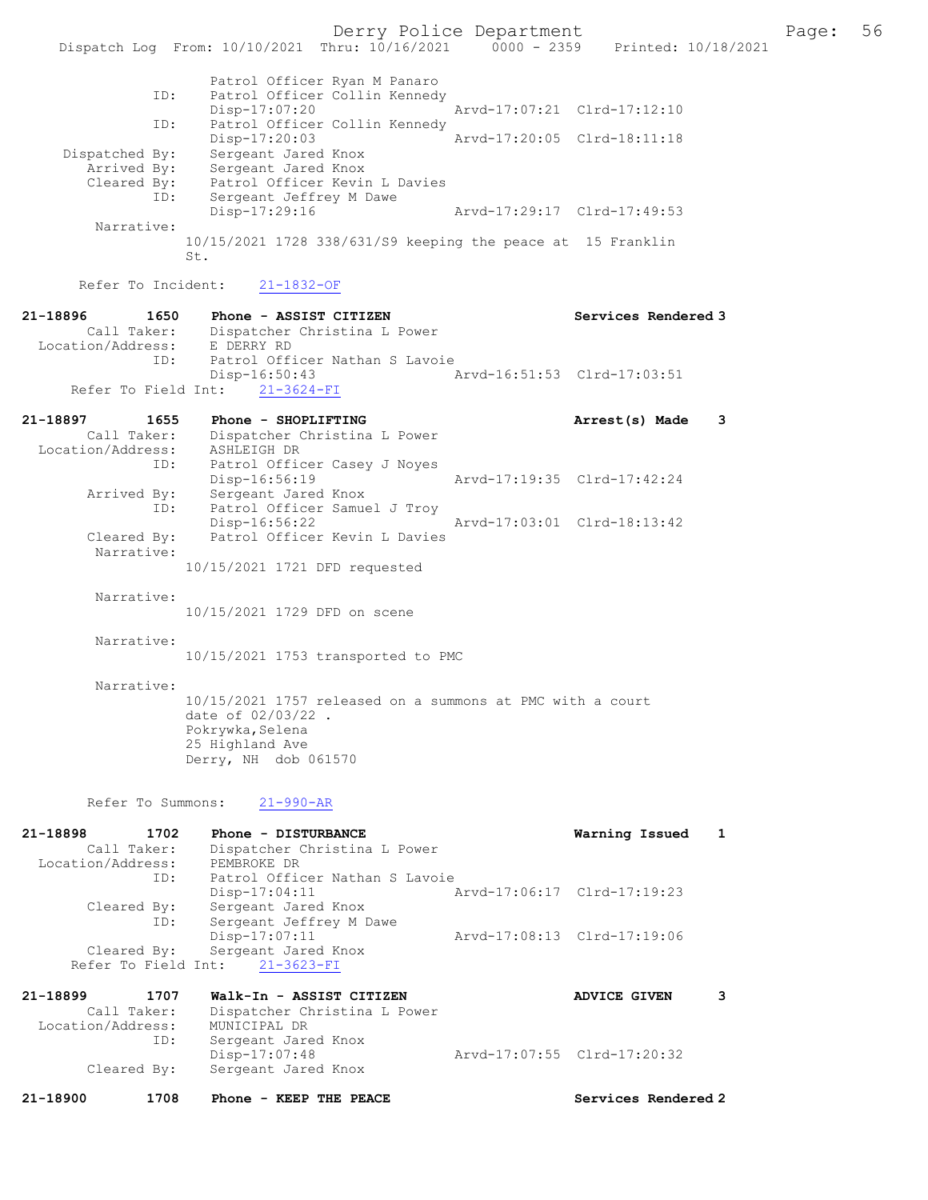Derry Police Department The Page: 56 Dispatch Log From: 10/10/2021 Thru: 10/16/2021 0000 - 2359 Printed: 10/18/2021 Patrol Officer Ryan M Panaro ID: Patrol Officer Collin Kennedy<br>Disp-17:07:20 Disp-17:07:20 Arvd-17:07:21 Clrd-17:12:10 ID: Patrol Officer Collin Kennedy<br>Disp-17:20:03 Disp-17:20:03 Arvd-17:20:05 Clrd-18:11:18 Dispatched By: Sergeant Jared Knox Arrived By: Sergeant Jared Knox Cleared By: Patrol Officer Kevin L Davies ID: Sergeant Jeffrey M Dawe<br>Disp-17:29:16 Disp-17:29:16 Arvd-17:29:17 Clrd-17:49:53 Narrative: 10/15/2021 1728 338/631/S9 keeping the peace at 15 Franklin St. Refer To Incident: 21-1832-OF 21-18896 1650 Phone - ASSIST CITIZEN Services Rendered 3 Call Taker: Dispatcher Christina L Power<br>ion/Address: E DERRY RD Location/Address:<br>ID: Patrol Officer Nathan S Lavoie Disp-16:50:43 Arvd-16:51:53 Clrd-17:03:51 Refer To Field Int:  $21-3624-FI$ 21-18897 1655 Phone - SHOPLIFTING **Arrest(s)** Made 3 Call Taker: Dispatcher Christina L Power Location/Address: ASHLEIGH DR ID: Patrol Officer Casey J Noyes Disp-16:56:19 Arvd-17:19:35 Clrd-17:42:24 Arrived By: Sergeant Jared Knox ID: Patrol Officer Samuel J Troy Disp-16:56:22 Arvd-17:03:01 Clrd-18:13:42 Patrol Officer Kevin L Davies Narrative: 10/15/2021 1721 DFD requested Narrative: 10/15/2021 1729 DFD on scene Narrative: 10/15/2021 1753 transported to PMC Narrative: 10/15/2021 1757 released on a summons at PMC with a court date of 02/03/22 . Pokrywka, Selena 25 Highland Ave Derry, NH dob 061570 Refer To Summons: 21-990-AR 21-18898 1702 Phone - DISTURBANCE Warning Issued 1 Call Taker: Dispatcher Christina L Power Location/Address: PEMBROKE DR ID: Patrol Officer Nathan S Lavoie Disp-17:04:11 Arvd-17:06:17 Clrd-17:19:23 Cleared By: Sergeant Jared Knox ID: Sergeant Jeffrey M Dawe Disp-17:07:11 Arvd-17:08:13 Clrd-17:19:06 Cleared By: Sergeant Jared Knox Refer To Field Int:  $21-3623-FI$ 21-18899 1707 Walk-In - ASSIST CITIZEN ADVICE GIVEN 3 Call Taker: Dispatcher Christina L Power Location/Address: MUNICIPAL DR<br>ID: Sergeant Jare Sergeant Jared Knox Disp-17:07:48 Arvd-17:07:55 Clrd-17:20:32<br>Cleared By: Sergeant Jared Knox Sergeant Jared Knox

21-18900 1708 Phone - KEEP THE PEACE Services Rendered 2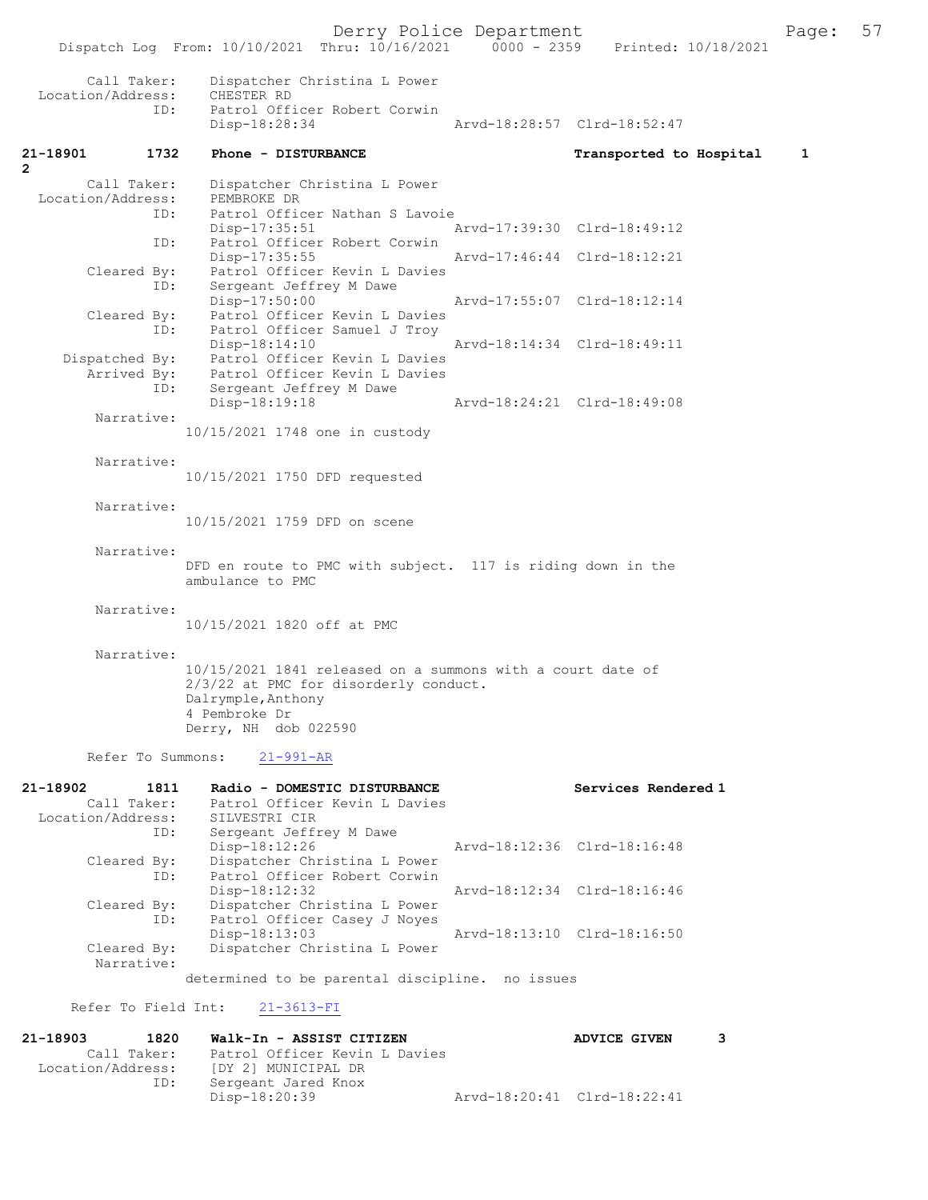|                                              |             | Dispatch Log From: 10/10/2021 Thru: 10/16/2021 0000 - 2359 Printed: 10/18/2021                                                                                     |                             |                         |   |
|----------------------------------------------|-------------|--------------------------------------------------------------------------------------------------------------------------------------------------------------------|-----------------------------|-------------------------|---|
| Call Taker:<br>Location/Address:             | ID:         | Dispatcher Christina L Power<br>CHESTER RD<br>Patrol Officer Robert Corwin                                                                                         |                             |                         |   |
|                                              |             | Disp-18:28:34                                                                                                                                                      | Arvd-18:28:57 Clrd-18:52:47 |                         |   |
| 21-18901<br>2                                | 1732        | Phone - DISTURBANCE                                                                                                                                                |                             | Transported to Hospital | 1 |
| Call Taker:<br>Location/Address:             |             | Dispatcher Christina L Power<br>PEMBROKE DR                                                                                                                        |                             |                         |   |
|                                              | ID:<br>ID:  | Patrol Officer Nathan S Lavoie<br>$Disp-17:35:51$<br>Patrol Officer Robert Corwin                                                                                  | Arvd-17:39:30 Clrd-18:49:12 |                         |   |
| Cleared By:                                  |             | Disp-17:35:55<br>Patrol Officer Kevin L Davies                                                                                                                     | Arvd-17:46:44 Clrd-18:12:21 |                         |   |
|                                              | ID:         | Sergeant Jeffrey M Dawe<br>Disp-17:50:00<br>Cleared By: Patrol Officer Kevin L Davies                                                                              | Arvd-17:55:07 Clrd-18:12:14 |                         |   |
|                                              | ID:         | Patrol Officer Samuel J Troy<br>$Disp-18:14:10$                                                                                                                    | Arvd-18:14:34 Clrd-18:49:11 |                         |   |
|                                              |             | Dispatched By: Patrol Officer Kevin L Davies<br>Arrived By: Patrol Officer Kevin L Davies                                                                          |                             |                         |   |
| Narrative:                                   | ID:         | Sergeant Jeffrey M Dawe<br>Disp-18:19:18                                                                                                                           | Arvd-18:24:21 Clrd-18:49:08 |                         |   |
|                                              |             | 10/15/2021 1748 one in custody                                                                                                                                     |                             |                         |   |
| Narrative:                                   |             | 10/15/2021 1750 DFD requested                                                                                                                                      |                             |                         |   |
| Narrative:                                   |             | 10/15/2021 1759 DFD on scene                                                                                                                                       |                             |                         |   |
| Narrative:                                   |             | DFD en route to PMC with subject. 117 is riding down in the<br>ambulance to PMC                                                                                    |                             |                         |   |
| Narrative:                                   |             | 10/15/2021 1820 off at PMC                                                                                                                                         |                             |                         |   |
| Narrative:                                   |             | 10/15/2021 1841 released on a summons with a court date of<br>2/3/22 at PMC for disorderly conduct.<br>Dalrymple, Anthony<br>4 Pembroke Dr<br>Derry, NH dob 022590 |                             |                         |   |
| Refer To Summons:                            |             | $21 - 991 - AR$                                                                                                                                                    |                             |                         |   |
| 21-18902<br>Call Taker:<br>Location/Address: | 1811<br>ID: | Radio - DOMESTIC DISTURBANCE<br>Patrol Officer Kevin L Davies<br>SILVESTRI CIR<br>Sergeant Jeffrey M Dawe                                                          |                             | Services Rendered 1     |   |
| Cleared By:                                  |             | Disp-18:12:26<br>Dispatcher Christina L Power                                                                                                                      | Arvd-18:12:36 Clrd-18:16:48 |                         |   |

 Cleared By: Dispatcher Christina L Power ID: Patrol Officer Robert Corwin Disp-18:12:32 Arvd-18:12:34 Clrd-18:16:46 Cleared By: Dispatcher Christina L Power ID: Patrol Officer Casey J Noyes Disp-18:13:03 Arvd-18:13:10 Clrd-18:16:50 Cleared By: Dispatcher Christina L Power Narrative:

determined to be parental discipline. no issues

Refer To Field Int: 21-3613-FI

2

| 21-18903          | 1820        | Walk-In - ASSIST CITIZEN      |                             | <b>ADVICE GIVEN</b> | 3. |
|-------------------|-------------|-------------------------------|-----------------------------|---------------------|----|
|                   | Call Taker: | Patrol Officer Kevin L Davies |                             |                     |    |
| Location/Address: |             | [DY 2] MUNICIPAL DR           |                             |                     |    |
|                   | ID:         | Sergeant Jared Knox           |                             |                     |    |
|                   |             | Disp-18:20:39                 | Arvd-18:20:41 Clrd-18:22:41 |                     |    |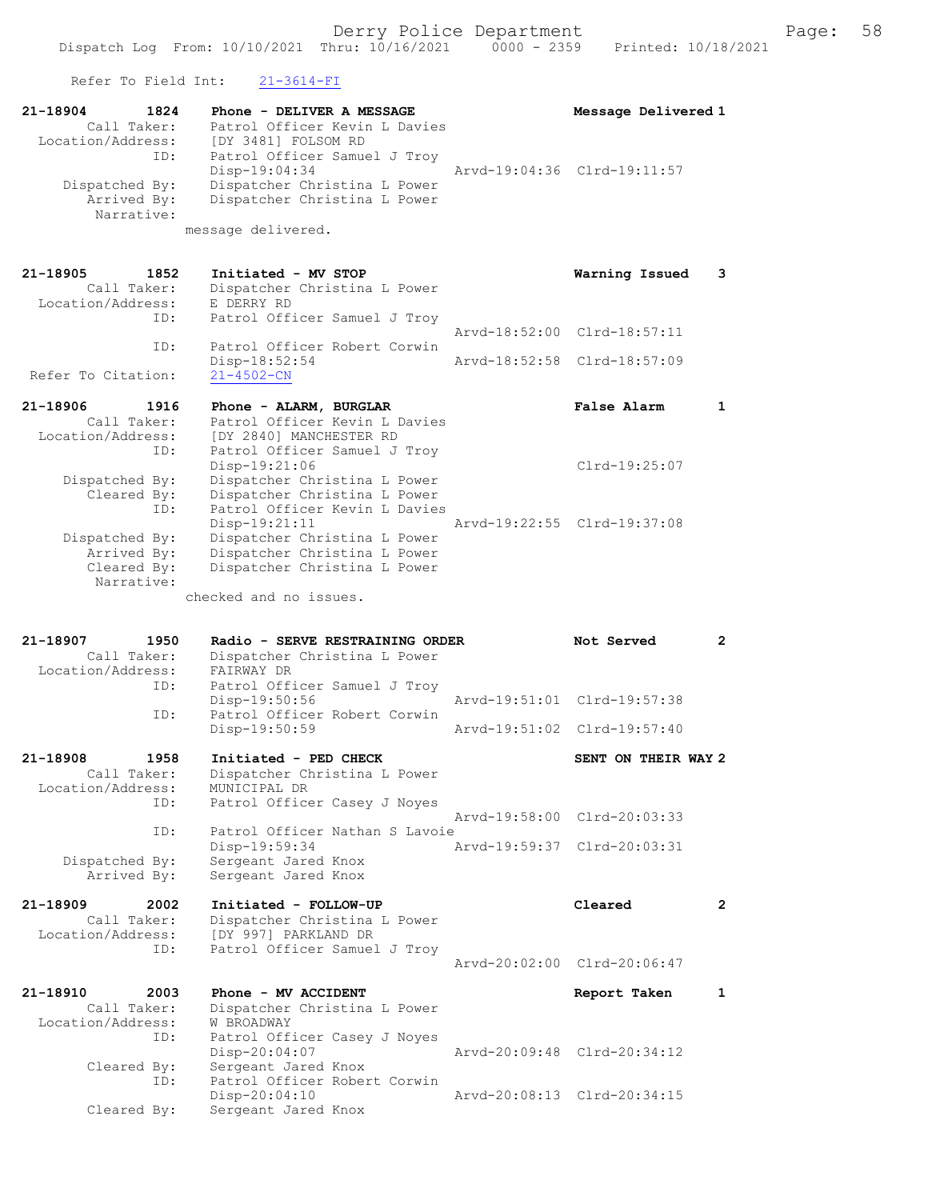| Refer To Field Int:                                                                                                                                               | $21 - 3614 - FI$                                                                                                                                                                                                                                                                                                                                                                  |                                                                              |   |
|-------------------------------------------------------------------------------------------------------------------------------------------------------------------|-----------------------------------------------------------------------------------------------------------------------------------------------------------------------------------------------------------------------------------------------------------------------------------------------------------------------------------------------------------------------------------|------------------------------------------------------------------------------|---|
| 21-18904<br>1824<br>Call Taker:<br>Location/Address:<br>ID:<br>Dispatched By:<br>Arrived By:<br>Narrative:                                                        | Phone - DELIVER A MESSAGE<br>Patrol Officer Kevin L Davies<br>[DY 3481] FOLSOM RD<br>Patrol Officer Samuel J Troy<br>Disp-19:04:34<br>Dispatcher Christina L Power<br>Dispatcher Christina L Power<br>message delivered.                                                                                                                                                          | Message Delivered 1<br>Arvd-19:04:36 Clrd-19:11:57                           |   |
| 21-18905<br>1852<br>Call Taker:<br>Location/Address:<br>ID:<br>ID:                                                                                                | Initiated - MV STOP<br>Dispatcher Christina L Power<br>E DERRY RD<br>Patrol Officer Samuel J Troy<br>Patrol Officer Robert Corwin<br>Disp-18:52:54                                                                                                                                                                                                                                | Warning Issued<br>Arvd-18:52:00 Clrd-18:57:11<br>Arvd-18:52:58 Clrd-18:57:09 | 3 |
| Refer To Citation:                                                                                                                                                | $21 - 4502 - CN$                                                                                                                                                                                                                                                                                                                                                                  |                                                                              |   |
| 21-18906<br>1916<br>Call Taker:<br>Location/Address:<br>ID:<br>Dispatched By:<br>Cleared By:<br>ID:<br>Dispatched By:<br>Arrived By:<br>Cleared By:<br>Narrative: | Phone - ALARM, BURGLAR<br>Patrol Officer Kevin L Davies<br>[DY 2840] MANCHESTER RD<br>Patrol Officer Samuel J Troy<br>Disp-19:21:06<br>Dispatcher Christina L Power<br>Dispatcher Christina L Power<br>Patrol Officer Kevin L Davies<br>$Disp-19:21:11$<br>Dispatcher Christina L Power<br>Dispatcher Christina L Power<br>Dispatcher Christina L Power<br>checked and no issues. | False Alarm<br>Clrd-19:25:07<br>Arvd-19:22:55 Clrd-19:37:08                  | 1 |
|                                                                                                                                                                   |                                                                                                                                                                                                                                                                                                                                                                                   |                                                                              |   |
| 21-18907<br>1950<br>Call Taker:<br>Location/Address:<br>ID:<br>ID:                                                                                                | Radio - SERVE RESTRAINING ORDER<br>Dispatcher Christina L Power<br>FAIRWAY DR<br>Patrol Officer Samuel J Troy<br>Disp-19:50:56<br>Patrol Officer Robert Corwin<br>Disp-19:50:59                                                                                                                                                                                                   | Not Served<br>Arvd-19:51:01 Clrd-19:57:38<br>Arvd-19:51:02 Clrd-19:57:40     | 2 |
| 1958<br>21-18908                                                                                                                                                  | Initiated - PED CHECK                                                                                                                                                                                                                                                                                                                                                             | SENT ON THEIR WAY 2                                                          |   |
| Call Taker:<br>Location/Address:<br>ID:<br>ID:<br>Dispatched By:<br>Arrived By:                                                                                   | Dispatcher Christina L Power<br>MUNICIPAL DR<br>Patrol Officer Casey J Noyes<br>Patrol Officer Nathan S Lavoie<br>Disp-19:59:34<br>Sergeant Jared Knox<br>Sergeant Jared Knox                                                                                                                                                                                                     | Arvd-19:58:00 Clrd-20:03:33<br>Arvd-19:59:37 Clrd-20:03:31                   |   |
| 21-18909<br>2002                                                                                                                                                  | Initiated - FOLLOW-UP                                                                                                                                                                                                                                                                                                                                                             | Cleared                                                                      | 2 |
| Call Taker:<br>Location/Address:<br>ID:                                                                                                                           | Dispatcher Christina L Power<br>[DY 997] PARKLAND DR<br>Patrol Officer Samuel J Troy                                                                                                                                                                                                                                                                                              | Arvd-20:02:00 Clrd-20:06:47                                                  |   |
| 21-18910<br>2003                                                                                                                                                  | Phone - MV ACCIDENT                                                                                                                                                                                                                                                                                                                                                               | Report Taken                                                                 | 1 |
| Call Taker:<br>Location/Address:<br>ID:<br>Cleared By:<br>ID:                                                                                                     | Dispatcher Christina L Power<br>W BROADWAY<br>Patrol Officer Casey J Noyes<br>Disp-20:04:07<br>Sergeant Jared Knox<br>Patrol Officer Robert Corwin                                                                                                                                                                                                                                | Arvd-20:09:48 Clrd-20:34:12                                                  |   |

Disp-20:04:10 Arvd-20:08:13 Clrd-20:34:15

Cleared By: Sergeant Jared Knox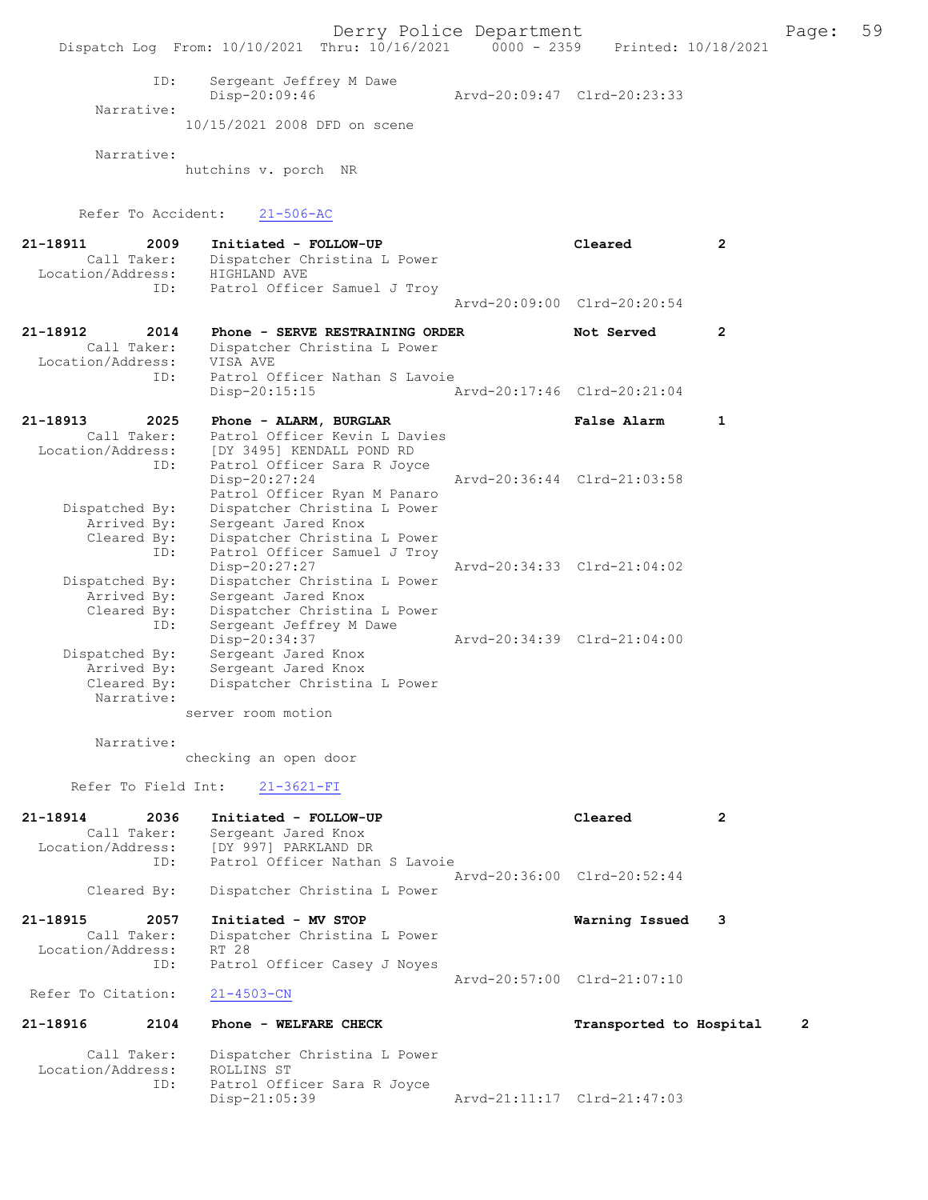ID: Sergeant Jeffrey M Dawe Disp-20:09:46 Arvd-20:09:47 Clrd-20:23:33 Narrative:

10/15/2021 2008 DFD on scene

Narrative:

hutchins v. porch NR

Refer To Accident: 21-506-AC

| 21-18911<br>2009    | Initiated - FOLLOW-UP                                        | Cleared                     | $\overline{2}$ |
|---------------------|--------------------------------------------------------------|-----------------------------|----------------|
| Call Taker:         | Dispatcher Christina L Power                                 |                             |                |
| Location/Address:   | HIGHLAND AVE                                                 |                             |                |
| ID:                 | Patrol Officer Samuel J Troy                                 |                             |                |
|                     |                                                              | Arvd-20:09:00 Clrd-20:20:54 |                |
| 21-18912<br>2014    | Phone - SERVE RESTRAINING ORDER                              | Not Served                  | $\overline{2}$ |
| Call Taker:         | Dispatcher Christina L Power                                 |                             |                |
| Location/Address:   | VISA AVE                                                     |                             |                |
| ID:                 | Patrol Officer Nathan S Lavoie                               |                             |                |
|                     | $Disp-20:15:15$                                              | Arvd-20:17:46 Clrd-20:21:04 |                |
| 21-18913<br>2025    | Phone - ALARM, BURGLAR                                       | False Alarm                 | 1              |
| Call Taker:         | Patrol Officer Kevin L Davies                                |                             |                |
| Location/Address:   | [DY 3495] KENDALL POND RD                                    |                             |                |
| ID:                 | Patrol Officer Sara R Joyce                                  |                             |                |
|                     | Disp-20:27:24                                                | Arvd-20:36:44 Clrd-21:03:58 |                |
|                     | Patrol Officer Ryan M Panaro                                 |                             |                |
| Dispatched By:      | Dispatcher Christina L Power                                 |                             |                |
| Arrived By:         | Sergeant Jared Knox                                          |                             |                |
| Cleared By:<br>ID:  | Dispatcher Christina L Power<br>Patrol Officer Samuel J Troy |                             |                |
|                     | Disp-20:27:27                                                | Arvd-20:34:33 Clrd-21:04:02 |                |
| Dispatched By:      | Dispatcher Christina L Power                                 |                             |                |
| Arrived By:         | Sergeant Jared Knox                                          |                             |                |
| Cleared By:         | Dispatcher Christina L Power                                 |                             |                |
| ID:                 | Sergeant Jeffrey M Dawe                                      |                             |                |
|                     | Disp-20:34:37                                                | Arvd-20:34:39 Clrd-21:04:00 |                |
| Dispatched By:      | Sergeant Jared Knox                                          |                             |                |
| Arrived By:         | Sergeant Jared Knox                                          |                             |                |
| Cleared By:         | Dispatcher Christina L Power                                 |                             |                |
| Narrative:          |                                                              |                             |                |
|                     | server room motion                                           |                             |                |
| Narrative:          |                                                              |                             |                |
|                     | checking an open door                                        |                             |                |
|                     |                                                              |                             |                |
| Refer To Field Int: | $21 - 3621 - FI$                                             |                             |                |
| 21-18914<br>2036    | Initiated - FOLLOW-UP                                        | Cleared                     | $\overline{2}$ |
| Call Taker:         | Sergeant Jared Knox                                          |                             |                |
| Location/Address:   | [DY 997] PARKLAND DR                                         |                             |                |
| ID:                 | Patrol Officer Nathan S Lavoie                               |                             |                |
|                     |                                                              | Arvd-20:36:00 Clrd-20:52:44 |                |
| Cleared By:         | Dispatcher Christina L Power                                 |                             |                |
| 21-18915<br>2057    | Initiated - MV STOP                                          | Warning Issued              | 3              |
| Call Taker:         | Dispatcher Christina L Power                                 |                             |                |
| Location/Address:   | RT 28                                                        |                             |                |
| ID:                 | Patrol Officer Casey J Noyes                                 | Arvd-20:57:00 Clrd-21:07:10 |                |
| Refer To Citation:  | $21 - 4503 - CN$                                             |                             |                |

## 21-18916 2104 Phone - WELFARE CHECK Transported to Hospital 2

 Call Taker: Dispatcher Christina L Power Location/Address: ROLLINS ST ID: Patrol Officer Sara R Joyce Disp-21:05:39 Arvd-21:11:17 Clrd-21:47:03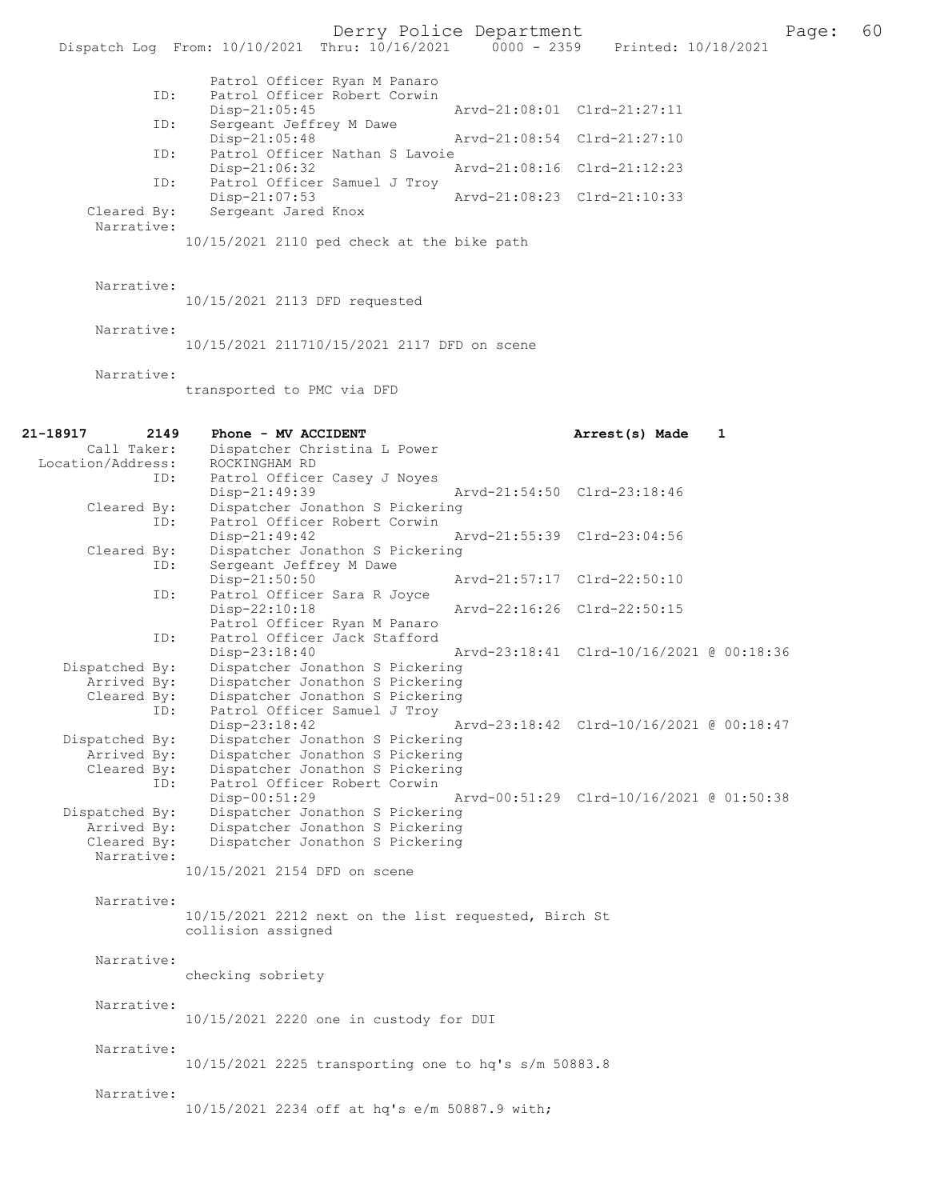Derry Police Department<br>hru:  $10/16/2021$  0000 - 2359 Printed:  $10/18/2021$  60 Dispatch Log From: 10/10/2021 Thru: 10/16/2021 Patrol Officer Ryan M Panaro ID: Patrol Officer Robert Corwin<br>Disp-21:05:45 Disp-21:05:45 Arvd-21:08:01 Clrd-21:27:11<br>ID: Sergeant Jeffrey M Dawe Sergeant Jeffrey M Dawe<br>Disp-21:05:48 Disp-21:05:48 Arvd-21:08:54 Clrd-21:27:10<br>ID: Patrol Officer Nathan S Lavoie Patrol Officer Nathan S Lavoie Disp-21:06:32 Arvd-21:08:16 Clrd-21:12:23 ID: Patrol Officer Samuel J Troy<br>Disp-21:07:53 Disp-21:07:53 Arvd-21:08:23 Cleared By: Sergeant Jared Knox Arvd-21:08:23 Clrd-21:10:33 Sergeant Jared Knox Narrative: 10/15/2021 2110 ped check at the bike path Narrative: 10/15/2021 2113 DFD requested Narrative: 10/15/2021 211710/15/2021 2117 DFD on scene Narrative: transported to PMC via DFD 21-18917 2149 Phone - MV ACCIDENT 2149 21-18917 2149 Phone - MV ACCIDENT 21-18917 2149 Phone - MV ACCIDENT Dispatcher Christina L Power Location/Address: ROCKINGHAM RD ID: Patrol Officer Casey J Noyes<br>Disp-21:49:39 Disp-21:49:39 Arvd-21:54:50 Cleared By: Dispatcher Jonathon S Pickering Dispatcher Jonathon S Pickering ID: Patrol Officer Robert Corwin Disp-21:49:42 Arvd-21:55:39 Clrd-23:04:56 Cleared By: Dispatcher Jonathon S Pickering<br>TD: Sergeant Jeffrey M Dawe Sergeant Jeffrey M Dawe<br>Disp-21:50:50 Disp-21:50:50 Arvd-21:57:17 Clrd-22:50:10 ID: Patrol Officer Sara R Joyce Disp-22:10:18 Arvd-22:16:26 Clrd-22:50:15 Patrol Officer Ryan M Panaro ID: Patrol Officer Jack Stafford Disp-23:18:40 Arvd-23:18:41 Clrd-10/16/2021 @ 00:18:36<br>Dispatched By: Dispatcher Jonathon S Pickering Dispatcher Jonathon S Pickering Arrived By: Dispatcher Jonathon S Pickering Cleared By: Dispatcher Jonathon S Pickering ID: Patrol Officer Samuel J Troy<br>Disp-23:18:42 Disp-23:18:42 Arvd-23:18:42 Ard-23:18:42 Clrd-10/16/2021 @ 00:18:47<br>Dispatched By: Dispatcher Jonathon S Pickering Dispatcher Jonathon S Pickering Arrived By: Dispatcher Jonathon S Pickering<br>Cleared Bv: Dispatcher Jonathon S Pickering By: Dispatcher Jonathon S Pickering<br>ID: Patrol Officer Robert Corwin Patrol Officer Robert Corwin<br>Disp-00:51:29 Disp-00:51:29 Arvd-00:51:29 Clrd-10/16/2021 @ 01:50:38 Dispatched By: Dispatcher Jonathon S Pickering Arrived By: Dispatcher Jonathon S Pickering<br>Cleared Bv: Dispatcher Jonathon S Pickering Dispatcher Jonathon S Pickering Narrative: 10/15/2021 2154 DFD on scene Narrative: 10/15/2021 2212 next on the list requested, Birch St collision assigned Narrative: checking sobriety Narrative: 10/15/2021 2220 one in custody for DUI Narrative: 10/15/2021 2225 transporting one to hq's s/m 50883.8 Narrative: 10/15/2021 2234 off at hq's e/m 50887.9 with;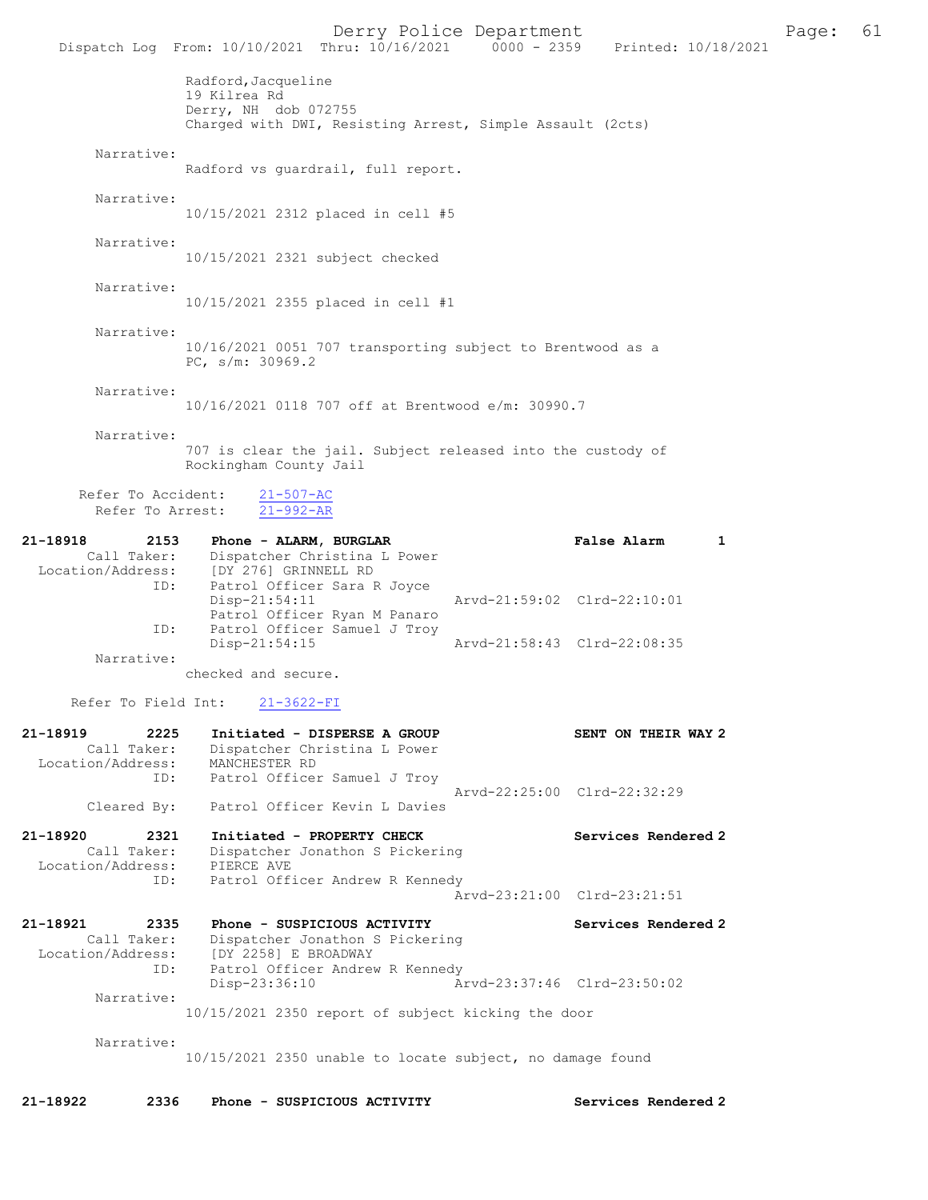Derry Police Department Fage: 61 Dispatch Log From: 10/10/2021 Thru: 10/16/2021 0000 - 2359 Printed: 10/18/2021 Radford, Jacqueline 19 Kilrea Rd Derry, NH dob 072755 Charged with DWI, Resisting Arrest, Simple Assault (2cts) Narrative: Radford vs guardrail, full report. Narrative: 10/15/2021 2312 placed in cell #5 Narrative: 10/15/2021 2321 subject checked Narrative: 10/15/2021 2355 placed in cell #1 Narrative: 10/16/2021 0051 707 transporting subject to Brentwood as a PC, s/m: 30969.2 Narrative: 10/16/2021 0118 707 off at Brentwood e/m: 30990.7 Narrative: 707 is clear the jail. Subject released into the custody of Rockingham County Jail Refer To Accident: 21-507-AC Refer To Arrest: 21-992-AR 21-18918 2153 Phone - ALARM, BURGLAR False Alarm 1 Call Taker: Dispatcher Christina L Power Location/Address: [DY 276] GRINNELL RD ID: Patrol Officer Sara R Joyce Disp-21:54:11 Arvd-21:59:02 Clrd-22:10:01 Patrol Officer Ryan M Panaro ID: Patrol Officer Samuel J Troy<br>Disp-21:54:15 Arvd-21:58:43 Clrd-22:08:35 Narrative: checked and secure. Refer To Field Int: 21-3622-FI 21-18919 2225 Initiated - DISPERSE A GROUP SENT ON THEIR WAY 2 Call Taker: Dispatcher Christina L Power Location/Address: MANCHESTER RD ID: Patrol Officer Samuel J Troy Arvd-22:25:00 Clrd-22:32:29 Cleared By: Patrol Officer Kevin L Davies 21-18920 2321 Initiated - PROPERTY CHECK Services Rendered 2 Call Taker: Dispatcher Jonathon S Pickering Location/Address: PIERCE AVE ID: Patrol Officer Andrew R Kennedy Arvd-23:21:00 Clrd-23:21:51 21-18921 2335 Phone - SUSPICIOUS ACTIVITY Services Rendered 2 Call Taker: Dispatcher Jonathon S Pickering Location/Address: [DY 2258] E BROADWAY ID: Patrol Officer Andrew R Kennedy Disp-23:36:10 Arvd-23:37:46 Clrd-23:50:02 Narrative: 10/15/2021 2350 report of subject kicking the door Narrative: 10/15/2021 2350 unable to locate subject, no damage found

21-18922 2336 Phone - SUSPICIOUS ACTIVITY Services Rendered 2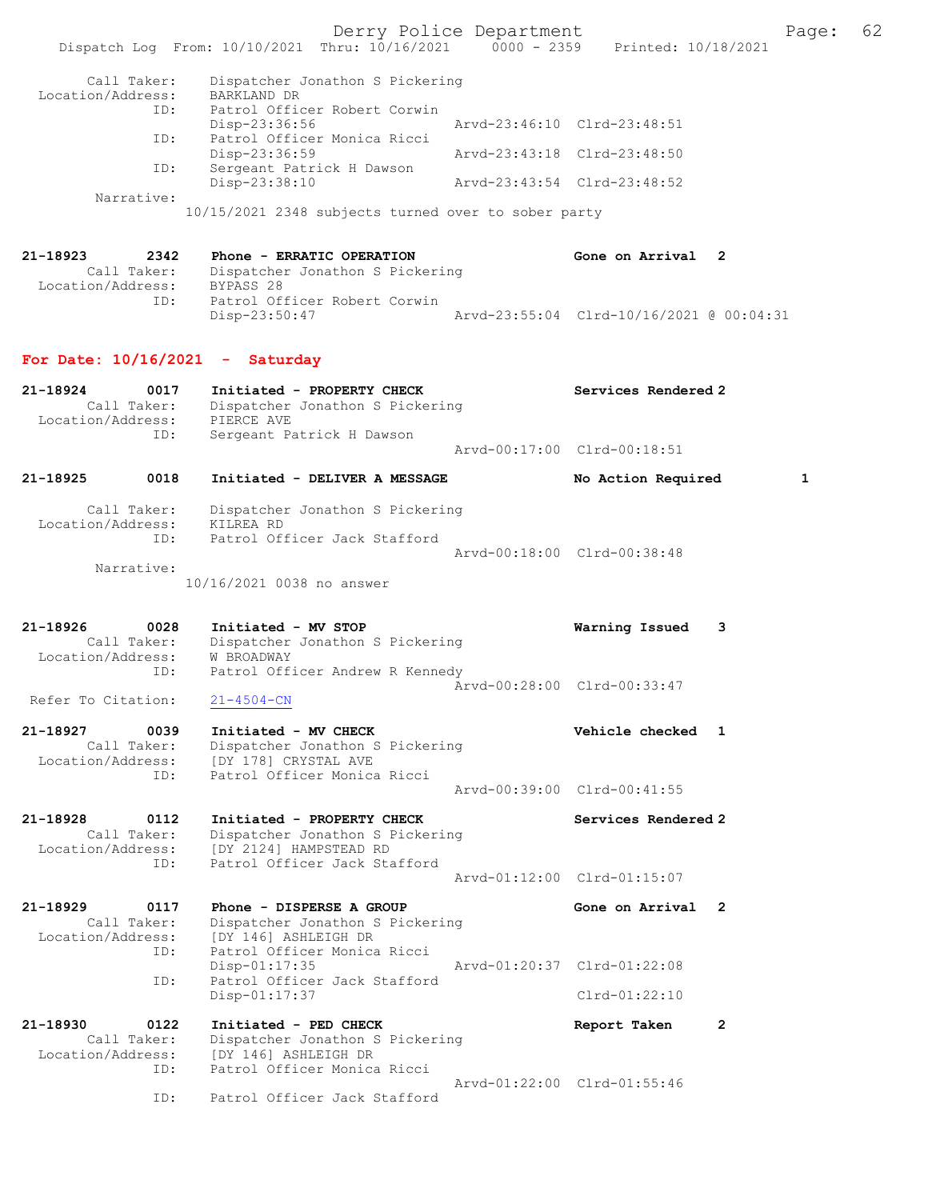Derry Police Department Fage: 62 Dispatch Log From: 10/10/2021 Thru: 10/16/2021 0000 - 2359 Printed: 10/18/2021 Call Taker: Dispatcher Jonathon S Pickering Location/Address: BARKLAND DR ID: Patrol Officer Robert Corwin Disp-23:36:56 Arvd-23:46:10 Clrd-23:48:51 ID: Patrol Officer Monica Ricci Disp-23:36:59 Arvd-23:43:18 Clrd-23:48:50 ID: Sergeant Patrick H Dawson Disp-23:38:10 Arvd-23:43:54 Clrd-23:48:52 Narrative: 10/15/2021 2348 subjects turned over to sober party 21-18923 2342 Phone - ERRATIC OPERATION Gone on Arrival 2 Call Taker: Dispatcher Jonathon S Pickering -18923<br>Call Taker: Disparcion<br>Location/Address: BYPASS 28<br>ID: Patrol Off Patrol Officer Robert Corwin<br>Disp-23:50:47 Arvd-23:55:04 Clrd-10/16/2021 @ 00:04:31 For Date:  $10/16/2021$  - Saturday 21-18924 0017 Initiated - PROPERTY CHECK Services Rendered 2 Call Taker: Dispatcher Jonathon S Pickering Location/Address: PIERCE AVE ID: Sergeant Patrick H Dawson Arvd-00:17:00 Clrd-00:18:51 21-18925 0018 Initiated - DELIVER A MESSAGE No Action Required 1 Call Taker: Dispatcher Jonathon S Pickering Location/Address: KILREA RD ID: Patrol Officer Jack Stafford Arvd-00:18:00 Clrd-00:38:48 Narrative: 10/16/2021 0038 no answer 21-18926 0028 Initiated - MV STOP Warning Issued 3 Call Taker: Dispatcher Jonathon S Pickering Location/Address: W BROADWAY ess: w produmal<br>ID: Patrol Officer Andrew R Kennedy  $\bar{A}rvd-00:28:00$  Clrd-00:33:47<br>21-4504-CN Refer To Citation: 21-18927 0039 Initiated - MV CHECK Vehicle checked 1 Call Taker: Dispatcher Jonathon S Pickering Location/Address: [DY 178] CRYSTAL AVE ID: Patrol Officer Monica Ricci Arvd-00:39:00 Clrd-00:41:55 21-18928 0112 Initiated - PROPERTY CHECK Services Rendered 2 Call Taker: Dispatcher Jonathon S Pickering Location/Address: [DY 2124] HAMPSTEAD RD ID: Patrol Officer Jack Stafford Arvd-01:12:00 Clrd-01:15:07 21-18929 0117 Phone - DISPERSE A GROUP Cone on Arrival 2 Call Taker: Dispatcher Jonathon S Pickering<br>Location/Address: [DY 146] ASHLEIGH DR Lopuller vonathon S<br>SS: [DY 146] ASHLEIGH DR<br>ID: Patrol Officer Monica Patrol Officer Monica Ricci<br>Disp-01:17:35 Disp-01:17:35 Arvd-01:20:37 Clrd-01:22:08 ID: Patrol Officer Jack Stafford Disp-01:17:37 Clrd-01:22:10 21-18930 0122 Initiated - PED CHECK Report Taken 2 Call Taker: Dispatcher Jonathon S Pickering<br>in (idducts) [DV 146] 19W FIGU PP Location/Address: [DY 146] ASHLEIGH DR ID: Patrol Officer Monica Ricci Arvd-01:22:00 Clrd-01:55:46 Patrol Officer Jack Stafford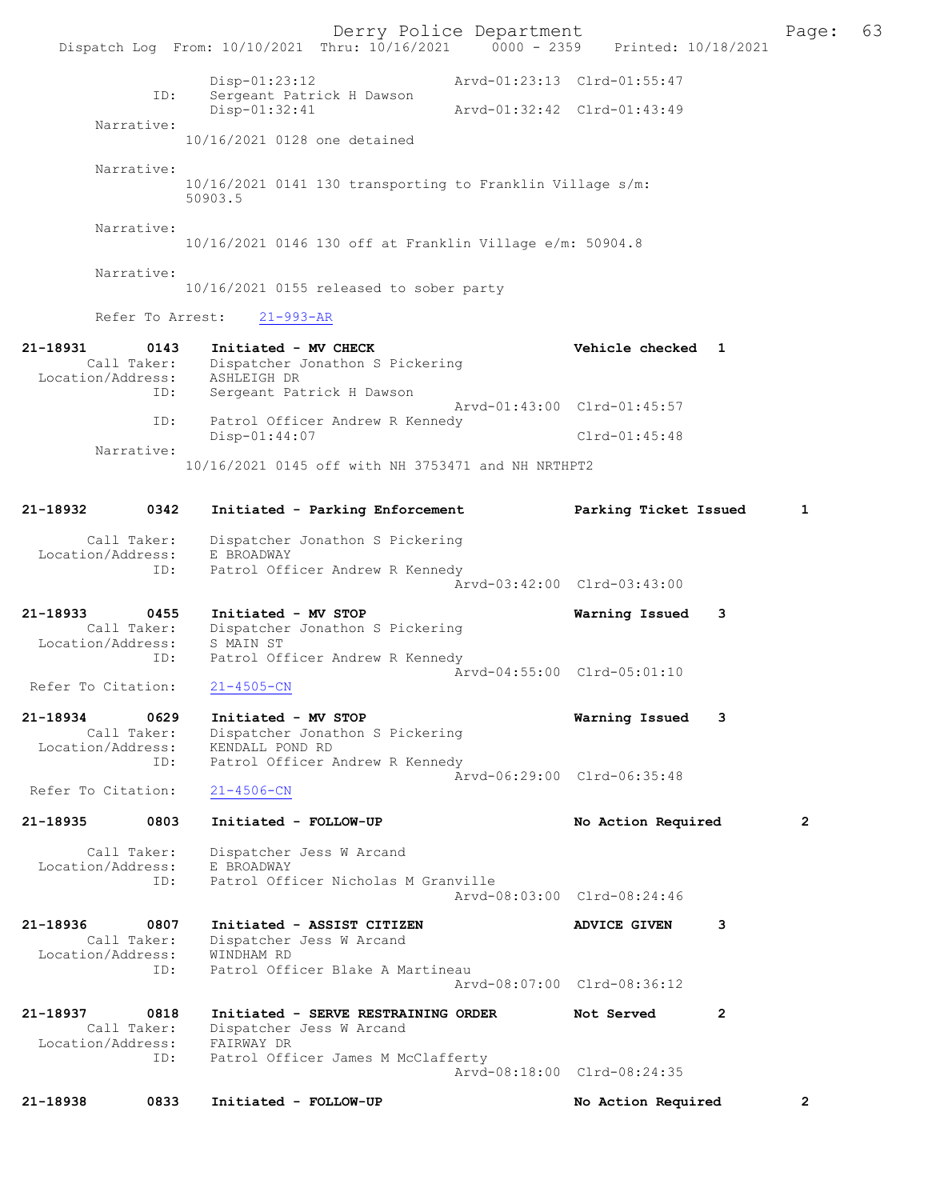Derry Police Department The Page: 63 Dispatch Log From:  $10/10/2021$  Thru:  $10/16/2021$  0000 - 2359 Printed: 10/18/2021 Disp-01:23:12 Arvd-01:23:13 Clrd-01:55:47 ID: Sergeant Patrick H Dawson Disp-01:32:41 Arvd-01:32:42 Clrd-01:43:49 Narrative: 10/16/2021 0128 one detained Narrative: 10/16/2021 0141 130 transporting to Franklin Village s/m: 50903.5 Narrative: 10/16/2021 0146 130 off at Franklin Village e/m: 50904.8 Narrative: 10/16/2021 0155 released to sober party Refer To Arrest: 21-993-AR 21-18931 0143 Initiated - MV CHECK Vehicle checked 1 Call Taker: Dispatcher Jonathon S Pickering Location/Address: ASHLEIGH DR<br>ID: Sergeant Pat Sergeant Patrick H Dawson Arvd-01:43:00 Clrd-01:45:57 ID: Patrol Officer Andrew R Kennedy Disp-01:44:07 Clrd-01:45:48 Narrative: 10/16/2021 0145 off with NH 3753471 and NH NRTHPT2 21-18932 0342 Initiated - Parking Enforcement Parking Ticket Issued 1 Call Taker: Dispatcher Jonathon S Pickering Location/Address: E BROADWAY<br>ID: Patrol Off: Patrol Officer Andrew R Kennedy Arvd-03:42:00 Clrd-03:43:00 21-18933 0455 Initiated - MV STOP Warning Issued 3 Call Taker: Dispatcher Jonathon S Pickering Location/Address: S MAIN ST ID: Patrol Officer Andrew R Kennedy Arvd-04:55:00 Clrd-05:01:10<br>21-4505-CN Refer To Citation: 21-18934 0629 Initiated - MV STOP Warning Issued 3 Call Taker: Dispatcher Jonathon S Pickering Location/Address: KENDALL POND RD<br>TD: Patrol Officer Z Patrol Officer Andrew R Kennedy Arvd-06:29:00 Clrd-06:35:48 Refer To Citation: 21-4506-CN 21-18935 0803 Initiated - FOLLOW-UP No Action Required 2 Call Taker: Dispatcher Jess W Arcand<br>ion/Address: E BROADWAY Location/Address:<br>ID: Patrol Officer Nicholas M Granville Arvd-08:03:00 Clrd-08:24:46 21-18936 0807 Initiated - ASSIST CITIZEN ADVICE GIVEN 3 Call Taker: Dispatcher Jess W Arcand Location/Address: WINDHAM RD<br>TD: Patrol Offi Patrol Officer Blake A Martineau Arvd-08:07:00 Clrd-08:36:12 21-18937 0818 Initiated - SERVE RESTRAINING ORDER Not Served 2 Call Taker: Dispatcher Jess W Arcand Location/Address: FAIRWAY DR ID: Patrol Officer James M McClafferty Arvd-08:18:00 Clrd-08:24:35 21-18938 0833 Initiated - FOLLOW-UP No Action Required 2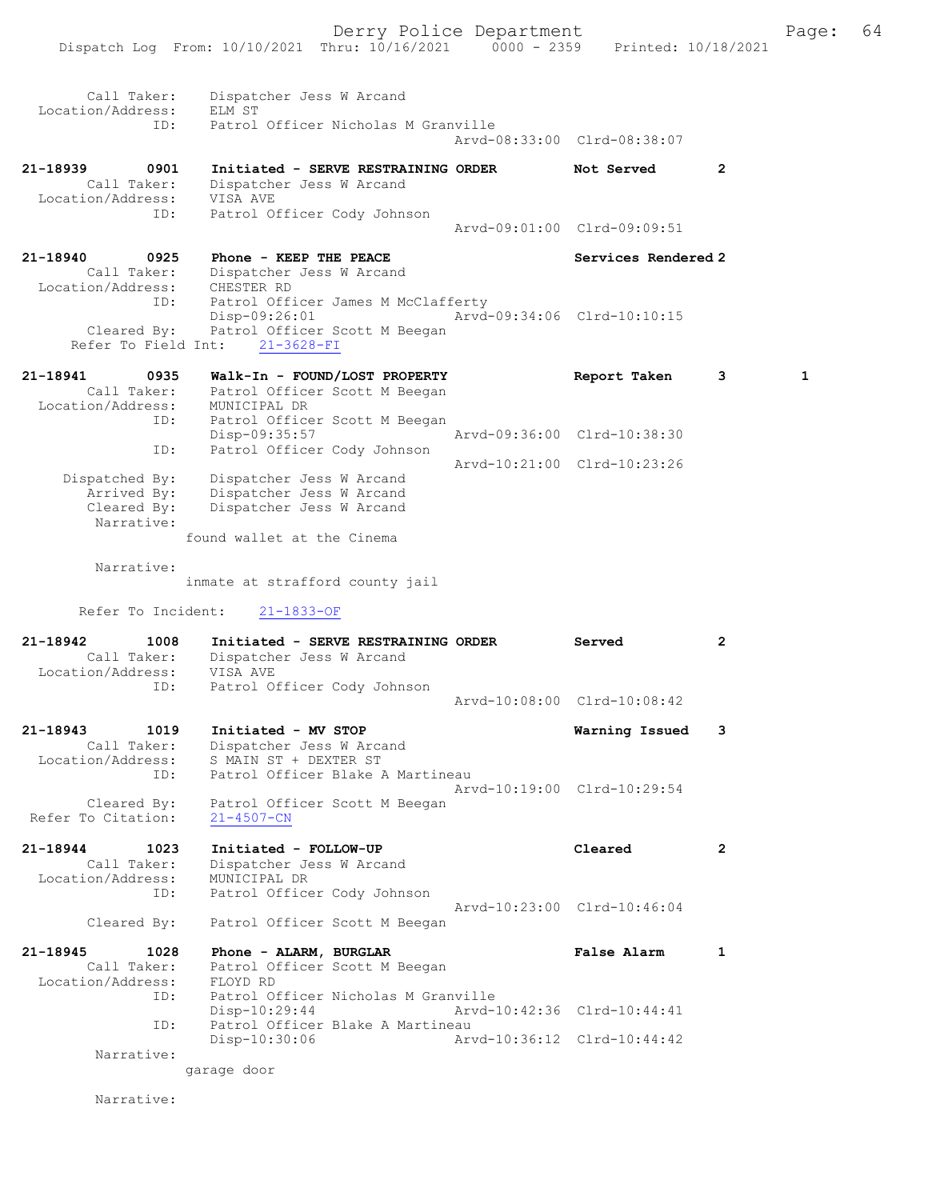21-18939 0901 Initiated - SERVE RESTRAINING ORDER Not Served 2 Call Taker: Dispatcher Jess W Arcand Location/Address: VISA AVE ID: Patrol Officer Cody Johnson Arvd-09:01:00 Clrd-09:09:51 21-18940 0925 Phone - KEEP THE PEACE Services Rendered 2

 Call Taker: Dispatcher Jess W Arcand Location/Address: CHESTER RD ID: Patrol Officer James M McClafferty Disp-09:26:01 Arvd-09:34:06 Clrd-10:10:15 Cleared By: Patrol Officer Scott M Beegan Refer To Field Int: 21-3628-FI

| 21-18941          | 0935           | Walk-In - FOUND/LOST PROPERTY | Report Taken                | 3 |  |
|-------------------|----------------|-------------------------------|-----------------------------|---|--|
|                   | Call Taker:    | Patrol Officer Scott M Beegan |                             |   |  |
| Location/Address: |                | MUNICIPAL DR                  |                             |   |  |
|                   | ID:            | Patrol Officer Scott M Beegan |                             |   |  |
|                   |                | Disp-09:35:57                 | Arvd-09:36:00 Clrd-10:38:30 |   |  |
|                   | ID:            | Patrol Officer Cody Johnson   |                             |   |  |
|                   |                |                               | Arvd-10:21:00 Clrd-10:23:26 |   |  |
|                   | Dispatched By: | Dispatcher Jess W Arcand      |                             |   |  |
|                   | Arrived By:    | Dispatcher Jess W Arcand      |                             |   |  |
|                   | Cleared By:    | Dispatcher Jess W Arcand      |                             |   |  |
|                   | Narrative:     |                               |                             |   |  |

found wallet at the Cinema

Narrative:

inmate at strafford county jail

Refer To Incident: 21-1833-OF

| 21-18942<br>1008<br>Call Taker:<br>Location/Address: VISA AVE<br>ID: | Initiated - SERVE RESTRAINING ORDER<br>Dispatcher Jess W Arcand<br>Patrol Officer Cody Johnson   | Served                      | $\overline{2}$          |
|----------------------------------------------------------------------|--------------------------------------------------------------------------------------------------|-----------------------------|-------------------------|
|                                                                      |                                                                                                  | Arvd-10:08:00 Clrd-10:08:42 |                         |
| 21-18943 1019<br>Call Taker:<br>Location/Address:                    | Initiated - MV STOP<br>Dispatcher Jess W Arcand<br>S MAIN ST + DEXTER ST                         | Warning Issued              | $\overline{\mathbf{3}}$ |
| ID:<br>Cleared By:<br>Refer To Citation:                             | Patrol Officer Blake A Martineau<br>Patrol Officer Scott M Beegan<br>$21 - 4507 - CN$            | Arvd-10:19:00 Clrd-10:29:54 |                         |
| 21-18944 1023<br>Call Taker:<br>Location/Address:<br>ID:             | Initiated - FOLLOW-UP<br>Dispatcher Jess W Arcand<br>MUNICIPAL DR<br>Patrol Officer Cody Johnson | Cleared                     | $\overline{2}$          |
| Cleared By:                                                          | Patrol Officer Scott M Beegan                                                                    | Arvd-10:23:00 Clrd-10:46:04 |                         |
| 21-18945 1028<br>Call Taker:<br>Location/Address:                    | Phone - ALARM, BURGLAR<br>Patrol Officer Scott M Beegan<br>FLOYD RD                              | <b>False Alarm</b>          | 1                       |
| ID:                                                                  | Patrol Officer Nicholas M Granville<br>Disp-10:29:44                                             | Arvd-10:42:36 Clrd-10:44:41 |                         |
| ID:                                                                  | Patrol Officer Blake A Martineau<br>Disp-10:30:06                                                | Arvd-10:36:12 Clrd-10:44:42 |                         |

Narrative:

garage door

Narrative: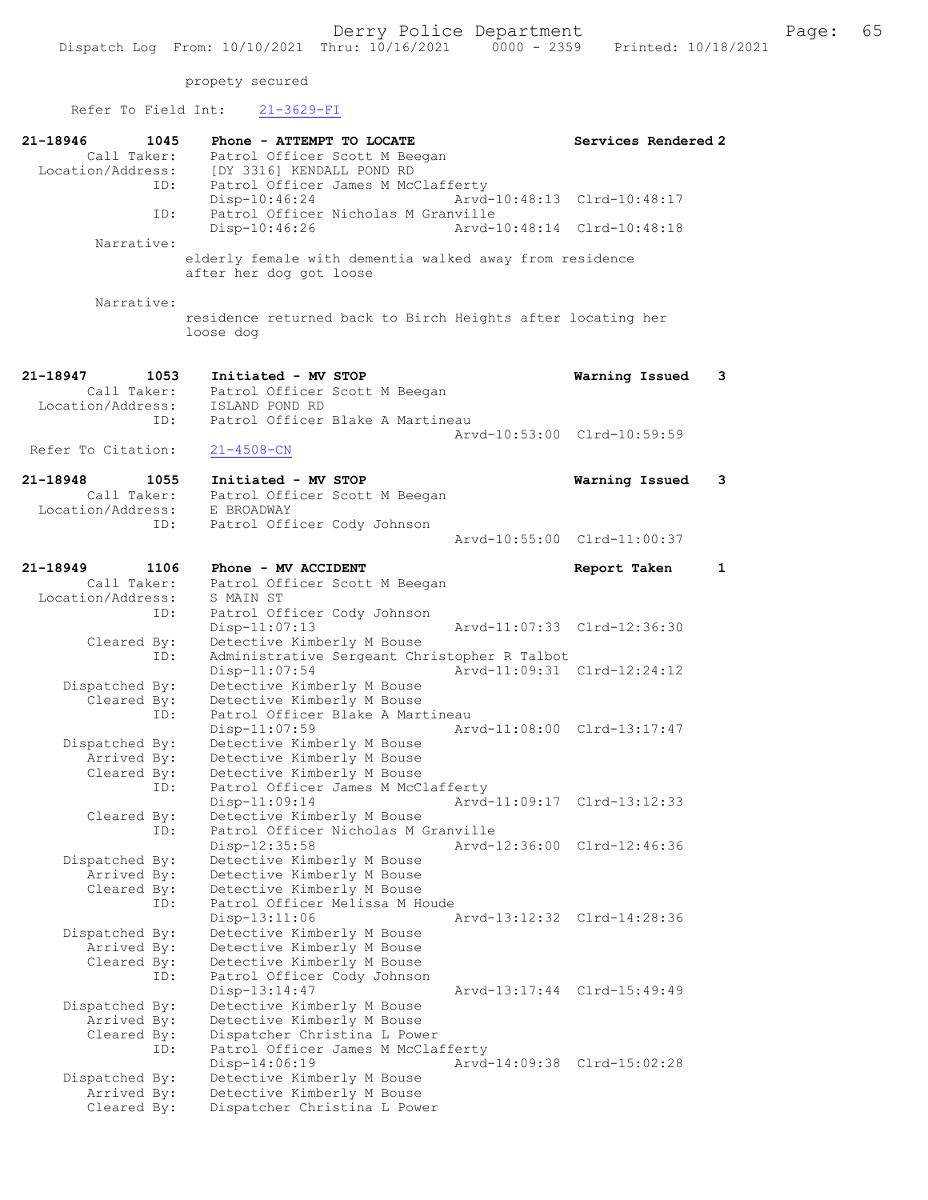| Refer To Field Int:              | $21 - 3629 - FI$                                                                   |                             |              |
|----------------------------------|------------------------------------------------------------------------------------|-----------------------------|--------------|
| 21-18946<br>1045<br>Call Taker:  | Phone - ATTEMPT TO LOCATE<br>Patrol Officer Scott M Beegan                         | Services Rendered 2         |              |
| Location/Address:<br>ID:         | [DY 3316] KENDALL POND RD<br>Patrol Officer James M McClafferty<br>$Disp-10:46:24$ | Arvd-10:48:13 Clrd-10:48:17 |              |
| ID:                              | Patrol Officer Nicholas M Granville<br>Disp-10:46:26                               | Arvd-10:48:14 Clrd-10:48:18 |              |
| Narrative:                       |                                                                                    |                             |              |
|                                  | elderly female with dementia walked away from residence<br>after her dog got loose |                             |              |
| Narrative:                       | residence returned back to Birch Heights after locating her<br>loose dog           |                             |              |
| 21-18947<br>1053                 | Initiated - MV STOP                                                                | Warning Issued              | 3            |
| Call Taker:<br>Location/Address: | Patrol Officer Scott M Beegan<br>ISLAND POND RD                                    |                             |              |
| ID:                              | Patrol Officer Blake A Martineau                                                   |                             |              |
| Refer To Citation:               | $21 - 4508 - CN$                                                                   | Arvd-10:53:00 Clrd-10:59:59 |              |
| 21-18948<br>1055                 | Initiated - MV STOP                                                                | Warning Issued              | 3            |
| Call Taker:<br>Location/Address: | Patrol Officer Scott M Beegan<br>E BROADWAY                                        |                             |              |
| ID:                              | Patrol Officer Cody Johnson                                                        | Arvd-10:55:00 Clrd-11:00:37 |              |
| 21-18949<br>1106                 | Phone - MV ACCIDENT                                                                | Report Taken                | $\mathbf{1}$ |
| Call Taker:                      | Patrol Officer Scott M Beegan                                                      |                             |              |
| Location/Address:<br>ID:         | S MAIN ST<br>Patrol Officer Cody Johnson                                           |                             |              |
|                                  | Disp-11:07:13                                                                      | Arvd-11:07:33 Clrd-12:36:30 |              |
| Cleared By:<br>ID:               | Detective Kimberly M Bouse<br>Administrative Sergeant Christopher R Talbot         |                             |              |
|                                  | $Disp-11:07:54$                                                                    | Arvd-11:09:31 Clrd-12:24:12 |              |
| Dispatched By:<br>Cleared By:    | Detective Kimberly M Bouse<br>Detective Kimberly M Bouse                           |                             |              |
| ID:                              | Patrol Officer Blake A Martineau                                                   |                             |              |
| Dispatched By:                   | Disp-11:07:59<br>Detective Kimberly M Bouse                                        | Arvd-11:08:00 Clrd-13:17:47 |              |
| Arrived By:                      | Detective Kimberly M Bouse                                                         |                             |              |
| Cleared By:                      | Detective Kimberly M Bouse                                                         |                             |              |
| ID:                              | Patrol Officer James M McClafferty                                                 | Arvd-11:09:17 Clrd-13:12:33 |              |
| Cleared By:                      | Disp-11:09:14<br>Detective Kimberly M Bouse                                        |                             |              |
| ID:                              | Patrol Officer Nicholas M Granville                                                |                             |              |
|                                  | Arvd-12:36:00<br>Disp-12:35:58                                                     | Clrd-12:46:36               |              |
| Dispatched By:<br>Arrived By:    | Detective Kimberly M Bouse<br>Detective Kimberly M Bouse                           |                             |              |
| Cleared By:                      | Detective Kimberly M Bouse                                                         |                             |              |
| ID:                              | Patrol Officer Melissa M Houde                                                     |                             |              |
|                                  | Disp-13:11:06<br>Detective Kimberly M Bouse                                        | Arvd-13:12:32 Clrd-14:28:36 |              |
| Dispatched By:<br>Arrived By:    | Detective Kimberly M Bouse                                                         |                             |              |
| Cleared By:                      | Detective Kimberly M Bouse                                                         |                             |              |
| ID:                              | Patrol Officer Cody Johnson<br>Disp-13:14:47                                       | Arvd-13:17:44 Clrd-15:49:49 |              |
| Dispatched By:                   | Detective Kimberly M Bouse                                                         |                             |              |
| Arrived By:<br>Cleared By:       | Detective Kimberly M Bouse<br>Dispatcher Christina L Power                         |                             |              |
| ID:                              | Patrol Officer James M McClafferty                                                 |                             |              |
|                                  | Disp-14:06:19                                                                      | Arvd-14:09:38 Clrd-15:02:28 |              |
| Dispatched By:<br>Arrived By:    | Detective Kimberly M Bouse<br>Detective Kimberly M Bouse                           |                             |              |
| Cleared By:                      | Dispatcher Christina L Power                                                       |                             |              |
|                                  |                                                                                    |                             |              |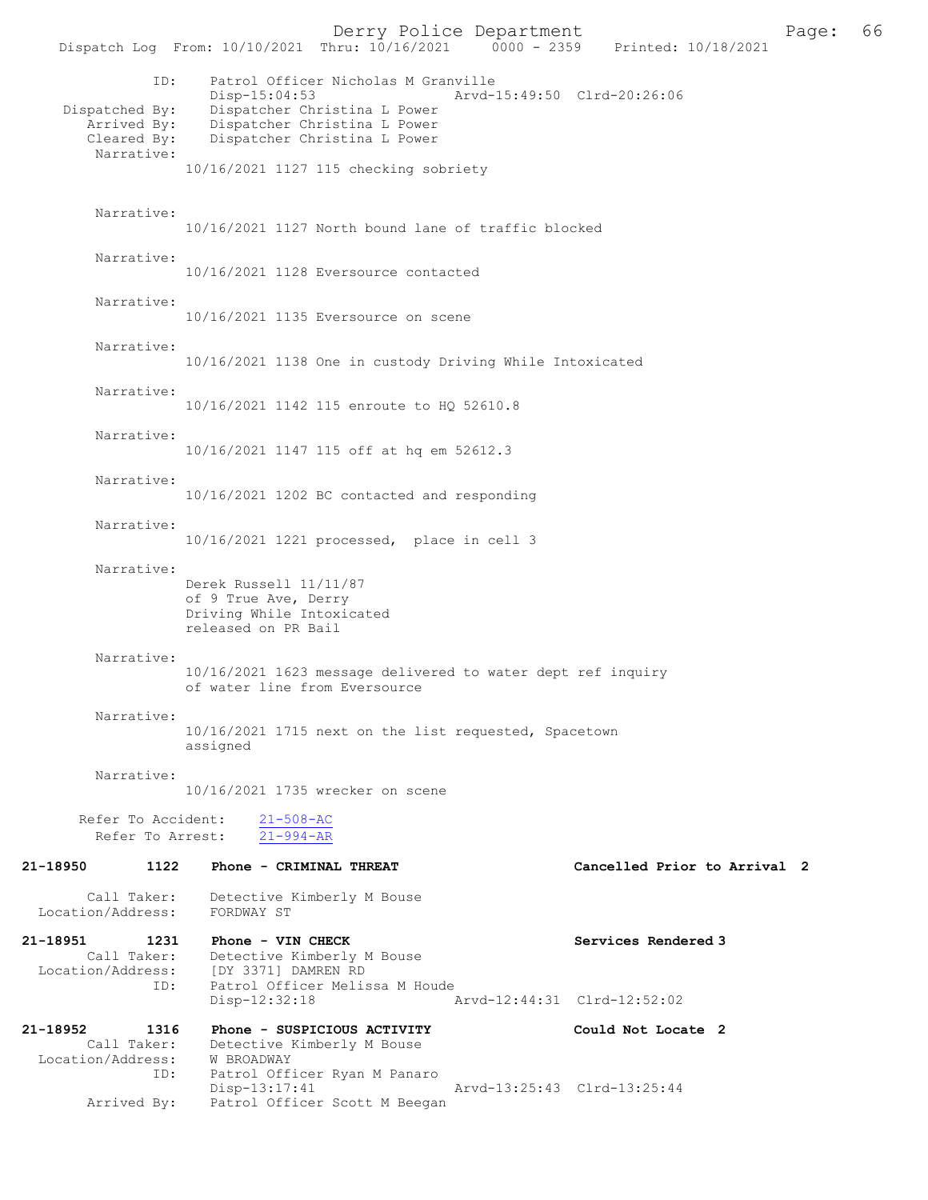Derry Police Department<br>Page: 66 (10/16/2021 0000 - 2359 Printed: 10/18/2021 Dispatch Log From: 10/10/2021 Thru: 10/16/2021 ID: Patrol Officer Nicholas M Granville Disp-15:04:53 Arvd-15:49:50 Clrd-20:26:06 Dispatched By: Dispatcher Christina L Power Arrived By: Dispatcher Christina L Power<br>Cleared By: Dispatcher Christina L Power Dispatcher Christina L Power Narrative: 10/16/2021 1127 115 checking sobriety Narrative: 10/16/2021 1127 North bound lane of traffic blocked Narrative: 10/16/2021 1128 Eversource contacted Narrative: 10/16/2021 1135 Eversource on scene Narrative: 10/16/2021 1138 One in custody Driving While Intoxicated Narrative: 10/16/2021 1142 115 enroute to HQ 52610.8 Narrative: 10/16/2021 1147 115 off at hq em 52612.3 Narrative: 10/16/2021 1202 BC contacted and responding Narrative: 10/16/2021 1221 processed, place in cell 3 Narrative: Derek Russell 11/11/87 of 9 True Ave, Derry Driving While Intoxicated released on PR Bail Narrative: 10/16/2021 1623 message delivered to water dept ref inquiry of water line from Eversource Narrative: 10/16/2021 1715 next on the list requested, Spacetown assigned Narrative: 10/16/2021 1735 wrecker on scene Refer To Accident: 21-508-AC Refer To Arrest: 21-994-AR 21-18950 1122 Phone - CRIMINAL THREAT Cancelled Prior to Arrival 2 Call Taker: Detective Kimberly M Bouse<br>ion/Address: FORDWAY ST Location/Address: 21-18951 1231 Phone - VIN CHECK Services Rendered 3 Call Taker: Detective Kimberly M Bouse Location/Address: [DY 3371] DAMREN RD Patrol Officer Melissa M Houde<br>Disp-12:32:18 Disp-12:32:18 Arvd-12:44:31 Clrd-12:52:02 21-18952 1316 Phone - SUSPICIOUS ACTIVITY<br>
Could Not Locate 2<br>
Call Taker: Detective Kimberly M Bouse Detective Kimberly M Bouse Location/Address: W BROADWAY<br>ID: Patrol Off: Patrol Officer Ryan M Panaro<br>Disp-13:17:41 Disp-13:17:41 Arvd-13:25:43 Clrd-13:25:44<br>Arrived By: Patrol Officer Scott M Beegan Patrol Officer Scott M Beegan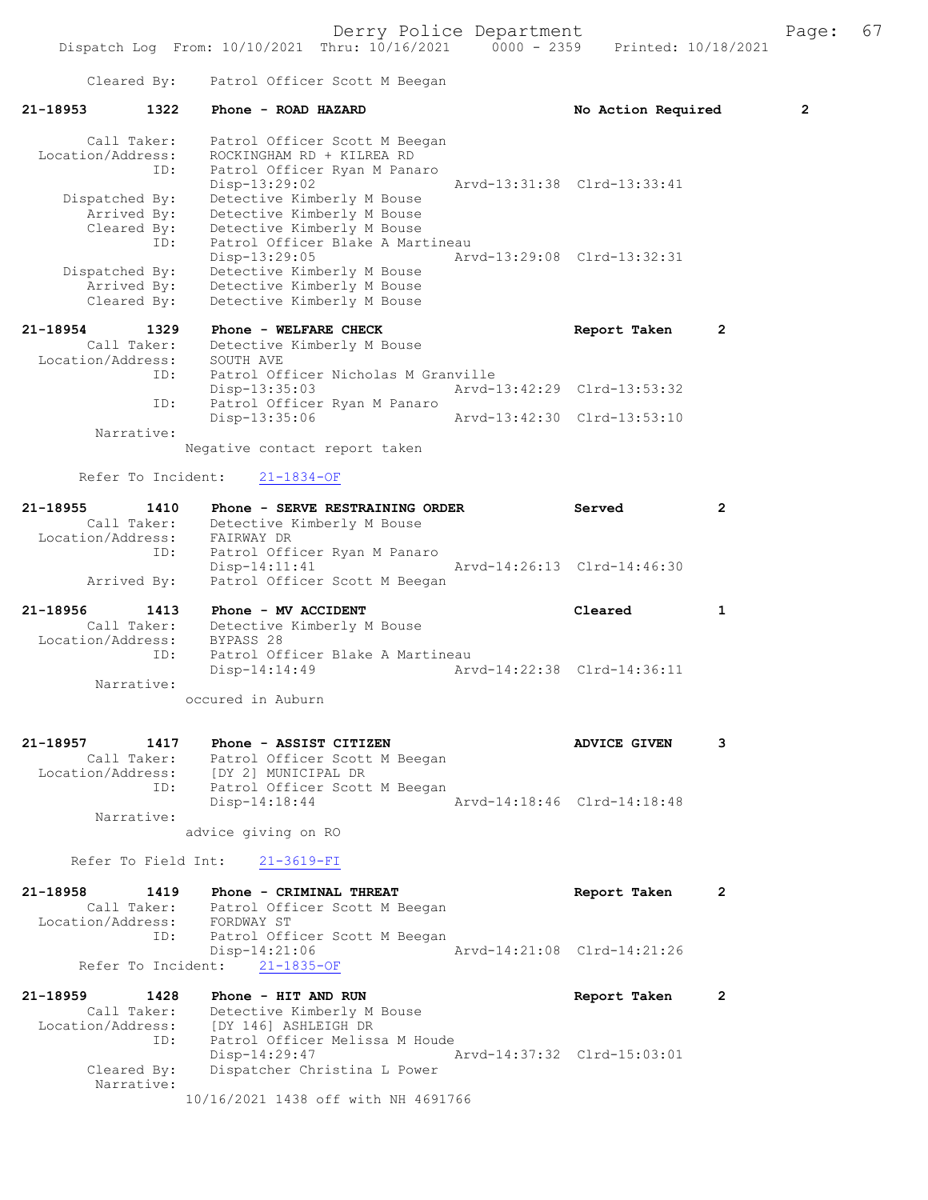|                   |                               |                                                                                    | Derry Police Department     |                             |                | Page: | 67 |
|-------------------|-------------------------------|------------------------------------------------------------------------------------|-----------------------------|-----------------------------|----------------|-------|----|
|                   |                               | Dispatch Log From: 10/10/2021 Thru: 10/16/2021 0000 - 2359 Printed: 10/18/2021     |                             |                             |                |       |    |
|                   |                               | Cleared By: Patrol Officer Scott M Beegan                                          |                             |                             |                |       |    |
| 21-18953          | 1322                          | Phone - ROAD HAZARD                                                                |                             | No Action Required          |                | 2     |    |
|                   | Call Taker:                   | Patrol Officer Scott M Beegan                                                      |                             |                             |                |       |    |
| Location/Address: | ID:                           | ROCKINGHAM RD + KILREA RD<br>Patrol Officer Ryan M Panaro                          |                             |                             |                |       |    |
|                   |                               | Disp-13:29:02                                                                      |                             | Arvd-13:31:38 Clrd-13:33:41 |                |       |    |
|                   | Dispatched By:                | Detective Kimberly M Bouse                                                         |                             |                             |                |       |    |
|                   | Arrived By:<br>Cleared By:    | Detective Kimberly M Bouse<br>Detective Kimberly M Bouse                           |                             |                             |                |       |    |
|                   | ID:                           | Patrol Officer Blake A Martineau                                                   |                             |                             |                |       |    |
|                   |                               | Disp-13:29:05                                                                      |                             | Arvd-13:29:08 Clrd-13:32:31 |                |       |    |
|                   | Dispatched By:<br>Arrived By: | Detective Kimberly M Bouse<br>Detective Kimberly M Bouse                           |                             |                             |                |       |    |
|                   | Cleared By:                   | Detective Kimberly M Bouse                                                         |                             |                             |                |       |    |
| 21-18954          | 1329                          | Phone - WELFARE CHECK                                                              |                             | Report Taken                | 2              |       |    |
|                   | Call Taker:                   | Detective Kimberly M Bouse                                                         |                             |                             |                |       |    |
| Location/Address: | ID:                           | SOUTH AVE<br>Patrol Officer Nicholas M Granville                                   |                             |                             |                |       |    |
|                   |                               | Disp-13:35:03                                                                      | Arvd-13:42:29 Clrd-13:53:32 |                             |                |       |    |
|                   | ID:                           | Patrol Officer Ryan M Panaro                                                       |                             |                             |                |       |    |
|                   | Narrative:                    | $Disp-13:35:06$                                                                    | Arvd-13:42:30 Clrd-13:53:10 |                             |                |       |    |
|                   |                               | Negative contact report taken                                                      |                             |                             |                |       |    |
|                   | Refer To Incident:            | $21 - 1834 - OF$                                                                   |                             |                             |                |       |    |
| 21-18955          | 1410                          | Phone - SERVE RESTRAINING ORDER                                                    |                             | Served                      | 2              |       |    |
|                   | Call Taker:                   | Detective Kimberly M Bouse                                                         |                             |                             |                |       |    |
| Location/Address: |                               | FAIRWAY DR                                                                         |                             |                             |                |       |    |
|                   | ID:                           | Patrol Officer Ryan M Panaro<br>$Disp-14:11:41$                                    |                             | Arvd-14:26:13 Clrd-14:46:30 |                |       |    |
|                   | Arrived By:                   | Patrol Officer Scott M Beegan                                                      |                             |                             |                |       |    |
| 21-18956          | 1413                          | Phone - MV ACCIDENT                                                                |                             | Cleared                     | 1              |       |    |
|                   |                               | Call Taker: Detective Kimberly M Bouse                                             |                             |                             |                |       |    |
|                   | ID:                           | Location/Address: BYPASS 28<br>Patrol Officer Blake A Martineau                    |                             |                             |                |       |    |
|                   |                               | Disp-14:14:49                                                                      |                             | Arvd-14:22:38 Clrd-14:36:11 |                |       |    |
|                   | Narrative:                    | occured in Auburn                                                                  |                             |                             |                |       |    |
|                   |                               |                                                                                    |                             |                             |                |       |    |
|                   |                               | 21-18957            1417      Phone – ASSIST CITIZEN                               |                             | <b>ADVICE GIVEN</b>         | 3              |       |    |
|                   |                               | Call Taker: Patrol Officer Scott M Beegan<br>Location/Address: [DY 2] MUNICIPAL DR |                             |                             |                |       |    |
|                   |                               | ID: Patrol Officer Scott M Beegan                                                  |                             |                             |                |       |    |
|                   |                               | Disp-14:18:44                                                                      | Arvd-14:18:46 Clrd-14:18:48 |                             |                |       |    |
|                   | Narrative:                    | advice giving on RO                                                                |                             |                             |                |       |    |
|                   |                               |                                                                                    |                             |                             |                |       |    |
|                   |                               | Refer To Field Int: 21-3619-FI                                                     |                             |                             |                |       |    |
|                   |                               | 21-18958 1419 Phone - CRIMINAL THREAT                                              |                             | Report Taken                | $\overline{2}$ |       |    |
|                   |                               | Call Taker: Patrol Officer Scott M Beegan<br>Location/Address: FORDWAY ST          |                             |                             |                |       |    |
|                   |                               | ID: Patrol Officer Scott M Beegan                                                  |                             |                             |                |       |    |
|                   |                               | $Disp-14:21:06$                                                                    | Arvd-14:21:08 Clrd-14:21:26 |                             |                |       |    |
|                   |                               | Refer To Incident: 21-1835-OF                                                      |                             |                             |                |       |    |
|                   |                               | 21-18959 1428 Phone - HIT AND RUN                                                  |                             | Report Taken                | 2              |       |    |
|                   |                               | Call Taker: Detective Kimberly M Bouse<br>Location/Address: [DY 146] ASHLEIGH DR   |                             |                             |                |       |    |
|                   |                               | ID: Patrol Officer Melissa M Houde                                                 |                             |                             |                |       |    |
|                   |                               | Disp-14:29:47                                                                      | Arvd-14:37:32 Clrd-15:03:01 |                             |                |       |    |
|                   | Narrative:                    | Cleared By: Dispatcher Christina L Power                                           |                             |                             |                |       |    |
|                   |                               | 10/16/2021 1438 off with NH 4691766                                                |                             |                             |                |       |    |
|                   |                               |                                                                                    |                             |                             |                |       |    |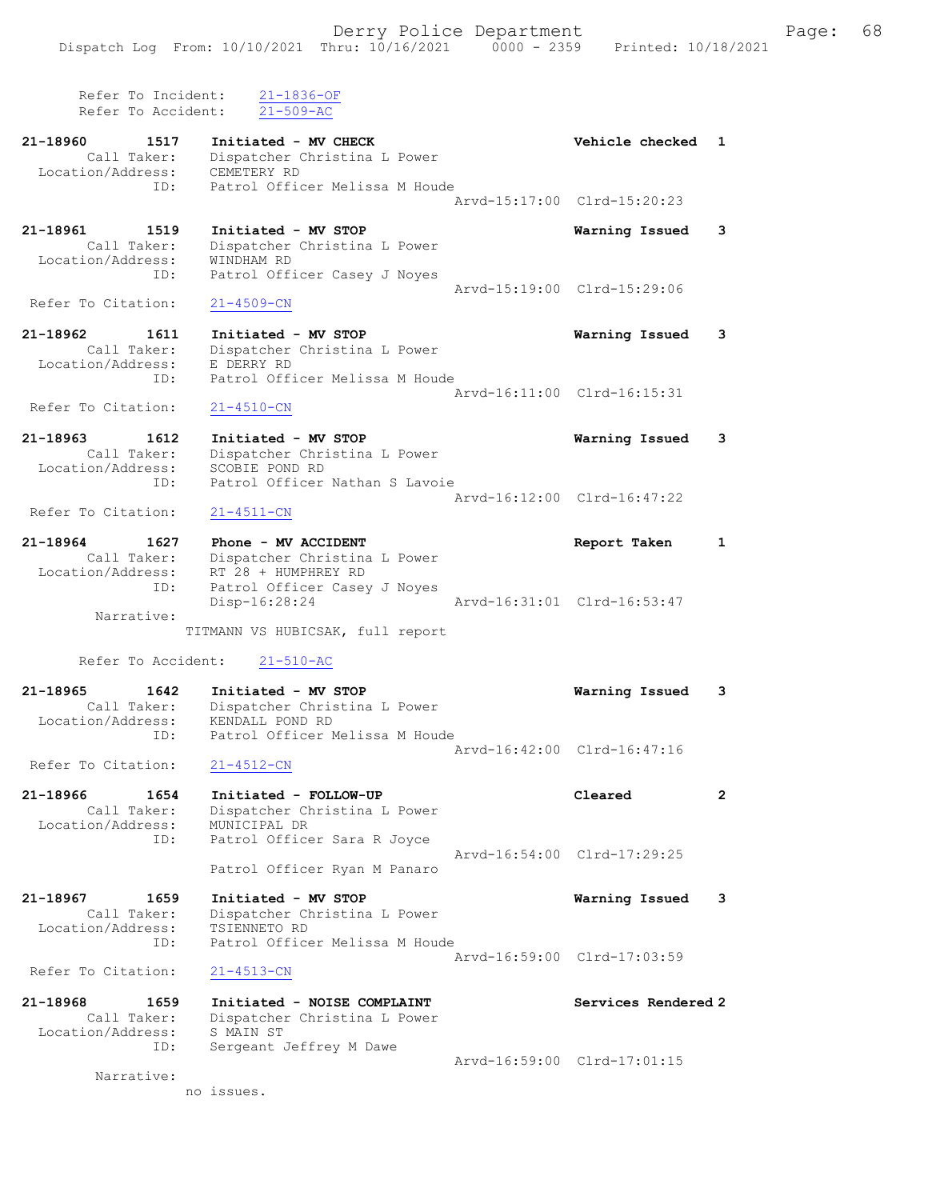Refer To Incident: 21-1836-OF Refer To Accident: 21-509-AC

- 21-18960 1517 Initiated MV CHECK 1 21-18960 Checked 1 Call Taker: Dispatcher Christina L Power Location/Address: CEMETERY RD ID: Patrol Officer Melissa M Houde Arvd-15:17:00 Clrd-15:20:23 21-18961 1519 Initiated - MV STOP Warning Issued 3
- Call Taker: Dispatcher Christina L Power Location/Address: WINDHAM RD ID: Patrol Officer Casey J Noyes Arvd-15:19:00 Clrd-15:29:06<br>21-4509-CN Refer To Citation:
- 21-18962 1611 Initiated MV STOP Warning Issued 3 Call Taker: Dispatcher Christina L Power Location/Address: E DERRY RD ID: Patrol Officer Melissa M Houde Arvd-16:11:00 Clrd-16:15:31
- Refer To Citation: 21-4510-CN
- 21-18963 1612 Initiated MV STOP Warning Issued 3 Call Taker: Dispatcher Christina L Power Location/Address: SCOBIE POND RD ID: Patrol Officer Nathan S Lavoie Arvd-16:12:00 Clrd-16:47:22<br>
21-4511-CN
- Refer To Citation:
- 21-18964 1627 Phone MV ACCIDENT Report Taken 1 Call Taker: Dispatcher Christina L Power Location/Address: RT 28 + HUMPHREY RD ID: Patrol Officer Casey J Noyes Disp-16:28:24 Arvd-16:31:01 Clrd-16:53:47 Narrative:
	- TITMANN VS HUBICSAK, full report
	- Refer To Accident: 21-510-AC
- 21-18965 1642 Initiated MV STOP Warning Issued 3 Call Taker: Dispatcher Christina L Power Location/Address: KENDALL POND RD ID: Patrol Officer Melissa M Houde Arvd-16:42:00 Clrd-16:47:16<br>21-4512-CN
- Refer To Citation:
- 21-18966 1654 Initiated FOLLOW-UP Cleared 2 Call Taker: Dispatcher Christina L Power Location/Address: MUNICIPAL DR ID: Patrol Officer Sara R Joyce Arvd-16:54:00 Clrd-17:29:25 Patrol Officer Ryan M Panaro
- 21-18967 1659 Initiated MV STOP Warning Issued 3 Call Taker: Dispatcher Christina L Power Location/Address: TSIENNETO RD ID: Patrol Officer Melissa M Houde Arvd-16:59:00 Clrd-17:03:59<br>
21-4513-CN Refer To Citation:
- 21-18968 1659 Initiated NOISE COMPLAINT Services Rendered 2 Call Taker: Dispatcher Christina L Power Location/Address: S MAIN ST ID: Sergeant Jeffrey M Dawe Arvd-16:59:00 Clrd-17:01:15

Narrative:

no issues.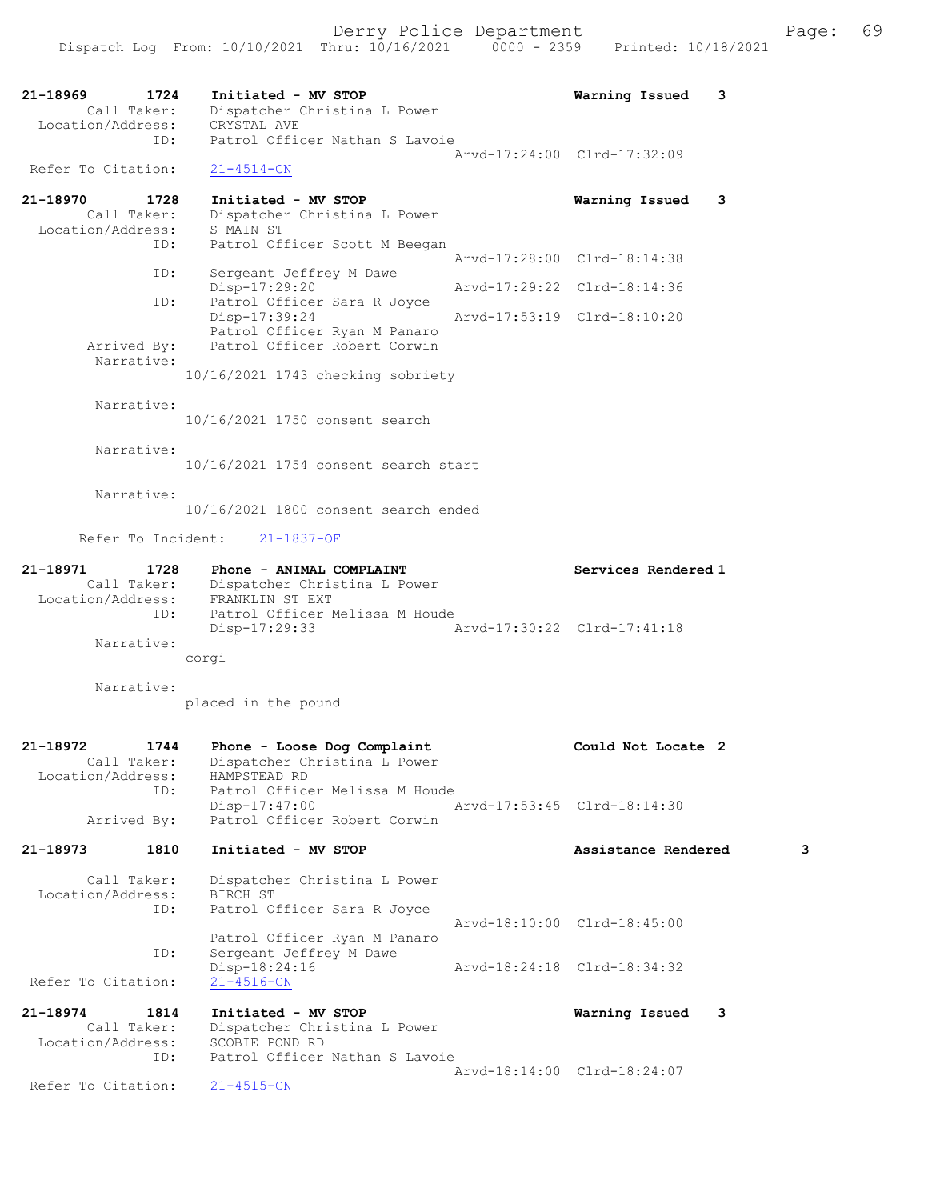| 21–18969                       | 1724                | Initiated - MV STOP                                          | Warning Issued              | 3 |   |
|--------------------------------|---------------------|--------------------------------------------------------------|-----------------------------|---|---|
| Location/Address:              | Call Taker:         | Dispatcher Christina L Power<br>CRYSTAL AVE                  |                             |   |   |
|                                | ID:                 | Patrol Officer Nathan S Lavoie                               |                             |   |   |
| Refer To Citation:             |                     | $21 - 4514 - CN$                                             | Arvd-17:24:00 Clrd-17:32:09 |   |   |
| 21-18970                       | 1728                | Initiated - MV STOP                                          | Warning Issued              | 3 |   |
|                                | Call Taker:         | Dispatcher Christina L Power                                 |                             |   |   |
| Location/Address:              |                     | S MAIN ST                                                    |                             |   |   |
|                                | ID:                 | Patrol Officer Scott M Beegan                                | Arvd-17:28:00 Clrd-18:14:38 |   |   |
|                                | ID:                 | Sergeant Jeffrey M Dawe<br>Disp-17:29:20                     | Arvd-17:29:22 Clrd-18:14:36 |   |   |
|                                | ID:                 | Patrol Officer Sara R Joyce                                  |                             |   |   |
|                                |                     | Disp-17:39:24                                                | Arvd-17:53:19 Clrd-18:10:20 |   |   |
|                                | Arrived By:         | Patrol Officer Ryan M Panaro<br>Patrol Officer Robert Corwin |                             |   |   |
|                                | Narrative:          |                                                              |                             |   |   |
|                                |                     | 10/16/2021 1743 checking sobriety                            |                             |   |   |
|                                | Narrative:          |                                                              |                             |   |   |
|                                |                     | 10/16/2021 1750 consent search                               |                             |   |   |
|                                | Narrative:          |                                                              |                             |   |   |
|                                |                     | 10/16/2021 1754 consent search start                         |                             |   |   |
|                                | Narrative:          |                                                              |                             |   |   |
|                                |                     | 10/16/2021 1800 consent search ended                         |                             |   |   |
|                                | Refer To Incident:  | $21 - 1837 - OF$                                             |                             |   |   |
| 21-18971                       | 1728                | Phone - ANIMAL COMPLAINT                                     | Services Rendered 1         |   |   |
|                                | Call Taker:         | Dispatcher Christina L Power                                 |                             |   |   |
| Location/Address:              | ID:                 | FRANKLIN ST EXT<br>Patrol Officer Melissa M Houde            |                             |   |   |
|                                |                     | Disp-17:29:33                                                | Arvd-17:30:22 Clrd-17:41:18 |   |   |
|                                | Narrative:          | corgi                                                        |                             |   |   |
|                                |                     |                                                              |                             |   |   |
|                                | Narrative:          | placed in the pound                                          |                             |   |   |
|                                |                     |                                                              |                             |   |   |
| 21-18972                       | 1744                | Phone - Loose Dog Complaint                                  | Could Not Locate 2          |   |   |
|                                | Call Taker:         | Dispatcher Christina L Power                                 |                             |   |   |
| Location/Address:              | ID:                 | HAMPSTEAD RD<br>Patrol Officer Melissa M Houde               |                             |   |   |
|                                |                     | Disp-17:47:00                                                | Arvd-17:53:45 Clrd-18:14:30 |   |   |
|                                |                     |                                                              |                             |   |   |
|                                | Arrived By:         | Patrol Officer Robert Corwin                                 |                             |   |   |
|                                | 1810                | Initiated - MV STOP                                          | Assistance Rendered         |   | з |
|                                | Call Taker:         | Dispatcher Christina L Power                                 |                             |   |   |
| Location/Address:              |                     | BIRCH ST                                                     |                             |   |   |
|                                | ID:                 | Patrol Officer Sara R Joyce                                  | Arvd-18:10:00 Clrd-18:45:00 |   |   |
|                                |                     | Patrol Officer Ryan M Panaro                                 |                             |   |   |
|                                | ID:                 | Sergeant Jeffrey M Dawe<br>Disp-18:24:16                     | Arvd-18:24:18 Clrd-18:34:32 |   |   |
| 21-18973<br>Refer To Citation: |                     | $21 - 4516 - CN$                                             |                             |   |   |
| 21-18974                       | 1814<br>Call Taker: | Initiated - MV STOP<br>Dispatcher Christina L Power          | Warning Issued              | 3 |   |

 Location/Address: SCOBIE POND RD ID: Patrol Officer Nathan S Lavoie Arvd-18:14:00 Clrd-18:24:07 Refer To Citation: 21-4515-CN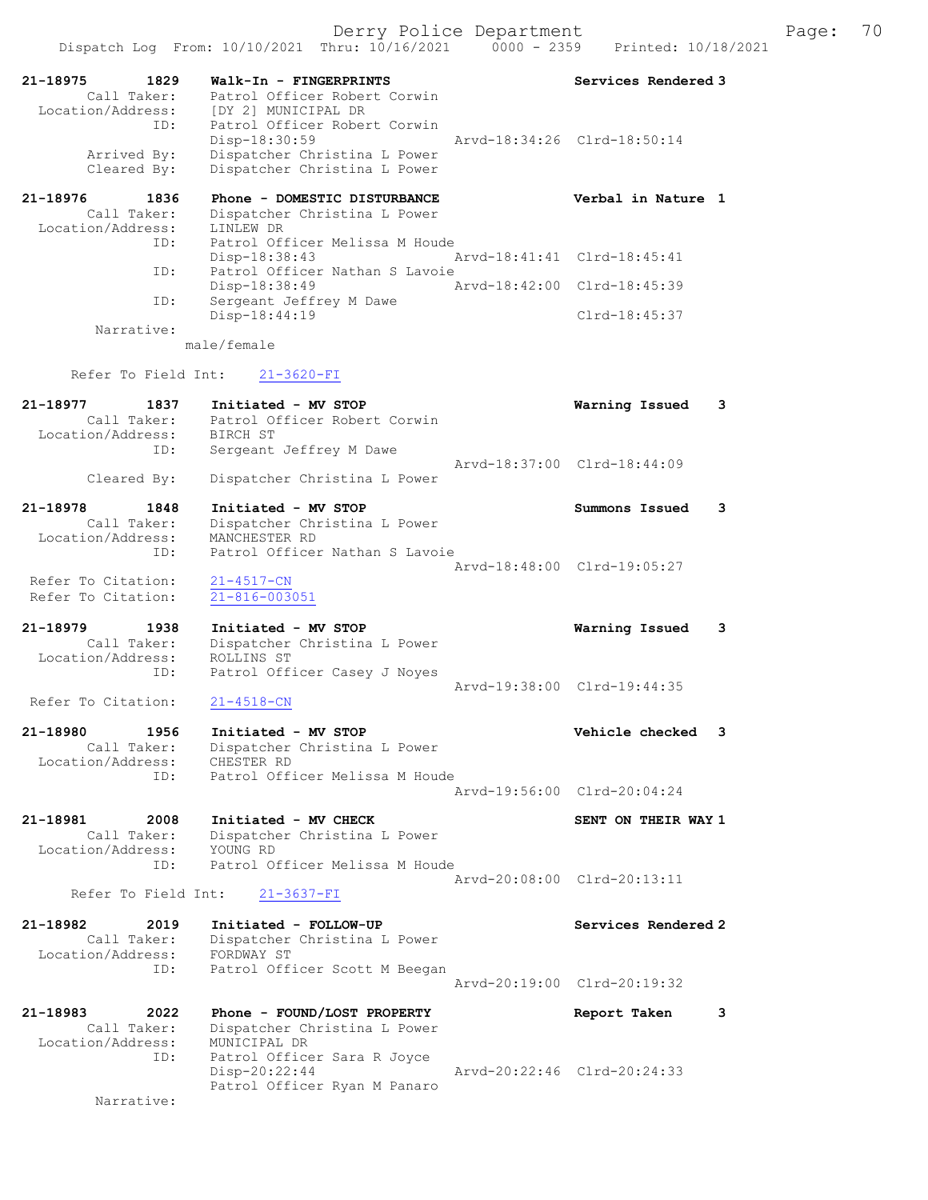| 21-18975                         |                                                           |                             |   |
|----------------------------------|-----------------------------------------------------------|-----------------------------|---|
| 1829<br>Call Taker:              | Walk-In - FINGERPRINTS<br>Patrol Officer Robert Corwin    | Services Rendered 3         |   |
| Location/Address:                | [DY 2] MUNICIPAL DR                                       |                             |   |
| ID:                              | Patrol Officer Robert Corwin                              |                             |   |
| Arrived By:                      | $Disp-18:30:59$<br>Dispatcher Christina L Power           | Arvd-18:34:26 Clrd-18:50:14 |   |
| Cleared By:                      | Dispatcher Christina L Power                              |                             |   |
| 21-18976<br>1836                 | Phone - DOMESTIC DISTURBANCE                              | Verbal in Nature 1          |   |
| Call Taker:                      | Dispatcher Christina L Power                              |                             |   |
| Location/Address:<br>ID:         | LINLEW DR<br>Patrol Officer Melissa M Houde               |                             |   |
|                                  | Disp-18:38:43                                             | Arvd-18:41:41 Clrd-18:45:41 |   |
| ID:                              | Patrol Officer Nathan S Lavoie                            |                             |   |
| ID:                              | Disp-18:38:49<br>Arvd-18:42:00<br>Sergeant Jeffrey M Dawe | Clrd-18:45:39               |   |
|                                  | Disp-18:44:19                                             | $Clrd-18:45:37$             |   |
| Narrative:                       |                                                           |                             |   |
|                                  | male/female                                               |                             |   |
| Refer To Field Int:              | $21 - 3620 - FI$                                          |                             |   |
| 21-18977<br>1837                 | Initiated - MV STOP                                       | Warning Issued              | 3 |
| Call Taker:                      | Patrol Officer Robert Corwin                              |                             |   |
| Location/Address:<br>ID:         | BIRCH ST<br>Sergeant Jeffrey M Dawe                       |                             |   |
|                                  |                                                           | Arvd-18:37:00 Clrd-18:44:09 |   |
| Cleared By:                      | Dispatcher Christina L Power                              |                             |   |
| 21-18978<br>1848                 | Initiated - MV STOP                                       | Summons Issued              | 3 |
| Call Taker:                      | Dispatcher Christina L Power                              |                             |   |
| Location/Address:                | MANCHESTER RD                                             |                             |   |
| ID:                              | Patrol Officer Nathan S Lavoie                            | Arvd-18:48:00 Clrd-19:05:27 |   |
| Refer To Citation:               | $21 - 4517 - CN$                                          |                             |   |
| Refer To Citation:               | $21 - 816 - 003051$                                       |                             |   |
| 21-18979<br>1938                 | Initiated - MV STOP                                       | Warning Issued              | 3 |
| Call Taker:                      | Dispatcher Christina L Power                              |                             |   |
| Location/Address:                | ROLLINS ST                                                |                             |   |
| ID:                              | Patrol Officer Casey J Noyes                              | Arvd-19:38:00 Clrd-19:44:35 |   |
| Refer To Citation:               | $21 - 4518 - CN$                                          |                             |   |
| 1956<br>21-18980                 | Initiated - MV STOP                                       | Vehicle checked             | 3 |
| Call Taker:                      | Dispatcher Christina L Power                              |                             |   |
| Location/Address:                | CHESTER RD                                                |                             |   |
| ID:                              | Patrol Officer Melissa M Houde                            | Arvd-19:56:00 Clrd-20:04:24 |   |
|                                  |                                                           |                             |   |
| 21-18981<br>2008<br>Call Taker:  | Initiated - MV CHECK                                      | SENT ON THEIR WAY 1         |   |
| Location/Address:                | Dispatcher Christina L Power<br>YOUNG RD                  |                             |   |
| ID:                              | Patrol Officer Melissa M Houde                            |                             |   |
| Refer To Field Int:              | $21 - 3637 - FI$                                          | Arvd-20:08:00 Clrd-20:13:11 |   |
|                                  |                                                           |                             |   |
| 21-18982<br>2019                 | Initiated - FOLLOW-UP                                     | Services Rendered 2         |   |
| Call Taker:<br>Location/Address: | Dispatcher Christina L Power<br>FORDWAY ST                |                             |   |
| ID:                              | Patrol Officer Scott M Beegan                             |                             |   |
|                                  |                                                           | Arvd-20:19:00 Clrd-20:19:32 |   |
| 21-18983<br>2022                 | Phone - FOUND/LOST PROPERTY                               | Report Taken                | 3 |
| Call Taker:                      | Dispatcher Christina L Power                              |                             |   |
| Location/Address:<br>ID:         | MUNICIPAL DR<br>Patrol Officer Sara R Joyce               |                             |   |
|                                  | Disp-20:22:44                                             | Arvd-20:22:46 Clrd-20:24:33 |   |
|                                  | Patrol Officer Ryan M Panaro                              |                             |   |
| Narrative:                       |                                                           |                             |   |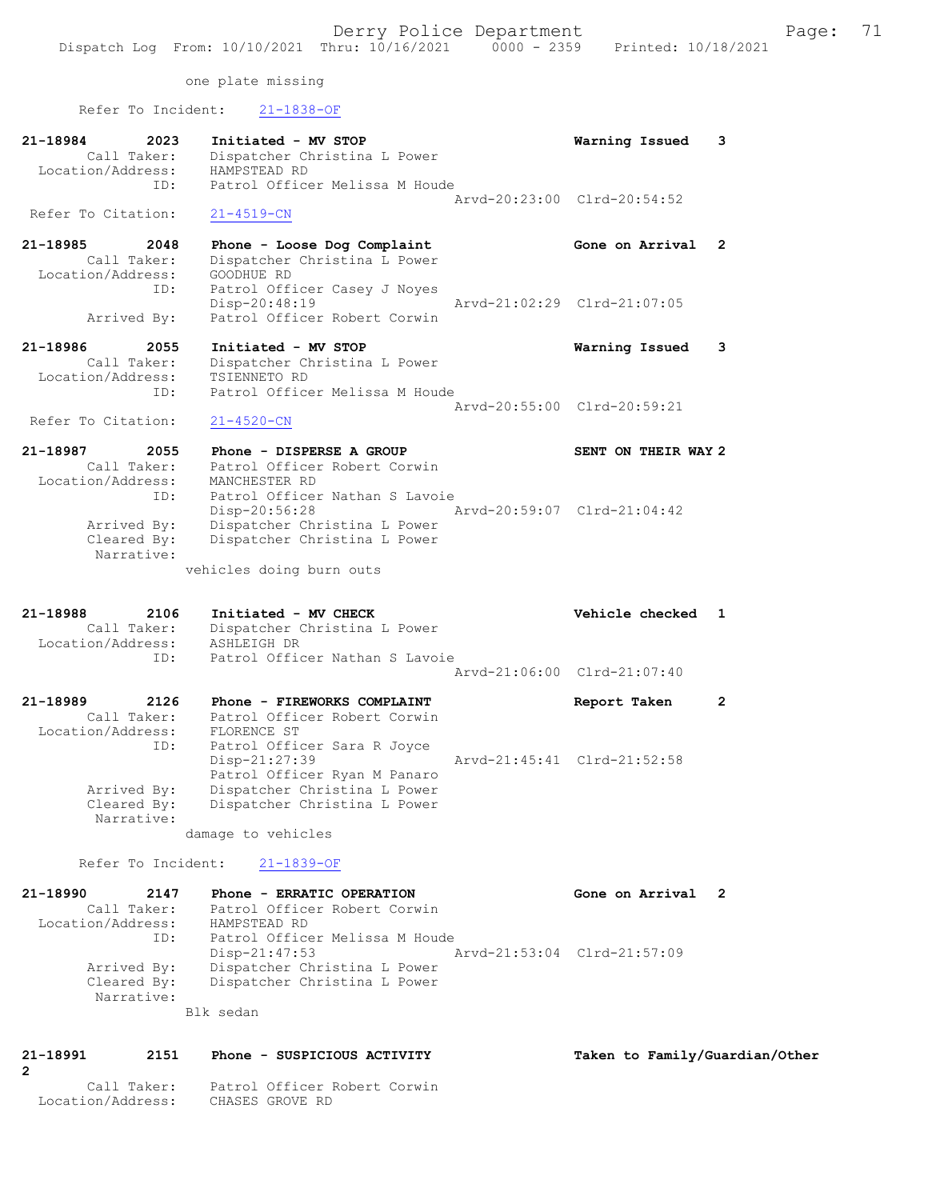one plate missing

| Refer To Incident: | $21 - 1838 - OF$               |                             |              |
|--------------------|--------------------------------|-----------------------------|--------------|
| 21-18984<br>2023   | Initiated - MV STOP            | Warning Issued              | 3            |
| Call Taker:        | Dispatcher Christina L Power   |                             |              |
| Location/Address:  | HAMPSTEAD RD                   |                             |              |
| ID:                | Patrol Officer Melissa M Houde |                             |              |
|                    |                                | Arvd-20:23:00 Clrd-20:54:52 |              |
| Refer To Citation: | $21 - 4519 - CN$               |                             |              |
| 21-18985<br>2048   | Phone - Loose Dog Complaint    | Gone on Arrival             | $\mathbf{2}$ |
| Call Taker:        | Dispatcher Christina L Power   |                             |              |
| Location/Address:  | GOODHUE RD                     |                             |              |
| ID:                | Patrol Officer Casey J Noyes   |                             |              |
|                    | Disp-20:48:19                  | Arvd-21:02:29 Clrd-21:07:05 |              |
| Arrived By:        | Patrol Officer Robert Corwin   |                             |              |
| 21-18986<br>2055   | Initiated - MV STOP            | Warning Issued              | 3            |
| Call Taker:        | Dispatcher Christina L Power   |                             |              |
| Location/Address:  | TSIENNETO RD                   |                             |              |
| ID:                | Patrol Officer Melissa M Houde |                             |              |
|                    |                                | Arvd-20:55:00 Clrd-20:59:21 |              |
| Refer To Citation: | $21 - 4520 - CN$               |                             |              |
| 21-18987<br>2055   | Phone - DISPERSE A GROUP       | SENT ON THEIR WAY 2         |              |
| Call Taker:        | Patrol Officer Robert Corwin   |                             |              |
| Location/Address:  | MANCHESTER RD                  |                             |              |
| ID:                | Patrol Officer Nathan S Lavoie |                             |              |
|                    | Disp-20:56:28                  | Aryd-20:59:07 Clrd-21:04:42 |              |
| Arrived By:        | Dispatcher Christina L Power   |                             |              |
| Cleared By:        | Dispatcher Christina L Power   |                             |              |
| Narrative:         |                                |                             |              |
|                    | vehicles doing burn outs       |                             |              |
| 21-18988<br>2106   | Initiated - MV CHECK           | Vehicle checked             | 1            |
| Call Taker:        | Dispatcher Christina L Power   |                             |              |
| Location/Address:  | ASHLEIGH DR                    |                             |              |
| ID:                | Patrol Officer Nathan S Lavoie |                             |              |
|                    |                                | Arvd-21:06:00 Clrd-21:07:40 |              |
| 21-18989<br>2126   | Phone - FIREWORKS COMPLAINT    | Report Taken                | 2            |
| Call Taker:        | Patrol Officer Robert Corwin   |                             |              |
| Location/Address:  | FLORENCE ST                    |                             |              |
| ID:                | Patrol Officer Sara R Joyce    |                             |              |
|                    | Disp-21:27:39                  | Arvd-21:45:41 Clrd-21:52:58 |              |
|                    | Patrol Officer Ryan M Panaro   |                             |              |
| Arrived By:        | Dispatcher Christina L Power   |                             |              |
| Cleared By:        | Dispatcher Christina L Power   |                             |              |
| Narrative:         |                                |                             |              |
|                    | damage to vehicles             |                             |              |
| Refer To Incident: | $21 - 1839 - OF$               |                             |              |
| 21-18990<br>2147   | Phone - ERRATIC OPERATION      | Gone on Arrival             | $\mathbf{2}$ |

| 21 10 <i>33</i> 0<br>. |     | -----<br>ENDLIC OFFICIAL       | GUNE VN ALLIVAI             |
|------------------------|-----|--------------------------------|-----------------------------|
| Call Taker:            |     | Patrol Officer Robert Corwin   |                             |
| Location/Address:      |     | HAMPSTEAD RD                   |                             |
|                        | ID: | Patrol Officer Melissa M Houde |                             |
|                        |     | $Disp-21:47:53$                | Arvd-21:53:04 Clrd-21:57:09 |
| Arrived By:            |     | Dispatcher Christina L Power   |                             |
| Cleared By:            |     | Dispatcher Christina L Power   |                             |
| Narrative:             |     |                                |                             |
|                        |     | Blk sedan                      |                             |
|                        |     |                                |                             |

## 21-18991 2151 Phone - SUSPICIOUS ACTIVITY Taken to Family/Guardian/Other

2

 Call Taker: Patrol Officer Robert Corwin Location/Address: CHASES GROVE RD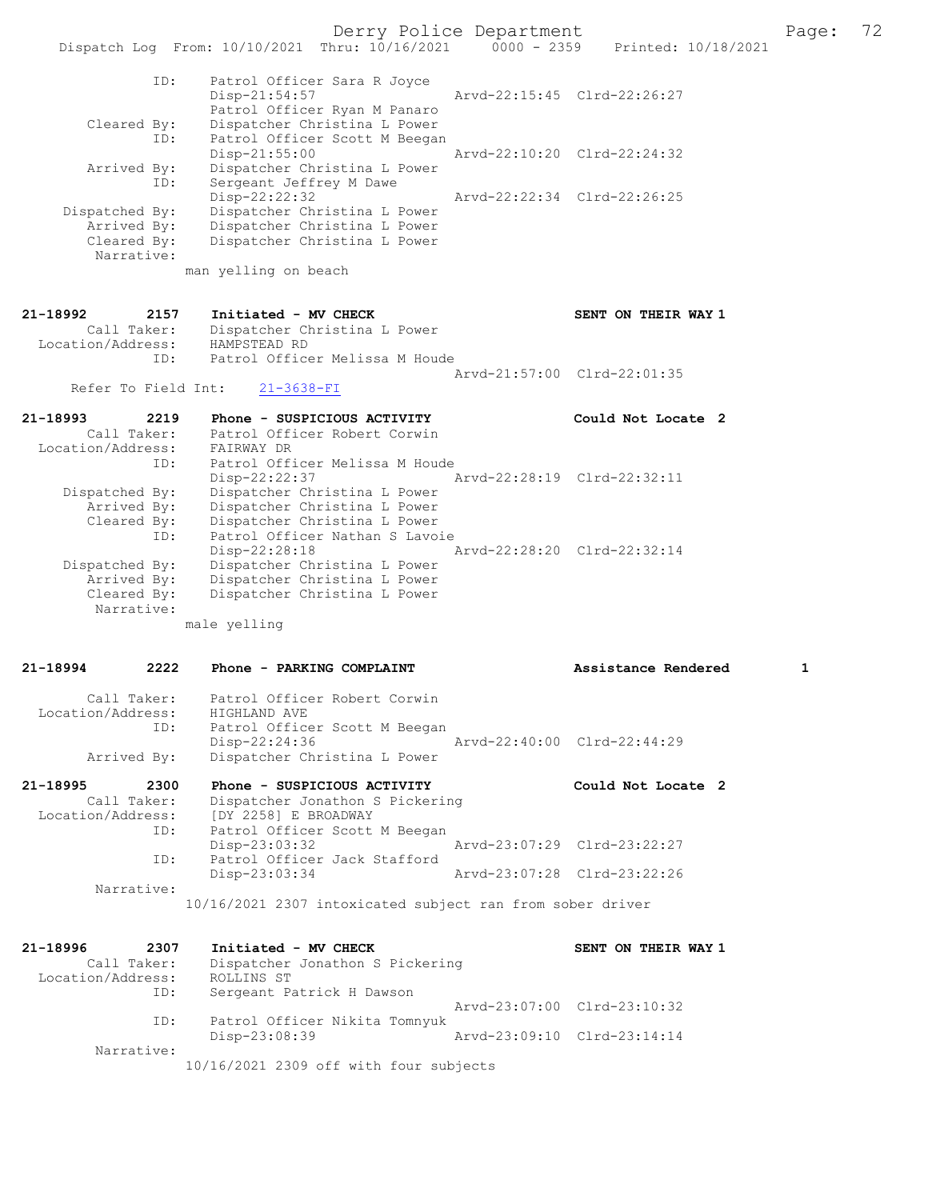Derry Police Department Page: 72

|                                                                   | Dispatch Log From: 10/10/2021 Thru: 10/16/2021                                                                                                  | $0000 - 2359$ | Printed: 10/18/2021         |   |
|-------------------------------------------------------------------|-------------------------------------------------------------------------------------------------------------------------------------------------|---------------|-----------------------------|---|
| ID:<br>Cleared By:                                                | Patrol Officer Sara R Joyce<br>$Disp-21:54:57$<br>Patrol Officer Ryan M Panaro<br>Dispatcher Christina L Power                                  |               | Arvd-22:15:45 Clrd-22:26:27 |   |
| ID:<br>Arrived By:                                                | Patrol Officer Scott M Beegan<br>$Disp-21:55:00$<br>Dispatcher Christina L Power                                                                |               | Arvd-22:10:20 Clrd-22:24:32 |   |
| ID:<br>Dispatched By:<br>Arrived By:<br>Cleared By:<br>Narrative: | Sergeant Jeffrey M Dawe<br>$Disp-22:22:32$<br>Dispatcher Christina L Power<br>Dispatcher Christina L Power<br>Dispatcher Christina L Power      |               | Arvd-22:22:34 Clrd-22:26:25 |   |
|                                                                   | man yelling on beach                                                                                                                            |               |                             |   |
| 21-18992<br>2157<br>Call Taker:<br>Location/Address:              | Initiated - MV CHECK<br>Dispatcher Christina L Power<br>HAMPSTEAD RD<br>Patrol Officer Melissa M Houde                                          |               | SENT ON THEIR WAY 1         |   |
| ID:                                                               |                                                                                                                                                 |               | Arvd-21:57:00 Clrd-22:01:35 |   |
| Refer To Field Int:                                               | $21 - 3638 - FI$                                                                                                                                |               |                             |   |
| 21-18993<br>2219<br>Call Taker:<br>Location/Address:<br>ID:       | Phone - SUSPICIOUS ACTIVITY<br>Patrol Officer Robert Corwin<br>FAIRWAY DR<br>Patrol Officer Melissa M Houde                                     |               | Could Not Locate 2          |   |
| Dispatched By:<br>Arrived By:<br>Cleared By:<br>ID:               | Disp-22:22:37<br>Dispatcher Christina L Power<br>Dispatcher Christina L Power<br>Dispatcher Christina L Power<br>Patrol Officer Nathan S Lavoie |               | Arvd-22:28:19 Clrd-22:32:11 |   |
| Dispatched By:<br>Arrived By:<br>Cleared By:<br>Narrative:        | Disp-22:28:18<br>Dispatcher Christina L Power<br>Dispatcher Christina L Power<br>Dispatcher Christina L Power                                   |               | Arvd-22:28:20 Clrd-22:32:14 |   |
|                                                                   | male yelling                                                                                                                                    |               |                             |   |
| 2222<br>21-18994                                                  | Phone - PARKING COMPLAINT                                                                                                                       |               | Assistance Rendered         | 1 |
| Call Taker:<br>Location/Address:                                  | Patrol Officer Robert Corwin<br>HIGHLAND AVE<br>Patrol Officer Scott M Beegan                                                                   |               |                             |   |
| ID:<br>Arrived By:                                                | Disp-22:24:36<br>Dispatcher Christina L Power                                                                                                   |               | Arvd-22:40:00 Clrd-22:44:29 |   |
| 21-18995<br>2300<br>Call Taker:<br>Location/Address:              | Phone - SUSPICIOUS ACTIVITY<br>Dispatcher Jonathon S Pickering<br>[DY 2258] E BROADWAY                                                          |               | Could Not Locate 2          |   |
| ID:<br>ID:                                                        | Patrol Officer Scott M Beegan<br>Disp-23:03:32<br>Patrol Officer Jack Stafford                                                                  |               | Arvd-23:07:29 Clrd-23:22:27 |   |
| Narrative:                                                        | Disp-23:03:34                                                                                                                                   |               | Arvd-23:07:28 Clrd-23:22:26 |   |
|                                                                   | 10/16/2021 2307 intoxicated subject ran from sober driver                                                                                       |               |                             |   |
| 21-18996<br>2307<br>Call Taker:                                   | Initiated - MV CHECK<br>Dispatcher Jonathon S Pickering                                                                                         |               | SENT ON THEIR WAY 1         |   |
| Location/Address:<br>ID:                                          | ROLLINS ST<br>Sergeant Patrick H Dawson                                                                                                         |               | Arvd-23:07:00 Clrd-23:10:32 |   |
| ID:                                                               | Patrol Officer Nikita Tomnyuk<br>Disp-23:08:39                                                                                                  |               | Arvd-23:09:10 Clrd-23:14:14 |   |

Narrative:

10/16/2021 2309 off with four subjects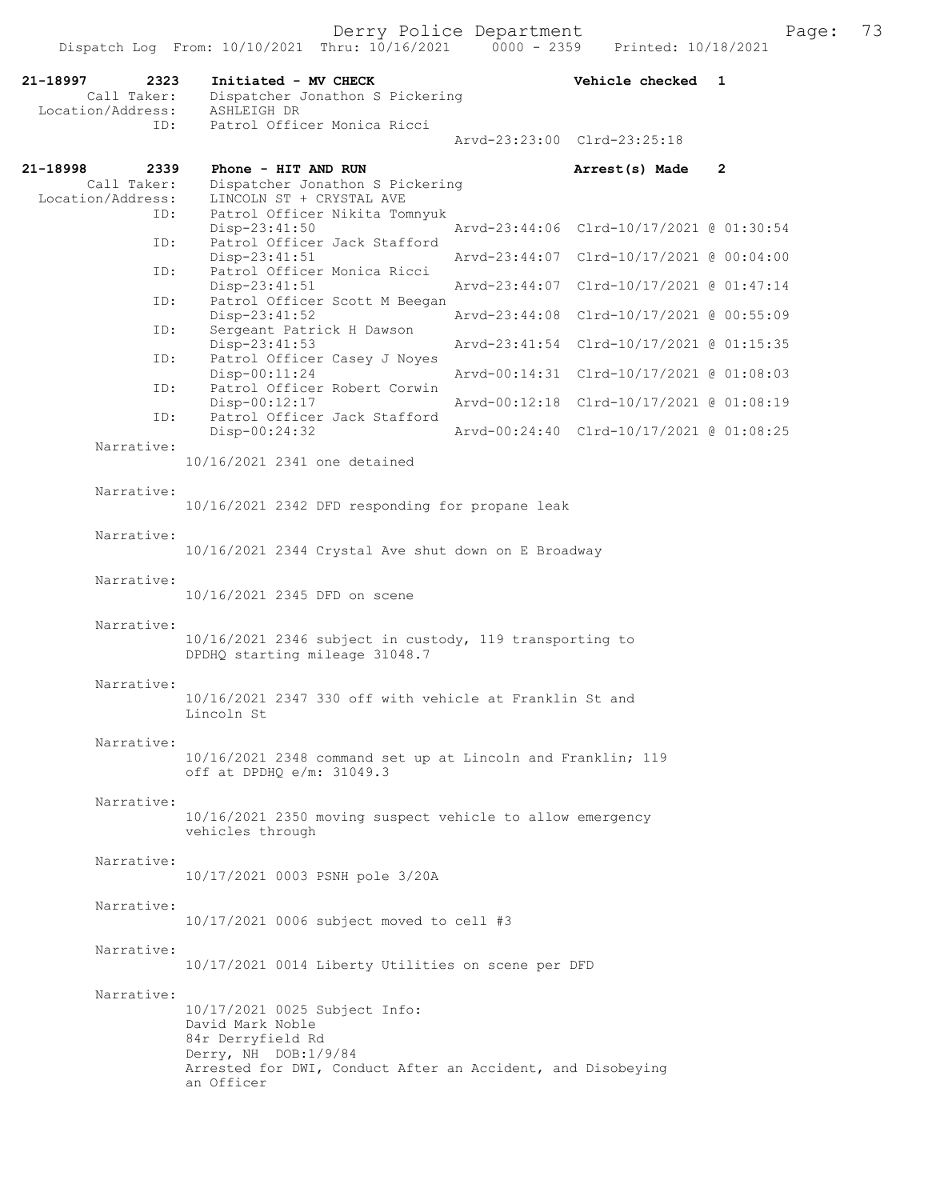| 21-18997<br>2323<br>Call Taker:<br>Location/Address: | Initiated - MV CHECK<br>Dispatcher Jonathon S Pickering<br>ASHLEIGH DR                                                                                                      |               | Vehicle checked                          | 1              |  |  |  |
|------------------------------------------------------|-----------------------------------------------------------------------------------------------------------------------------------------------------------------------------|---------------|------------------------------------------|----------------|--|--|--|
| ID:                                                  | Patrol Officer Monica Ricci                                                                                                                                                 |               | Arvd-23:23:00 Clrd-23:25:18              |                |  |  |  |
| 21-18998<br>2339                                     | Phone - HIT AND RUN                                                                                                                                                         |               | Arrest(s) Made                           | $\overline{2}$ |  |  |  |
| Call Taker:<br>Location/Address:                     | Dispatcher Jonathon S Pickering<br>LINCOLN ST + CRYSTAL AVE                                                                                                                 |               |                                          |                |  |  |  |
| ID:<br>ID:                                           | Patrol Officer Nikita Tomnyuk<br>Disp-23:41:50<br>Patrol Officer Jack Stafford                                                                                              |               | Arvd-23:44:06 Clrd-10/17/2021 @ 01:30:54 |                |  |  |  |
| ID:                                                  | $Disp-23:41:51$<br>Patrol Officer Monica Ricci                                                                                                                              | Arvd-23:44:07 | Clrd-10/17/2021 @ 00:04:00               |                |  |  |  |
| ID:                                                  | $Disp-23:41:51$<br>Patrol Officer Scott M Beegan                                                                                                                            | Arvd-23:44:07 | Clrd-10/17/2021 @ 01:47:14               |                |  |  |  |
| ID:                                                  | Disp-23:41:52<br>Sergeant Patrick H Dawson                                                                                                                                  | Arvd-23:44:08 | Clrd-10/17/2021 @ 00:55:09               |                |  |  |  |
| ID:                                                  | Disp-23:41:53<br>Patrol Officer Casey J Noyes                                                                                                                               | Arvd-23:41:54 | Clrd-10/17/2021 @ 01:15:35               |                |  |  |  |
| ID:                                                  | Disp-00:11:24<br>Patrol Officer Robert Corwin                                                                                                                               | Aryd-00:14:31 | Clrd-10/17/2021 @ 01:08:03               |                |  |  |  |
| ID:                                                  | Disp-00:12:17<br>Patrol Officer Jack Stafford                                                                                                                               | Arvd-00:12:18 | Clrd-10/17/2021 @ 01:08:19               |                |  |  |  |
| Narrative:                                           | Disp-00:24:32                                                                                                                                                               |               | Arvd-00:24:40 Clrd-10/17/2021 @ 01:08:25 |                |  |  |  |
|                                                      | 10/16/2021 2341 one detained                                                                                                                                                |               |                                          |                |  |  |  |
| Narrative:                                           | 10/16/2021 2342 DFD responding for propane leak                                                                                                                             |               |                                          |                |  |  |  |
| Narrative:                                           |                                                                                                                                                                             |               |                                          |                |  |  |  |
|                                                      | 10/16/2021 2344 Crystal Ave shut down on E Broadway<br>10/16/2021 2345 DFD on scene                                                                                         |               |                                          |                |  |  |  |
| Narrative:                                           |                                                                                                                                                                             |               |                                          |                |  |  |  |
| Narrative:                                           | 10/16/2021 2346 subject in custody, 119 transporting to<br>DPDHQ starting mileage 31048.7                                                                                   |               |                                          |                |  |  |  |
| Narrative:                                           | 10/16/2021 2347 330 off with vehicle at Franklin St and<br>Lincoln St                                                                                                       |               |                                          |                |  |  |  |
| Narrative:                                           | 10/16/2021 2348 command set up at Lincoln and Franklin; 119<br>off at DPDHQ e/m: 31049.3                                                                                    |               |                                          |                |  |  |  |
| Narrative:                                           | 10/16/2021 2350 moving suspect vehicle to allow emergency<br>vehicles through                                                                                               |               |                                          |                |  |  |  |
| Narrative:                                           | 10/17/2021 0003 PSNH pole 3/20A                                                                                                                                             |               |                                          |                |  |  |  |
| Narrative:                                           | 10/17/2021 0006 subject moved to cell #3                                                                                                                                    |               |                                          |                |  |  |  |
| Narrative:                                           | 10/17/2021 0014 Liberty Utilities on scene per DFD                                                                                                                          |               |                                          |                |  |  |  |
| Narrative:                                           | 10/17/2021 0025 Subject Info:<br>David Mark Noble<br>84r Derryfield Rd<br>Derry, NH DOB:1/9/84<br>Arrested for DWI, Conduct After an Accident, and Disobeying<br>an Officer |               |                                          |                |  |  |  |